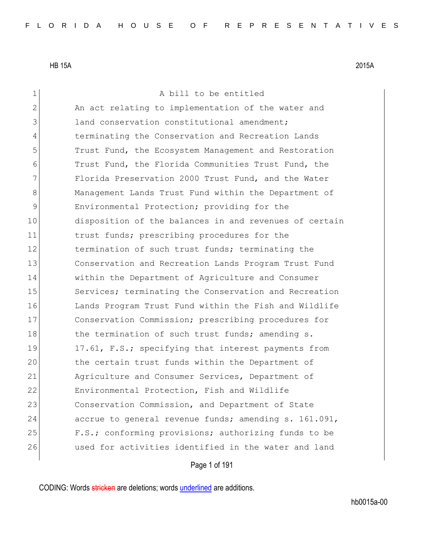1 a bill to be entitled 2 An act relating to implementation of the water and 3 3 land conservation constitutional amendment; 4 terminating the Conservation and Recreation Lands 5 Trust Fund, the Ecosystem Management and Restoration 6 Trust Fund, the Florida Communities Trust Fund, the 7 Florida Preservation 2000 Trust Fund, and the Water 8 Management Lands Trust Fund within the Department of 9 Environmental Protection; providing for the 10 disposition of the balances in and revenues of certain 11 trust funds; prescribing procedures for the 12 termination of such trust funds; terminating the 13 Conservation and Recreation Lands Program Trust Fund 14 within the Department of Agriculture and Consumer 15 Services; terminating the Conservation and Recreation 16 Lands Program Trust Fund within the Fish and Wildlife 17 Conservation Commission; prescribing procedures for 18 the termination of such trust funds; amending s. 19 17.61, F.S.; specifying that interest payments from 20 the certain trust funds within the Department of 21 Agriculture and Consumer Services, Department of 22 Environmental Protection, Fish and Wildlife 23 Conservation Commission, and Department of State 24 accrue to general revenue funds; amending s. 161.091, 25 F.S.; conforming provisions; authorizing funds to be 26 used for activities identified in the water and land

Page 1 of 191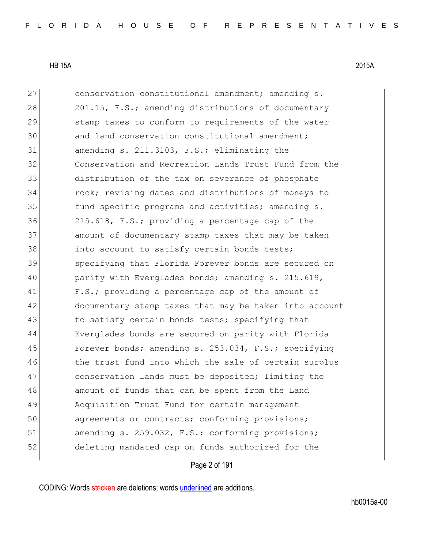| 27 | conservation constitutional amendment; amending s.     |
|----|--------------------------------------------------------|
| 28 | 201.15, F.S.; amending distributions of documentary    |
| 29 | stamp taxes to conform to requirements of the water    |
| 30 | and land conservation constitutional amendment;        |
| 31 | amending s. 211.3103, F.S.; eliminating the            |
| 32 | Conservation and Recreation Lands Trust Fund from the  |
| 33 | distribution of the tax on severance of phosphate      |
| 34 | rock; revising dates and distributions of moneys to    |
| 35 | fund specific programs and activities; amending s.     |
| 36 | 215.618, F.S.; providing a percentage cap of the       |
| 37 | amount of documentary stamp taxes that may be taken    |
| 38 | into account to satisfy certain bonds tests;           |
| 39 | specifying that Florida Forever bonds are secured on   |
| 40 | parity with Everglades bonds; amending s. 215.619,     |
| 41 | F.S.; providing a percentage cap of the amount of      |
| 42 | documentary stamp taxes that may be taken into account |
| 43 | to satisfy certain bonds tests; specifying that        |
| 44 | Everglades bonds are secured on parity with Florida    |
| 45 | Forever bonds; amending s. 253.034, F.S.; specifying   |
| 46 | the trust fund into which the sale of certain surplus  |
| 47 | conservation lands must be deposited; limiting the     |
| 48 | amount of funds that can be spent from the Land        |
| 49 | Acquisition Trust Fund for certain management          |
| 50 | agreements or contracts; conforming provisions;        |
| 51 | amending s. 259.032, F.S.; conforming provisions;      |
| 52 | deleting mandated cap on funds authorized for the      |

# Page 2 of 191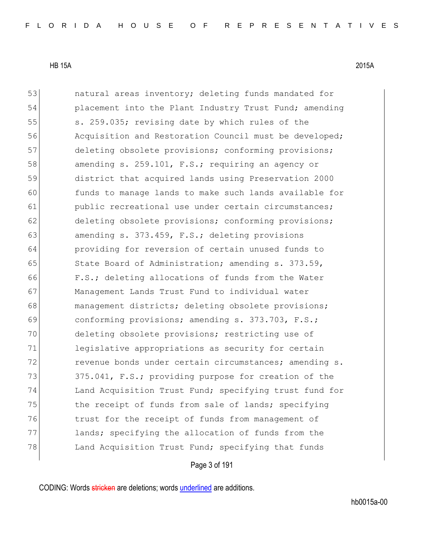| 53 | natural areas inventory; deleting funds mandated for   |
|----|--------------------------------------------------------|
| 54 | placement into the Plant Industry Trust Fund; amending |
| 55 | s. 259.035; revising date by which rules of the        |
| 56 | Acquisition and Restoration Council must be developed; |
| 57 | deleting obsolete provisions; conforming provisions;   |
| 58 | amending s. 259.101, F.S.; requiring an agency or      |
| 59 | district that acquired lands using Preservation 2000   |
| 60 | funds to manage lands to make such lands available for |
| 61 | public recreational use under certain circumstances;   |
| 62 | deleting obsolete provisions; conforming provisions;   |
| 63 | amending s. 373.459, F.S.; deleting provisions         |
| 64 | providing for reversion of certain unused funds to     |
| 65 | State Board of Administration; amending s. 373.59,     |
| 66 | F.S.; deleting allocations of funds from the Water     |
| 67 | Management Lands Trust Fund to individual water        |
| 68 | management districts; deleting obsolete provisions;    |
| 69 | conforming provisions; amending s. 373.703, F.S.;      |
| 70 | deleting obsolete provisions; restricting use of       |
| 71 | legislative appropriations as security for certain     |
| 72 | revenue bonds under certain circumstances; amending s. |
| 73 | 375.041, F.S.; providing purpose for creation of the   |
| 74 | Land Acquisition Trust Fund; specifying trust fund for |
| 75 | the receipt of funds from sale of lands; specifying    |
| 76 | trust for the receipt of funds from management of      |
| 77 | lands; specifying the allocation of funds from the     |
| 78 | Land Acquisition Trust Fund; specifying that funds     |
|    |                                                        |

# Page 3 of 191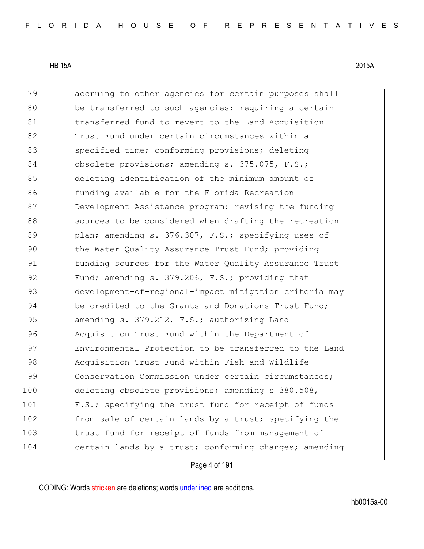| 79  | accruing to other agencies for certain purposes shall  |
|-----|--------------------------------------------------------|
| 80  | be transferred to such agencies; requiring a certain   |
| 81  | transferred fund to revert to the Land Acquisition     |
| 82  | Trust Fund under certain circumstances within a        |
| 83  | specified time; conforming provisions; deleting        |
| 84  | obsolete provisions; amending s. 375.075, F.S.;        |
| 85  | deleting identification of the minimum amount of       |
| 86  | funding available for the Florida Recreation           |
| 87  | Development Assistance program; revising the funding   |
| 88  | sources to be considered when drafting the recreation  |
| 89  | plan; amending s. 376.307, F.S.; specifying uses of    |
| 90  | the Water Quality Assurance Trust Fund; providing      |
| 91  | funding sources for the Water Quality Assurance Trust  |
| 92  | Fund; amending s. 379.206, F.S.; providing that        |
| 93  | development-of-regional-impact mitigation criteria may |
| 94  | be credited to the Grants and Donations Trust Fund;    |
| 95  | amending s. 379.212, F.S.; authorizing Land            |
| 96  | Acquisition Trust Fund within the Department of        |
| 97  | Environmental Protection to be transferred to the Land |
| 98  | Acquisition Trust Fund within Fish and Wildlife        |
| 99  | Conservation Commission under certain circumstances;   |
| 100 | deleting obsolete provisions; amending s 380.508,      |
| 101 | F.S.; specifying the trust fund for receipt of funds   |
| 102 | from sale of certain lands by a trust; specifying the  |
| 103 | trust fund for receipt of funds from management of     |
| 104 | certain lands by a trust; conforming changes; amending |
|     |                                                        |

# Page 4 of 191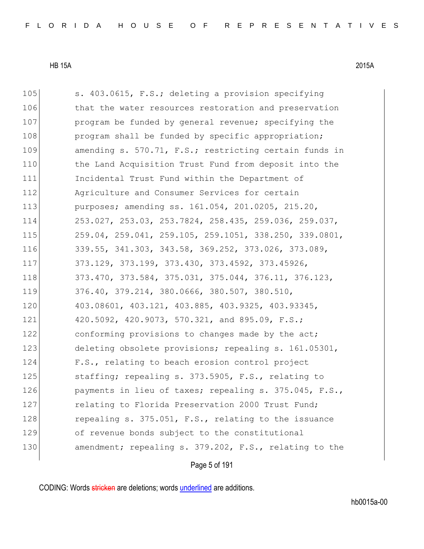| 105 | s. 403.0615, F.S.; deleting a provision specifying     |
|-----|--------------------------------------------------------|
| 106 | that the water resources restoration and preservation  |
| 107 | program be funded by general revenue; specifying the   |
| 108 | program shall be funded by specific appropriation;     |
| 109 | amending s. 570.71, F.S.; restricting certain funds in |
| 110 | the Land Acquisition Trust Fund from deposit into the  |
| 111 | Incidental Trust Fund within the Department of         |
| 112 | Agriculture and Consumer Services for certain          |
| 113 | purposes; amending ss. 161.054, 201.0205, 215.20,      |
| 114 | 253.027, 253.03, 253.7824, 258.435, 259.036, 259.037,  |
| 115 | 259.04, 259.041, 259.105, 259.1051, 338.250, 339.0801, |
| 116 | 339.55, 341.303, 343.58, 369.252, 373.026, 373.089,    |
| 117 | 373.129, 373.199, 373.430, 373.4592, 373.45926,        |
| 118 | 373.470, 373.584, 375.031, 375.044, 376.11, 376.123,   |
| 119 | 376.40, 379.214, 380.0666, 380.507, 380.510,           |
| 120 | 403.08601, 403.121, 403.885, 403.9325, 403.93345,      |
| 121 | 420.5092, 420.9073, 570.321, and 895.09, F.S.;         |
| 122 | conforming provisions to changes made by the act;      |
| 123 | deleting obsolete provisions; repealing s. 161.05301,  |
| 124 | F.S., relating to beach erosion control project        |
| 125 | staffing; repealing s. 373.5905, F.S., relating to     |
| 126 | payments in lieu of taxes; repealing s. 375.045, F.S., |
| 127 | relating to Florida Preservation 2000 Trust Fund;      |
| 128 | repealing s. 375.051, F.S., relating to the issuance   |
| 129 | of revenue bonds subject to the constitutional         |
| 130 | amendment; repealing s. 379.202, F.S., relating to the |

# Page 5 of 191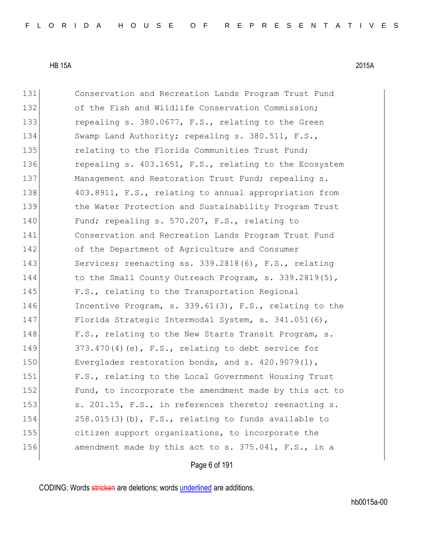| 131 | Conservation and Recreation Lands Program Trust Fund      |
|-----|-----------------------------------------------------------|
| 132 | of the Fish and Wildlife Conservation Commission;         |
| 133 | repealing s. 380.0677, F.S., relating to the Green        |
| 134 | Swamp Land Authority; repealing s. 380.511, F.S.,         |
| 135 | relating to the Florida Communities Trust Fund;           |
| 136 | repealing s. 403.1651, F.S., relating to the Ecosystem    |
| 137 | Management and Restoration Trust Fund; repealing s.       |
| 138 | 403.8911, F.S., relating to annual appropriation from     |
| 139 | the Water Protection and Sustainability Program Trust     |
| 140 | Fund; repealing s. 570.207, F.S., relating to             |
| 141 | Conservation and Recreation Lands Program Trust Fund      |
| 142 | of the Department of Agriculture and Consumer             |
| 143 | Services; reenacting ss. 339.2818(6), F.S., relating      |
| 144 | to the Small County Outreach Program, s. 339.2819(5),     |
| 145 | F.S., relating to the Transportation Regional             |
| 146 | Incentive Program, s. $339.61(3)$ , F.S., relating to the |
| 147 | Florida Strategic Intermodal System, s. 341.051(6),       |
| 148 | F.S., relating to the New Starts Transit Program, s.      |
| 149 | $373.470(4)$ (e), F.S., relating to debt service for      |
| 150 | Everglades restoration bonds, and s. 420.9079(1),         |
| 151 | F.S., relating to the Local Government Housing Trust      |
| 152 | Fund, to incorporate the amendment made by this act to    |
| 153 | s. 201.15, F.S., in references thereto; reenacting s.     |
| 154 | $258.015(3)$ (b), F.S., relating to funds available to    |
| 155 | citizen support organizations, to incorporate the         |
| 156 | amendment made by this act to s. 375.041, F.S., in a      |

# Page 6 of 191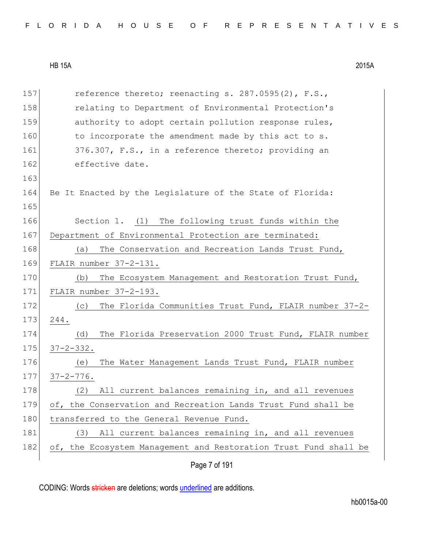|  |  |  |  |  |  |  |  |  |  | FLORIDA HOUSE OF REPRESENTATIVES |  |  |  |  |  |  |  |  |  |  |  |  |  |  |  |  |
|--|--|--|--|--|--|--|--|--|--|----------------------------------|--|--|--|--|--|--|--|--|--|--|--|--|--|--|--|--|
|--|--|--|--|--|--|--|--|--|--|----------------------------------|--|--|--|--|--|--|--|--|--|--|--|--|--|--|--|--|

| 157 | reference thereto; reenacting s. 287.0595(2), F.S.,              |
|-----|------------------------------------------------------------------|
| 158 | relating to Department of Environmental Protection's             |
| 159 | authority to adopt certain pollution response rules,             |
| 160 | to incorporate the amendment made by this act to s.              |
| 161 | 376.307, F.S., in a reference thereto; providing an              |
| 162 | effective date.                                                  |
| 163 |                                                                  |
| 164 | Be It Enacted by the Legislature of the State of Florida:        |
| 165 |                                                                  |
| 166 | Section 1. (1) The following trust funds within the              |
| 167 | Department of Environmental Protection are terminated:           |
| 168 | The Conservation and Recreation Lands Trust Fund,<br>(a)         |
| 169 | FLAIR number 37-2-131.                                           |
| 170 | The Ecosystem Management and Restoration Trust Fund,<br>(b)      |
| 171 | FLAIR number 37-2-193.                                           |
| 172 | The Florida Communities Trust Fund, FLAIR number 37-2-<br>(C)    |
| 173 | 244.                                                             |
| 174 | The Florida Preservation 2000 Trust Fund, FLAIR number<br>(d)    |
| 175 | $37 - 2 - 332$ .                                                 |
| 176 | The Water Management Lands Trust Fund, FLAIR number<br>(e)       |
| 177 | $37 - 2 - 776$ .                                                 |
| 178 | All current balances remaining in, and all revenues<br>(2)       |
| 179 | of, the Conservation and Recreation Lands Trust Fund shall be    |
| 180 | transferred to the General Revenue Fund.                         |
| 181 | All current balances remaining in, and all revenues<br>(3)       |
| 182 | of, the Ecosystem Management and Restoration Trust Fund shall be |
|     | Page 7 of 191                                                    |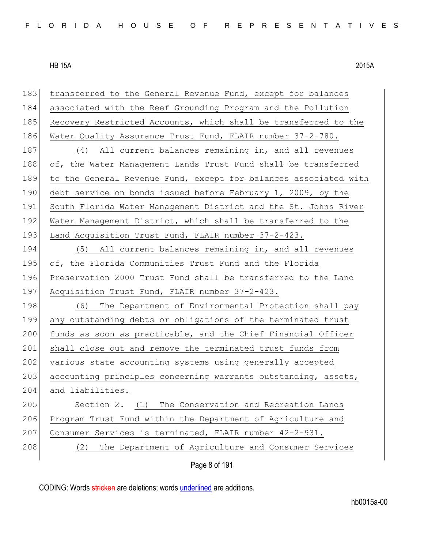| 183 | transferred to the General Revenue Fund, except for balances     |
|-----|------------------------------------------------------------------|
| 184 | associated with the Reef Grounding Program and the Pollution     |
| 185 | Recovery Restricted Accounts, which shall be transferred to the  |
| 186 | Water Quality Assurance Trust Fund, FLAIR number 37-2-780.       |
| 187 | (4) All current balances remaining in, and all revenues          |
| 188 | of, the Water Management Lands Trust Fund shall be transferred   |
| 189 | to the General Revenue Fund, except for balances associated with |
| 190 | debt service on bonds issued before February 1, 2009, by the     |
| 191 | South Florida Water Management District and the St. Johns River  |
| 192 | Water Management District, which shall be transferred to the     |
| 193 | Land Acquisition Trust Fund, FLAIR number 37-2-423.              |
| 194 | (5) All current balances remaining in, and all revenues          |
| 195 | of, the Florida Communities Trust Fund and the Florida           |
| 196 | Preservation 2000 Trust Fund shall be transferred to the Land    |
| 197 | Acquisition Trust Fund, FLAIR number 37-2-423.                   |
| 198 | The Department of Environmental Protection shall pay<br>(6)      |
| 199 | any outstanding debts or obligations of the terminated trust     |
| 200 | funds as soon as practicable, and the Chief Financial Officer    |
| 201 | shall close out and remove the terminated trust funds from       |
| 202 | various state accounting systems using generally accepted        |
| 203 | accounting principles concerning warrants outstanding, assets,   |
| 204 | and liabilities.                                                 |
| 205 | Section 2. (1) The Conservation and Recreation Lands             |
| 206 | Program Trust Fund within the Department of Agriculture and      |
| 207 | Consumer Services is terminated, FLAIR number 42-2-931.          |
| 208 | The Department of Agriculture and Consumer Services<br>(2)       |

Page 8 of 191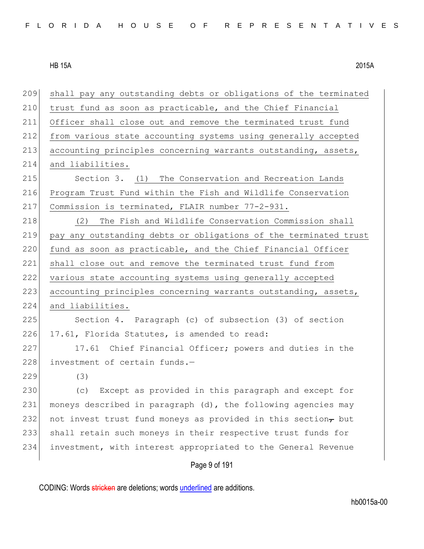| 209 | shall pay any outstanding debts or obligations of the terminated |
|-----|------------------------------------------------------------------|
| 210 | trust fund as soon as practicable, and the Chief Financial       |
| 211 | Officer shall close out and remove the terminated trust fund     |
| 212 | from various state accounting systems using generally accepted   |
| 213 | accounting principles concerning warrants outstanding, assets,   |
| 214 | and liabilities.                                                 |
| 215 | Section 3. (1) The Conservation and Recreation Lands             |
| 216 | Program Trust Fund within the Fish and Wildlife Conservation     |
| 217 | Commission is terminated, FLAIR number 77-2-931.                 |
| 218 | The Fish and Wildlife Conservation Commission shall<br>(2)       |
| 219 | pay any outstanding debts or obligations of the terminated trust |
| 220 | fund as soon as practicable, and the Chief Financial Officer     |
| 221 | shall close out and remove the terminated trust fund from        |
| 222 | various state accounting systems using generally accepted        |
| 223 | accounting principles concerning warrants outstanding, assets,   |
| 224 | and liabilities.                                                 |
| 225 | Section 4. Paragraph (c) of subsection (3) of section            |
| 226 | 17.61, Florida Statutes, is amended to read:                     |
| 227 | 17.61 Chief Financial Officer; powers and duties in the          |
| 228 | investment of certain funds.-                                    |
| 229 | (3)                                                              |
| 230 | (c) Except as provided in this paragraph and except for          |
| 231 | moneys described in paragraph (d), the following agencies may    |
| 232 | not invest trust fund moneys as provided in this section, but    |
| 233 | shall retain such moneys in their respective trust funds for     |
| 234 | investment, with interest appropriated to the General Revenue    |
|     | Page 9 of 191                                                    |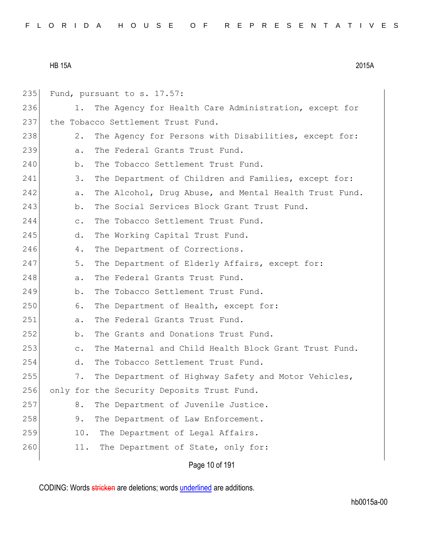Page 10 of 191  $235$  Fund, pursuant to s. 17.57: 236 1. The Agency for Health Care Administration, except for 237 the Tobacco Settlement Trust Fund. 238 28. The Agency for Persons with Disabilities, except for: 239 a. The Federal Grants Trust Fund. 240 b. The Tobacco Settlement Trust Fund. 241 3. The Department of Children and Families, except for: 242 a. The Alcohol, Drug Abuse, and Mental Health Trust Fund. 243 b. The Social Services Block Grant Trust Fund. 244 c. The Tobacco Settlement Trust Fund. 245 d. The Working Capital Trust Fund. 246 4. The Department of Corrections. 247 5. The Department of Elderly Affairs, except for: 248 a. The Federal Grants Trust Fund. 249 b. The Tobacco Settlement Trust Fund. 250 6. The Department of Health, except for: 251 a. The Federal Grants Trust Fund. 252 b. The Grants and Donations Trust Fund. 253 c. The Maternal and Child Health Block Grant Trust Fund. 254 d. The Tobacco Settlement Trust Fund. 255 7. The Department of Highway Safety and Motor Vehicles, 256 only for the Security Deposits Trust Fund. 257 8. The Department of Juvenile Justice. 258 9. The Department of Law Enforcement. 259 10. The Department of Legal Affairs. 260 11. The Department of State, only for: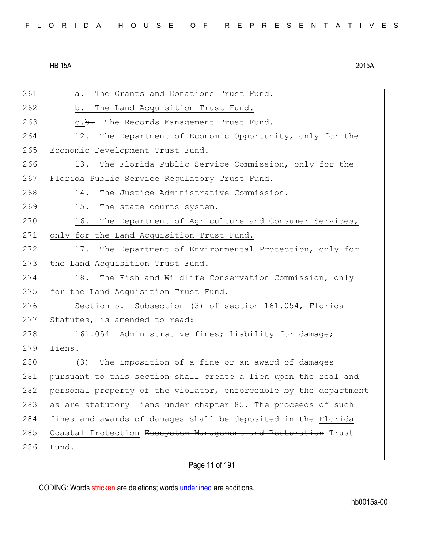261 a. The Grants and Donations Trust Fund. 262 b. The Land Acquisition Trust Fund. 263 c.b. The Records Management Trust Fund. 264 12. The Department of Economic Opportunity, only for the 265 Economic Development Trust Fund. 266 13. The Florida Public Service Commission, only for the 267 Florida Public Service Regulatory Trust Fund. 268 14. The Justice Administrative Commission. 269 15. The state courts system. 270 16. The Department of Agriculture and Consumer Services, 271 only for the Land Acquisition Trust Fund. 272 17. The Department of Environmental Protection, only for 273 the Land Acquisition Trust Fund. 274 18. The Fish and Wildlife Conservation Commission, only 275 for the Land Acquisition Trust Fund. 276 Section 5. Subsection (3) of section 161.054, Florida 277 Statutes, is amended to read: 278 161.054 Administrative fines; liability for damage;  $279$  liens. $-$ 280 (3) The imposition of a fine or an award of damages 281 pursuant to this section shall create a lien upon the real and 282 personal property of the violator, enforceable by the department 283 as are statutory liens under chapter 85. The proceeds of such 284 fines and awards of damages shall be deposited in the Florida 285 Coastal Protection Ecosystem Management and Restoration Trust 286 Fund.

Page 11 of 191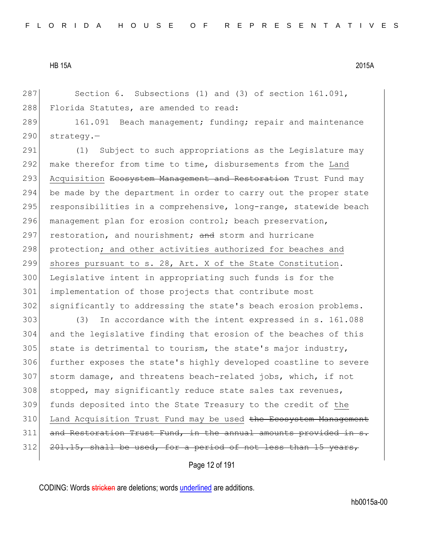287 Section 6. Subsections (1) and (3) of section 161.091, 288 Florida Statutes, are amended to read:

289 161.091 Beach management; funding; repair and maintenance 290 strategy.-

291 (1) Subject to such appropriations as the Legislature may 292 make therefor from time to time, disbursements from the Land 293 Acquisition Ecosystem Management and Restoration Trust Fund may 294 be made by the department in order to carry out the proper state 295 responsibilities in a comprehensive, long-range, statewide beach 296 management plan for erosion control; beach preservation, 297 restoration, and nourishment; and storm and hurricane 298 protection; and other activities authorized for beaches and 299 shores pursuant to s. 28, Art. X of the State Constitution. 300 Legislative intent in appropriating such funds is for the 301 implementation of those projects that contribute most 302 significantly to addressing the state's beach erosion problems.

 (3) In accordance with the intent expressed in s. 161.088 and the legislative finding that erosion of the beaches of this state is detrimental to tourism, the state's major industry, further exposes the state's highly developed coastline to severe storm damage, and threatens beach-related jobs, which, if not stopped, may significantly reduce state sales tax revenues, funds deposited into the State Treasury to the credit of the 310 Land Acquisition Trust Fund may be used the Ecosystem Management and Restoration Trust Fund, in the annual amounts provided  $201.15$ , shall be used, for a period of not less than

Page 12 of 191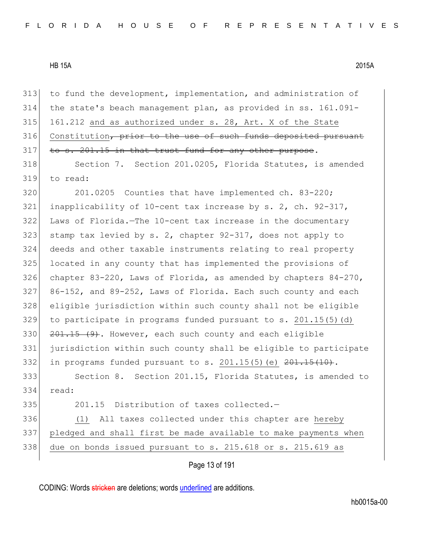| 313 | to fund the development, implementation, and administration of     |
|-----|--------------------------------------------------------------------|
| 314 | the state's beach management plan, as provided in ss. 161.091-     |
| 315 | 161.212 and as authorized under s. 28, Art. X of the State         |
| 316 | Constitution, prior to the use of such funds deposited pursuant    |
| 317 | to s. 201.15 in that trust fund for any other purpose.             |
| 318 | Section 7. Section 201.0205, Florida Statutes, is amended          |
| 319 | to read:                                                           |
| 320 | 201.0205 Counties that have implemented ch. 83-220;                |
| 321 | inapplicability of 10-cent tax increase by s. 2, ch. $92-317$ ,    |
| 322 | Laws of Florida.-The 10-cent tax increase in the documentary       |
| 323 | stamp tax levied by s. 2, chapter 92-317, does not apply to        |
| 324 | deeds and other taxable instruments relating to real property      |
| 325 | located in any county that has implemented the provisions of       |
| 326 | chapter 83-220, Laws of Florida, as amended by chapters $84-270$ , |
| 327 | 86-152, and 89-252, Laws of Florida. Each such county and each     |
| 328 | eligible jurisdiction within such county shall not be eligible     |
| 329 | to participate in programs funded pursuant to $s. 201.15(5)$ (d)   |
| 330 | 201.15 (9). However, each such county and each eligible            |
| 331 | jurisdiction within such county shall be eligible to participate   |
| 332 | in programs funded pursuant to s. $201.15(5)$ (e) $201.15(10)$ .   |
| 333 | Section 8. Section 201.15, Florida Statutes, is amended to         |
| 334 | read:                                                              |
| 335 | 201.15<br>Distribution of taxes collected.-                        |
| 336 | All taxes collected under this chapter are hereby<br>(1)           |
| 337 | pledged and shall first be made available to make payments when    |
| 338 | due on bonds issued pursuant to s. 215.618 or s. 215.619 as        |
|     |                                                                    |

Page 13 of 191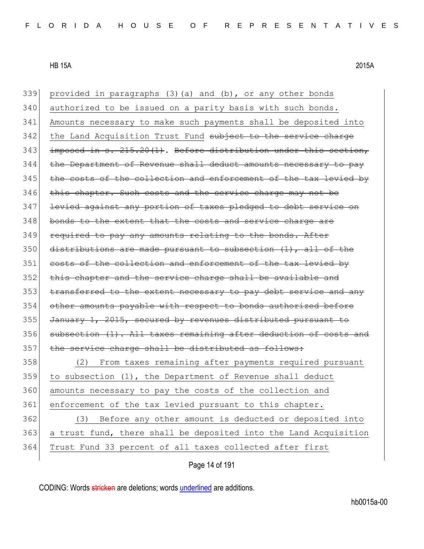| 339 | provided in paragraphs (3)(a) and (b), or any other bonds        |
|-----|------------------------------------------------------------------|
| 340 | authorized to be issued on a parity basis with such bonds.       |
| 341 | Amounts necessary to make such payments shall be deposited into  |
| 342 | the Land Acquisition Trust Fund subject to the service charge    |
| 343 | imposed in s. 215.20(1). Before distribution under this section, |
| 344 | the Department of Revenue shall deduct amounts necessary to pay  |
| 345 | the costs of the collection and enforcement of the tax levied by |
| 346 | this chapter. Such costs and the service charge may not be       |
| 347 | levied against any portion of taxes pledged to debt service on   |
| 348 | bonds to the extent that the costs and service charge are        |
| 349 | required to pay any amounts relating to the bonds. After         |
| 350 | distributions are made pursuant to subsection (1), all of the    |
| 351 | costs of the collection and enforcement of the tax levied by     |
| 352 | this chapter and the service charge shall be available and       |
| 353 | transferred to the extent necessary to pay debt service and any  |
| 354 | other amounts payable with respect to bonds authorized before    |
| 355 | January 1, 2015, secured by revenues distributed pursuant to     |
| 356 | subsection (1). All taxes remaining after deduction of costs and |
| 357 | the service charge shall be distributed as follows:              |
| 358 | From taxes remaining after payments required pursuant<br>(2)     |
| 359 | to subsection (1), the Department of Revenue shall deduct        |
| 360 | amounts necessary to pay the costs of the collection and         |
| 361 | enforcement of the tax levied pursuant to this chapter.          |
| 362 | Before any other amount is deducted or deposited into<br>(3)     |
| 363 | a trust fund, there shall be deposited into the Land Acquisition |
| 364 | Trust Fund 33 percent of all taxes collected after first         |
|     |                                                                  |

Page 14 of 191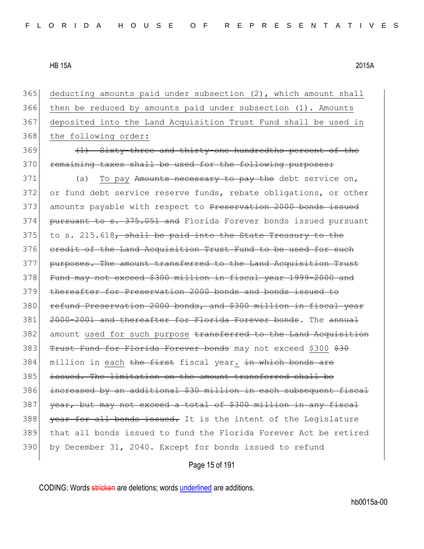| 365 | deducting amounts paid under subsection (2), which amount shall   |
|-----|-------------------------------------------------------------------|
| 366 | then be reduced by amounts paid under subsection (1). Amounts     |
| 367 | deposited into the Land Acquisition Trust Fund shall be used in   |
| 368 | the following order:                                              |
| 369 | (1) Sixty-three and thirty-one hundredths percent of the          |
| 370 | remaining taxes shall be used for the following purposes:         |
| 371 | To pay Amounts necessary to pay the debt service on,<br>(a)       |
| 372 | or fund debt service reserve funds, rebate obligations, or other  |
| 373 | amounts payable with respect to Preservation 2000 bonds issued    |
| 374 | pursuant to s. 375.051 and Florida Forever bonds issued pursuant  |
| 375 | to s. 215.618, shall be paid into the State Treasury to the       |
| 376 | eredit of the Land Acquisition Trust Fund to be used for such     |
| 377 | purposes. The amount transferred to the Land Acquisition Trust    |
| 378 | Fund may not exceed \$300 million in fiscal year 1999-2000 and    |
| 379 | thereafter for Preservation 2000 bonds and bonds issued to        |
| 380 | refund Preservation 2000 bonds, and \$300 million in fiscal year  |
| 381 | 2000-2001 and thereafter for Florida Forever bonds. The annual    |
| 382 | amount used for such purpose transferred to the Land Acquisition  |
| 383 | Trust Fund for Florida Forever bonds may not exceed \$300 \$30    |
| 384 | million in each the first fiscal year. in which bonds are         |
| 385 | issued. The limitation on the amount transferred shall be         |
| 386 | increased by an additional \$30 million in each subsequent fiscal |
| 387 | year, but may not exceed a total of \$300 million in any fiscal   |
| 388 | year for all bonds issued. It is the intent of the Legislature    |
| 389 | that all bonds issued to fund the Florida Forever Act be retired  |
| 390 | by December 31, 2040. Except for bonds issued to refund           |
|     |                                                                   |

Page 15 of 191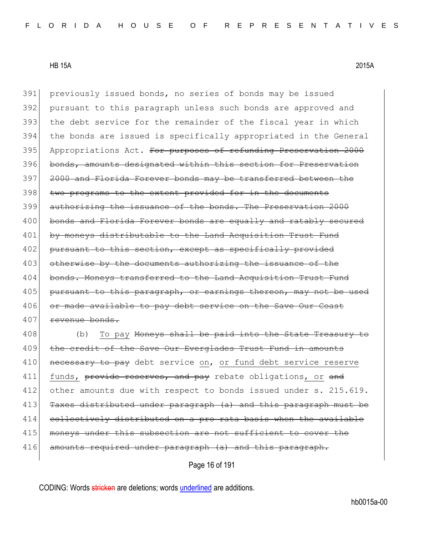391 previously issued bonds, no series of bonds may be issued 392 pursuant to this paragraph unless such bonds are approved and 393 the debt service for the remainder of the fiscal year in which 394 the bonds are issued is specifically appropriated in the General 395 Appropriations Act. For purposes of refunding Preservation 2000 396 bonds, amounts designated within this section for Preservation 397 2000 and Florida Forever bonds may be transferred between the 398 two programs to the extent provided for in the documents 399 authorizing the issuance of the bonds. The Preservation 2000 400 bonds and Florida Forever bonds are equally and ratably secured 401 by moneys distributable to the Land Acquisition Trust Fund 402 pursuant to this section, except as specifically provided 403 otherwise by the documents authorizing the issuance of the 404 bonds. Moneys transferred to the Land Acquisition Trust Fund 405 pursuant to this paragraph, or earnings thereon, may not 406 or made available to pay debt service on the Save Our Coast 407 revenue bonds.

408 (b) To pay <del>Moneys shall be paid into the State Treasury to</del> 409 the credit of the Save Our Everglades Trust Fund in amounts 410 necessary to pay debt service on, or fund debt service reserve 411 funds, provide reserves, and pay rebate obligations, or and 412 other amounts due with respect to bonds issued under s. 215.619. 413 Taxes distributed under paragraph (a) and this paragraph must be 414 collectively distributed on a pro rata basis when the available 415 moneys under this subsection are not sufficient to cover the 416 amounts required under paragraph (a) and this paragraph.

Page 16 of 191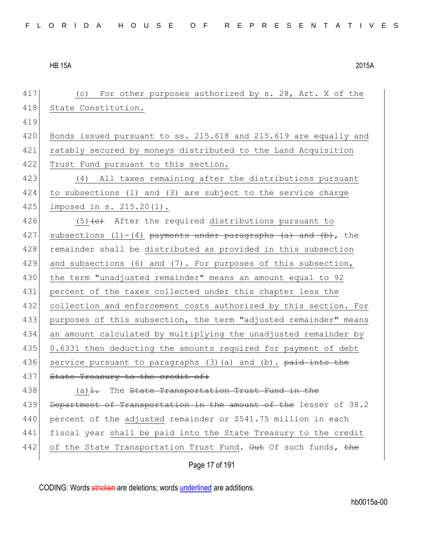| 417 | (c) For other purposes authorized by s. 28, Art. X of the               |
|-----|-------------------------------------------------------------------------|
| 418 | State Constitution.                                                     |
| 419 |                                                                         |
| 420 | Bonds issued pursuant to ss. 215.618 and 215.619 are equally and        |
| 421 | ratably secured by moneys distributed to the Land Acquisition           |
| 422 | Trust Fund pursuant to this section.                                    |
| 423 | (4) All taxes remaining after the distributions pursuant                |
| 424 | to subsections (1) and (3) are subject to the service charge            |
| 425 | imposed in s. 215.20(1).                                                |
| 426 | $(5)$ + $e$ ) After the required distributions pursuant to              |
| 427 | subsections $(1) - (4)$ payments under paragraphs $(a)$ and $(b)$ , the |
| 428 | remainder shall be distributed as provided in this subsection           |
| 429 | and subsections (6) and (7). For purposes of this subsection,           |
| 430 | the term "unadjusted remainder" means an amount equal to 92             |
| 431 | percent of the taxes collected under this chapter less the              |
| 432 | collection and enforcement costs authorized by this section. For        |
| 433 | purposes of this subsection, the term "adjusted remainder" means        |
| 434 | an amount calculated by multiplying the unadjusted remainder by         |
| 435 | 0.6331 then deducting the amounts required for payment of debt          |
| 436 | service pursuant to paragraphs (3) (a) and (b). paid into the           |
| 437 | State Treasury to the credit of:                                        |
| 438 | $(a)$ $\frac{1}{1}$ . The State Transportation Trust Fund in the        |
| 439 | Department of Transportation in the amount of the lesser of 38.2        |
| 440 | percent of the adjusted remainder or \$541.75 million in each           |
| 441 | fiscal year shall be paid into the State Treasury to the credit         |
| 442 | of the State Transportation Trust Fund. Out Of such funds, the          |
|     | Page 17 of 191                                                          |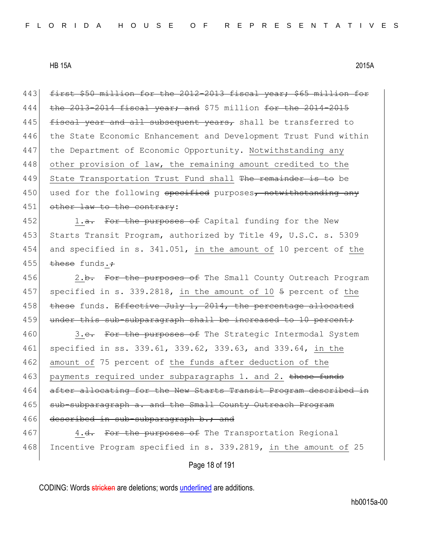443 first \$50 million for the 2012-2013 fiscal year; \$65 million for 444 the 2013-2014 fiscal year; and \$75 million for the  $2014-2015$ 445  $f{\text{iscal}}$  year and all subsequent years, shall be transferred to 446 the State Economic Enhancement and Development Trust Fund within 447 the Department of Economic Opportunity. Notwithstanding any 448 other provision of law, the remaining amount credited to the 449 State Transportation Trust Fund shall The remainder is to be 450 used for the following specified purposes, notwithstanding any 451 other law to the contrary:

452 1.a. For the purposes of Capital funding for the New 453 Starts Transit Program, authorized by Title 49, U.S.C. s. 5309 454 and specified in s. 341.051, in the amount of 10 percent of the 455 these funds. $\div$ 

456 2.b. For the purposes of The Small County Outreach Program 457 specified in s. 339.2818, in the amount of 10 5 percent of the 458 these funds. Effective July 1, 2014, the percentage allocated 459 under this sub-subparagraph shall be increased to 10 percent;

460 3.<del>c.</del> For the purposes of The Strategic Intermodal System 461 specified in ss. 339.61, 339.62, 339.63, and 339.64, in the 462 amount of 75 percent of the funds after deduction of the 463 payments required under subparagraphs 1. and 2. these funds 464 after allocating for the New Starts Transit Program described in 465 sub-subparagraph a. and the Small County Outreach Program 466 described in sub-subparagraph b.; and 467 4.<del>d.</del> For the purposes of The Transportation Regional

468 Incentive Program specified in s. 339.2819, in the amount of 25

Page 18 of 191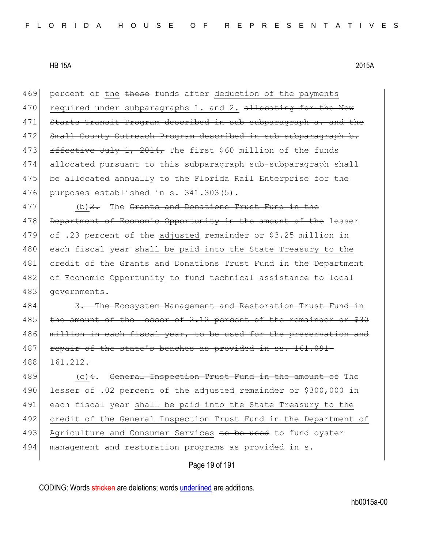Page 19 of 191 469 percent of the these funds after deduction of the payments 470 required under subparagraphs 1. and 2. allocating for the New 471 Starts Transit Program described in sub-subparagraph a. and the 472 Small County Outreach Program described in sub-subparagraph b. 473 Effective July 1, 2014, The first \$60 million of the funds 474 allocated pursuant to this subparagraph sub-subparagraph shall 475 be allocated annually to the Florida Rail Enterprise for the 476 purposes established in s. 341.303(5).  $477$  (b)  $2$ . The Grants and Donations Trust Fund in the 478 Department of Economic Opportunity in the amount of the lesser 479 of .23 percent of the adjusted remainder or \$3.25 million in 480 each fiscal year shall be paid into the State Treasury to the 481 credit of the Grants and Donations Trust Fund in the Department 482 of Economic Opportunity to fund technical assistance to local 483 governments. 484 3. The Ecosystem Management and Restoration Trust Fund in 485 the amount of the lesser of 2.12 percent of the remainder or \$30 486 million in each fiscal year, to be used for the preservation and 487 repair of the state's beaches as provided in ss. 161.091-488 <del>161.212.</del> 489 (c) 4. General Inspection Trust Fund in the amount of The 490 lesser of .02 percent of the adjusted remainder or \$300,000 in 491 each fiscal year shall be paid into the State Treasury to the 492 credit of the General Inspection Trust Fund in the Department of 493 Agriculture and Consumer Services to be used to fund oyster 494 management and restoration programs as provided in s.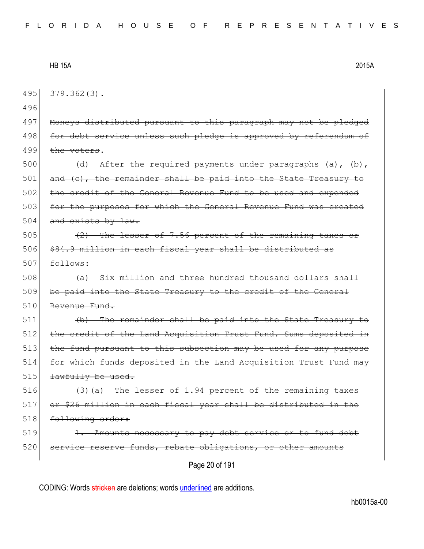495 379.362(3).

496

497 Moneys distributed pursuant to this paragraph may not be pledged 498 for debt service unless such pledge is approved by referendum of  $499$  the voters.

500  $(d)$  After the required payments under paragraphs  $(a)$ ,  $(b)$ ,  $501$  and (c), the remainder shall be paid into the State Treasury to 502 the credit of the General Revenue Fund to be used and expended 503 for the purposes for which the General Revenue Fund was created  $504$  and exists by law.

505 (2) The lesser of 7.56 percent of the remaining taxes or 506 \$84.9 million in each fiscal year shall be distributed as  $507$  follows:

 $508$  (a) Six million and three hundred thousand dollars shall 509 be paid into the State Treasury to the credit of the General 510 Revenue Fund.

 $511$  (b) The remainder shall be paid into the State Treasury to 512 the credit of the Land Acquisition Trust Fund. Sums deposited in 513 the fund pursuant to this subsection may be used for any purpose 514 for which funds deposited in the Land Acquisition Trust Fund may  $515$  <del>lawfully be used.</del>

516  $(3)$  (a) The lesser of 1.94 percent of the remaining taxes 517 or \$26 million in each fiscal year shall be distributed in the 518 following order:

 $519$  1. Amounts necessary to pay debt service or to fund debt 520 service reserve funds, rebate obligations, or other amounts

Page 20 of 191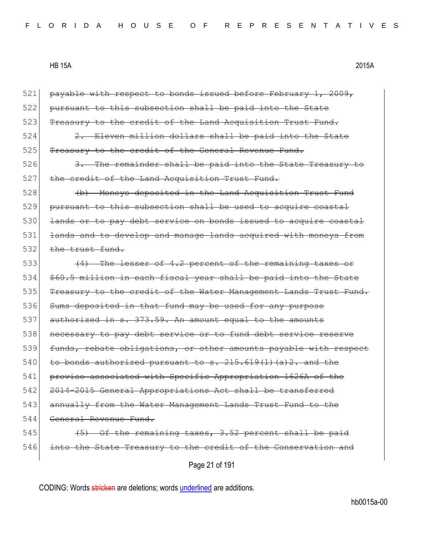| 521 | payable with respect to bonds issued before February 1, 2009,    |
|-----|------------------------------------------------------------------|
| 522 | pursuant to this subsection shall be paid into the State         |
| 523 | Treasury to the credit of the Land Acquisition Trust Fund.       |
| 524 | 2. Eleven million dollars shall be paid into the State           |
| 525 | Treasury to the credit of the General Revenue Fund.              |
| 526 | 3. The remainder shall be paid into the State Treasury to        |
| 527 | the credit of the Land Acquisition Trust Fund.                   |
| 528 | (b) Moneys deposited in the Land Acquisition Trust Fund          |
| 529 | pursuant to this subsection shall be used to acquire coastal     |
| 530 | lands or to pay debt service on bonds issued to acquire coastal  |
| 531 | lands and to develop and manage lands acquired with moneys from  |
| 532 | $the$ trust fund.                                                |
| 533 | (4) The lesser of 4.2 percent of the remaining taxes or          |
| 534 | \$60.5 million in each fiscal year shall be paid into the State  |
| 535 | Treasury to the credit of the Water Management Lands Trust Fund. |
| 536 | Sums deposited in that fund may be used for any purpose          |
| 537 | authorized in s. 373.59. An amount equal to the amounts          |
| 538 | necessary to pay debt service or to fund debt service reserve    |
| 539 | funds, rebate obligations, or other amounts payable with respect |
| 540 | to bonds authorized pursuant to $s. 215.619(1)$ (a) $2.$ and the |
| 541 | proviso associated with Specific Appropriation 1626A of the      |
| 542 | 2014-2015 General Appropriations Act shall be transferred        |
| 543 | annually from the Water Management Lands Trust Fund to the       |
| 544 | General Revenue Fund.                                            |
| 545 | $(5)$ Of the remaining taxes, 3.52 percent shall be paid         |
| 546 | into the State Treasury to the credit of the Conservation and    |
|     | Page 21 of 191                                                   |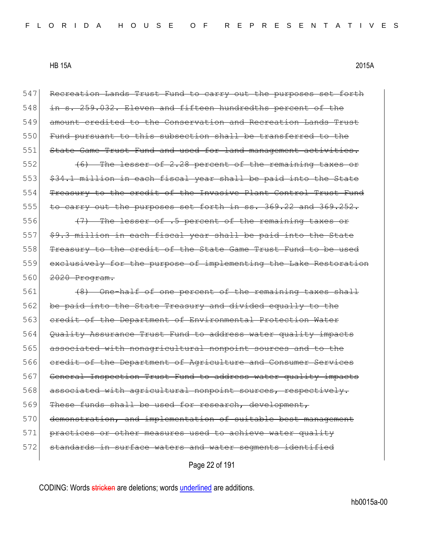547 Recreation Lands Trust Fund to carry out the purposes set forth  $548$  in s. 259.032. Eleven and fifteen hundredths percent 549 amount credited to the Conservation and Recreation Lands Trust 550 Fund pursuant to this subsection shall be transferred to the 551 State Game Trust Fund and used for land management activities.  $552$  (6) The lesser of 2.28 percent of the remaining taxes or 553 \$34.1 million in each fiscal year shall be paid into the State 554 Treasury to the credit of the Invasive Plant Control Trust Fund 555 to carry out the purposes set forth in ss. 369.22 and 369.252. 556 (47) The lesser of .5 percent of the remaining taxes or  $557$   $$9.3$  million in each fiscal year shall be paid into the State 558 Treasury to the credit of the State Game Trust Fund to be used 559 exclusively for the purpose of implementing the Lake Restoration 560 <del>2020 Program.</del> 561 (8) One-half of one percent of the remaining taxes shall 562 be paid into the State Treasury and divided equally to the 563 credit of the Department of Environmental Protection Water 564 Quality Assurance Trust Fund to address water quality impacts 565 associated with nonagricultural nonpoint sources and to the 566 credit of the Department of Agriculture and Consumer Services 567 General Inspection Trust Fund to address water quality impacts 568 associated with agricultural nonpoint sources, respectively. 569 These funds shall be used for research, development, 570 demonstration, and implementation of suitable best management 571 practices or other measures used to achieve water quality 572 standards in surface waters and water segments identified

Page 22 of 191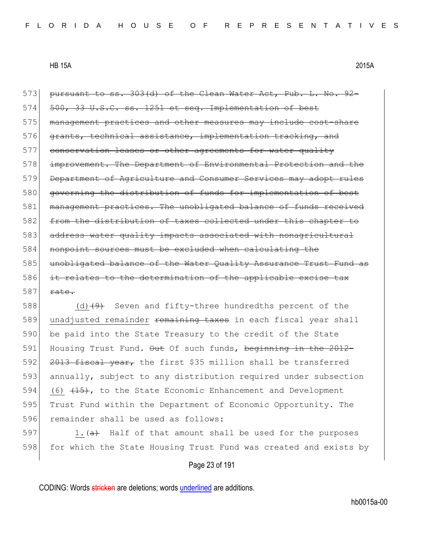573 pursuant to ss. 303(d) of the Clean Water Act, Pub. L. No. 92-574 500, 33 U.S.C. ss. 1251 et seq. Implementation of best 575 management practices and other measures may include cost-share 576 grants, technical assistance, implementation tracking, and 577 conservation leases or other agreements for water quality 578 improvement. The Department of Environmental Protection and the 579 Department of Agriculture and Consumer Services may adopt rules 580 governing the distribution of funds for implementation of best 581 management practices. The unobligated balance of funds received 582 from the distribution of taxes collected under this chapter to 583 address water quality impacts associated with nonagricultural 584 nonpoint sources must be excluded when calculating the 585 unobligated balance of the Water Quality Assurance Trust Fund as 586 it relates to the determination of the applicable excise tax  $587$  rate.

588 (d) $(9)$  Seven and fifty-three hundredths percent of the 589 unadjusted remainder remaining taxes in each fiscal year shall 590 be paid into the State Treasury to the credit of the State 591 Housing Trust Fund. Out Of such funds, beginning in the 2012-592  $2013$  fiscal year, the first \$35 million shall be transferred 593 annually, subject to any distribution required under subsection 594 (6)  $(15)$ , to the State Economic Enhancement and Development 595 Trust Fund within the Department of Economic Opportunity. The 596 remainder shall be used as follows:

597 1.  $\left(\frac{a}{b}\right)$  Half of that amount shall be used for the purposes 598 for which the State Housing Trust Fund was created and exists by

# Page 23 of 191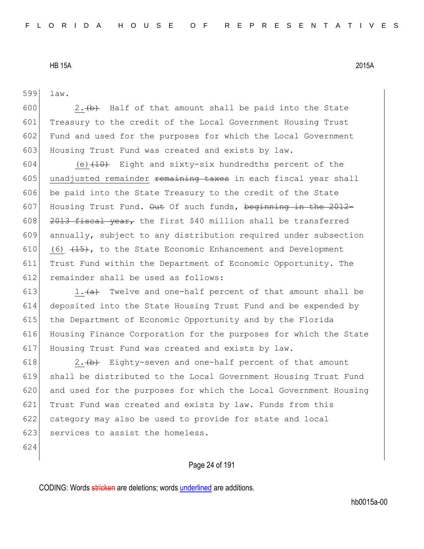599 law.

600  $\vert$  2.  $\leftrightarrow$  Half of that amount shall be paid into the State 601 Treasury to the credit of the Local Government Housing Trust 602 Fund and used for the purposes for which the Local Government 603 Housing Trust Fund was created and exists by law.

604 (e) $(10)$  Eight and sixty-six hundredths percent of the 605 unadjusted remainder remaining taxes in each fiscal year shall 606 be paid into the State Treasury to the credit of the State 607 Housing Trust Fund.  $\Theta$ ut Of such funds, beginning in the 2012-608  $\left| \right|$  2013 fiscal year, the first \$40 million shall be transferred 609 annually, subject to any distribution required under subsection 610 (6)  $(15)$ , to the State Economic Enhancement and Development 611 Trust Fund within the Department of Economic Opportunity. The 612 remainder shall be used as follows:

613 1. $\leftarrow$  1. Twelve and one-half percent of that amount shall be 614 deposited into the State Housing Trust Fund and be expended by 615 the Department of Economic Opportunity and by the Florida 616 Housing Finance Corporation for the purposes for which the State 617 Housing Trust Fund was created and exists by law.

 $\vert$  2. (b) Eighty-seven and one-half percent of that amount shall be distributed to the Local Government Housing Trust Fund and used for the purposes for which the Local Government Housing Trust Fund was created and exists by law. Funds from this category may also be used to provide for state and local 623 services to assist the homeless.

624

# Page 24 of 191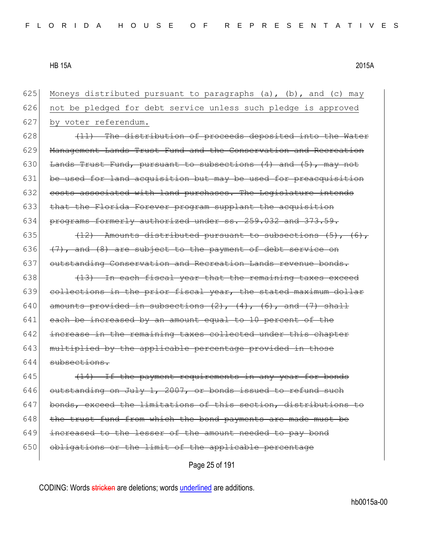| 625 | Moneys distributed pursuant to paragraphs (a), (b), and (c) may         |
|-----|-------------------------------------------------------------------------|
| 626 | not be pledged for debt service unless such pledge is approved          |
| 627 | by voter referendum.                                                    |
| 628 | (11) The distribution of proceeds deposited into the Water              |
| 629 | Management Lands Trust Fund and the Conservation and Recreation         |
| 630 | Lands Trust Fund, pursuant to subsections (4) and (5), may not          |
| 631 | be used for land acquisition but may be used for preacquisition         |
| 632 | costs associated with land purchases. The Legislature intends           |
| 633 | that the Florida Forever program supplant the acquisition               |
| 634 | programs formerly authorized under ss. 259.032 and 373.59.              |
| 635 | $(12)$ - Amounts distributed pursuant to subsections $(5)$ , $(6)$ ,    |
| 636 | $(7)$ , and $(8)$ are subject to the payment of debt service on         |
| 637 | outstanding Conservation and Recreation Lands revenue bonds.            |
| 638 | (13) In each fiscal year that the remaining taxes exceed                |
| 639 | collections in the prior fiscal year, the stated maximum dollar         |
| 640 | amounts provided in subsections $(2)$ , $(4)$ , $(6)$ , and $(7)$ shall |
| 641 | each be increased by an amount equal to 10 percent of the               |
| 642 | increase in the remaining taxes collected under this chapter            |
| 643 | multiplied by the applicable percentage provided in those               |
| 644 | subsections.                                                            |
| 645 | (14) If the payment requirements in any year for bonds                  |
| 646 | outstanding on July 1, 2007, or bonds issued to refund such             |
| 647 | bonds, exceed the limitations of this section, distributions to         |
| 648 | the trust fund from which the bond payments are made must be            |
| 649 | increased to the lesser of the amount needed to pay bond                |
| 650 | obligations or the limit of the applicable percentage                   |
|     | Page 25 of 191                                                          |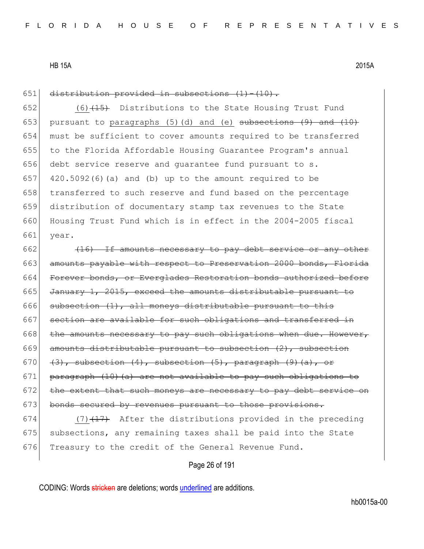651 distribution provided in subsections  $(1) - (10)$ .

652 (6) $(15)$  Distributions to the State Housing Trust Fund 653 pursuant to paragraphs (5)(d) and (e) subsections  $(9)$  and  $(10)$ 654 must be sufficient to cover amounts required to be transferred 655 to the Florida Affordable Housing Guarantee Program's annual 656 debt service reserve and guarantee fund pursuant to s. 657 420.5092(6)(a) and (b) up to the amount required to be 658 transferred to such reserve and fund based on the percentage 659 distribution of documentary stamp tax revenues to the State 660 Housing Trust Fund which is in effect in the 2004-2005 fiscal 661 year.

 $662$  (16) If amounts necessary to pay debt service or any other 663 amounts payable with respect to Preservation 2000 bonds, Florida 664 Forever bonds, or Everglades Restoration bonds authorized before 665 January 1, 2015, exceed the amounts distributable pursuant to 666 subsection  $(1)$ , all moneys distributable pursuant to this 667 section are available for such obligations and transferred in  $668$  the amounts necessary to pay such obligations when due. However,  $669$  amounts distributable pursuant to subsection  $(2)$ , subsection 670  $(3)$ , subsection  $(4)$ , subsection  $(5)$ , paragraph  $(9)$   $(a)$ , or 671 paragraph  $(10)$  (a) are not available to pay such obligations to  $672$  the extent that such moneys are necessary to pay debt service on 673 bonds secured by revenues pursuant to those provisions.

674  $(7)$   $(17)$  After the distributions provided in the preceding 675 subsections, any remaining taxes shall be paid into the State 676 Treasury to the credit of the General Revenue Fund.

# Page 26 of 191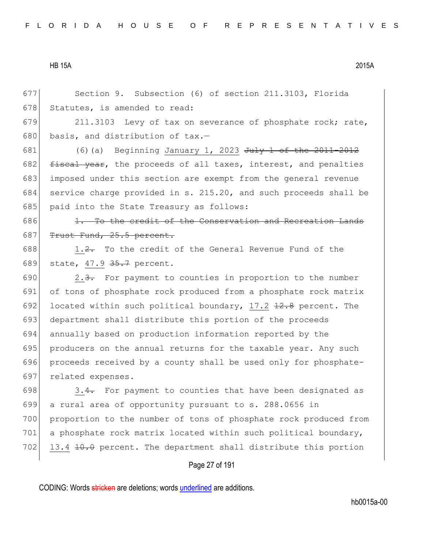677 Section 9. Subsection (6) of section 211.3103, Florida 678 Statutes, is amended to read:

679 211.3103 Levy of tax on severance of phosphate rock; rate, 680 basis, and distribution of  $\text{tax.}$ -

681 (6)(a) Beginning January 1, 2023 July 1 of the 2011-2012 682  $f$  fiscal year, the proceeds of all taxes, interest, and penalties 683 imposed under this section are exempt from the general revenue 684 service charge provided in s. 215.20, and such proceeds shall be 685 paid into the State Treasury as follows:

 $686$  1. To the credit of the Conservation and Recreation Lands 687  $T$  Trust Fund, 25.5 percent.

688 1.2. To the credit of the General Revenue Fund of the 689 state, 47.9 35.7 percent.

690 2.3. For payment to counties in proportion to the number of tons of phosphate rock produced from a phosphate rock matrix 692 located within such political boundary, 17.2  $\frac{12.8}{12.8}$  percent. The 693 department shall distribute this portion of the proceeds annually based on production information reported by the producers on the annual returns for the taxable year. Any such proceeds received by a county shall be used only for phosphate-related expenses.

698  $\vert$  3.4. For payment to counties that have been designated as 699 a rural area of opportunity pursuant to s. 288.0656 in 700 proportion to the number of tons of phosphate rock produced from 701 a phosphate rock matrix located within such political boundary, 702 13.4  $\pm$ 0.0 percent. The department shall distribute this portion

## Page 27 of 191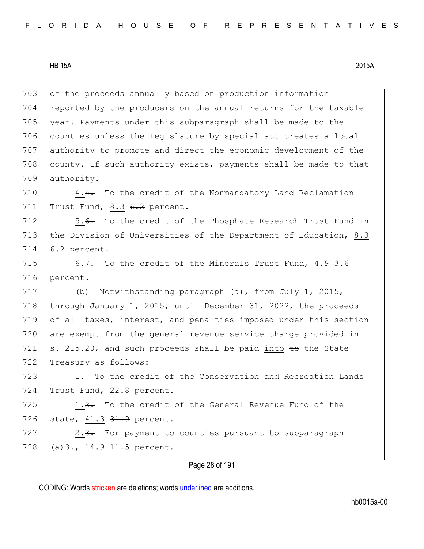of the proceeds annually based on production information reported by the producers on the annual returns for the taxable 705 year. Payments under this subparagraph shall be made to the counties unless the Legislature by special act creates a local authority to promote and direct the economic development of the 708 county. If such authority exists, payments shall be made to that authority.

710 4.5. To the credit of the Nonmandatory Land Reclamation 711 Trust Fund, 8.3 6.2 percent.

712 5.6. To the credit of the Phosphate Research Trust Fund in 713 the Division of Universities of the Department of Education, 8.3 714  $6.2$  percent.

715 6.7. To the credit of the Minerals Trust Fund, 4.9  $3.6$ 716 percent.

717 (b) Notwithstanding paragraph (a), from July 1, 2015, 718 through January 1, 2015, until December 31, 2022, the proceeds 719 of all taxes, interest, and penalties imposed under this section 720 are exempt from the general revenue service charge provided in 721 s. 215.20, and such proceeds shall be paid into  $\pm \sigma$  the State 722 Treasury as follows:

 $723$  1. To the credit of the Conservation and Recreation Lands 724 Trust Fund, 22.8 percent.

 $725$  1.2. To the credit of the General Revenue Fund of the 726 state, 41.3 31.9 percent.

727 2.3. For payment to counties pursuant to subparagraph 728 (a) 3., 14.9  $11.5$  percent.

# Page 28 of 191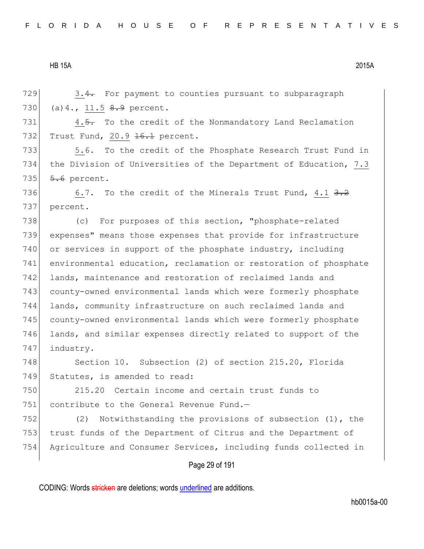$729$  3.4. For payment to counties pursuant to subparagraph 730 (a) 4., 11.5  $8.9$  percent.

731  $\vert$  4.5. To the credit of the Nonmandatory Land Reclamation 732 Trust Fund, 20.9 <del>16.1</del> percent.

733 5.6. To the credit of the Phosphate Research Trust Fund in 734 the Division of Universities of the Department of Education, 7.3 735  $5.6$  percent.

736 6.7. To the credit of the Minerals Trust Fund, 4.1  $3.2$ 737 percent.

738 (c) For purposes of this section, "phosphate-related 739 expenses" means those expenses that provide for infrastructure 740 or services in support of the phosphate industry, including 741 environmental education, reclamation or restoration of phosphate 742 lands, maintenance and restoration of reclaimed lands and 743 county-owned environmental lands which were formerly phosphate 744 lands, community infrastructure on such reclaimed lands and 745 county-owned environmental lands which were formerly phosphate 746 lands, and similar expenses directly related to support of the 747 industry.

748 Section 10. Subsection (2) of section 215.20, Florida 749 Statutes, is amended to read:

750 215.20 Certain income and certain trust funds to 751 contribute to the General Revenue Fund. $-$ 

752 (2) Notwithstanding the provisions of subsection (1), the 753 trust funds of the Department of Citrus and the Department of 754 Agriculture and Consumer Services, including funds collected in

## Page 29 of 191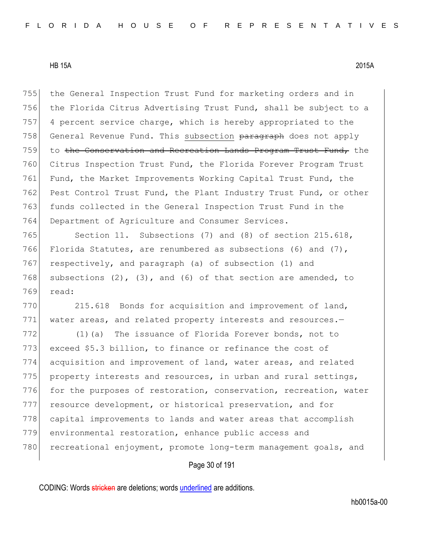755 the General Inspection Trust Fund for marketing orders and in 756 the Florida Citrus Advertising Trust Fund, shall be subject to a 757 4 percent service charge, which is hereby appropriated to the 758 General Revenue Fund. This subsection paragraph does not apply 759 to the Conservation and Recreation Lands Program Trust Fund, the 760 Citrus Inspection Trust Fund, the Florida Forever Program Trust 761 Fund, the Market Improvements Working Capital Trust Fund, the 762 Pest Control Trust Fund, the Plant Industry Trust Fund, or other 763 funds collected in the General Inspection Trust Fund in the 764 Department of Agriculture and Consumer Services.

765 Section 11. Subsections (7) and (8) of section 215.618, 766 Florida Statutes, are renumbered as subsections (6) and  $(7)$ , 767 respectively, and paragraph (a) of subsection (1) and 768 subsections  $(2)$ ,  $(3)$ , and  $(6)$  of that section are amended, to 769 read:

770 215.618 Bonds for acquisition and improvement of land, 771 water areas, and related property interests and resources.-

772 (1)(a) The issuance of Florida Forever bonds, not to 773 exceed \$5.3 billion, to finance or refinance the cost of 774 acquisition and improvement of land, water areas, and related 775 property interests and resources, in urban and rural settings, 776 for the purposes of restoration, conservation, recreation, water 777 resource development, or historical preservation, and for 778 capital improvements to lands and water areas that accomplish 779 environmental restoration, enhance public access and 780 recreational enjoyment, promote long-term management goals, and

# Page 30 of 191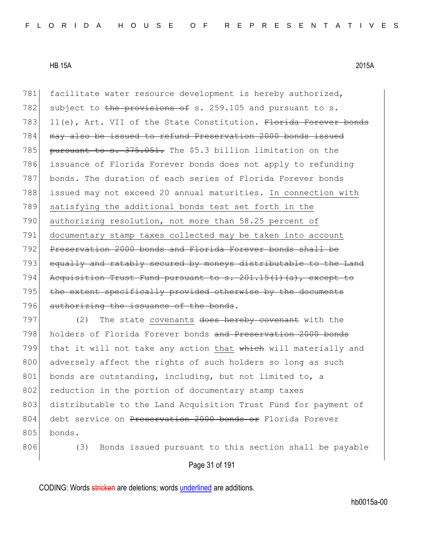781 facilitate water resource development is hereby authorized, 782 subject to the provisions of s. 259.105 and pursuant to s. 783 11(e), Art. VII of the State Constitution.  $F$ lorida Forever bonds 784 may also be issued to refund Preservation 2000 bonds issued 785 pursuant to s.  $375.051$ . The \$5.3 billion limitation on the 786 issuance of Florida Forever bonds does not apply to refunding 787 bonds. The duration of each series of Florida Forever bonds 788 issued may not exceed 20 annual maturities. In connection with 789 satisfying the additional bonds test set forth in the 790 authorizing resolution, not more than 58.25 percent of 791 documentary stamp taxes collected may be taken into account 792 Preservation 2000 bonds and Florida Forever bonds shall be 793 equally and ratably secured by moneys distributable to the Land 794 Acquisition Trust Fund pursuant to s. 201.15(1)(a), except to 795 the extent specifically provided otherwise by the documents 796 authorizing the issuance of the bonds.

 $797$  (2) The state covenants does hereby covenant with the 798 holders of Florida Forever bonds and Preservation 2000 bonds 799 that it will not take any action that which will materially and 800 adversely affect the rights of such holders so long as such 801 bonds are outstanding, including, but not limited to, a 802 reduction in the portion of documentary stamp taxes 803 distributable to the Land Acquisition Trust Fund for payment of 804 debt service on Preservation 2000 bonds or Florida Forever 805 bonds.

806 (3) Bonds issued pursuant to this section shall be payable

Page 31 of 191

CODING: Words stricken are deletions; words underlined are additions.

hb0015a-00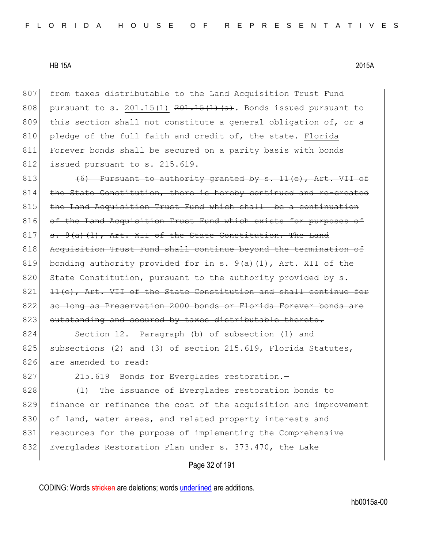807 from taxes distributable to the Land Acquisition Trust Fund 808 pursuant to s. 201.15(1)  $201.15(1)$  (a). Bonds issued pursuant to 809 this section shall not constitute a general obligation of, or a 810 pledge of the full faith and credit of, the state. Florida 811 Forever bonds shall be secured on a parity basis with bonds 812 issued pursuant to s. 215.619.

813  $(6)$  Pursuant to authority granted by s. 11(e), Art. VII of  $814$  the State Constitution, there is hereby continued and re-created 815 the Land Acquisition Trust Fund which shall be a continuation 816 of the Land Acquisition Trust Fund which exists for purposes of  $817$  s.  $9(a)$  (1), Art. XII of the State Constitution. The Land 818 Acquisition Trust Fund shall continue beyond the termination of 819 bonding authority provided for in  $s. 9(a)(1)$ , Art. XII of the 820 State Constitution, pursuant to the authority provided by  $821$   $11(e)$ , Art. VII of the State Constitution and shall continue for 822 so long as Preservation 2000 bonds or Florida Forever bonds are 823 outstanding and secured by taxes distributable thereto.

824 Section 12. Paragraph (b) of subsection (1) and 825 subsections (2) and (3) of section 215.619, Florida Statutes, 826 are amended to read:

827 215.619 Bonds for Everglades restoration.

828 (1) The issuance of Everglades restoration bonds to 829 finance or refinance the cost of the acquisition and improvement 830 of land, water areas, and related property interests and 831 resources for the purpose of implementing the Comprehensive 832 Everglades Restoration Plan under s. 373.470, the Lake

Page 32 of 191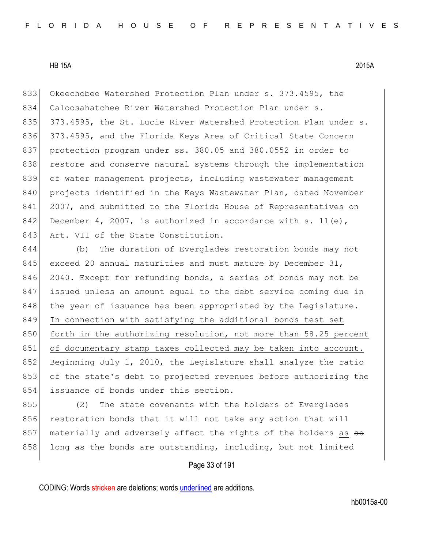833 Okeechobee Watershed Protection Plan under s. 373.4595, the 834 Caloosahatchee River Watershed Protection Plan under s. 835 373.4595, the St. Lucie River Watershed Protection Plan under s. 836 373.4595, and the Florida Keys Area of Critical State Concern 837 protection program under ss. 380.05 and 380.0552 in order to 838 restore and conserve natural systems through the implementation 839 of water management projects, including wastewater management 840 projects identified in the Keys Wastewater Plan, dated November 841 2007, and submitted to the Florida House of Representatives on 842 December 4, 2007, is authorized in accordance with s. 11(e), 843 Art. VII of the State Constitution.

844 (b) The duration of Everglades restoration bonds may not 845 exceed 20 annual maturities and must mature by December  $31$ , 846 2040. Except for refunding bonds, a series of bonds may not be 847 issued unless an amount equal to the debt service coming due in 848 the year of issuance has been appropriated by the Legislature. 849 In connection with satisfying the additional bonds test set 850 forth in the authorizing resolution, not more than 58.25 percent 851 of documentary stamp taxes collected may be taken into account. 852 Beginning July 1, 2010, the Legislature shall analyze the ratio 853 of the state's debt to projected revenues before authorizing the 854 issuance of bonds under this section.

855 (2) The state covenants with the holders of Everglades 856 restoration bonds that it will not take any action that will 857 materially and adversely affect the rights of the holders as so 858 long as the bonds are outstanding, including, but not limited

# Page 33 of 191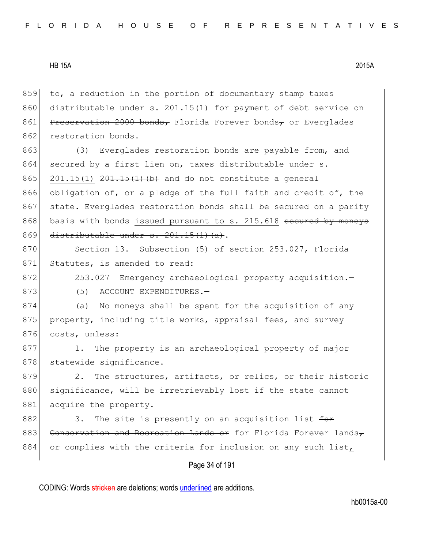859 to, a reduction in the portion of documentary stamp taxes 860 distributable under s. 201.15(1) for payment of debt service on 861 Preservation 2000 bonds, Florida Forever bonds, or Everglades 862 restoration bonds.

863 (3) Everglades restoration bonds are payable from, and 864 secured by a first lien on, taxes distributable under s. 865 201.15(1)  $201.15(1)$   $201.15(1)$  (b) and do not constitute a general 866 obligation of, or a pledge of the full faith and credit of, the 867 state. Everglades restoration bonds shall be secured on a parity 868 basis with bonds issued pursuant to s. 215.618 secured by moneys 869 distributable under s.  $201.15(1)(a)$ .

870 Section 13. Subsection (5) of section 253.027, Florida 871 Statutes, is amended to read:

872 253.027 Emergency archaeological property acquisition.

873 (5) ACCOUNT EXPENDITURES.

874 (a) No moneys shall be spent for the acquisition of any 875 property, including title works, appraisal fees, and survey 876 costs, unless:

877 1. The property is an archaeological property of major 878 statewide significance.

879 2. The structures, artifacts, or relics, or their historic 880 significance, will be irretrievably lost if the state cannot 881 acquire the property.

882 3. The site is presently on an acquisition list  $f^{\text{or}}$ 883 Conservation and Recreation Lands or for Florida Forever lands $\tau$ 884 or complies with the criteria for inclusion on any such list,

# Page 34 of 191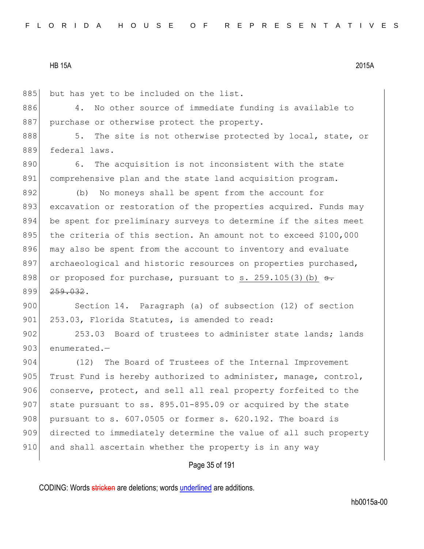885 but has yet to be included on the list.

886 4. No other source of immediate funding is available to 887 purchase or otherwise protect the property.

888 5. The site is not otherwise protected by local, state, or 889 federal laws.

890 6. The acquisition is not inconsistent with the state 891 comprehensive plan and the state land acquisition program.

892 (b) No moneys shall be spent from the account for 893 excavation or restoration of the properties acquired. Funds may 894 be spent for preliminary surveys to determine if the sites meet 895 the criteria of this section. An amount not to exceed \$100,000 896 may also be spent from the account to inventory and evaluate 897 archaeological and historic resources on properties purchased, 898 or proposed for purchase, pursuant to s. 259.105(3)(b)  $s$ . 899 <del>259.032</del>.

900 Section 14. Paragraph (a) of subsection (12) of section 901 253.03, Florida Statutes, is amended to read:

902 253.03 Board of trustees to administer state lands; lands  $903$  enumerated.

904 (12) The Board of Trustees of the Internal Improvement 905 Trust Fund is hereby authorized to administer, manage, control, 906 conserve, protect, and sell all real property forfeited to the 907 state pursuant to ss.  $895.01-895.09$  or acquired by the state 908 pursuant to s.  $607.0505$  or former s.  $620.192$ . The board is 909 directed to immediately determine the value of all such property 910 and shall ascertain whether the property is in any way

# Page 35 of 191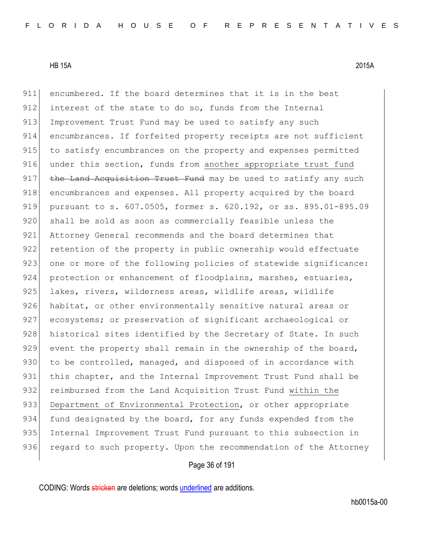911 encumbered. If the board determines that it is in the best 912 interest of the state to do so, funds from the Internal 913 Improvement Trust Fund may be used to satisfy any such 914 encumbrances. If forfeited property receipts are not sufficient 915 to satisfy encumbrances on the property and expenses permitted 916 under this section, funds from another appropriate trust fund 917 the Land Acquisition Trust Fund may be used to satisfy any such 918 encumbrances and expenses. All property acquired by the board 919 pursuant to s. 607.0505, former s. 620.192, or ss. 895.01-895.09 920 shall be sold as soon as commercially feasible unless the 921 Attorney General recommends and the board determines that 922 retention of the property in public ownership would effectuate 923 one or more of the following policies of statewide significance: 924 protection or enhancement of floodplains, marshes, estuaries, 925 lakes, rivers, wilderness areas, wildlife areas, wildlife 926 habitat, or other environmentally sensitive natural areas or 927 ecosystems; or preservation of significant archaeological or 928 historical sites identified by the Secretary of State. In such 929 event the property shall remain in the ownership of the board, 930 to be controlled, managed, and disposed of in accordance with 931 this chapter, and the Internal Improvement Trust Fund shall be 932 reimbursed from the Land Acquisition Trust Fund within the 933 Department of Environmental Protection, or other appropriate 934 fund designated by the board, for any funds expended from the 935 Internal Improvement Trust Fund pursuant to this subsection in 936 regard to such property. Upon the recommendation of the Attorney

# Page 36 of 191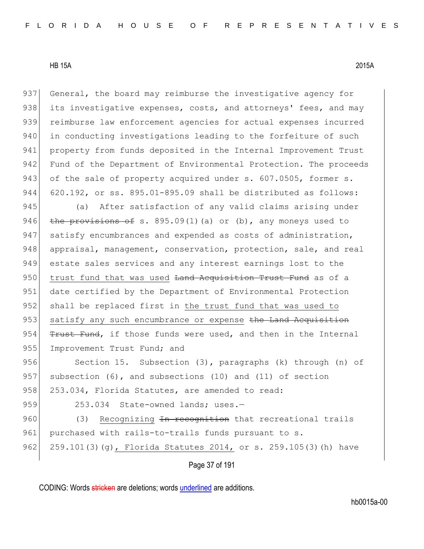937 General, the board may reimburse the investigative agency for 938 its investigative expenses, costs, and attorneys' fees, and may 939 reimburse law enforcement agencies for actual expenses incurred 940 in conducting investigations leading to the forfeiture of such 941 property from funds deposited in the Internal Improvement Trust 942 Fund of the Department of Environmental Protection. The proceeds 943 of the sale of property acquired under s. 607.0505, former s. 944 620.192, or ss. 895.01-895.09 shall be distributed as follows:

945 (a) After satisfaction of any valid claims arising under 946 the provisions of s. 895.09(1)(a) or (b), any moneys used to 947 satisfy encumbrances and expended as costs of administration, 948 appraisal, management, conservation, protection, sale, and real 949 estate sales services and any interest earnings lost to the 950 trust fund that was used <del>Land Acquisition Trust Fund</del> as of a 951 date certified by the Department of Environmental Protection 952 shall be replaced first in the trust fund that was used to 953 satisfy any such encumbrance or expense the Land Acquisition 954  $F$ ust Fund, if those funds were used, and then in the Internal 955 Improvement Trust Fund; and

956 Section 15. Subsection (3), paragraphs (k) through (n) of 957 subsection  $(6)$ , and subsections  $(10)$  and  $(11)$  of section 958 253.034, Florida Statutes, are amended to read:

959 253.034 State-owned lands; uses.-960 (3) Recognizing <del>In recognition</del> that recreational trails 961 purchased with rails-to-trails funds pursuant to s. 962 259.101(3)(g), Florida Statutes 2014, or s. 259.105(3)(h) have

Page 37 of 191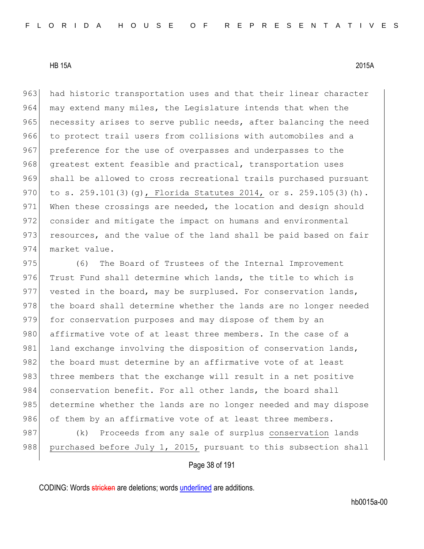963 had historic transportation uses and that their linear character 964 may extend many miles, the Legislature intends that when the 965 necessity arises to serve public needs, after balancing the need 966 to protect trail users from collisions with automobiles and a 967 preference for the use of overpasses and underpasses to the 968 greatest extent feasible and practical, transportation uses 969 shall be allowed to cross recreational trails purchased pursuant 970 to s. 259.101(3)(g), Florida Statutes 2014, or s. 259.105(3)(h). 971 When these crossings are needed, the location and design should 972 consider and mitigate the impact on humans and environmental 973 resources, and the value of the land shall be paid based on fair 974 market value.

975 (6) The Board of Trustees of the Internal Improvement 976 Trust Fund shall determine which lands, the title to which is 977 vested in the board, may be surplused. For conservation lands, 978 the board shall determine whether the lands are no longer needed 979 for conservation purposes and may dispose of them by an 980 affirmative vote of at least three members. In the case of a 981 land exchange involving the disposition of conservation lands, 982 the board must determine by an affirmative vote of at least 983 three members that the exchange will result in a net positive 984 conservation benefit. For all other lands, the board shall 985 determine whether the lands are no longer needed and may dispose 986 of them by an affirmative vote of at least three members.

987 (k) Proceeds from any sale of surplus conservation lands 988 purchased before July 1, 2015, pursuant to this subsection shall

#### Page 38 of 191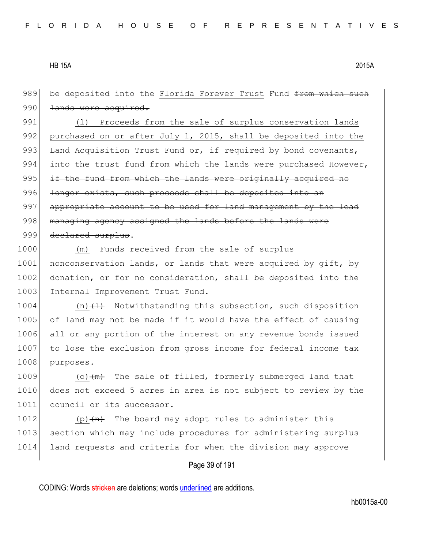| 990<br>lands were acquired.<br>991<br>Proceeds from the sale of surplus conservation lands<br>(1)<br>992<br>purchased on or after July 1, 2015, shall be deposited into the<br>993<br>Land Acquisition Trust Fund or, if required by bond covenants,<br>994<br>into the trust fund from which the lands were purchased However,<br>995<br>if the fund from which the lands were originally acquired no<br>996<br>longer exists, such proceeds shall be deposited into an<br>997<br>appropriate account to be used for land management by the lead<br>998<br>managing agency assigned the lands before the lands were<br>999<br>declared surplus.<br>1000<br>Funds received from the sale of surplus<br>(m)<br>1001<br>nonconservation lands, or lands that were acquired by gift, by<br>1002<br>donation, or for no consideration, shall be deposited into the<br>1003<br>Internal Improvement Trust Fund.<br>1004<br>(n) $\{\pm\}$ Notwithstanding this subsection, such disposition<br>1005<br>of land may not be made if it would have the effect of causing<br>1006<br>all or any portion of the interest on any revenue bonds issued<br>1007<br>to lose the exclusion from gross income for federal income tax<br>1008<br>purposes.<br>1009<br>(o) $\frac{1}{2}$ The sale of filled, formerly submerged land that<br>does not exceed 5 acres in area is not subject to review by the<br>1010<br>1011<br>council or its successor.<br>1012<br>The board may adopt rules to administer this<br>$(p)$ $(n)$<br>1013<br>section which may include procedures for administering surplus | be deposited into the Florida Forever Trust Fund from which such |
|-----------------------------------------------------------------------------------------------------------------------------------------------------------------------------------------------------------------------------------------------------------------------------------------------------------------------------------------------------------------------------------------------------------------------------------------------------------------------------------------------------------------------------------------------------------------------------------------------------------------------------------------------------------------------------------------------------------------------------------------------------------------------------------------------------------------------------------------------------------------------------------------------------------------------------------------------------------------------------------------------------------------------------------------------------------------------------------------------------------------------------------------------------------------------------------------------------------------------------------------------------------------------------------------------------------------------------------------------------------------------------------------------------------------------------------------------------------------------------------------------------------------------------------------------------------------------------------------|------------------------------------------------------------------|
|                                                                                                                                                                                                                                                                                                                                                                                                                                                                                                                                                                                                                                                                                                                                                                                                                                                                                                                                                                                                                                                                                                                                                                                                                                                                                                                                                                                                                                                                                                                                                                                         |                                                                  |
|                                                                                                                                                                                                                                                                                                                                                                                                                                                                                                                                                                                                                                                                                                                                                                                                                                                                                                                                                                                                                                                                                                                                                                                                                                                                                                                                                                                                                                                                                                                                                                                         |                                                                  |
|                                                                                                                                                                                                                                                                                                                                                                                                                                                                                                                                                                                                                                                                                                                                                                                                                                                                                                                                                                                                                                                                                                                                                                                                                                                                                                                                                                                                                                                                                                                                                                                         |                                                                  |
|                                                                                                                                                                                                                                                                                                                                                                                                                                                                                                                                                                                                                                                                                                                                                                                                                                                                                                                                                                                                                                                                                                                                                                                                                                                                                                                                                                                                                                                                                                                                                                                         |                                                                  |
|                                                                                                                                                                                                                                                                                                                                                                                                                                                                                                                                                                                                                                                                                                                                                                                                                                                                                                                                                                                                                                                                                                                                                                                                                                                                                                                                                                                                                                                                                                                                                                                         |                                                                  |
|                                                                                                                                                                                                                                                                                                                                                                                                                                                                                                                                                                                                                                                                                                                                                                                                                                                                                                                                                                                                                                                                                                                                                                                                                                                                                                                                                                                                                                                                                                                                                                                         |                                                                  |
|                                                                                                                                                                                                                                                                                                                                                                                                                                                                                                                                                                                                                                                                                                                                                                                                                                                                                                                                                                                                                                                                                                                                                                                                                                                                                                                                                                                                                                                                                                                                                                                         |                                                                  |
|                                                                                                                                                                                                                                                                                                                                                                                                                                                                                                                                                                                                                                                                                                                                                                                                                                                                                                                                                                                                                                                                                                                                                                                                                                                                                                                                                                                                                                                                                                                                                                                         |                                                                  |
|                                                                                                                                                                                                                                                                                                                                                                                                                                                                                                                                                                                                                                                                                                                                                                                                                                                                                                                                                                                                                                                                                                                                                                                                                                                                                                                                                                                                                                                                                                                                                                                         |                                                                  |
|                                                                                                                                                                                                                                                                                                                                                                                                                                                                                                                                                                                                                                                                                                                                                                                                                                                                                                                                                                                                                                                                                                                                                                                                                                                                                                                                                                                                                                                                                                                                                                                         |                                                                  |
|                                                                                                                                                                                                                                                                                                                                                                                                                                                                                                                                                                                                                                                                                                                                                                                                                                                                                                                                                                                                                                                                                                                                                                                                                                                                                                                                                                                                                                                                                                                                                                                         |                                                                  |
|                                                                                                                                                                                                                                                                                                                                                                                                                                                                                                                                                                                                                                                                                                                                                                                                                                                                                                                                                                                                                                                                                                                                                                                                                                                                                                                                                                                                                                                                                                                                                                                         |                                                                  |
|                                                                                                                                                                                                                                                                                                                                                                                                                                                                                                                                                                                                                                                                                                                                                                                                                                                                                                                                                                                                                                                                                                                                                                                                                                                                                                                                                                                                                                                                                                                                                                                         |                                                                  |
|                                                                                                                                                                                                                                                                                                                                                                                                                                                                                                                                                                                                                                                                                                                                                                                                                                                                                                                                                                                                                                                                                                                                                                                                                                                                                                                                                                                                                                                                                                                                                                                         |                                                                  |
|                                                                                                                                                                                                                                                                                                                                                                                                                                                                                                                                                                                                                                                                                                                                                                                                                                                                                                                                                                                                                                                                                                                                                                                                                                                                                                                                                                                                                                                                                                                                                                                         |                                                                  |
|                                                                                                                                                                                                                                                                                                                                                                                                                                                                                                                                                                                                                                                                                                                                                                                                                                                                                                                                                                                                                                                                                                                                                                                                                                                                                                                                                                                                                                                                                                                                                                                         |                                                                  |
|                                                                                                                                                                                                                                                                                                                                                                                                                                                                                                                                                                                                                                                                                                                                                                                                                                                                                                                                                                                                                                                                                                                                                                                                                                                                                                                                                                                                                                                                                                                                                                                         |                                                                  |
|                                                                                                                                                                                                                                                                                                                                                                                                                                                                                                                                                                                                                                                                                                                                                                                                                                                                                                                                                                                                                                                                                                                                                                                                                                                                                                                                                                                                                                                                                                                                                                                         |                                                                  |
|                                                                                                                                                                                                                                                                                                                                                                                                                                                                                                                                                                                                                                                                                                                                                                                                                                                                                                                                                                                                                                                                                                                                                                                                                                                                                                                                                                                                                                                                                                                                                                                         |                                                                  |
|                                                                                                                                                                                                                                                                                                                                                                                                                                                                                                                                                                                                                                                                                                                                                                                                                                                                                                                                                                                                                                                                                                                                                                                                                                                                                                                                                                                                                                                                                                                                                                                         |                                                                  |
|                                                                                                                                                                                                                                                                                                                                                                                                                                                                                                                                                                                                                                                                                                                                                                                                                                                                                                                                                                                                                                                                                                                                                                                                                                                                                                                                                                                                                                                                                                                                                                                         |                                                                  |
|                                                                                                                                                                                                                                                                                                                                                                                                                                                                                                                                                                                                                                                                                                                                                                                                                                                                                                                                                                                                                                                                                                                                                                                                                                                                                                                                                                                                                                                                                                                                                                                         |                                                                  |
|                                                                                                                                                                                                                                                                                                                                                                                                                                                                                                                                                                                                                                                                                                                                                                                                                                                                                                                                                                                                                                                                                                                                                                                                                                                                                                                                                                                                                                                                                                                                                                                         |                                                                  |
|                                                                                                                                                                                                                                                                                                                                                                                                                                                                                                                                                                                                                                                                                                                                                                                                                                                                                                                                                                                                                                                                                                                                                                                                                                                                                                                                                                                                                                                                                                                                                                                         |                                                                  |
| 1014<br>land requests and criteria for when the division may approve                                                                                                                                                                                                                                                                                                                                                                                                                                                                                                                                                                                                                                                                                                                                                                                                                                                                                                                                                                                                                                                                                                                                                                                                                                                                                                                                                                                                                                                                                                                    |                                                                  |
| Page 39 of 191                                                                                                                                                                                                                                                                                                                                                                                                                                                                                                                                                                                                                                                                                                                                                                                                                                                                                                                                                                                                                                                                                                                                                                                                                                                                                                                                                                                                                                                                                                                                                                          |                                                                  |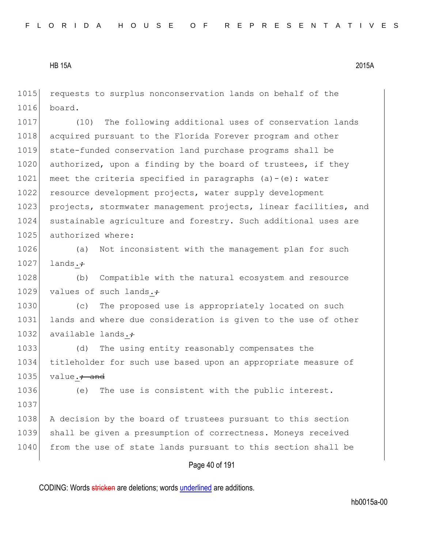1015 requests to surplus nonconservation lands on behalf of the 1016 board.

1017 (10) The following additional uses of conservation lands 1018 acquired pursuant to the Florida Forever program and other 1019 state-funded conservation land purchase programs shall be 1020 authorized, upon a finding by the board of trustees, if they 1021 meet the criteria specified in paragraphs  $(a)-(e)$ : water 1022 resource development projects, water supply development 1023 projects, stormwater management projects, linear facilities, and 1024 sustainable agriculture and forestry. Such additional uses are 1025 authorized where:

1026 (a) Not inconsistent with the management plan for such  $1027$  lands. $\div$ 

1028 (b) Compatible with the natural ecosystem and resource 1029 values of such lands. $\div$ 

1030 (c) The proposed use is appropriately located on such 1031 lands and where due consideration is given to the use of other 1032 available lands. $\div$ 

1033 (d) The using entity reasonably compensates the 1034 titleholder for such use based upon an appropriate measure of 1035 value. $\div$  and

1036 (e) The use is consistent with the public interest. 1037 1038 A decision by the board of trustees pursuant to this section 1039 shall be given a presumption of correctness. Moneys received 1040 from the use of state lands pursuant to this section shall be

#### Page 40 of 191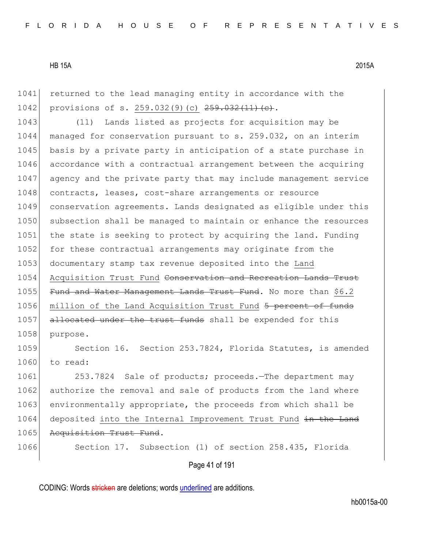1041 returned to the lead managing entity in accordance with the 1042 provisions of s. 259.032(9)(c) 259.032(11)(e).

1043 (11) Lands listed as projects for acquisition may be 1044 managed for conservation pursuant to s. 259.032, on an interim 1045 basis by a private party in anticipation of a state purchase in 1046 accordance with a contractual arrangement between the acquiring 1047 agency and the private party that may include management service 1048 contracts, leases, cost-share arrangements or resource 1049 conservation agreements. Lands designated as eligible under this 1050 subsection shall be managed to maintain or enhance the resources 1051 the state is seeking to protect by acquiring the land. Funding 1052 for these contractual arrangements may originate from the 1053 documentary stamp tax revenue deposited into the Land 1054 Acquisition Trust Fund Conservation and Recreation Lands Trust 1055 Fund and Water Management Lands Trust Fund. No more than \$6.2 1056 million of the Land Acquisition Trust Fund 5 percent of funds 1057 allocated under the trust funds shall be expended for this 1058 purpose.

1059 Section 16. Section 253.7824, Florida Statutes, is amended 1060 to read:

1061 253.7824 Sale of products; proceeds. The department may 1062 authorize the removal and sale of products from the land where 1063 environmentally appropriate, the proceeds from which shall be 1064 deposited into the Internal Improvement Trust Fund in the Land 1065 Acquisition Trust Fund.

1066 Section 17. Subsection (1) of section 258.435, Florida

Page 41 of 191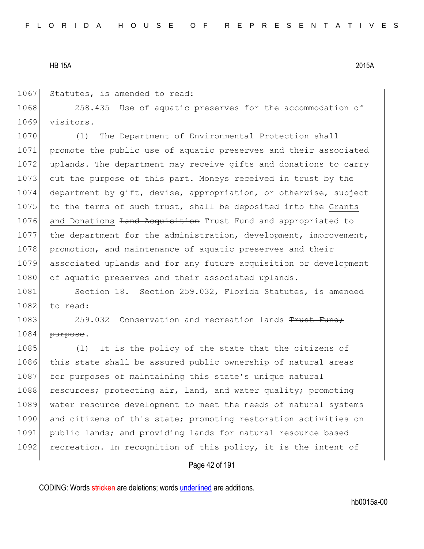1067 Statutes, is amended to read:

1068 258.435 Use of aquatic preserves for the accommodation of 1069 visitors.—

1070 (1) The Department of Environmental Protection shall 1071 promote the public use of aquatic preserves and their associated 1072 uplands. The department may receive gifts and donations to carry 1073 out the purpose of this part. Moneys received in trust by the 1074 department by gift, devise, appropriation, or otherwise, subject 1075 to the terms of such trust, shall be deposited into the Grants 1076 and Donations Land Acquisition Trust Fund and appropriated to 1077 the department for the administration, development, improvement, 1078 promotion, and maintenance of aquatic preserves and their 1079 associated uplands and for any future acquisition or development 1080 of aquatic preserves and their associated uplands.

1081 Section 18. Section 259.032, Florida Statutes, is amended  $1082$  to read:

1083 259.032 Conservation and recreation lands Trust Fund;  $1084$  purpose.

1085 (1) It is the policy of the state that the citizens of 1086 this state shall be assured public ownership of natural areas 1087 for purposes of maintaining this state's unique natural 1088 resources; protecting air, land, and water quality; promoting 1089 water resource development to meet the needs of natural systems 1090 and citizens of this state; promoting restoration activities on 1091 public lands; and providing lands for natural resource based 1092 recreation. In recognition of this policy, it is the intent of

#### Page 42 of 191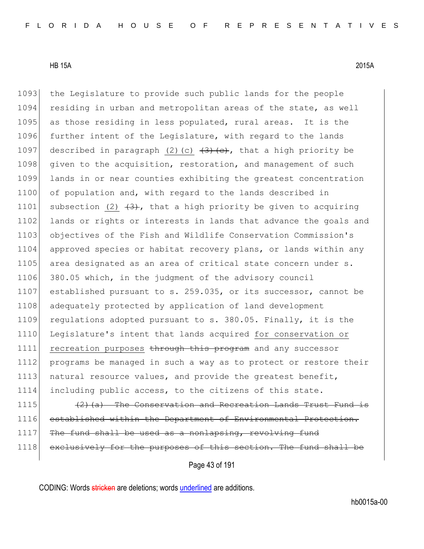1093 the Legislature to provide such public lands for the people 1094 residing in urban and metropolitan areas of the state, as well 1095 as those residing in less populated, rural areas. It is the 1096 further intent of the Legislature, with regard to the lands 1097 described in paragraph (2)(c)  $\left(3\right)\left(\frac{1}{2}, 6\right)$ , that a high priority be 1098 given to the acquisition, restoration, and management of such 1099 lands in or near counties exhibiting the greatest concentration 1100 of population and, with regard to the lands described in 1101 subsection (2)  $(3)$ , that a high priority be given to acquiring 1102 lands or rights or interests in lands that advance the goals and 1103 objectives of the Fish and Wildlife Conservation Commission's 1104 approved species or habitat recovery plans, or lands within any 1105 area designated as an area of critical state concern under s. 1106 380.05 which, in the judgment of the advisory council 1107 established pursuant to s. 259.035, or its successor, cannot be 1108 adequately protected by application of land development 1109 regulations adopted pursuant to s. 380.05. Finally, it is the 1110 Legislature's intent that lands acquired for conservation or 1111 recreation purposes through this program and any successor 1112 programs be managed in such a way as to protect or restore their 1113 natural resource values, and provide the greatest benefit, 1114 including public access, to the citizens of this state. 1115  $(2)$  (a) The Conservation and Recreation Lands Trust Fund is 1116 established within the Department of Environmental Protection. 1117 The fund shall be used as a nonlapsing, revolving fund

1118 exclusively for the purposes of this section. The fund shall

Page 43 of 191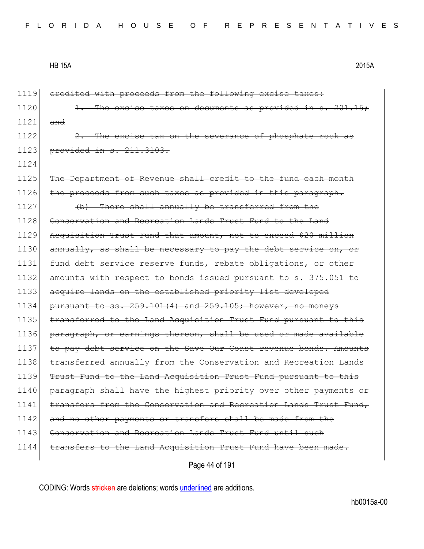1124

1119 credited with proceeds from the following excise taxes:  $1120$  1. The excise taxes on documents as provided in s. 201.15;  $1121$  and

 $1122$   $2.$  The excise tax on the severance of phosphate rock as 1123 provided in s. 211.3103.

1125 The Department of Revenue shall credit to the fund each month 1126 the proceeds from such taxes as provided in this paragraph. 1127 (b) There shall annually be transferred from the 1128 Conservation and Recreation Lands Trust Fund to the Land 1129 Acquisition Trust Fund that amount, not to exceed \$20 million 1130 annually, as shall be necessary to pay the debt service on, or 1131 fund debt service reserve funds, rebate obligations, or other 1132 amounts with respect to bonds issued pursuant to s. 375.051 to 1133 acquire lands on the established priority list developed 1134 pursuant to ss.  $259.101(4)$  and  $259.105$ ; however, no moneys 1135 transferred to the Land Acquisition Trust Fund pursuant to this 1136 paragraph, or earnings thereon, shall be used or made available 1137 to pay debt service on the Save Our Coast revenue bonds. Amounts 1138 transferred annually from the Conservation and Recreation Lands 1139 Trust Fund to the Land Acquisition Trust Fund pursuant to this 1140 paragraph shall have the highest priority over other payments or 1141 transfers from the Conservation and Recreation Lands Trust Fund, 1142 and no other payments or transfers shall be made from the 1143 Conservation and Recreation Lands Trust Fund until 1144 transfers to the Land Acquisition Trust Fund have been made.

Page 44 of 191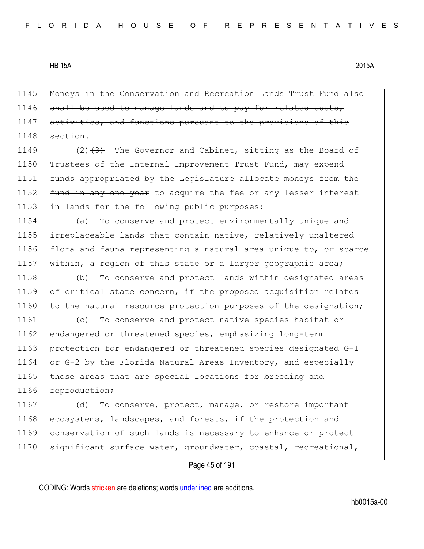1145 Moneys in the Conservation and Recreation Lands Trust Fund also  $1146$  shall be used to manage lands and to pay for related costs, 1147 activities, and functions pursuant to the provisions of this  $1148$  section.

1149  $(2)$   $(3)$  The Governor and Cabinet, sitting as the Board of 1150 Trustees of the Internal Improvement Trust Fund, may expend 1151 funds appropriated by the Legislature allocate moneys from the 1152 fund in any one year to acquire the fee or any lesser interest 1153 in lands for the following public purposes:

 (a) To conserve and protect environmentally unique and irreplaceable lands that contain native, relatively unaltered flora and fauna representing a natural area unique to, or scarce 1157 within, a region of this state or a larger geographic area;

1158 (b) To conserve and protect lands within designated areas 1159 of critical state concern, if the proposed acquisition relates 1160 to the natural resource protection purposes of the designation;

1161 (c) To conserve and protect native species habitat or 1162 endangered or threatened species, emphasizing long-term 1163 protection for endangered or threatened species designated G-1 1164 or G-2 by the Florida Natural Areas Inventory, and especially 1165 those areas that are special locations for breeding and 1166 reproduction;

1167 (d) To conserve, protect, manage, or restore important 1168 ecosystems, landscapes, and forests, if the protection and 1169 conservation of such lands is necessary to enhance or protect 1170 significant surface water, groundwater, coastal, recreational,

# Page 45 of 191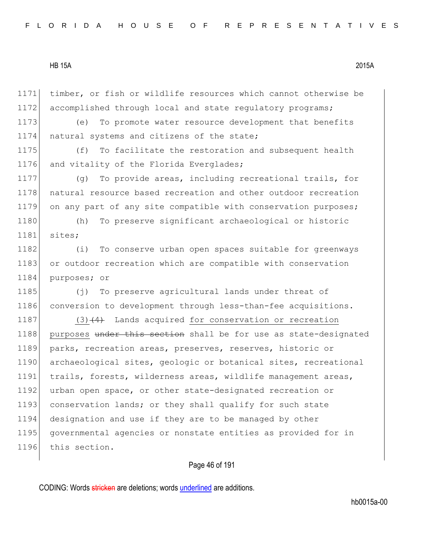1172 accomplished through local and state regulatory programs; 1173 (e) To promote water resource development that benefits 1174 | natural systems and citizens of the state; 1175 (f) To facilitate the restoration and subsequent health 1176 and vitality of the Florida Everglades; 1177 (g) To provide areas, including recreational trails, for 1178 natural resource based recreation and other outdoor recreation 1179 on any part of any site compatible with conservation purposes; 1180 (h) To preserve significant archaeological or historic 1181 sites;

1171 timber, or fish or wildlife resources which cannot otherwise be

1182 (i) To conserve urban open spaces suitable for greenways 1183 or outdoor recreation which are compatible with conservation 1184 purposes; or

1185 (j) To preserve agricultural lands under threat of 1186 conversion to development through less-than-fee acquisitions.

1187 (3) $(4)$  Lands acquired for conservation or recreation 1188 purposes under this section shall be for use as state-designated 1189 parks, recreation areas, preserves, reserves, historic or 1190 archaeological sites, geologic or botanical sites, recreational 1191 trails, forests, wilderness areas, wildlife management areas, 1192 urban open space, or other state-designated recreation or 1193 conservation lands; or they shall qualify for such state 1194 designation and use if they are to be managed by other 1195 governmental agencies or nonstate entities as provided for in 1196 this section.

# Page 46 of 191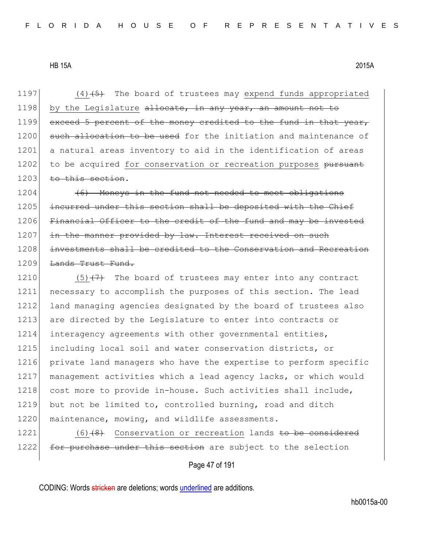1197  $(4)$   $(5)$  The board of trustees may expend funds appropriated 1198 by the Legislature  $\alpha$  allocate, in any year, an amount not to 1199 exceed 5 percent of the money credited to the fund in that year, 1200 such allocation to be used for the initiation and maintenance of 1201 a natural areas inventory to aid in the identification of areas 1202 to be acquired for conservation or recreation purposes pursuant 1203 to this section.

 $1204$  (6) Moneys in the fund not needed to meet obligations 1205 incurred under this section shall be deposited with the Chief 1206 Financial Officer to the credit of the fund and may be invested 1207 in the manner provided by law. Interest received on such 1208 investments shall be credited to the Conservation and Recreation 1209 <del>Lands Trust Fund.</del>

1210  $(5)$   $(7)$  The board of trustees may enter into any contract 1211 necessary to accomplish the purposes of this section. The lead 1212 land managing agencies designated by the board of trustees also 1213 are directed by the Legislature to enter into contracts or 1214 interagency agreements with other governmental entities, 1215 including local soil and water conservation districts, or 1216 private land managers who have the expertise to perform specific 1217 management activities which a lead agency lacks, or which would 1218 cost more to provide in-house. Such activities shall include, 1219 but not be limited to, controlled burning, road and ditch 1220 maintenance, mowing, and wildlife assessments.

1221 (6)<del>(8)</del> Conservation or recreation lands <del>to be considered</del> 1222 for purchase under this section are subject to the selection

Page 47 of 191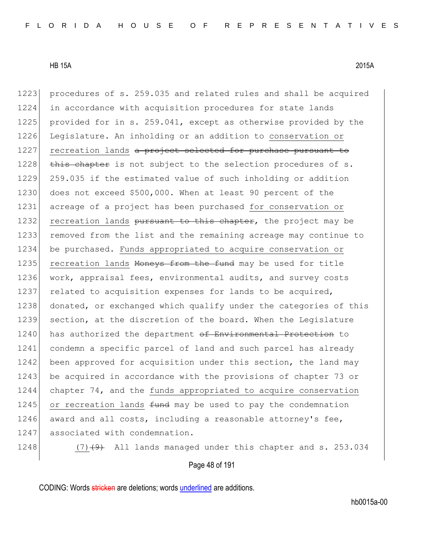1223 procedures of s. 259.035 and related rules and shall be acquired 1224 in accordance with acquisition procedures for state lands 1225 provided for in s. 259.041, except as otherwise provided by the 1226 Legislature. An inholding or an addition to conservation or 1227 recreation lands a project selected for purchase pursuant to  $1228$  this chapter is not subject to the selection procedures of s. 1229 259.035 if the estimated value of such inholding or addition 1230 does not exceed \$500,000. When at least 90 percent of the 1231 acreage of a project has been purchased for conservation or 1232 recreation lands pursuant to this chapter, the project may be 1233 removed from the list and the remaining acreage may continue to 1234 be purchased. Funds appropriated to acquire conservation or 1235 recreation lands Moneys from the fund may be used for title 1236 work, appraisal fees, environmental audits, and survey costs 1237 related to acquisition expenses for lands to be acquired, 1238 donated, or exchanged which qualify under the categories of this 1239 section, at the discretion of the board. When the Legislature 1240 has authorized the department of Environmental Protection to 1241 condemn a specific parcel of land and such parcel has already 1242 been approved for acquisition under this section, the land may 1243 be acquired in accordance with the provisions of chapter 73 or 1244 chapter 74, and the funds appropriated to acquire conservation  $1245$  or recreation lands  $f$ und may be used to pay the condemnation 1246 award and all costs, including a reasonable attorney's fee, 1247 associated with condemnation.

1248  $(7)$   $(4)$  All lands managed under this chapter and s. 253.034

Page 48 of 191

CODING: Words stricken are deletions; words underlined are additions.

hb0015a-00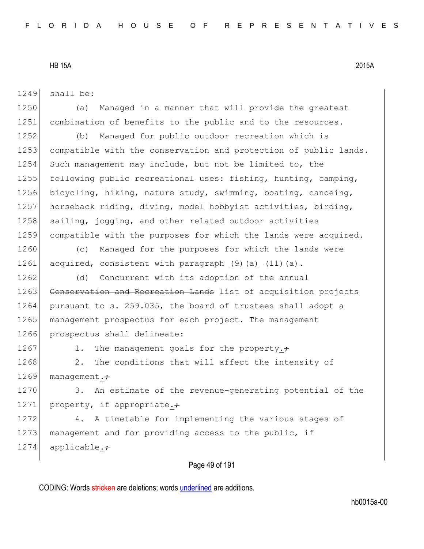1249 shall be:

1250 (a) Managed in a manner that will provide the greatest 1251 combination of benefits to the public and to the resources.

1252 (b) Managed for public outdoor recreation which is 1253 compatible with the conservation and protection of public lands. 1254 Such management may include, but not be limited to, the 1255 following public recreational uses: fishing, hunting, camping, 1256 bicycling, hiking, nature study, swimming, boating, canoeing, 1257 horseback riding, diving, model hobbyist activities, birding, 1258 sailing, jogging, and other related outdoor activities 1259 compatible with the purposes for which the lands were acquired.

1260 (c) Managed for the purposes for which the lands were 1261 acquired, consistent with paragraph (9)(a)  $\frac{(11)(a)}{(a)}$ .

1262 (d) Concurrent with its adoption of the annual 1263 Conservation and Recreation Lands list of acquisition projects 1264 pursuant to s. 259.035, the board of trustees shall adopt a 1265 management prospectus for each project. The management 1266 prospectus shall delineate:

1267 1. The management goals for the property. $\div$ 

1268 2. The conditions that will affect the intensity of 1269 management. $\div$ 

1270 3. An estimate of the revenue-generating potential of the 1271 property, if appropriate.

1272 4. A timetable for implementing the various stages of 1273 management and for providing access to the public, if 1274 applicable. $\div$ 

# Page 49 of 191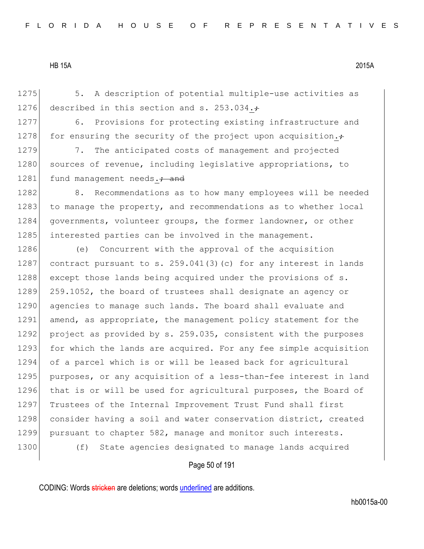1275 5. A description of potential multiple-use activities as 1276 described in this section and s. 253.034. $\div$ 

1277 6. Provisions for protecting existing infrastructure and 1278 for ensuring the security of the project upon acquisition. $\div$ 

1279 7. The anticipated costs of management and projected 1280 sources of revenue, including legislative appropriations, to 1281 fund management needs.; and

1282 8. Recommendations as to how many employees will be needed 1283 to manage the property, and recommendations as to whether local 1284 governments, volunteer groups, the former landowner, or other 1285 interested parties can be involved in the management.

1286 (e) Concurrent with the approval of the acquisition 1287 contract pursuant to s.  $259.041(3)(c)$  for any interest in lands 1288 except those lands being acquired under the provisions of s. 1289 259.1052, the board of trustees shall designate an agency or 1290 agencies to manage such lands. The board shall evaluate and 1291 amend, as appropriate, the management policy statement for the 1292 project as provided by s. 259.035, consistent with the purposes 1293 for which the lands are acquired. For any fee simple acquisition 1294 of a parcel which is or will be leased back for agricultural 1295 purposes, or any acquisition of a less-than-fee interest in land 1296 that is or will be used for agricultural purposes, the Board of 1297 Trustees of the Internal Improvement Trust Fund shall first 1298 consider having a soil and water conservation district, created 1299 pursuant to chapter 582, manage and monitor such interests. 1300 (f) State agencies designated to manage lands acquired

Page 50 of 191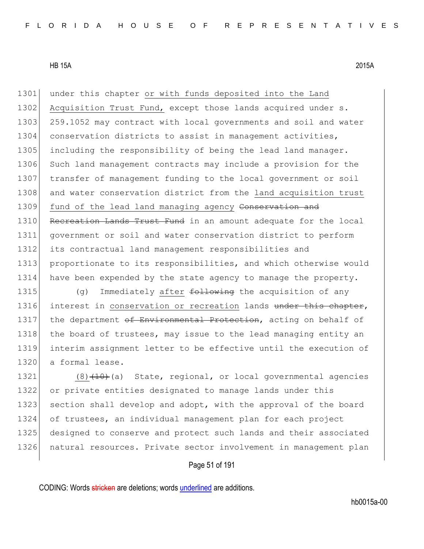1301 under this chapter or with funds deposited into the Land 1302 Acquisition Trust Fund, except those lands acquired under s. 1303 259.1052 may contract with local governments and soil and water 1304 conservation districts to assist in management activities, 1305 including the responsibility of being the lead land manager. 1306 Such land management contracts may include a provision for the 1307 transfer of management funding to the local government or soil 1308 and water conservation district from the land acquisition trust 1309 fund of the lead land managing agency Conservation and 1310 Recreation Lands Trust Fund in an amount adequate for the local 1311 government or soil and water conservation district to perform 1312 its contractual land management responsibilities and 1313 proportionate to its responsibilities, and which otherwise would 1314 have been expended by the state agency to manage the property.

1315 (g) Immediately after  $f$ ollowing the acquisition of any 1316 interest in conservation or recreation lands under this chapter, 1317 the department of Environmental Protection, acting on behalf of 1318 the board of trustees, may issue to the lead managing entity an 1319 interim assignment letter to be effective until the execution of 1320 a formal lease.

 $(8)$   $(10)$   $(10)$   $(10)$  state, regional, or local governmental agencies or private entities designated to manage lands under this 1323 section shall develop and adopt, with the approval of the board of trustees, an individual management plan for each project designed to conserve and protect such lands and their associated 1326 natural resources. Private sector involvement in management plan

# Page 51 of 191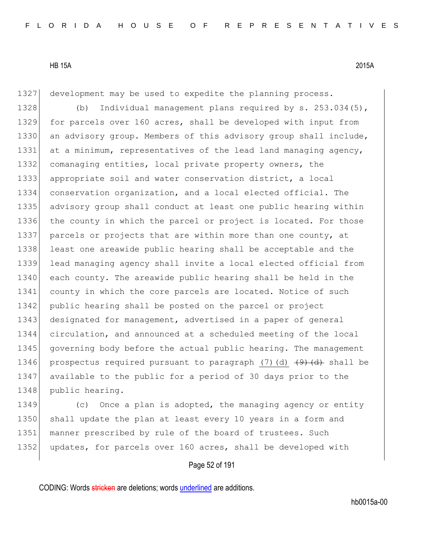1327 development may be used to expedite the planning process.

1328 (b) Individual management plans required by s. 253.034(5), 1329 for parcels over 160 acres, shall be developed with input from 1330 an advisory group. Members of this advisory group shall include, 1331 at a minimum, representatives of the lead land managing agency, 1332 comanaging entities, local private property owners, the 1333 appropriate soil and water conservation district, a local 1334 conservation organization, and a local elected official. The 1335 advisory group shall conduct at least one public hearing within 1336 the county in which the parcel or project is located. For those 1337 parcels or projects that are within more than one county, at 1338 least one areawide public hearing shall be acceptable and the 1339 lead managing agency shall invite a local elected official from 1340 each county. The areawide public hearing shall be held in the 1341 county in which the core parcels are located. Notice of such 1342 public hearing shall be posted on the parcel or project 1343 designated for management, advertised in a paper of general 1344 circulation, and announced at a scheduled meeting of the local 1345 governing body before the actual public hearing. The management 1346 prospectus required pursuant to paragraph (7)(d)  $\left(4\right)$  shall be 1347 available to the public for a period of 30 days prior to the 1348 public hearing.

1349 (c) Once a plan is adopted, the managing agency or entity 1350 shall update the plan at least every 10 years in a form and 1351 | manner prescribed by rule of the board of trustees. Such 1352 updates, for parcels over 160 acres, shall be developed with

# Page 52 of 191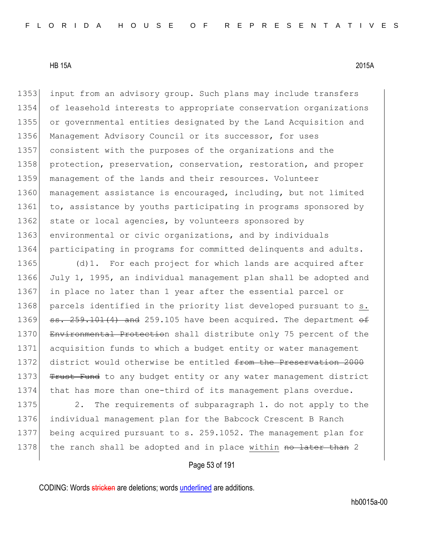1353 input from an advisory group. Such plans may include transfers 1354 of leasehold interests to appropriate conservation organizations 1355 or governmental entities designated by the Land Acquisition and 1356 Management Advisory Council or its successor, for uses 1357 consistent with the purposes of the organizations and the 1358 protection, preservation, conservation, restoration, and proper 1359 management of the lands and their resources. Volunteer 1360 management assistance is encouraged, including, but not limited 1361 to, assistance by youths participating in programs sponsored by 1362 state or local agencies, by volunteers sponsored by 1363 environmental or civic organizations, and by individuals 1364 participating in programs for committed delinquents and adults.

1365 (d)1. For each project for which lands are acquired after 1366 July 1, 1995, an individual management plan shall be adopted and 1367 in place no later than 1 year after the essential parcel or 1368 parcels identified in the priority list developed pursuant to s. 1369  $\text{ss. } 259.101(4)$  and 259.105 have been acquired. The department  $\theta$ 1370 Environmental Protection shall distribute only 75 percent of the 1371 acquisition funds to which a budget entity or water management 1372 district would otherwise be entitled from the Preservation 2000 1373 Trust Fund to any budget entity or any water management district 1374 that has more than one-third of its management plans overdue.

1375 2. The requirements of subparagraph 1. do not apply to the 1376 individual management plan for the Babcock Crescent B Ranch 1377 being acquired pursuant to s. 259.1052. The management plan for 1378 the ranch shall be adopted and in place within no later than 2

Page 53 of 191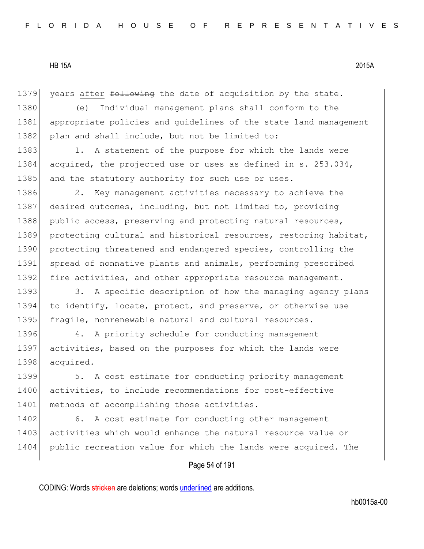1379 years after following the date of acquisition by the state.

1380 (e) Individual management plans shall conform to the 1381 appropriate policies and quidelines of the state land management 1382 plan and shall include, but not be limited to:

1383 1. A statement of the purpose for which the lands were 1384 acquired, the projected use or uses as defined in s. 253.034, 1385 and the statutory authority for such use or uses.

1386 2. Key management activities necessary to achieve the 1387 desired outcomes, including, but not limited to, providing 1388 public access, preserving and protecting natural resources, 1389 protecting cultural and historical resources, restoring habitat, 1390 protecting threatened and endangered species, controlling the 1391 spread of nonnative plants and animals, performing prescribed 1392 fire activities, and other appropriate resource management.

1393 3. A specific description of how the managing agency plans 1394 to identify, locate, protect, and preserve, or otherwise use 1395 fragile, nonrenewable natural and cultural resources.

1396 4. A priority schedule for conducting management 1397 activities, based on the purposes for which the lands were 1398 acquired.

1399 5. A cost estimate for conducting priority management 1400 activities, to include recommendations for cost-effective 1401 methods of accomplishing those activities.

1402 6. A cost estimate for conducting other management 1403 activities which would enhance the natural resource value or 1404 public recreation value for which the lands were acquired. The

# Page 54 of 191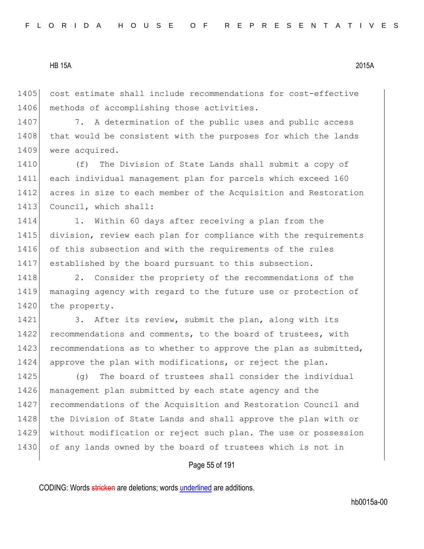1405 cost estimate shall include recommendations for cost-effective 1406 methods of accomplishing those activities.

1407 7. A determination of the public uses and public access 1408 that would be consistent with the purposes for which the lands 1409 were acquired.

1410 (f) The Division of State Lands shall submit a copy of 1411 each individual management plan for parcels which exceed 160 1412 acres in size to each member of the Acquisition and Restoration 1413 Council, which shall:

1414 1. Within 60 days after receiving a plan from the 1415 division, review each plan for compliance with the requirements 1416 of this subsection and with the requirements of the rules 1417 established by the board pursuant to this subsection.

1418 2. Consider the propriety of the recommendations of the 1419 managing agency with regard to the future use or protection of 1420 the property.

1421 3. After its review, submit the plan, along with its 1422 recommendations and comments, to the board of trustees, with 1423 recommendations as to whether to approve the plan as submitted, 1424 approve the plan with modifications, or reject the plan.

1425 (g) The board of trustees shall consider the individual 1426 management plan submitted by each state agency and the 1427 recommendations of the Acquisition and Restoration Council and 1428 the Division of State Lands and shall approve the plan with or 1429 without modification or reject such plan. The use or possession 1430 of any lands owned by the board of trustees which is not in

# Page 55 of 191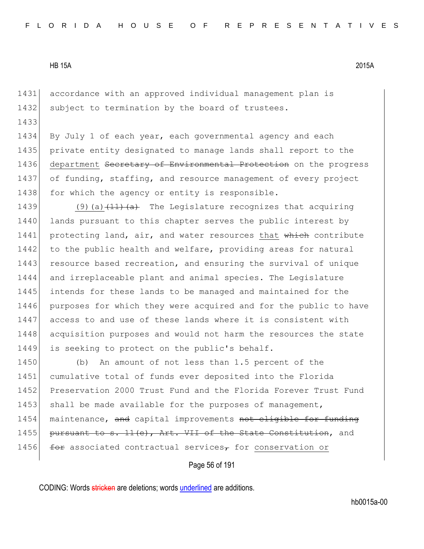1433

1431 accordance with an approved individual management plan is 1432 subject to termination by the board of trustees.

1434 By July 1 of each year, each governmental agency and each 1435 private entity designated to manage lands shall report to the 1436 department Secretary of Environmental Protection on the progress 1437 of funding, staffing, and resource management of every project 1438 for which the agency or entity is responsible.

1439 (9)(a) $\left(11\right)\left(1$  The Legislature recognizes that acquiring 1440 lands pursuant to this chapter serves the public interest by 1441 protecting land, air, and water resources that which contribute 1442 to the public health and welfare, providing areas for natural 1443 resource based recreation, and ensuring the survival of unique 1444 and irreplaceable plant and animal species. The Legislature 1445 intends for these lands to be managed and maintained for the 1446 purposes for which they were acquired and for the public to have 1447 access to and use of these lands where it is consistent with 1448 acquisition purposes and would not harm the resources the state 1449 is seeking to protect on the public's behalf.

1450 (b) An amount of not less than 1.5 percent of the 1451 cumulative total of funds ever deposited into the Florida 1452 Preservation 2000 Trust Fund and the Florida Forever Trust Fund 1453 shall be made available for the purposes of management, 1454 maintenance, and capital improvements not eligible for funding 1455 pursuant to s. 11(e), Art. VII of the State Constitution, and 1456  $f^{\text{eff}}$  associated contractual services<sub>7</sub> for conservation or

Page 56 of 191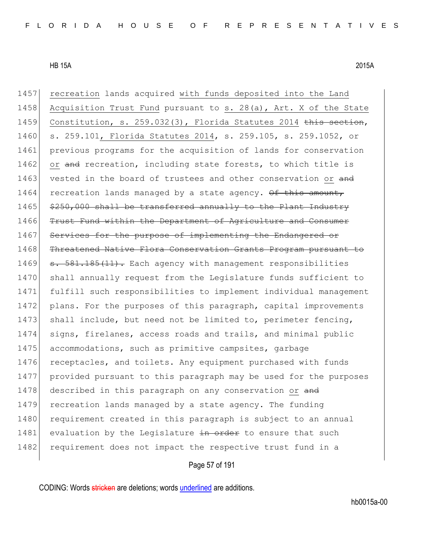1457 recreation lands acquired with funds deposited into the Land 1458 Acquisition Trust Fund pursuant to s. 28(a), Art. X of the State 1459 Constitution, s. 259.032(3), Florida Statutes 2014 this section, 1460 s. 259.101, Florida Statutes 2014, s. 259.105, s. 259.1052, or 1461 previous programs for the acquisition of lands for conservation 1462 or and recreation, including state forests, to which title is 1463 vested in the board of trustees and other conservation or and  $1464$  recreation lands managed by a state agency.  $\theta$  this amount, 1465 \$250,000 shall be transferred annually to the Plant Industry 1466 Trust Fund within the Department of Agriculture and Consumer 1467 Services for the purpose of implementing the Endangered or 1468 Threatened Native Flora Conservation Grants Program pursuant to 1469  $\sigma$ . 581.185(11). Each agency with management responsibilities 1470 shall annually request from the Legislature funds sufficient to 1471 fulfill such responsibilities to implement individual management 1472 plans. For the purposes of this paragraph, capital improvements 1473 shall include, but need not be limited to, perimeter fencing, 1474 signs, firelanes, access roads and trails, and minimal public 1475 accommodations, such as primitive campsites, garbage 1476 receptacles, and toilets. Any equipment purchased with funds 1477 provided pursuant to this paragraph may be used for the purposes 1478 described in this paragraph on any conservation or and 1479 recreation lands managed by a state agency. The funding 1480 requirement created in this paragraph is subject to an annual 1481 evaluation by the Legislature in order to ensure that such 1482 requirement does not impact the respective trust fund in a

# Page 57 of 191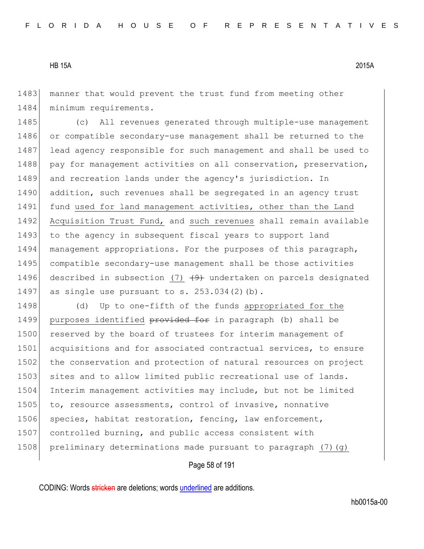1483 manner that would prevent the trust fund from meeting other 1484 minimum requirements.

1485 (c) All revenues generated through multiple-use management 1486 or compatible secondary-use management shall be returned to the 1487 lead agency responsible for such management and shall be used to 1488 pay for management activities on all conservation, preservation, 1489 and recreation lands under the agency's jurisdiction. In 1490 addition, such revenues shall be segregated in an agency trust 1491 fund used for land management activities, other than the Land 1492 Acquisition Trust Fund, and such revenues shall remain available 1493 to the agency in subsequent fiscal years to support land 1494 management appropriations. For the purposes of this paragraph, 1495 compatible secondary-use management shall be those activities 1496 described in subsection (7)  $(9)$  undertaken on parcels designated 1497 as single use pursuant to s.  $253.034(2)(b)$ .

1498 (d) Up to one-fifth of the funds appropriated for the 1499 purposes identified provided for in paragraph (b) shall be 1500 reserved by the board of trustees for interim management of 1501 acquisitions and for associated contractual services, to ensure 1502 the conservation and protection of natural resources on project 1503 sites and to allow limited public recreational use of lands. 1504 Interim management activities may include, but not be limited 1505 to, resource assessments, control of invasive, nonnative 1506 species, habitat restoration, fencing, law enforcement, 1507 controlled burning, and public access consistent with 1508 preliminary determinations made pursuant to paragraph  $(7)(q)$ 

Page 58 of 191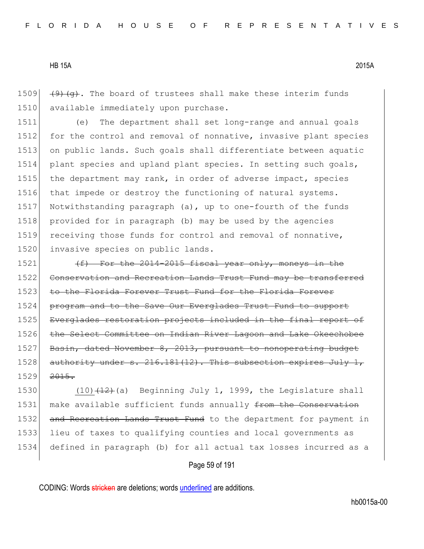1509  $(9)$   $(9)$   $(9)$ . The board of trustees shall make these interim funds 1510 available immediately upon purchase.

1511 (e) The department shall set long-range and annual goals 1512 for the control and removal of nonnative, invasive plant species 1513 on public lands. Such goals shall differentiate between aquatic 1514 plant species and upland plant species. In setting such goals, 1515 the department may rank, in order of adverse impact, species 1516 that impede or destroy the functioning of natural systems. 1517 Notwithstanding paragraph (a), up to one-fourth of the funds 1518 | provided for in paragraph (b) may be used by the agencies 1519 receiving those funds for control and removal of nonnative, 1520 invasive species on public lands.

1521  $(f)$  For the 2014-2015 fiscal year only, moneys in the 1522 Conservation and Recreation Lands Trust Fund may be transferred 1523 to the Florida Forever Trust Fund for the Florida Forever 1524 program and to the Save Our Everglades Trust Fund to support 1525 Everglades restoration projects included in the final report of 1526 the Select Committee on Indian River Lagoon and Lake Okeechobee 1527 Basin, dated November 8, 2013, pursuant to nonoperating budget 1528 authority under  $s. 216.181(12)$ . This subsection expires July 1,  $1529$   $2015$ .

1530 (10) $(12)$  (a) Beginning July 1, 1999, the Legislature shall 1531 make available sufficient funds annually from the Conservation 1532 and Recreation Lands Trust Fund to the department for payment in 1533 lieu of taxes to qualifying counties and local governments as 1534 defined in paragraph (b) for all actual tax losses incurred as a

# Page 59 of 191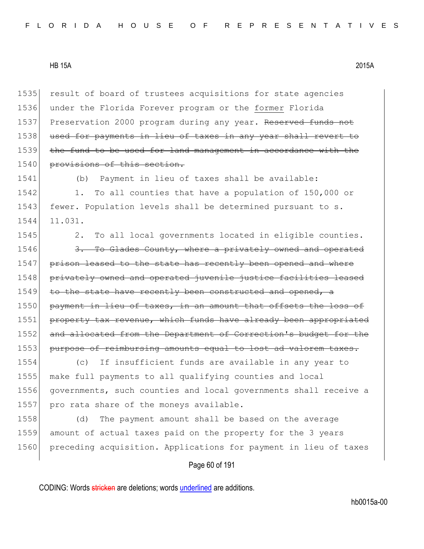1535 result of board of trustees acquisitions for state agencies 1536 under the Florida Forever program or the former Florida 1537 Preservation 2000 program during any year. Reserved funds not 1538 used for payments in lieu of taxes in any year shall revert 1539 the fund to be used for land management in accordance with the 1540 provisions of this section.

1541 (b) Payment in lieu of taxes shall be available: 1542 1. To all counties that have a population of 150,000 or 1543 fewer. Population levels shall be determined pursuant to s. 1544 11.031.

1545 2. To all local governments located in eligible counties. 1546 3. To Glades County, where a privately owned and operated 1547 prison leased to the state has recently been opened and where 1548 privately owned and operated juvenile justice facilities leased  $1549$  to the state have recently been constructed and opened, a 1550 payment in lieu of taxes, in an amount that offsets the loss of 1551 property tax revenue, which funds have already been appropriated 1552 and allocated from the Department of Correction's budget for the 1553 purpose of reimbursing amounts equal to lost ad valorem taxes.

 (c) If insufficient funds are available in any year to make full payments to all qualifying counties and local governments, such counties and local governments shall receive a 1557 pro rata share of the moneys available.

1558 (d) The payment amount shall be based on the average 1559 amount of actual taxes paid on the property for the 3 years 1560 preceding acquisition. Applications for payment in lieu of taxes

# Page 60 of 191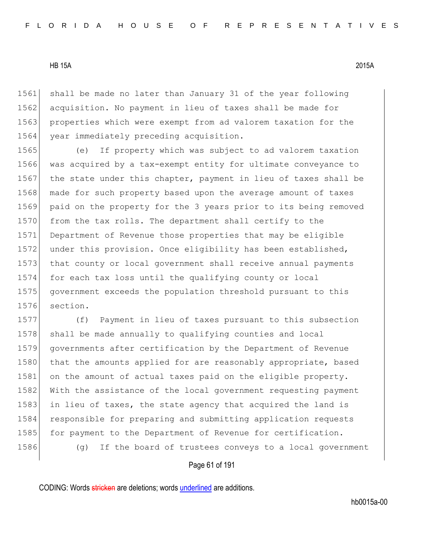1561 shall be made no later than January 31 of the year following 1562 acquisition. No payment in lieu of taxes shall be made for 1563 properties which were exempt from ad valorem taxation for the 1564 year immediately preceding acquisition.

1565 (e) If property which was subject to ad valorem taxation 1566 was acquired by a tax-exempt entity for ultimate conveyance to 1567 the state under this chapter, payment in lieu of taxes shall be 1568 made for such property based upon the average amount of taxes 1569 paid on the property for the 3 years prior to its being removed 1570 from the tax rolls. The department shall certify to the 1571 Department of Revenue those properties that may be eligible 1572 under this provision. Once eligibility has been established, 1573 that county or local government shall receive annual payments 1574 for each tax loss until the qualifying county or local 1575 government exceeds the population threshold pursuant to this 1576 section.

1577 (f) Payment in lieu of taxes pursuant to this subsection 1578 shall be made annually to qualifying counties and local 1579 governments after certification by the Department of Revenue 1580 that the amounts applied for are reasonably appropriate, based 1581 on the amount of actual taxes paid on the eligible property. 1582 With the assistance of the local government requesting payment 1583 in lieu of taxes, the state agency that acquired the land is 1584 responsible for preparing and submitting application requests 1585| for payment to the Department of Revenue for certification. 1586 (g) If the board of trustees conveys to a local government

#### Page 61 of 191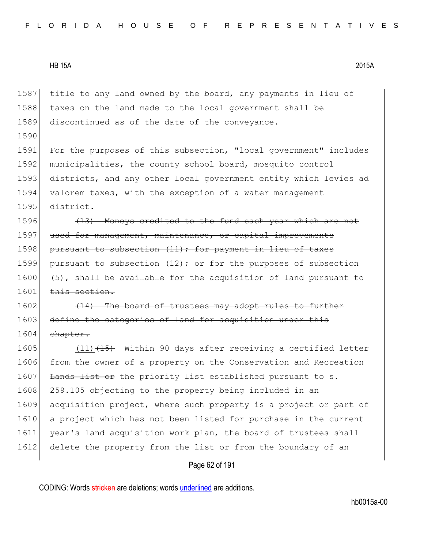1590

1587 title to any land owned by the board, any payments in lieu of 1588 taxes on the land made to the local government shall be 1589 discontinued as of the date of the conveyance.

1591 For the purposes of this subsection, "local government" includes 1592 municipalities, the county school board, mosquito control 1593 districts, and any other local government entity which levies ad 1594 valorem taxes, with the exception of a water management 1595 district.

 $1596$  (13) Moneys credited to the fund each year which are not 1597 used for management, maintenance, or capital improvements 1598 pursuant to subsection  $(11)$ ; for payment in lieu of taxes 1599 pursuant to subsection  $(12)$ ; or for the purposes of subsection  $1600$  (5), shall be available for the acquisition of land pursuant 1601 this section.

 $1602$  (14) The board of trustees may adopt rules to further 1603 define the categories of land for acquisition under this 1604 chapter.

1605 (11) $\left(1\right)$  (15) Within 90 days after receiving a certified letter 1606 from the owner of a property on the Conservation and Recreation 1607 Lands list or the priority list established pursuant to s. 1608 259.105 objecting to the property being included in an 1609 acquisition project, where such property is a project or part of 1610 a project which has not been listed for purchase in the current 1611 year's land acquisition work plan, the board of trustees shall 1612 delete the property from the list or from the boundary of an

# Page 62 of 191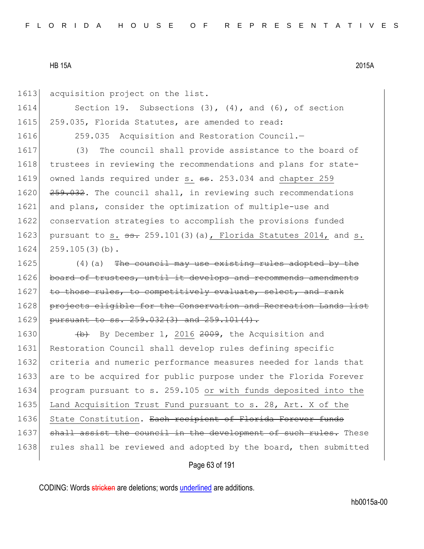| 1613 | acquisition project on the list.                                  |
|------|-------------------------------------------------------------------|
| 1614 | Section 19. Subsections $(3)$ , $(4)$ , and $(6)$ , of section    |
| 1615 | 259.035, Florida Statutes, are amended to read:                   |
| 1616 | 259.035 Acquisition and Restoration Council.-                     |
| 1617 | The council shall provide assistance to the board of<br>(3)       |
| 1618 | trustees in reviewing the recommendations and plans for state-    |
| 1619 | owned lands required under s. ss. 253.034 and chapter 259         |
| 1620 | 259.032. The council shall, in reviewing such recommendations     |
| 1621 | and plans, consider the optimization of multiple-use and          |
| 1622 | conservation strategies to accomplish the provisions funded       |
| 1623 | pursuant to s. $s$ . 259.101(3)(a), Florida Statutes 2014, and s. |
| 1624 | $259.105(3)(b)$ .                                                 |
| 1625 | $(4)$ (a) The council may use existing rules adopted by the       |
| 1626 | board of trustees, until it develops and recommends amendments    |
| 1627 | to those rules, to competitively evaluate, select, and rank       |
| 1628 | projects eligible for the Conservation and Recreation Lands list  |
| 1629 | pursuant to ss. 259.032(3) and 259.101(4).                        |
| 1630 | (b) By December 1, 2016 2009, the Acquisition and                 |
| 1631 | Restoration Council shall develop rules defining specific         |
| 1632 | criteria and numeric performance measures needed for lands that   |
| 1633 | are to be acquired for public purpose under the Florida Forever   |
| 1634 | program pursuant to s. 259.105 or with funds deposited into the   |
| 1635 | Land Acquisition Trust Fund pursuant to s. 28, Art. X of the      |
| 1636 | State Constitution. Each recipient of Florida Forever funds       |
| 1637 | shall assist the council in the development of such rules. These  |
| 1638 | rules shall be reviewed and adopted by the board, then submitted  |
|      |                                                                   |

Page 63 of 191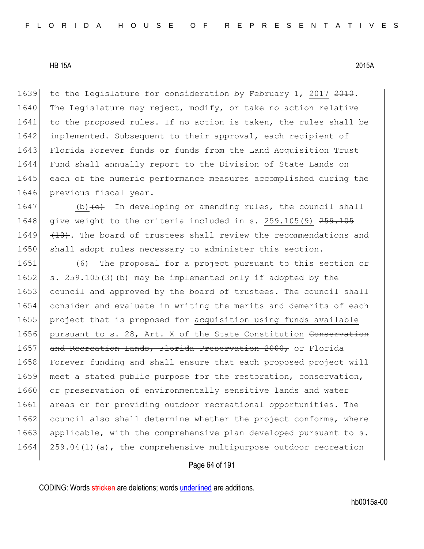1639 to the Legislature for consideration by February 1, 2017 2010. 1640 The Legislature may reject, modify, or take no action relative 1641 to the proposed rules. If no action is taken, the rules shall be 1642 implemented. Subsequent to their approval, each recipient of 1643 Florida Forever funds or funds from the Land Acquisition Trust 1644 Fund shall annually report to the Division of State Lands on 1645 each of the numeric performance measures accomplished during the 1646 previous fiscal year.

1647 (b) $\left\langle e\right\rangle$  In developing or amending rules, the council shall 1648 give weight to the criteria included in s.  $259.105(9)$   $259.105$ 1649  $(10)$ . The board of trustees shall review the recommendations and 1650 shall adopt rules necessary to administer this section.

1651 (6) The proposal for a project pursuant to this section or 1652 s. 259.105(3)(b) may be implemented only if adopted by the 1653 council and approved by the board of trustees. The council shall 1654 consider and evaluate in writing the merits and demerits of each 1655 project that is proposed for acquisition using funds available 1656 pursuant to s. 28, Art. X of the State Constitution Conservation 1657 and Recreation Lands, Florida Preservation 2000, or Florida 1658 Forever funding and shall ensure that each proposed project will 1659 meet a stated public purpose for the restoration, conservation, 1660 or preservation of environmentally sensitive lands and water 1661 areas or for providing outdoor recreational opportunities. The 1662 council also shall determine whether the project conforms, where 1663 applicable, with the comprehensive plan developed pursuant to s. 1664 259.04(1)(a), the comprehensive multipurpose outdoor recreation

# Page 64 of 191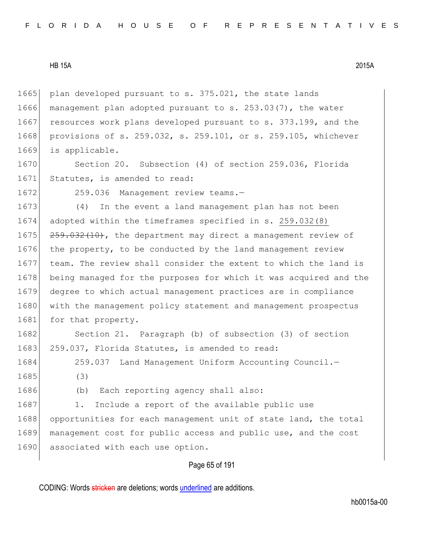1665 plan developed pursuant to s. 375.021, the state lands 1666 management plan adopted pursuant to s. 253.03(7), the water 1667 resources work plans developed pursuant to s. 373.199, and the 1668 provisions of s. 259.032, s. 259.101, or s. 259.105, whichever 1669 is applicable.

1670 Section 20. Subsection (4) of section 259.036, Florida 1671 Statutes, is amended to read:

1672 259.036 Management review teams.-

1673 (4) In the event a land management plan has not been 1674 adopted within the timeframes specified in s. 259.032(8) 1675 259.032(10), the department may direct a management review of 1676 the property, to be conducted by the land management review 1677 team. The review shall consider the extent to which the land is 1678 being managed for the purposes for which it was acquired and the 1679 degree to which actual management practices are in compliance 1680 with the management policy statement and management prospectus 1681 for that property.

1682 Section 21. Paragraph (b) of subsection (3) of section 1683 259.037, Florida Statutes, is amended to read:

1684 259.037 Land Management Uniform Accounting Council. 1685 (3)

1686 (b) Each reporting agency shall also:

1687 1. Include a report of the available public use 1688 opportunities for each management unit of state land, the total 1689 management cost for public access and public use, and the cost 1690 associated with each use option.

# Page 65 of 191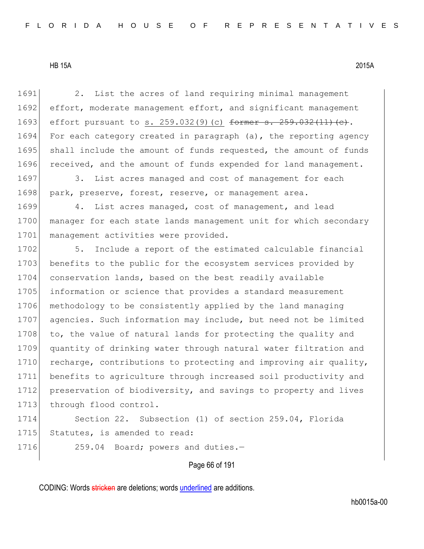1691 2. List the acres of land requiring minimal management 1692 effort, moderate management effort, and significant management 1693 effort pursuant to s. 259.032(9)(c) former s. 259.032(11)(e). 1694 For each category created in paragraph (a), the reporting agency 1695 shall include the amount of funds requested, the amount of funds 1696 received, and the amount of funds expended for land management. 1697 3. List acres managed and cost of management for each 1698 park, preserve, forest, reserve, or management area. 1699 4. List acres managed, cost of management, and lead 1700 manager for each state lands management unit for which secondary 1701 management activities were provided. 1702 5. Include a report of the estimated calculable financial 1703 benefits to the public for the ecosystem services provided by 1704 conservation lands, based on the best readily available 1705 information or science that provides a standard measurement 1706 methodology to be consistently applied by the land managing 1707 agencies. Such information may include, but need not be limited 1708 to, the value of natural lands for protecting the quality and 1709 quantity of drinking water through natural water filtration and 1710 recharge, contributions to protecting and improving air quality, 1711 benefits to agriculture through increased soil productivity and 1712 preservation of biodiversity, and savings to property and lives 1713 through flood control.

1714 Section 22. Subsection (1) of section 259.04, Florida 1715 Statutes, is amended to read:

1716 259.04 Board; powers and duties.-

Page 66 of 191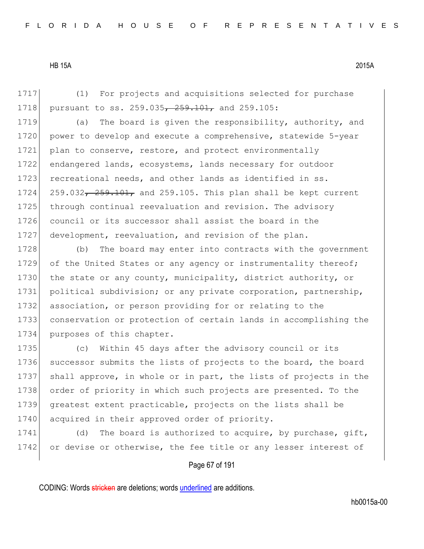1717 (1) For projects and acquisitions selected for purchase 1718 pursuant to ss. 259.035<del>, 259.101,</del> and 259.105:

1719 (a) The board is given the responsibility, authority, and 1720 power to develop and execute a comprehensive, statewide 5-year 1721 plan to conserve, restore, and protect environmentally 1722 endangered lands, ecosystems, lands necessary for outdoor 1723 recreational needs, and other lands as identified in ss. 1724  $259.032$ ,  $259.101$ , and 259.105. This plan shall be kept current 1725 through continual reevaluation and revision. The advisory 1726 council or its successor shall assist the board in the 1727 development, reevaluation, and revision of the plan.

1728 (b) The board may enter into contracts with the government 1729 of the United States or any agency or instrumentality thereof; 1730 the state or any county, municipality, district authority, or 1731 political subdivision; or any private corporation, partnership, 1732 association, or person providing for or relating to the 1733 conservation or protection of certain lands in accomplishing the 1734 purposes of this chapter.

1735 (c) Within 45 days after the advisory council or its 1736 successor submits the lists of projects to the board, the board 1737 shall approve, in whole or in part, the lists of projects in the 1738 order of priority in which such projects are presented. To the 1739 greatest extent practicable, projects on the lists shall be 1740 acquired in their approved order of priority.

1741 (d) The board is authorized to acquire, by purchase, gift, 1742 or devise or otherwise, the fee title or any lesser interest of

# Page 67 of 191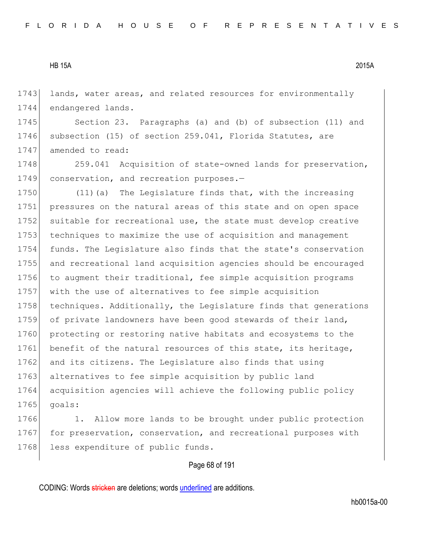1743 lands, water areas, and related resources for environmentally 1744 endangered lands.

1745 Section 23. Paragraphs (a) and (b) of subsection (11) and 1746 subsection (15) of section 259.041, Florida Statutes, are 1747 amended to read:

1748 259.041 Acquisition of state-owned lands for preservation, 1749 conservation, and recreation purposes.-

1750 (11)(a) The Legislature finds that, with the increasing 1751 pressures on the natural areas of this state and on open space 1752 suitable for recreational use, the state must develop creative 1753 techniques to maximize the use of acquisition and management 1754 funds. The Legislature also finds that the state's conservation 1755 and recreational land acquisition agencies should be encouraged 1756 to augment their traditional, fee simple acquisition programs 1757 with the use of alternatives to fee simple acquisition 1758 techniques. Additionally, the Legislature finds that generations 1759 of private landowners have been good stewards of their land, 1760 protecting or restoring native habitats and ecosystems to the 1761 benefit of the natural resources of this state, its heritage, 1762 and its citizens. The Legislature also finds that using 1763 alternatives to fee simple acquisition by public land 1764 acquisition agencies will achieve the following public policy  $1765$  goals:

1766 1. Allow more lands to be brought under public protection 1767 for preservation, conservation, and recreational purposes with 1768 less expenditure of public funds.

# Page 68 of 191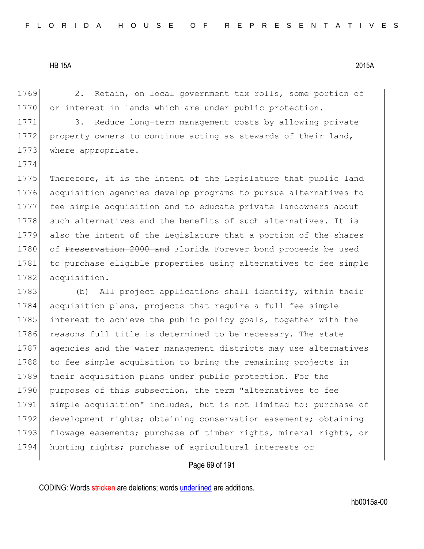1774

1769 2. Retain, on local government tax rolls, some portion of 1770 or interest in lands which are under public protection.

1771 3. Reduce long-term management costs by allowing private 1772 property owners to continue acting as stewards of their land, 1773 where appropriate.

1775 Therefore, it is the intent of the Legislature that public land 1776 acquisition agencies develop programs to pursue alternatives to 1777 fee simple acquisition and to educate private landowners about 1778 such alternatives and the benefits of such alternatives. It is 1779 also the intent of the Legislature that a portion of the shares 1780 of Preservation 2000 and Florida Forever bond proceeds be used 1781 to purchase eligible properties using alternatives to fee simple 1782 acquisition.

1783 (b) All project applications shall identify, within their 1784 acquisition plans, projects that require a full fee simple 1785 interest to achieve the public policy goals, together with the 1786 reasons full title is determined to be necessary. The state 1787 agencies and the water management districts may use alternatives 1788 to fee simple acquisition to bring the remaining projects in 1789 their acquisition plans under public protection. For the 1790 purposes of this subsection, the term "alternatives to fee 1791 simple acquisition" includes, but is not limited to: purchase of 1792 development rights; obtaining conservation easements; obtaining 1793 flowage easements; purchase of timber rights, mineral rights, or 1794 hunting rights; purchase of agricultural interests or

#### Page 69 of 191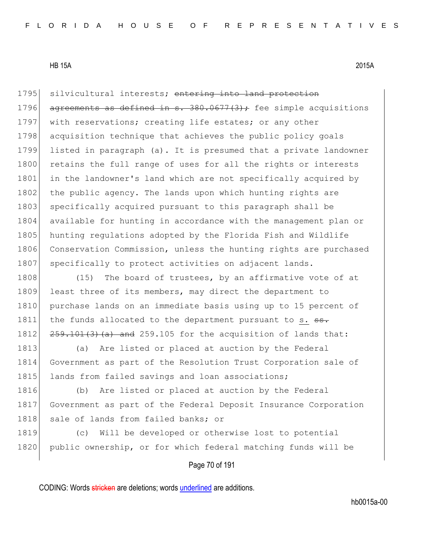1795 silvicultural interests; entering into land protection 1796 agreements as defined in s.  $380.0677(3)$ ; fee simple acquisitions 1797 with reservations; creating life estates; or any other 1798 acquisition technique that achieves the public policy goals 1799 listed in paragraph (a). It is presumed that a private landowner 1800 retains the full range of uses for all the rights or interests 1801 in the landowner's land which are not specifically acquired by 1802 the public agency. The lands upon which hunting rights are 1803 specifically acquired pursuant to this paragraph shall be 1804 available for hunting in accordance with the management plan or 1805 hunting regulations adopted by the Florida Fish and Wildlife 1806 Conservation Commission, unless the hunting rights are purchased 1807 specifically to protect activities on adjacent lands.

1808 (15) The board of trustees, by an affirmative vote of at 1809 least three of its members, may direct the department to 1810 purchase lands on an immediate basis using up to 15 percent of 1811 the funds allocated to the department pursuant to s. ss. 1812  $259.101(3)$  (a) and 259.105 for the acquisition of lands that:

1813 (a) Are listed or placed at auction by the Federal 1814 Government as part of the Resolution Trust Corporation sale of 1815 lands from failed savings and loan associations;

1816 (b) Are listed or placed at auction by the Federal 1817 Government as part of the Federal Deposit Insurance Corporation 1818 sale of lands from failed banks; or

1819 (c) Will be developed or otherwise lost to potential 1820 public ownership, or for which federal matching funds will be

Page 70 of 191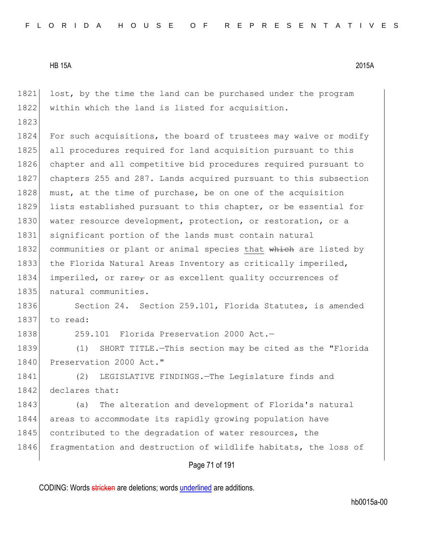1821 lost, by the time the land can be purchased under the program 1822 within which the land is listed for acquisition. 1823 1824 For such acquisitions, the board of trustees may waive or modify 1825 all procedures required for land acquisition pursuant to this 1826 chapter and all competitive bid procedures required pursuant to 1827 chapters 255 and 287. Lands acquired pursuant to this subsection 1828 must, at the time of purchase, be on one of the acquisition 1829 lists established pursuant to this chapter, or be essential for 1830 water resource development, protection, or restoration, or a 1831 significant portion of the lands must contain natural 1832 communities or plant or animal species that which are listed by 1833 the Florida Natural Areas Inventory as critically imperiled, 1834 imperiled, or rare, or as excellent quality occurrences of 1835 | natural communities. 1836 Section 24. Section 259.101, Florida Statutes, is amended 1837 to read: 1838 259.101 Florida Preservation 2000 Act.-1839 (1) SHORT TITLE.—This section may be cited as the "Florida 1840 Preservation 2000 Act." 1841 (2) LEGISLATIVE FINDINGS.—The Legislature finds and 1842 declares that: 1843 (a) The alteration and development of Florida's natural 1844 areas to accommodate its rapidly growing population have 1845 contributed to the degradation of water resources, the 1846 fragmentation and destruction of wildlife habitats, the loss of

Page 71 of 191

CODING: Words stricken are deletions; words underlined are additions.

hb0015a-00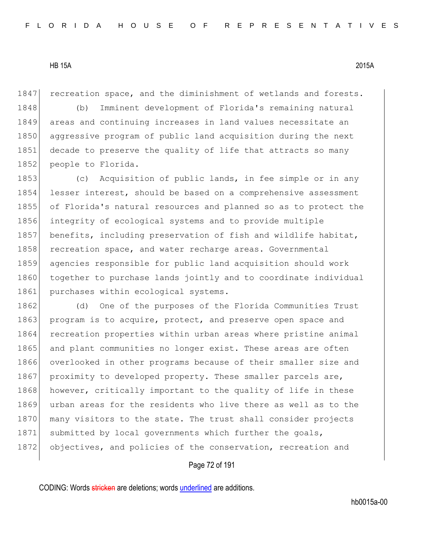1847 recreation space, and the diminishment of wetlands and forests.

 (b) Imminent development of Florida's remaining natural areas and continuing increases in land values necessitate an aggressive program of public land acquisition during the next decade to preserve the quality of life that attracts so many 1852 people to Florida.

1853 (c) Acquisition of public lands, in fee simple or in any 1854 lesser interest, should be based on a comprehensive assessment 1855 of Florida's natural resources and planned so as to protect the 1856 integrity of ecological systems and to provide multiple 1857 benefits, including preservation of fish and wildlife habitat, 1858 recreation space, and water recharge areas. Governmental 1859 agencies responsible for public land acquisition should work 1860 together to purchase lands jointly and to coordinate individual 1861 purchases within ecological systems.

1862 (d) One of the purposes of the Florida Communities Trust 1863 program is to acquire, protect, and preserve open space and 1864 recreation properties within urban areas where pristine animal 1865 and plant communities no longer exist. These areas are often 1866 overlooked in other programs because of their smaller size and 1867 proximity to developed property. These smaller parcels are, 1868 however, critically important to the quality of life in these 1869 urban areas for the residents who live there as well as to the 1870 many visitors to the state. The trust shall consider projects 1871 submitted by local governments which further the goals, 1872 objectives, and policies of the conservation, recreation and

# Page 72 of 191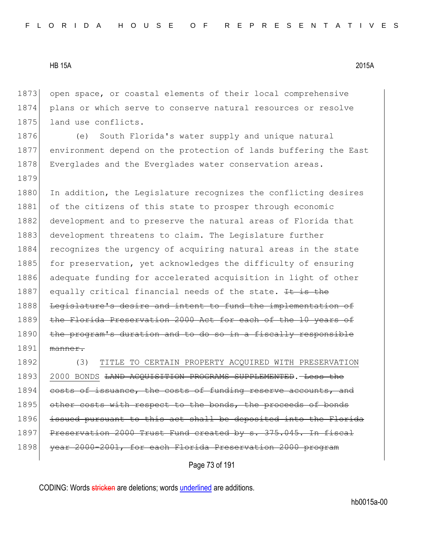1879

1873 open space, or coastal elements of their local comprehensive 1874 plans or which serve to conserve natural resources or resolve 1875 land use conflicts.

1876 (e) South Florida's water supply and unique natural 1877 environment depend on the protection of lands buffering the East 1878 Everglades and the Everglades water conservation areas.

1880 In addition, the Legislature recognizes the conflicting desires 1881 of the citizens of this state to prosper through economic 1882 development and to preserve the natural areas of Florida that 1883 development threatens to claim. The Legislature further 1884 recognizes the urgency of acquiring natural areas in the state 1885 for preservation, yet acknowledges the difficulty of ensuring 1886 adequate funding for accelerated acquisition in light of other 1887 equally critical financial needs of the state. It is the 1888 Legislature's desire and intent to fund the implementation of 1889 the Florida Preservation 2000 Act for each of the 10 years of 1890 the program's duration and to do so in a fiscally responsible 1891 manner.

1892 (3) TITLE TO CERTAIN PROPERTY ACQUIRED WITH PRESERVATION 1893 2000 BONDS <del>LAND ACQUISITION PROGRAMS SUPPLEMENTED</del>. Less the 1894 costs of issuance, the costs of funding reserve accounts, and 1895 other costs with respect to the bonds, the proceeds of bonds 1896 issued pursuant to this act shall be deposited into the Florida 1897 Preservation 2000 Trust Fund created by s. 375.045. In fiscal 1898 vear 2000-2001, for each Florida Preservation 2000 program

Page 73 of 191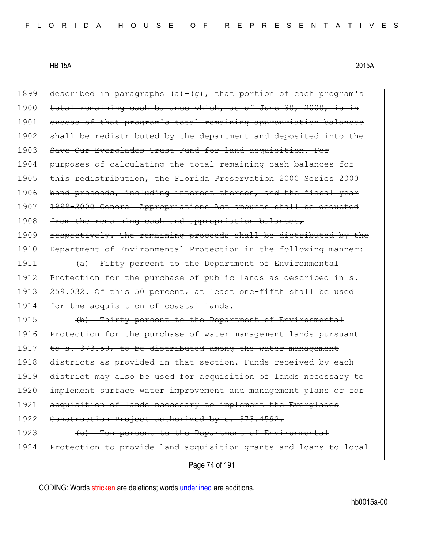Page 74 of 191 1899 described in paragraphs  $(a) - (g)$ , that portion of each program's 1900 total remaining cash balance which, as of June 30, 2000, is in 1901 excess of that program's total remaining appropriation balances 1902 shall be redistributed by the department and deposited into the 1903 Save Our Everglades Trust Fund for land acquisition. For 1904 purposes of calculating the total remaining cash balances for 1905 this redistribution, the Florida Preservation 2000 Series 2000 1906 bond proceeds, including interest thereon, and the fiscal year 1907 1999-2000 General Appropriations Act amounts shall be deducted 1908 from the remaining cash and appropriation balances, 1909 respectively. The remaining proceeds shall be distributed by the 1910 Department of Environmental Protection in the following manner: 1911  $\left\{\alpha\right\}$  Fifty percent to the Department of Environmental 1912 Protection for the purchase of public lands as described in s. 1913 259.032. Of this 50 percent, at least one-fifth shall be used 1914 for the acquisition of coastal lands. 1915 (b) Thirty percent to the Department of Environmental 1916 Protection for the purchase of water management lands pursuant 1917 to s.  $373.59$ , to be distributed among the water management 1918 districts as provided in that section. Funds received by each 1919 district may also be used for acquisition of lands necessary to 1920 implement surface water improvement and management plans or for 1921 acquisition of lands necessary to implement the Everglades 1922 Construction Project authorized by s. 373.4592. 1923 (c) Ten percent to the Department of Environmental 1924 Protection to provide land acquisition grants and loans to local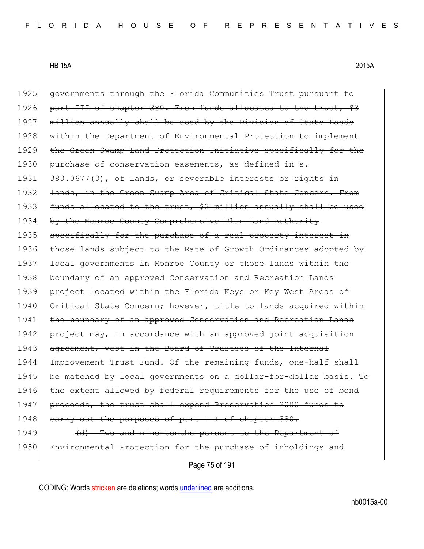1925 governments through the Florida Communities Trust pursuant to 1926 part III of chapter 380. From funds allocated to the trust, \$3 1927 million annually shall be used by the Division of State Lands

1928 within the Department of Environmental Protection to implement 1929 the Green Swamp Land Protection Initiative specifically for the 1930 purchase of conservation easements, as defined in s. 1931 380.0677(3), of lands, or severable interests or rights in 1932 <del>lands, in the Green Swamp Area of Critical State Concern. From</del> 1933 funds allocated to the trust, \$3 million annually shall be used 1934 by the Monroe County Comprehensive Plan Land Authority 1935 specifically for the purchase of a real property interest in 1936 those lands subject to the Rate of Growth Ordinances adopted by 1937 local governments in Monroe County or those lands within the 1938 boundary of an approved Conservation and Recreation Lands 1939 project located within the Florida Keys or Key West Areas of 1940 Critical State Concern; however, title to lands acquired within 1941 the boundary of an approved Conservation and Recreation Lands 1942 project may, in accordance with an approved joint acquisition 1943 agreement, vest in the Board of Trustees of the Internal 1944 Improvement Trust Fund. Of the remaining funds, one-half shall 1945 be matched by local governments on a dollar-for-dollar basis. To 1946 the extent allowed by federal requirements for the use of bond 1947 proceeds, the trust shall expend Preservation 2000 funds to 1948 carry out the purposes of part III of chapter 380. 1949 (d) Two and nine-tenths percent to the Department of 1950 Environmental Protection for the purchase of inholdings and

Page 75 of 191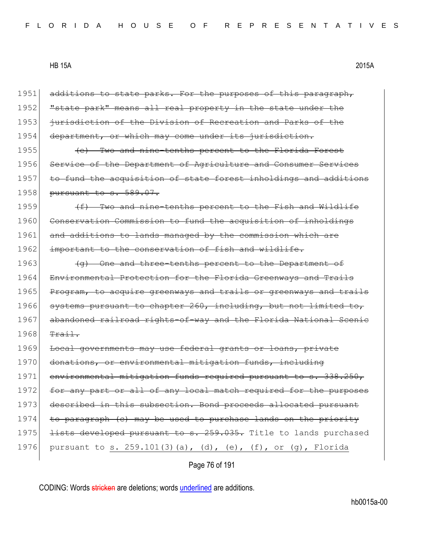1951 additions to state parks. For the purposes of this paragraph, 1952 **"**state park" means all real property in the state under the 1953 jurisdiction of the Division of Recreation and Parks of the 1954 department, or which may come under its jurisdiction. 1955 (e) Two and nine-tenths percent to the Florida Forest 1956 Service of the Department of Agriculture and Consumer Services 1957 to fund the acquisition of state forest inholdings and additions 1958 pursuant to s. 589.07.  $1959$  (f) Two and nine-tenths percent to the Fish and Wildlife 1960 Conservation Commission to fund the acquisition of inholdings 1961 and additions to lands managed by the commission which are 1962 important to the conservation of fish and wildlife. 1963  $\left( \phi \right)$  One and three-tenths percent to the Department of 1964 Environmental Protection for the Florida Greenways and Trails 1965 Program, to acquire greenways and trails or greenways and trails 1966 systems pursuant to chapter 260, including, but not limited to, 1967 abandoned railroad rights-of-way and the Florida National Scenie  $1968$  Trail. 1969 Local governments may use federal grants or loans, private 1970 donations, or environmental mitigation funds, including 1971 environmental mitigation funds required pursuant to s. 338.250, 1972 for any part or all of any local match required for the purposes 1973 described in this subsection. Bond proceeds allocated pursuant 1974 to paragraph (c) may be used to purchase lands on the priority 1975 <del>lists developed pursuant to s. 259.035.</del> Title to lands purchased 1976 pursuant to s. 259.101(3)(a), (d), (e), (f), or (q), Florida

Page 76 of 191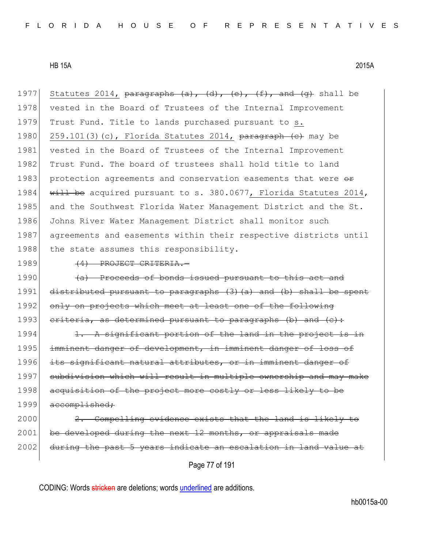1977 Statutes 2014, paragraphs  $(a)$ ,  $(d)$ ,  $(e)$ ,  $(f)$ , and  $(g)$  shall be 1978 vested in the Board of Trustees of the Internal Improvement 1979 Trust Fund. Title to lands purchased pursuant to s. 1980 259.101(3)(c), Florida Statutes 2014, paragraph (c) may be 1981 vested in the Board of Trustees of the Internal Improvement 1982 Trust Fund. The board of trustees shall hold title to land 1983 protection agreements and conservation easements that were  $\theta$ 1984 will be acquired pursuant to s. 380.0677, Florida Statutes 2014, 1985 and the Southwest Florida Water Management District and the St. 1986 Johns River Water Management District shall monitor such 1987 agreements and easements within their respective districts until 1988 the state assumes this responsibility.

1989 (4) PROJECT CRITERIA.

1990 (a) Proceeds of bonds issued pursuant to this act and 1991 distributed pursuant to paragraphs (3)(a) and (b) shall be spent 1992 only on projects which meet at least one of the following 1993 criteria, as determined pursuant to paragraphs (b) and  $(e)$ :

1994 1. A significant portion of the land in the project is in 1995 imminent danger of development, in imminent danger of loss of 1996 its significant natural attributes, or in imminent danger of 1997 subdivision which will result in multiple ownership and may make 1998 acquisition of the project more costly or less likely to be 1999 accomplished;

2000 2. Compelling evidence exists that the land is likely to 2001 be developed during the next 12 months, or appraisals made 2002 during the past 5 years indicate an escalation in land value at

Page 77 of 191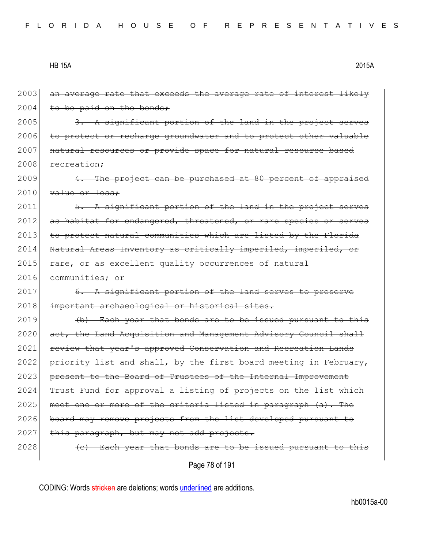2003 an average rate that exceeds the average rate of interest likely  $2004$  to be paid on the bonds:

 $2005$  3. A significant portion of the land in the project serves 2006 to protect or recharge groundwater and to protect other valuable 2007 natural resources or provide space for natural resource based 2008 recreation;

2009 4. The project can be purchased at 80 percent of appraised  $2010$  value or less:

 $2011$   $\overline{5. A}$  significant portion of the land in the project serves 2012 as habitat for endangered, threatened, or rare species or serves 2013 to protect natural communities which are listed by the Florida 2014 Natural Areas Inventory as critically imperiled, imperiled, or 2015 rare, or as excellent quality occurrences of natural

2016 communities; or

2017 6. A significant portion of the land serves to preserve 2018 important archaeological or historical sites.

 $2019$  (b) Each year that bonds are to be issued pursuant to this 2020 act, the Land Acquisition and Management Advisory Council shall 2021 review that year's approved Conservation and Recreation Lands 2022 priority list and shall, by the first board meeting in February, 2023 present to the Board of Trustees of the Internal Improvement 2024 Trust Fund for approval a listing of projects on the list which 2025 meet one or more of the criteria listed in paragraph  $(a)$ . The 2026 board may remove projects from the list developed pursuant to 2027 this paragraph, but may not add projects.  $2028$  (c) Each year that bonds are to be issued pursuant to this

Page 78 of 191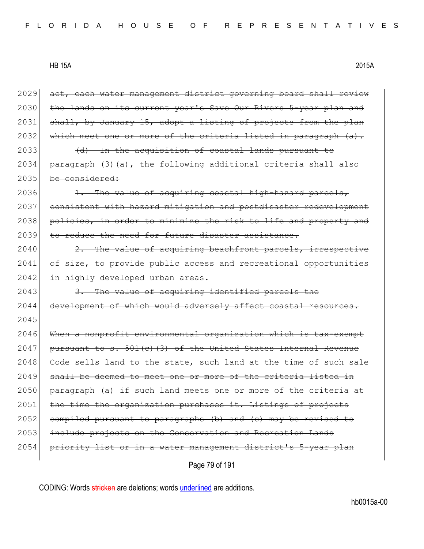2029 act, each water management district governing board shall review 2030 the lands on its current year's Save Our Rivers 5-year plan and 2031 shall, by January 15, adopt a listing of projects from the plan 2032 which meet one or more of the criteria listed in paragraph (a). 2033 (d) In the acquisition of coastal lands pursuant to  $2034$  paragraph (3)(a), the following additional criteria shall also 2035 be considered:  $2036$  1. The value of acquiring coastal high-hazard parcels, 2037 consistent with hazard mitigation and postdisaster redevelopment 2038 policies, in order to minimize the risk to life and property and 2039 to reduce the need for future disaster assistance.  $2040$  2. The value of acquiring beachfront parcels, irrespective 2041 of size, to provide public access and recreational opportunities 2042 in highly developed urban areas.  $2043$  3. The value of acquiring identified parcels the 2044 development of which would adversely affect coastal resources. 2045 2046 When a nonprofit environmental organization which is tax-exempt  $2047$  pursuant to s.  $501(c)$  (3) of the United States Internal Revenue 2048 Code sells land to the state, such land at the time of such sale 2049 shall be deemed to meet one or more of the criteria listed in 2050 paragraph (a) if such land meets one or more of the criteria at  $2051$  the time the organization purchases it. Listings of projects 2052 compiled pursuant to paragraphs (b) and (c) may be revised to 2053 include projects on the Conservation and Recreation Lands 2054 priority list or in a water management district's 5-year plan

Page 79 of 191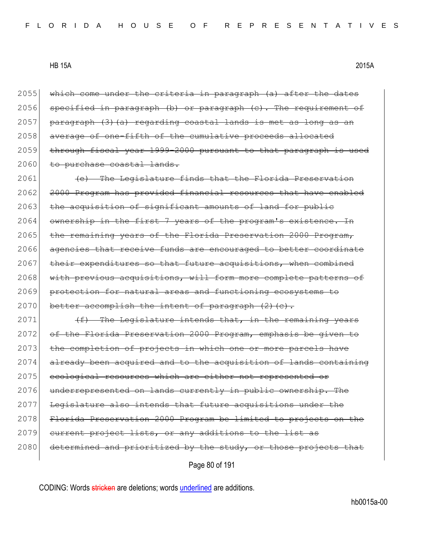2055 which come under the criteria in paragraph (a) after the dates 2056 specified in paragraph (b) or paragraph (c). The requirement of  $2057$  paragraph  $(3)$   $(a)$  regarding coastal lands is met as long as an 2058 average of one-fifth of the cumulative proceeds allocated 2059 through fiscal year 1999-2000 pursuant to that paragraph is used 2060 to purchase coastal lands.

2061 (e) The Legislature finds that the Florida Preservation 2062 2000 Program has provided financial resources that have enabled  $2063$  the acquisition of significant amounts of land for public  $2064$  ownership in the first 7 years of the program's existence. In 2065 the remaining years of the Florida Preservation 2000 Program, 2066 agencies that receive funds are encouraged to better coordinate  $2067$  their expenditures so that future acquisitions, when combined 2068 with previous acquisitions, will form more complete patterns of 2069 protection for natural areas and functioning ecosystems to 2070 better accomplish the intent of paragraph  $(2)$  (c).

2071  $(f)$  The Legislature intends that, in the remaining years 2072 of the Florida Preservation 2000 Program, emphasis be given to 2073 the completion of projects in which one or more parcels have 2074 already been acquired and to the acquisition of lands containing 2075 ecological resources which are either not represented or 2076 underrepresented on lands currently in public ownership. The 2077 Legislature also intends that future acquisitions under the 2078 Florida Preservation 2000 Program be limited to projects on the  $2079$  current project lists, or any additions to the list 2080 determined and prioritized by the study, or those projects that

Page 80 of 191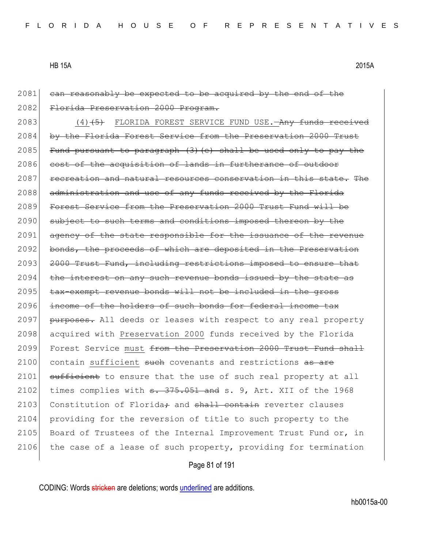2081 can reasonably be expected to be acquired by the end of the 2082 Florida Preservation 2000 Program.

2083 (4)<del>(5)</del> FLORIDA FOREST SERVICE FUND USE.—Any funds received 2084 by the Florida Forest Service from the Preservation 2000 Trust 2085 Fund pursuant to paragraph  $(3)$  (e) shall be used only to pay the 2086 cost of the acquisition of lands in furtherance of outdoor 2087 recreation and natural resources conservation in this state. The 2088 administration and use of any funds received by the Florida 2089 Forest Service from the Preservation 2000 Trust Fund will be 2090 subject to such terms and conditions imposed thereon by the 2091 agency of the state responsible for the issuance of the revenue 2092 bonds, the proceeds of which are deposited in the Preservation 2093 2000 Trust Fund, including restrictions imposed to ensure that 2094 the interest on any such revenue bonds issued by the state as 2095 tax-exempt revenue bonds will not be included in the gross 2096 income of the holders of such bonds for federal income tax 2097 purposes. All deeds or leases with respect to any real property 2098 acquired with Preservation 2000 funds received by the Florida 2099 Forest Service must from the Preservation 2000 Trust Fund shall 2100 contain sufficient such covenants and restrictions as are 2101 sufficient to ensure that the use of such real property at all 2102 times complies with  $s. 375.051$  and s. 9, Art. XII of the 1968 2103 Constitution of Florida $\div$  and  $\frac{1}{2}$  contain reverter clauses 2104 providing for the reversion of title to such property to the 2105 Board of Trustees of the Internal Improvement Trust Fund or, in 2106 the case of a lease of such property, providing for termination

Page 81 of 191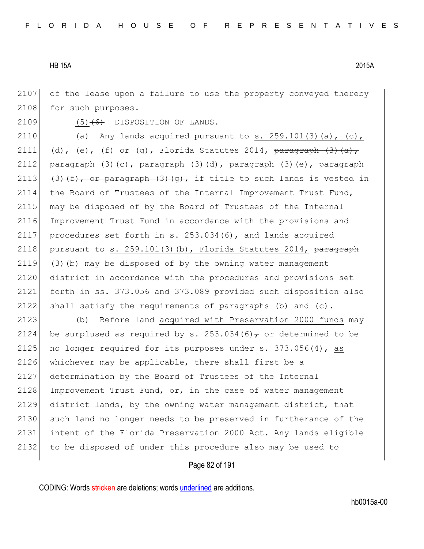2107 of the lease upon a failure to use the property conveyed thereby 2108 for such purposes.

2109  $(5)$   $(6)$  DISPOSITION OF LANDS.

2110 (a) Any lands acquired pursuant to s.  $259.101(3)(a)$ , (c), 2111 (d), (e), (f) or (g), Florida Statutes 2014,  $\frac{\frac{1}{3} \text{ar} + \frac{1}{3}}{\frac{1}{3} \text{ar} + \frac{1}{3}}$ 2112 paragraph  $(3)$   $(c)$ , paragraph  $(3)$   $(d)$ , paragraph  $(3)$   $(e)$ , paragraph  $(3)$   $(4)$ ,  $(4)$ ,  $(5)$   $(6)$ ,  $(3)$ ,  $(7)$ , if title to such lands is vested in the Board of Trustees of the Internal Improvement Trust Fund, 2115 may be disposed of by the Board of Trustees of the Internal Improvement Trust Fund in accordance with the provisions and procedures set forth in s. 253.034(6), and lands acquired 2118 pursuant to s.  $259.101(3)(b)$ , Florida Statutes 2014, paragraph  $(3)$   $(3)$   $(b)$  may be disposed of by the owning water management district in accordance with the procedures and provisions set forth in ss. 373.056 and 373.089 provided such disposition also shall satisfy the requirements of paragraphs (b) and (c).

2123 (b) Before land acquired with Preservation 2000 funds may 2124 be surplused as required by s. 253.034(6) $\tau$  or determined to be 2125 no longer required for its purposes under s.  $373.056(4)$ , as 2126 whichever may be applicable, there shall first be a 2127 determination by the Board of Trustees of the Internal 2128 Improvement Trust Fund, or, in the case of water management 2129 district lands, by the owning water management district, that 2130 such land no longer needs to be preserved in furtherance of the 2131 intent of the Florida Preservation 2000 Act. Any lands eligible 2132 to be disposed of under this procedure also may be used to

#### Page 82 of 191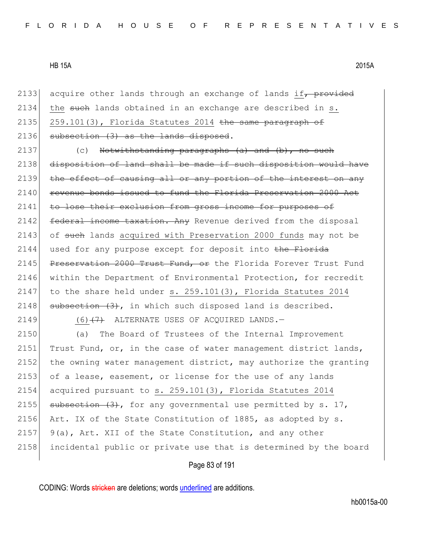2133 acquire other lands through an exchange of lands if,  $p$ rovided 2134 the such lands obtained in an exchange are described in  $s$ . 2135 259.101(3), Florida Statutes 2014 the same paragraph of  $2136$  subsection  $(3)$  as the lands disposed.

 $2137$  (c) Notwithstanding paragraphs (a) and (b), no such 2138 disposition of land shall be made if such disposition would have 2139 the effect of causing all or any portion of the interest on any 2140 revenue bonds issued to fund the Florida Preservation 2000 Act 2141 to lose their exclusion from gross income for purposes of 2142 federal income taxation. Any Revenue derived from the disposal 2143 of such lands acquired with Preservation 2000 funds may not be 2144 used for any purpose except for deposit into the Florida 2145 Preservation 2000 Trust Fund, or the Florida Forever Trust Fund 2146 within the Department of Environmental Protection, for recredit 2147 to the share held under s. 259.101(3), Florida Statutes 2014 2148  $\mid$  subsection  $(3)$ , in which such disposed land is described.

2149  $(6)$   $(7)$  ALTERNATE USES OF ACQUIRED LANDS.

2150 (a) The Board of Trustees of the Internal Improvement 2151 Trust Fund, or, in the case of water management district lands, 2152 the owning water management district, may authorize the granting 2153 of a lease, easement, or license for the use of any lands 2154 acquired pursuant to s. 259.101(3), Florida Statutes 2014 2155 subsection  $(3)$ , for any governmental use permitted by s. 17, 2156 Art. IX of the State Constitution of 1885, as adopted by s. 2157  $\vert$  9(a), Art. XII of the State Constitution, and any other 2158 incidental public or private use that is determined by the board

# Page 83 of 191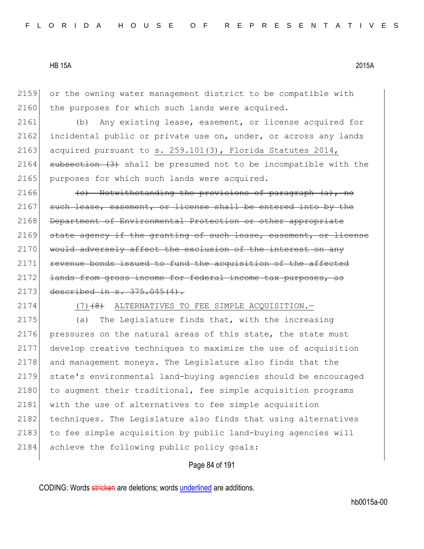2159 or the owning water management district to be compatible with 2160 the purposes for which such lands were acquired.

2161 (b) Any existing lease, easement, or license acquired for 2162 incidental public or private use on, under, or across any lands 2163 acquired pursuant to s.  $259.101(3)$ , Florida Statutes 2014,  $2164$  subsection  $(3)$  shall be presumed not to be incompatible with the 2165 purposes for which such lands were acquired.

2166  $\left\langle \left( e\right) \right\rangle$  Notwithstanding the provisions of paragraph  $\left( a\right)$ , no 2167 such lease, easement, or license shall be entered into by the 2168 Department of Environmental Protection or other appropriate 2169 state agency if the granting of such lease, easement, or license 2170 would adversely affect the exclusion of the interest on any  $2171$  revenue bonds issued to fund the acquisition of the affected 2172 lands from gross income for federal income tax purposes, as 2173 described in s. 375.045(4).

#### 2174  $(7)$   $(8)$  ALTERNATIVES TO FEE SIMPLE ACQUISITION.

2175 (a) The Legislature finds that, with the increasing 2176 pressures on the natural areas of this state, the state must 2177 develop creative techniques to maximize the use of acquisition 2178 and management moneys. The Legislature also finds that the 2179 state's environmental land-buying agencies should be encouraged 2180 to augment their traditional, fee simple acquisition programs 2181 with the use of alternatives to fee simple acquisition 2182 techniques. The Legislature also finds that using alternatives 2183 to fee simple acquisition by public land-buying agencies will 2184 achieve the following public policy goals:

#### Page 84 of 191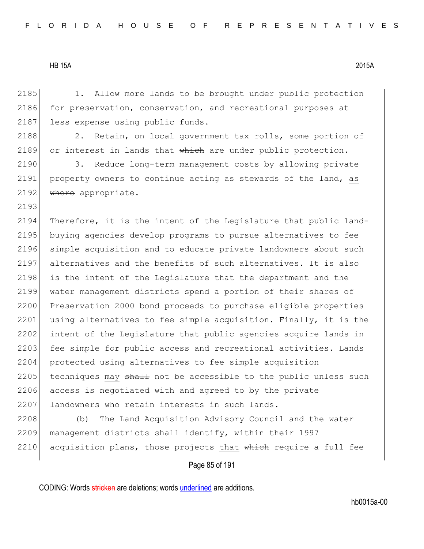2193

2185 1. Allow more lands to be brought under public protection 2186 for preservation, conservation, and recreational purposes at 2187 less expense using public funds.

2188 2. Retain, on local government tax rolls, some portion of 2189 or interest in lands that  $\frac{1}{2}$  which are under public protection.

2190 3. Reduce long-term management costs by allowing private 2191 property owners to continue acting as stewards of the land, as 2192  $\blacktriangleright$  where appropriate.

2194 Therefore, it is the intent of the Legislature that public land-2195 buying agencies develop programs to pursue alternatives to fee 2196 simple acquisition and to educate private landowners about such 2197 alternatives and the benefits of such alternatives. It is also 2198  $\frac{1}{18}$  the intent of the Legislature that the department and the 2199 water management districts spend a portion of their shares of 2200 Preservation 2000 bond proceeds to purchase eligible properties 2201 using alternatives to fee simple acquisition. Finally, it is the 2202 intent of the Legislature that public agencies acquire lands in 2203 fee simple for public access and recreational activities. Lands 2204 protected using alternatives to fee simple acquisition 2205 techniques may  $shath$  not be accessible to the public unless such 2206 access is negotiated with and agreed to by the private 2207 landowners who retain interests in such lands.

2208 (b) The Land Acquisition Advisory Council and the water 2209 management districts shall identify, within their 1997 2210 acquisition plans, those projects that which require a full fee

#### Page 85 of 191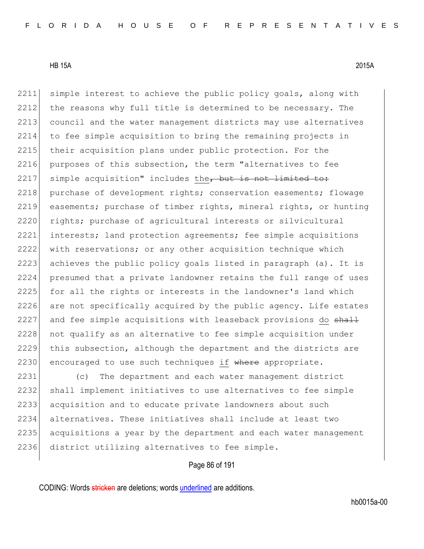2211 simple interest to achieve the public policy goals, along with 2212 the reasons why full title is determined to be necessary. The 2213 council and the water management districts may use alternatives 2214 to fee simple acquisition to bring the remaining projects in 2215 their acquisition plans under public protection. For the 2216 purposes of this subsection, the term "alternatives to fee  $2217$  simple acquisition" includes the, but is not limited to: 2218 purchase of development rights; conservation easements; flowage 2219 easements; purchase of timber rights, mineral rights, or hunting 2220 rights; purchase of agricultural interests or silvicultural 2221 interests; land protection agreements; fee simple acquisitions 2222 with reservations; or any other acquisition technique which 2223 achieves the public policy goals listed in paragraph (a). It is 2224 presumed that a private landowner retains the full range of uses 2225 for all the rights or interests in the landowner's land which 2226 are not specifically acquired by the public agency. Life estates 2227 and fee simple acquisitions with leaseback provisions do shall 2228 not qualify as an alternative to fee simple acquisition under 2229 this subsection, although the department and the districts are 2230 encouraged to use such techniques if where appropriate.

 (c) The department and each water management district shall implement initiatives to use alternatives to fee simple 2233 acquisition and to educate private landowners about such alternatives. These initiatives shall include at least two acquisitions a year by the department and each water management district utilizing alternatives to fee simple.

# Page 86 of 191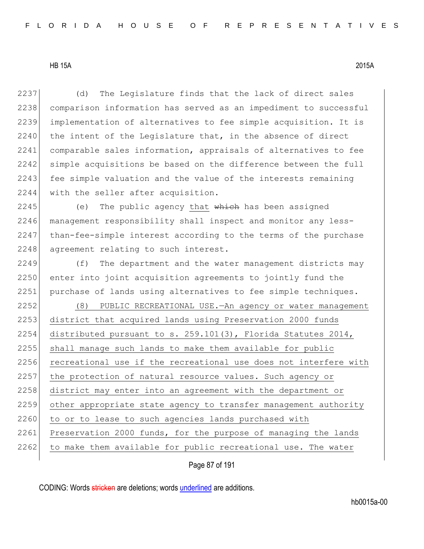(d) The Legislature finds that the lack of direct sales comparison information has served as an impediment to successful implementation of alternatives to fee simple acquisition. It is the intent of the Legislature that, in the absence of direct comparable sales information, appraisals of alternatives to fee 2242 simple acquisitions be based on the difference between the full 2243 fee simple valuation and the value of the interests remaining 2244 with the seller after acquisition.

2245 (e) The public agency that which has been assigned 2246 | management responsibility shall inspect and monitor any less-2247 than-fee-simple interest according to the terms of the purchase 2248 agreement relating to such interest.

 $2249$  (f) The department and the water management districts may 2250 enter into joint acquisition agreements to jointly fund the 2251 purchase of lands using alternatives to fee simple techniques.

2252 (8) PUBLIC RECREATIONAL USE.—An agency or water management 2253 district that acquired lands using Preservation 2000 funds 2254 distributed pursuant to s. 259.101(3), Florida Statutes 2014, 2255 shall manage such lands to make them available for public 2256 recreational use if the recreational use does not interfere with 2257 the protection of natural resource values. Such agency or 2258 district may enter into an agreement with the department or 2259 other appropriate state agency to transfer management authority 2260 to or to lease to such agencies lands purchased with 2261 Preservation 2000 funds, for the purpose of managing the lands  $2262$  to make them available for public recreational use. The water

Page 87 of 191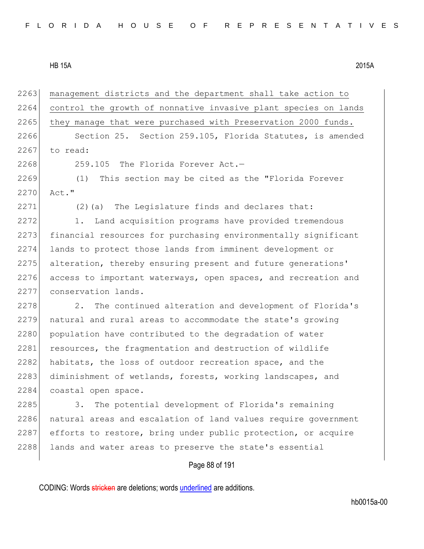| 2263 | management districts and the department shall take action to    |
|------|-----------------------------------------------------------------|
| 2264 | control the growth of nonnative invasive plant species on lands |
| 2265 | they manage that were purchased with Preservation 2000 funds.   |
| 2266 | Section 25. Section 259.105, Florida Statutes, is amended       |
| 2267 | to read:                                                        |
| 2268 | 259.105 The Florida Forever Act.-                               |
| 2269 | (1)<br>This section may be cited as the "Florida Forever        |
| 2270 | Act."                                                           |
| 2271 | (2) (a) The Legislature finds and declares that:                |
| 2272 | Land acquisition programs have provided tremendous<br>1.        |
| 2273 | financial resources for purchasing environmentally significant  |
| 2274 | lands to protect those lands from imminent development or       |
| 2275 | alteration, thereby ensuring present and future generations'    |
| 2276 | access to important waterways, open spaces, and recreation and  |
| 2277 | conservation lands.                                             |
| 2278 | The continued alteration and development of Florida's<br>2.     |
| 2279 | natural and rural areas to accommodate the state's growing      |
| 2280 | population have contributed to the degradation of water         |
| 2281 | resources, the fragmentation and destruction of wildlife        |
| 2282 | habitats, the loss of outdoor recreation space, and the         |
| 2283 | diminishment of wetlands, forests, working landscapes, and      |
| 2284 | coastal open space.                                             |
| 2285 | The potential development of Florida's remaining<br>3.          |
| 2286 | natural areas and escalation of land values require government  |
| 2287 | efforts to restore, bring under public protection, or acquire   |
| 2288 | lands and water areas to preserve the state's essential         |
|      | Page 88 of 191                                                  |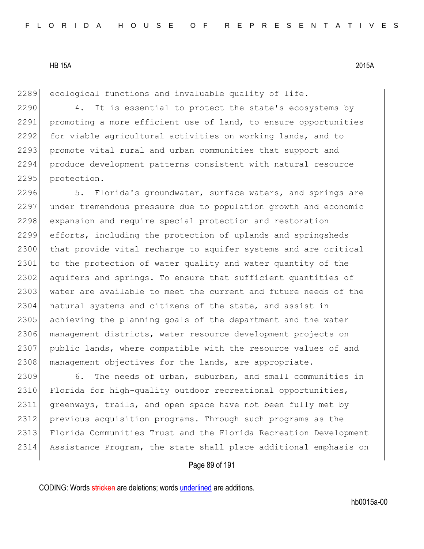2289 ecological functions and invaluable quality of life.

2290 4. It is essential to protect the state's ecosystems by 2291 promoting a more efficient use of land, to ensure opportunities 2292 for viable agricultural activities on working lands, and to 2293 promote vital rural and urban communities that support and 2294 produce development patterns consistent with natural resource 2295 protection.

2296 5. Florida's groundwater, surface waters, and springs are 2297 under tremendous pressure due to population growth and economic 2298 expansion and require special protection and restoration 2299 efforts, including the protection of uplands and springsheds 2300 that provide vital recharge to aquifer systems and are critical 2301 to the protection of water quality and water quantity of the 2302 aquifers and springs. To ensure that sufficient quantities of 2303 water are available to meet the current and future needs of the 2304 natural systems and citizens of the state, and assist in 2305 achieving the planning goals of the department and the water 2306 management districts, water resource development projects on 2307 public lands, where compatible with the resource values of and 2308 management objectives for the lands, are appropriate.

 6. The needs of urban, suburban, and small communities in 2310 Florida for high-quality outdoor recreational opportunities, greenways, trails, and open space have not been fully met by previous acquisition programs. Through such programs as the Florida Communities Trust and the Florida Recreation Development Assistance Program, the state shall place additional emphasis on

#### Page 89 of 191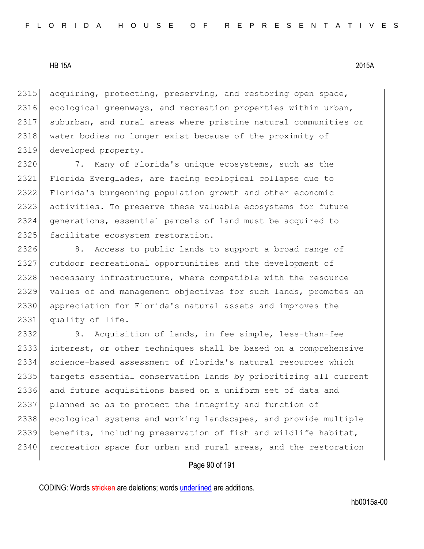acquiring, protecting, preserving, and restoring open space, ecological greenways, and recreation properties within urban, suburban, and rural areas where pristine natural communities or 2318 water bodies no longer exist because of the proximity of developed property.

 7. Many of Florida's unique ecosystems, such as the Florida Everglades, are facing ecological collapse due to Florida's burgeoning population growth and other economic activities. To preserve these valuable ecosystems for future generations, essential parcels of land must be acquired to 2325 facilitate ecosystem restoration.

2326 8. Access to public lands to support a broad range of outdoor recreational opportunities and the development of 2328 necessary infrastructure, where compatible with the resource 2329 values of and management objectives for such lands, promotes an appreciation for Florida's natural assets and improves the 2331 quality of life.

 9. Acquisition of lands, in fee simple, less-than-fee interest, or other techniques shall be based on a comprehensive science-based assessment of Florida's natural resources which targets essential conservation lands by prioritizing all current and future acquisitions based on a uniform set of data and planned so as to protect the integrity and function of ecological systems and working landscapes, and provide multiple benefits, including preservation of fish and wildlife habitat, 2340 recreation space for urban and rural areas, and the restoration

# Page 90 of 191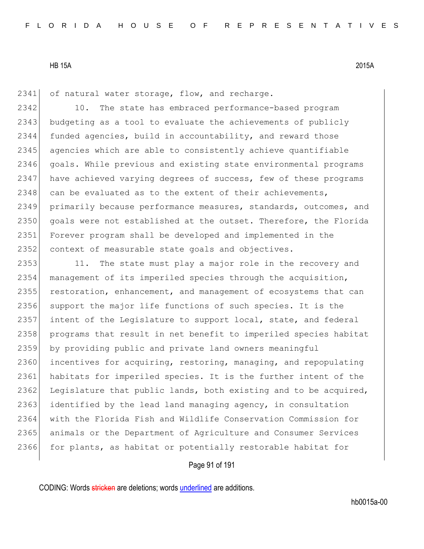2341 of natural water storage, flow, and recharge.

2342 10. The state has embraced performance-based program 2343 budgeting as a tool to evaluate the achievements of publicly 2344 funded agencies, build in accountability, and reward those 2345 agencies which are able to consistently achieve quantifiable 2346 goals. While previous and existing state environmental programs 2347 have achieved varying degrees of success, few of these programs  $2348$  can be evaluated as to the extent of their achievements, 2349 primarily because performance measures, standards, outcomes, and 2350 goals were not established at the outset. Therefore, the Florida 2351 Forever program shall be developed and implemented in the 2352 context of measurable state goals and objectives.

2353 11. The state must play a major role in the recovery and 2354 management of its imperiled species through the acquisition, 2355 restoration, enhancement, and management of ecosystems that can 2356 support the major life functions of such species. It is the 2357 intent of the Legislature to support local, state, and federal 2358 programs that result in net benefit to imperiled species habitat 2359 by providing public and private land owners meaningful 2360 incentives for acquiring, restoring, managing, and repopulating 2361 habitats for imperiled species. It is the further intent of the 2362 Legislature that public lands, both existing and to be acquired, 2363 identified by the lead land managing agency, in consultation 2364 with the Florida Fish and Wildlife Conservation Commission for 2365 animals or the Department of Agriculture and Consumer Services 2366 for plants, as habitat or potentially restorable habitat for

#### Page 91 of 191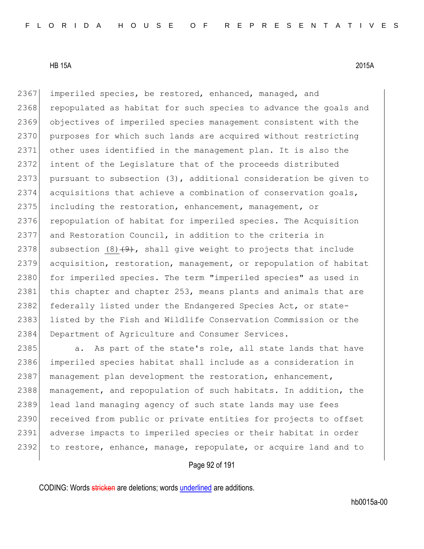2367 imperiled species, be restored, enhanced, managed, and 2368 repopulated as habitat for such species to advance the goals and 2369 objectives of imperiled species management consistent with the 2370 purposes for which such lands are acquired without restricting 2371 other uses identified in the management plan. It is also the 2372 intent of the Legislature that of the proceeds distributed 2373 pursuant to subsection  $(3)$ , additional consideration be given to 2374 acquisitions that achieve a combination of conservation goals, 2375 including the restoration, enhancement, management, or 2376 repopulation of habitat for imperiled species. The Acquisition 2377 and Restoration Council, in addition to the criteria in 2378 subsection  $(8)$   $(9)$ , shall give weight to projects that include 2379 acquisition, restoration, management, or repopulation of habitat 2380 for imperiled species. The term "imperiled species" as used in 2381 this chapter and chapter 253, means plants and animals that are 2382 federally listed under the Endangered Species Act, or state-2383 listed by the Fish and Wildlife Conservation Commission or the 2384 Department of Agriculture and Consumer Services.

2385 a. As part of the state's role, all state lands that have 2386 imperiled species habitat shall include as a consideration in 2387 management plan development the restoration, enhancement, 2388 management, and repopulation of such habitats. In addition, the 2389 lead land managing agency of such state lands may use fees 2390 received from public or private entities for projects to offset 2391 adverse impacts to imperiled species or their habitat in order 2392 to restore, enhance, manage, repopulate, or acquire land and to

# Page 92 of 191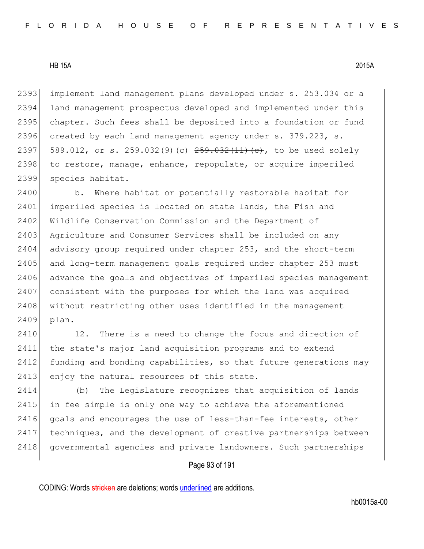2393 implement land management plans developed under s. 253.034 or a 2394 land management prospectus developed and implemented under this 2395 chapter. Such fees shall be deposited into a foundation or fund 2396 created by each land management agency under s. 379.223, s. 2397 589.012, or s. 259.032(9)(c)  $259.032(11)(e)$ , to be used solely 2398 to restore, manage, enhance, repopulate, or acquire imperiled 2399 species habitat.

2400 b. Where habitat or potentially restorable habitat for 2401 imperiled species is located on state lands, the Fish and 2402 Wildlife Conservation Commission and the Department of 2403 Agriculture and Consumer Services shall be included on any 2404 advisory group required under chapter 253, and the short-term 2405 and long-term management goals required under chapter 253 must 2406 advance the goals and objectives of imperiled species management 2407 consistent with the purposes for which the land was acquired 2408 without restricting other uses identified in the management 2409 plan.

2410 12. There is a need to change the focus and direction of 2411 the state's major land acquisition programs and to extend 2412 funding and bonding capabilities, so that future generations may 2413 enjoy the natural resources of this state.

2414 (b) The Legislature recognizes that acquisition of lands 2415 in fee simple is only one way to achieve the aforementioned 2416 goals and encourages the use of less-than-fee interests, other 2417 techniques, and the development of creative partnerships between 2418 governmental agencies and private landowners. Such partnerships

# Page 93 of 191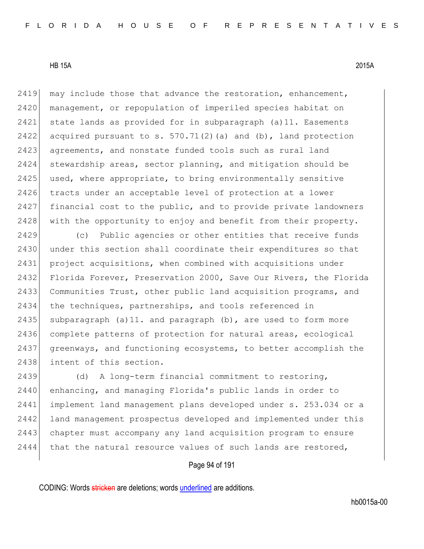2419 may include those that advance the restoration, enhancement, 2420 management, or repopulation of imperiled species habitat on 2421 state lands as provided for in subparagraph (a)11. Easements 2422 acquired pursuant to s.  $570.71(2)$  (a) and (b), land protection 2423 agreements, and nonstate funded tools such as rural land 2424 stewardship areas, sector planning, and mitigation should be 2425 used, where appropriate, to bring environmentally sensitive 2426 tracts under an acceptable level of protection at a lower 2427 financial cost to the public, and to provide private landowners 2428 | with the opportunity to enjoy and benefit from their property.

2429 (c) Public agencies or other entities that receive funds 2430 under this section shall coordinate their expenditures so that 2431 project acquisitions, when combined with acquisitions under 2432 Florida Forever, Preservation 2000, Save Our Rivers, the Florida 2433 Communities Trust, other public land acquisition programs, and 2434 the techniques, partnerships, and tools referenced in 2435 subparagraph (a) 11. and paragraph (b), are used to form more 2436 complete patterns of protection for natural areas, ecological 2437 greenways, and functioning ecosystems, to better accomplish the 2438 intent of this section.

2439 (d) A long-term financial commitment to restoring, 2440 enhancing, and managing Florida's public lands in order to 2441 implement land management plans developed under s. 253.034 or a 2442 land management prospectus developed and implemented under this 2443 chapter must accompany any land acquisition program to ensure  $2444$  that the natural resource values of such lands are restored,

# Page 94 of 191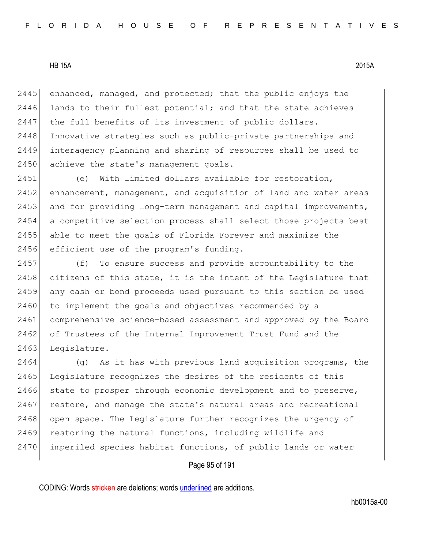2445 enhanced, managed, and protected; that the public enjoys the  $2446$  lands to their fullest potential; and that the state achieves 2447 the full benefits of its investment of public dollars. 2448 Innovative strategies such as public-private partnerships and 2449 interagency planning and sharing of resources shall be used to 2450 achieve the state's management goals.

 (e) With limited dollars available for restoration, enhancement, management, and acquisition of land and water areas 2453 and for providing long-term management and capital improvements, a competitive selection process shall select those projects best able to meet the goals of Florida Forever and maximize the 2456 efficient use of the program's funding.

2457 (f) To ensure success and provide accountability to the 2458 citizens of this state, it is the intent of the Legislature that 2459 any cash or bond proceeds used pursuant to this section be used 2460 to implement the goals and objectives recommended by a 2461 comprehensive science-based assessment and approved by the Board 2462 of Trustees of the Internal Improvement Trust Fund and the 2463 Legislature.

2464 (g) As it has with previous land acquisition programs, the 2465 Legislature recognizes the desires of the residents of this 2466 state to prosper through economic development and to preserve, 2467 restore, and manage the state's natural areas and recreational 2468 open space. The Legislature further recognizes the urgency of 2469 restoring the natural functions, including wildlife and 2470 imperiled species habitat functions, of public lands or water

# Page 95 of 191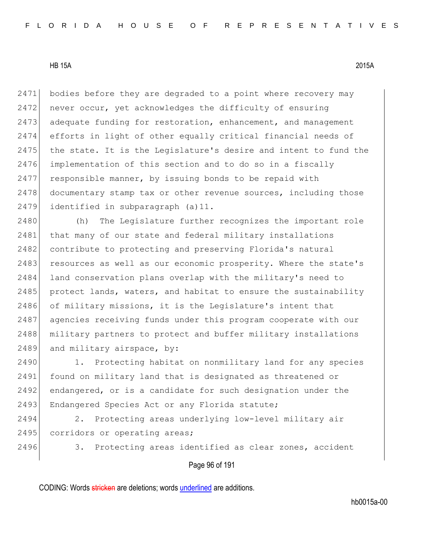2471 bodies before they are degraded to a point where recovery may  $2472$  never occur, yet acknowledges the difficulty of ensuring 2473 adequate funding for restoration, enhancement, and management 2474 efforts in light of other equally critical financial needs of 2475 the state. It is the Legislature's desire and intent to fund the 2476 implementation of this section and to do so in a fiscally 2477 responsible manner, by issuing bonds to be repaid with 2478 documentary stamp tax or other revenue sources, including those 2479 identified in subparagraph (a)11.

2480 (h) The Legislature further recognizes the important role 2481 that many of our state and federal military installations 2482 contribute to protecting and preserving Florida's natural 2483 resources as well as our economic prosperity. Where the state's 2484 land conservation plans overlap with the military's need to 2485 protect lands, waters, and habitat to ensure the sustainability 2486 of military missions, it is the Legislature's intent that 2487 agencies receiving funds under this program cooperate with our 2488 | military partners to protect and buffer military installations 2489 and military airspace, by:

2490 1. Protecting habitat on nonmilitary land for any species 2491 found on military land that is designated as threatened or 2492 endangered, or is a candidate for such designation under the 2493 Endangered Species Act or any Florida statute;

2494 2. Protecting areas underlying low-level military air 2495 corridors or operating areas;

2496 3. Protecting areas identified as clear zones, accident

Page 96 of 191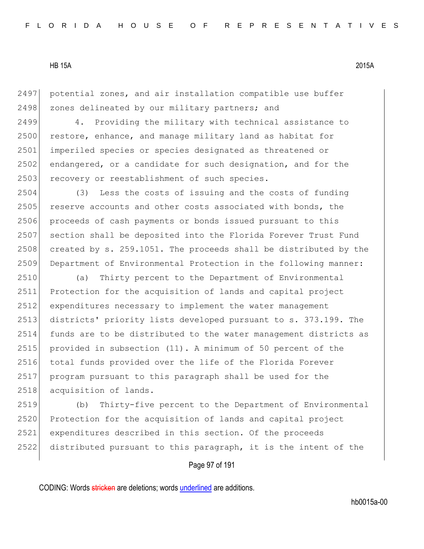2497 potential zones, and air installation compatible use buffer 2498 zones delineated by our military partners; and

2499 4. Providing the military with technical assistance to 2500 restore, enhance, and manage military land as habitat for 2501 imperiled species or species designated as threatened or 2502 endangered, or a candidate for such designation, and for the 2503 recovery or reestablishment of such species.

2504 (3) Less the costs of issuing and the costs of funding 2505 reserve accounts and other costs associated with bonds, the 2506 proceeds of cash payments or bonds issued pursuant to this 2507 section shall be deposited into the Florida Forever Trust Fund 2508 created by s. 259.1051. The proceeds shall be distributed by the 2509 Department of Environmental Protection in the following manner:

 (a) Thirty percent to the Department of Environmental Protection for the acquisition of lands and capital project expenditures necessary to implement the water management districts' priority lists developed pursuant to s. 373.199. The funds are to be distributed to the water management districts as provided in subsection (11). A minimum of 50 percent of the 2516 total funds provided over the life of the Florida Forever program pursuant to this paragraph shall be used for the 2518 acquisition of lands.

 (b) Thirty-five percent to the Department of Environmental 2520 Protection for the acquisition of lands and capital project expenditures described in this section. Of the proceeds distributed pursuant to this paragraph, it is the intent of the

# Page 97 of 191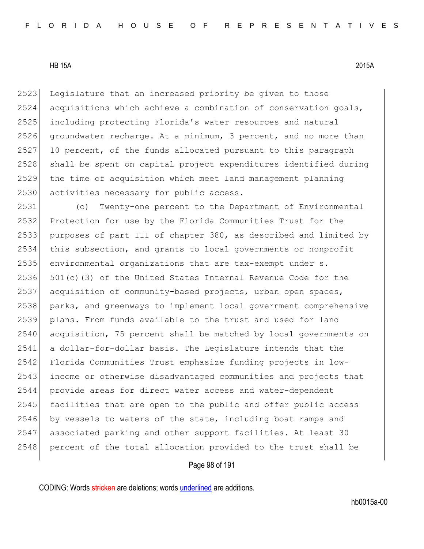2523 Legislature that an increased priority be given to those acquisitions which achieve a combination of conservation goals, including protecting Florida's water resources and natural groundwater recharge. At a minimum, 3 percent, and no more than 10 percent, of the funds allocated pursuant to this paragraph shall be spent on capital project expenditures identified during the time of acquisition which meet land management planning 2530 activities necessary for public access.

 (c) Twenty-one percent to the Department of Environmental Protection for use by the Florida Communities Trust for the purposes of part III of chapter 380, as described and limited by this subsection, and grants to local governments or nonprofit environmental organizations that are tax-exempt under s.  $501(c)$  (3) of the United States Internal Revenue Code for the 2537 acquisition of community-based projects, urban open spaces, parks, and greenways to implement local government comprehensive plans. From funds available to the trust and used for land acquisition, 75 percent shall be matched by local governments on a dollar-for-dollar basis. The Legislature intends that the Florida Communities Trust emphasize funding projects in low- income or otherwise disadvantaged communities and projects that provide areas for direct water access and water-dependent facilities that are open to the public and offer public access 2546 by vessels to waters of the state, including boat ramps and 2547 associated parking and other support facilities. At least 30 2548 percent of the total allocation provided to the trust shall be

# Page 98 of 191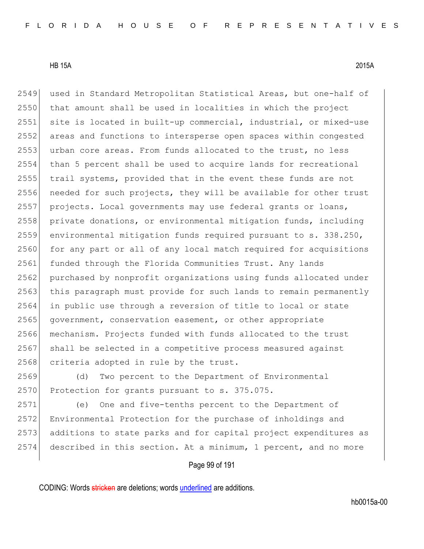2549 used in Standard Metropolitan Statistical Areas, but one-half of 2550 that amount shall be used in localities in which the project 2551 site is located in built-up commercial, industrial, or mixed-use 2552 areas and functions to intersperse open spaces within congested 2553 urban core areas. From funds allocated to the trust, no less 2554 than 5 percent shall be used to acquire lands for recreational 2555 trail systems, provided that in the event these funds are not 2556 needed for such projects, they will be available for other trust 2557 projects. Local governments may use federal grants or loans, 2558 private donations, or environmental mitigation funds, including 2559 environmental mitigation funds required pursuant to s. 338.250, 2560 for any part or all of any local match required for acquisitions 2561 funded through the Florida Communities Trust. Any lands 2562 purchased by nonprofit organizations using funds allocated under 2563 this paragraph must provide for such lands to remain permanently 2564 in public use through a reversion of title to local or state 2565 government, conservation easement, or other appropriate 2566 mechanism. Projects funded with funds allocated to the trust 2567 shall be selected in a competitive process measured against 2568 criteria adopted in rule by the trust.

2569 (d) Two percent to the Department of Environmental 2570 Protection for grants pursuant to s. 375.075.

 (e) One and five-tenths percent to the Department of 2572 Environmental Protection for the purchase of inholdings and additions to state parks and for capital project expenditures as described in this section. At a minimum, 1 percent, and no more

# Page 99 of 191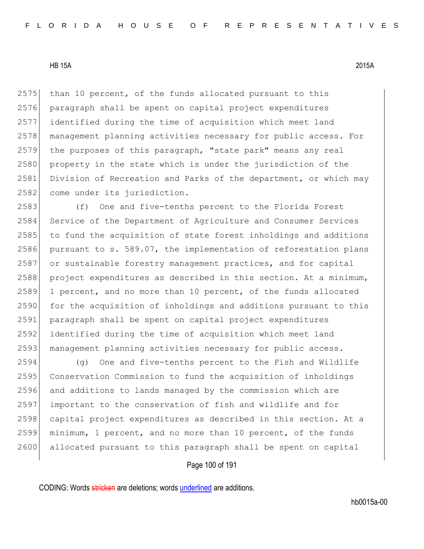$2575$  than 10 percent, of the funds allocated pursuant to this 2576 paragraph shall be spent on capital project expenditures 2577 identified during the time of acquisition which meet land 2578 | management planning activities necessary for public access. For 2579 the purposes of this paragraph, "state park" means any real 2580 property in the state which is under the jurisdiction of the 2581 Division of Recreation and Parks of the department, or which may 2582 come under its jurisdiction.

2583 (f) One and five-tenths percent to the Florida Forest 2584 Service of the Department of Agriculture and Consumer Services 2585 to fund the acquisition of state forest inholdings and additions 2586 pursuant to s. 589.07, the implementation of reforestation plans 2587 or sustainable forestry management practices, and for capital 2588 project expenditures as described in this section. At a minimum, 2589 1 percent, and no more than 10 percent, of the funds allocated 2590 for the acquisition of inholdings and additions pursuant to this 2591 paragraph shall be spent on capital project expenditures 2592 identified during the time of acquisition which meet land 2593 management planning activities necessary for public access.

 (g) One and five-tenths percent to the Fish and Wildlife Conservation Commission to fund the acquisition of inholdings and additions to lands managed by the commission which are important to the conservation of fish and wildlife and for 2598 capital project expenditures as described in this section. At a minimum, 1 percent, and no more than 10 percent, of the funds allocated pursuant to this paragraph shall be spent on capital

# Page 100 of 191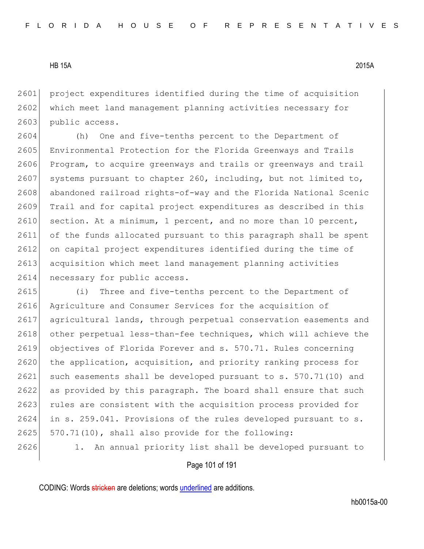2601 project expenditures identified during the time of acquisition 2602 which meet land management planning activities necessary for 2603 public access.

2604 (h) One and five-tenths percent to the Department of 2605 Environmental Protection for the Florida Greenways and Trails 2606 Program, to acquire greenways and trails or greenways and trail 2607 systems pursuant to chapter 260, including, but not limited to, 2608 abandoned railroad rights-of-way and the Florida National Scenic 2609 Trail and for capital project expenditures as described in this 2610 section. At a minimum, 1 percent, and no more than 10 percent, 2611 of the funds allocated pursuant to this paragraph shall be spent 2612 on capital project expenditures identified during the time of 2613 acquisition which meet land management planning activities 2614 necessary for public access.

 (i) Three and five-tenths percent to the Department of 2616 Agriculture and Consumer Services for the acquisition of agricultural lands, through perpetual conservation easements and 2618 other perpetual less-than-fee techniques, which will achieve the objectives of Florida Forever and s. 570.71. Rules concerning 2620 the application, acquisition, and priority ranking process for such easements shall be developed pursuant to s. 570.71(10) and as provided by this paragraph. The board shall ensure that such 2623 rules are consistent with the acquisition process provided for in s. 259.041. Provisions of the rules developed pursuant to s. 570.71(10), shall also provide for the following: 1. An annual priority list shall be developed pursuant to

#### Page 101 of 191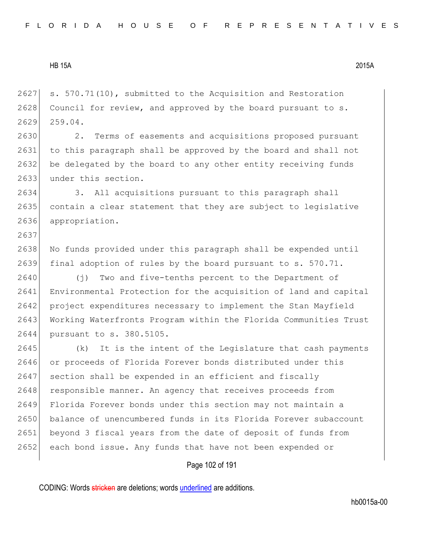2637

 $2627$  s. 570.71(10), submitted to the Acquisition and Restoration  $2628$  Council for review, and approved by the board pursuant to s. 2629 259.04.

2630 2. Terms of easements and acquisitions proposed pursuant 2631 to this paragraph shall be approved by the board and shall not 2632 be delegated by the board to any other entity receiving funds 2633 under this section.

2634 3. All acquisitions pursuant to this paragraph shall 2635 contain a clear statement that they are subject to legislative 2636 appropriation.

2638 No funds provided under this paragraph shall be expended until 2639 final adoption of rules by the board pursuant to s. 570.71.

2640 (j) Two and five-tenths percent to the Department of 2641 Environmental Protection for the acquisition of land and capital 2642 project expenditures necessary to implement the Stan Mayfield 2643 Working Waterfronts Program within the Florida Communities Trust 2644 pursuant to s. 380.5105.

2645 (k) It is the intent of the Legislature that cash payments 2646 or proceeds of Florida Forever bonds distributed under this 2647 section shall be expended in an efficient and fiscally 2648 responsible manner. An agency that receives proceeds from 2649 Florida Forever bonds under this section may not maintain a 2650 balance of unencumbered funds in its Florida Forever subaccount 2651 beyond 3 fiscal years from the date of deposit of funds from 2652 each bond issue. Any funds that have not been expended or

# Page 102 of 191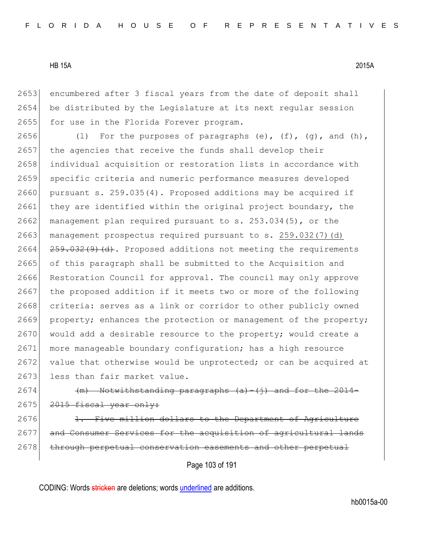2653 encumbered after 3 fiscal years from the date of deposit shall 2654 be distributed by the Legislature at its next regular session 2655 for use in the Florida Forever program.

2656 (1) For the purposes of paragraphs (e),  $(f)$ ,  $(g)$ , and  $(h)$ , 2657 the agencies that receive the funds shall develop their 2658 individual acquisition or restoration lists in accordance with 2659 specific criteria and numeric performance measures developed 2660 pursuant s. 259.035(4). Proposed additions may be acquired if 2661 they are identified within the original project boundary, the 2662 management plan required pursuant to s.  $253.034(5)$ , or the 2663 management prospectus required pursuant to s. 259.032(7)(d)  $2664$   $259.032(9)$  (d). Proposed additions not meeting the requirements 2665 of this paragraph shall be submitted to the Acquisition and 2666 Restoration Council for approval. The council may only approve 2667 the proposed addition if it meets two or more of the following 2668 criteria: serves as a link or corridor to other publicly owned 2669 property; enhances the protection or management of the property;  $2670$  would add a desirable resource to the property; would create a 2671 more manageable boundary configuration; has a high resource 2672 value that otherwise would be unprotected; or can be acquired at 2673 less than fair market value.

2674 (m) Notwithstanding paragraphs  $(a) - (j)$  and  $2675$   $2015$  fiscal year only:

 $2676$  1. Five million dollars to the Department of Agriculture 2677 and Consumer Services for the acquisition of agricultural lands 2678 through perpetual conservation easements and other perpetual

Page 103 of 191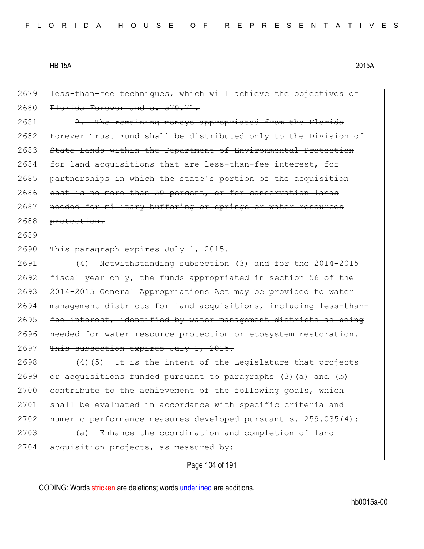2679 less-than-fee techniques, which will achieve the objectives of 2680 Florida Forever and s. 570.71.  $2681$  2. The remaining moneys appropriated from the Florida 2682 Forever Trust Fund shall be distributed only to the Division of 2683 State Lands within the Department of Environmental Protection 2684 for land acquisitions that are less-than-fee interest, for 2685 partnerships in which the state's portion of the acquisition 2686 cost is no more than 50 percent, or for conservation lands 2687 | needed for military buffering or springs or water resources 2688 protection. 2689 2690 This paragraph expires July 1, 2015.  $2691$  (4) Notwithstanding subsection (3) and for the 2014-2015 2692 fiscal year only, the funds appropriated in section 56 of the 2693 <del>2014-2015 General Appropriations Act may be provided to water</del> 2694 management districts for land acquisitions, including less-than-2695  $fee$  interest, identified by water management districts as being 2696 needed for water resource protection or ecosystem restoration. 2697 This subsection expires July 1, 2015. 2698  $(4)$   $(5)$  It is the intent of the Legislature that projects 2699 or acquisitions funded pursuant to paragraphs (3)(a) and (b) 2700 contribute to the achievement of the following goals, which 2701 shall be evaluated in accordance with specific criteria and 2702 numeric performance measures developed pursuant s. 259.035(4): 2703 (a) Enhance the coordination and completion of land 2704 acquisition projects, as measured by:

Page 104 of 191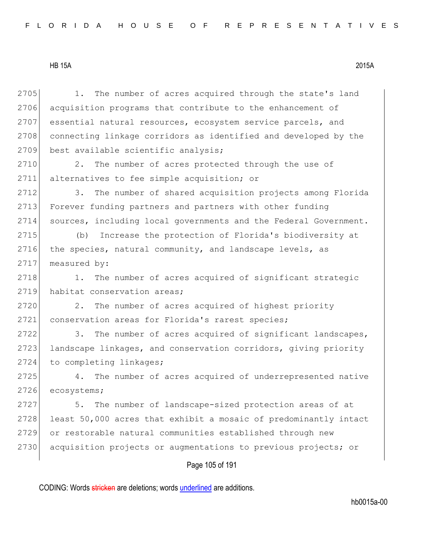Page 105 of 191 2705 1. The number of acres acquired through the state's land 2706 acquisition programs that contribute to the enhancement of 2707 essential natural resources, ecosystem service parcels, and 2708 connecting linkage corridors as identified and developed by the 2709 best available scientific analysis; 2710 2. The number of acres protected through the use of 2711 alternatives to fee simple acquisition; or 2712 3. The number of shared acquisition projects among Florida 2713 Forever funding partners and partners with other funding 2714 sources, including local governments and the Federal Government. 2715 (b) Increase the protection of Florida's biodiversity at 2716 the species, natural community, and landscape levels, as 2717 measured by: 2718 1. The number of acres acquired of significant strategic 2719 habitat conservation areas; 2720 2. The number of acres acquired of highest priority 2721 conservation areas for Florida's rarest species; 2722 3. The number of acres acquired of significant landscapes, 2723 landscape linkages, and conservation corridors, giving priority 2724 to completing linkages; 2725 4. The number of acres acquired of underrepresented native 2726 ecosystems; 2727 5. The number of landscape-sized protection areas of at 2728 least 50,000 acres that exhibit a mosaic of predominantly intact 2729 or restorable natural communities established through new 2730 acquisition projects or augmentations to previous projects; or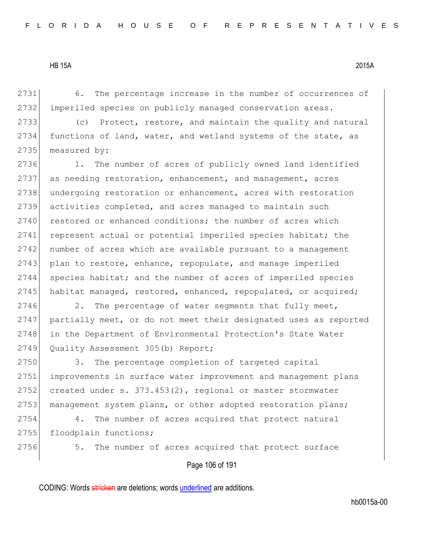2731 6. The percentage increase in the number of occurrences of 2732 imperiled species on publicly managed conservation areas.

2733 (c) Protect, restore, and maintain the quality and natural 2734 functions of land, water, and wetland systems of the state, as 2735 measured by:

2736 1. The number of acres of publicly owned land identified 2737 as needing restoration, enhancement, and management, acres 2738 undergoing restoration or enhancement, acres with restoration 2739 activities completed, and acres managed to maintain such 2740 restored or enhanced conditions; the number of acres which 2741 represent actual or potential imperiled species habitat; the 2742 number of acres which are available pursuant to a management 2743 plan to restore, enhance, repopulate, and manage imperiled 2744 species habitat; and the number of acres of imperiled species 2745 habitat managed, restored, enhanced, repopulated, or acquired;

2746 2. The percentage of water segments that fully meet, 2747 partially meet, or do not meet their designated uses as reported 2748 in the Department of Environmental Protection's State Water 2749 Quality Assessment 305(b) Report;

2750 3. The percentage completion of targeted capital 2751 improvements in surface water improvement and management plans 2752 created under s.  $373.453(2)$ , regional or master stormwater 2753 management system plans, or other adopted restoration plans;

2754 4. The number of acres acquired that protect natural 2755 floodplain functions;

2756 5. The number of acres acquired that protect surface

Page 106 of 191

CODING: Words stricken are deletions; words underlined are additions.

hb0015a-00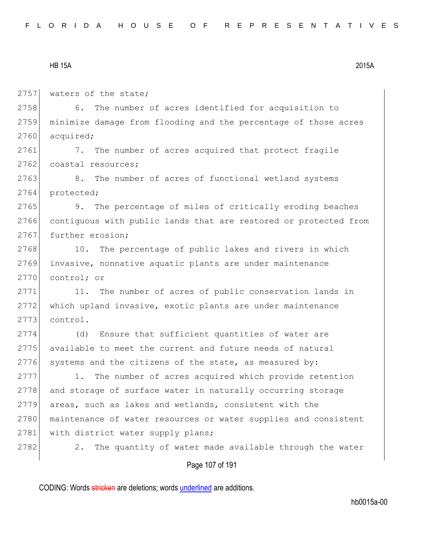2757 waters of the state;

2758 6. The number of acres identified for acquisition to 2759 minimize damage from flooding and the percentage of those acres 2760 acquired;

2761 7. The number of acres acquired that protect fragile 2762 coastal resources;

2763 8. The number of acres of functional wetland systems 2764 protected;

2765 9. The percentage of miles of critically eroding beaches 2766 contiguous with public lands that are restored or protected from 2767 further erosion;

2768 10. The percentage of public lakes and rivers in which 2769 invasive, nonnative aquatic plants are under maintenance 2770 control; or

2771 11. The number of acres of public conservation lands in 2772 which upland invasive, exotic plants are under maintenance 2773 control.

2774 (d) Ensure that sufficient quantities of water are 2775 available to meet the current and future needs of natural  $2776$  systems and the citizens of the state, as measured by:

2777 1. The number of acres acquired which provide retention 2778 and storage of surface water in naturally occurring storage 2779 areas, such as lakes and wetlands, consistent with the 2780 maintenance of water resources or water supplies and consistent 2781 with district water supply plans;

2782 2. The quantity of water made available through the water

# Page 107 of 191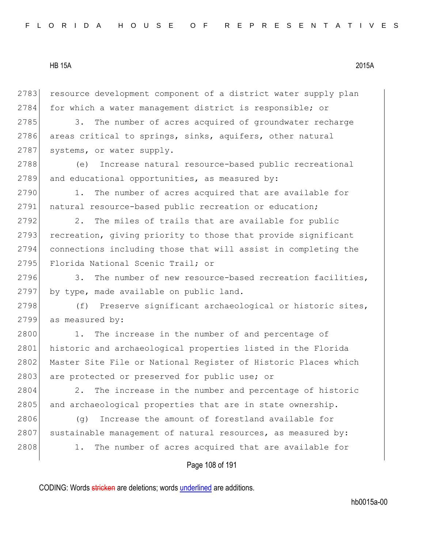2783 resource development component of a district water supply plan 2784 for which a water management district is responsible; or

2785 3. The number of acres acquired of groundwater recharge 2786 areas critical to springs, sinks, aquifers, other natural 2787 systems, or water supply.

2788 (e) Increase natural resource-based public recreational 2789 and educational opportunities, as measured by:

2790 1. The number of acres acquired that are available for 2791 natural resource-based public recreation or education;

2792 2. The miles of trails that are available for public 2793 recreation, giving priority to those that provide significant 2794 connections including those that will assist in completing the 2795 Florida National Scenic Trail; or

2796 3. The number of new resource-based recreation facilities, 2797 by type, made available on public land.

2798 (f) Preserve significant archaeological or historic sites, 2799 as measured by:

2800 1. The increase in the number of and percentage of 2801 historic and archaeological properties listed in the Florida 2802 Master Site File or National Register of Historic Places which 2803 are protected or preserved for public use; or

2804 2. The increase in the number and percentage of historic 2805 and archaeological properties that are in state ownership.

2806 (g) Increase the amount of forestland available for 2807 sustainable management of natural resources, as measured by: 2808 1. The number of acres acquired that are available for

#### Page 108 of 191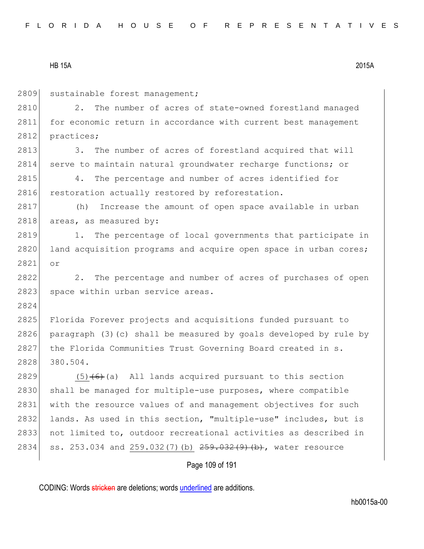2809 sustainable forest management;

2810 2. The number of acres of state-owned forestland managed 2811 for economic return in accordance with current best management 2812 practices;

2813 3. The number of acres of forestland acquired that will 2814 serve to maintain natural groundwater recharge functions; or

2815 4. The percentage and number of acres identified for 2816 restoration actually restored by reforestation.

2817 (h) Increase the amount of open space available in urban 2818 areas, as measured by:

2819 1. The percentage of local governments that participate in 2820 land acquisition programs and acquire open space in urban cores; 2821 or

2822 2. The percentage and number of acres of purchases of open 2823 space within urban service areas.

2824

2825 Florida Forever projects and acquisitions funded pursuant to 2826 paragraph (3)(c) shall be measured by goals developed by rule by 2827 the Florida Communities Trust Governing Board created in s. 2828 380.504.

2829  $(5)$   $(6)$  (a) All lands acquired pursuant to this section 2830 shall be managed for multiple-use purposes, where compatible 2831 with the resource values of and management objectives for such 2832 lands. As used in this section, "multiple-use" includes, but is 2833 not limited to, outdoor recreational activities as described in 2834 ss. 253.034 and 259.032(7)(b) 259.032(9)(b), water resource

Page 109 of 191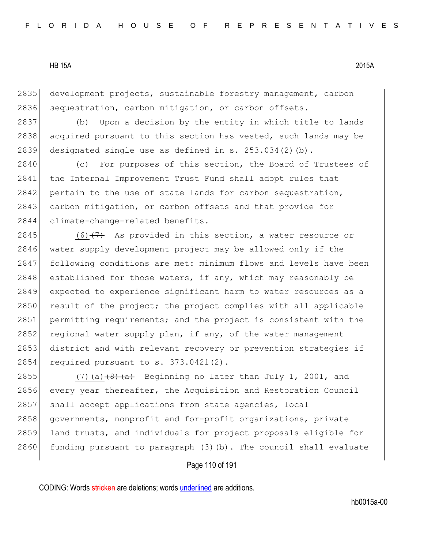2835 development projects, sustainable forestry management, carbon 2836 sequestration, carbon mitigation, or carbon offsets.

2837 (b) Upon a decision by the entity in which title to lands 2838 acquired pursuant to this section has vested, such lands may be 2839 designated single use as defined in s.  $253.034(2)(b)$ .

2840 (c) For purposes of this section, the Board of Trustees of 2841 the Internal Improvement Trust Fund shall adopt rules that  $2842$  pertain to the use of state lands for carbon sequestration, 2843 carbon mitigation, or carbon offsets and that provide for 2844 climate-change-related benefits.

2845  $(6)$   $(7)$  As provided in this section, a water resource or 2846 water supply development project may be allowed only if the 2847 following conditions are met: minimum flows and levels have been 2848 established for those waters, if any, which may reasonably be 2849 expected to experience significant harm to water resources as a 2850 result of the project; the project complies with all applicable 2851 permitting requirements; and the project is consistent with the 2852 regional water supply plan, if any, of the water management 2853 district and with relevant recovery or prevention strategies if 2854 required pursuant to s. 373.0421(2).

2855 (7)(a)  $(8)$   $(8)$  Beginning no later than July 1, 2001, and 2856 every year thereafter, the Acquisition and Restoration Council 2857 shall accept applications from state agencies, local 2858 governments, nonprofit and for-profit organizations, private 2859 land trusts, and individuals for project proposals eligible for 2860 funding pursuant to paragraph  $(3)$  (b). The council shall evaluate

Page 110 of 191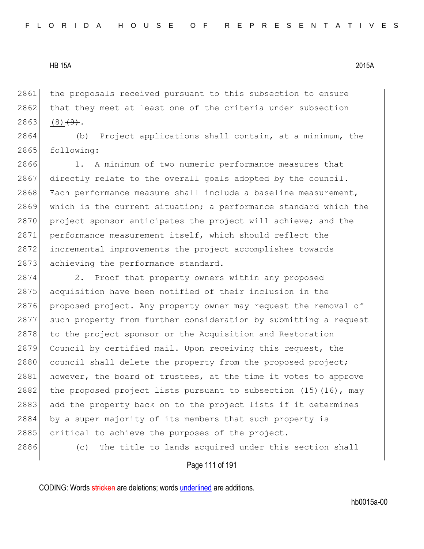2861 the proposals received pursuant to this subsection to ensure  $2862$  that they meet at least one of the criteria under subsection 2863 (8) $\left(49\right)$ .

2864 (b) Project applications shall contain, at a minimum, the 2865 following:

2866 1. A minimum of two numeric performance measures that 2867 directly relate to the overall goals adopted by the council. 2868 Each performance measure shall include a baseline measurement, 2869 which is the current situation; a performance standard which the 2870 project sponsor anticipates the project will achieve; and the 2871 performance measurement itself, which should reflect the 2872 incremental improvements the project accomplishes towards 2873 achieving the performance standard.

2874 2. Proof that property owners within any proposed 2875 acquisition have been notified of their inclusion in the 2876 proposed project. Any property owner may request the removal of 2877 such property from further consideration by submitting a request 2878 to the project sponsor or the Acquisition and Restoration 2879 Council by certified mail. Upon receiving this request, the 2880 council shall delete the property from the proposed project; 2881 however, the board of trustees, at the time it votes to approve 2882 the proposed project lists pursuant to subsection  $(15)$   $(16)$ , may 2883 add the property back on to the project lists if it determines 2884 by a super majority of its members that such property is 2885 critical to achieve the purposes of the project. 2886 (c) The title to lands acquired under this section shall

#### Page 111 of 191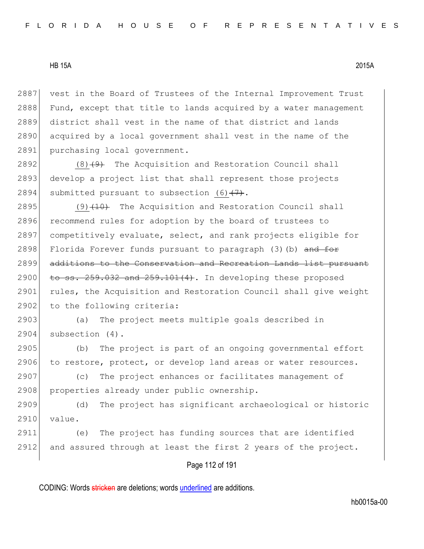2887 vest in the Board of Trustees of the Internal Improvement Trust 2888 Fund, except that title to lands acquired by a water management 2889 district shall vest in the name of that district and lands 2890 acquired by a local government shall vest in the name of the 2891 purchasing local government.

2892  $(8)$   $(9)$  The Acquisition and Restoration Council shall 2893 develop a project list that shall represent those projects 2894 submitted pursuant to subsection (6) $(7)$ .

2895  $(9)$   $(10)$  The Acquisition and Restoration Council shall 2896 recommend rules for adoption by the board of trustees to 2897 competitively evaluate, select, and rank projects eligible for 2898 Florida Forever funds pursuant to paragraph (3)(b) and for 2899 additions to the Conservation and Recreation Lands list pursuant  $2900$  to ss.  $259.032$  and  $259.101(4)$ . In developing these proposed 2901 rules, the Acquisition and Restoration Council shall give weight 2902 to the following criteria:

2903 (a) The project meets multiple goals described in 2904 subsection (4).

2905 (b) The project is part of an ongoing governmental effort 2906 to restore, protect, or develop land areas or water resources.

2907 (c) The project enhances or facilitates management of 2908 properties already under public ownership.

2909 (d) The project has significant archaeological or historic 2910 value.

2911 (e) The project has funding sources that are identified 2912 and assured through at least the first 2 years of the project.

# Page 112 of 191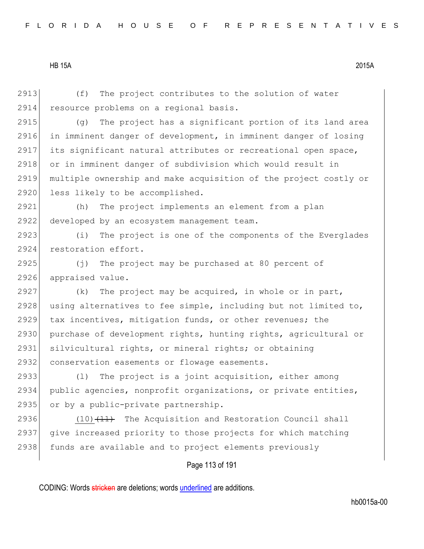2913 (f) The project contributes to the solution of water 2914 resource problems on a regional basis. 2915 (g) The project has a significant portion of its land area 2916 in imminent danger of development, in imminent danger of losing 2917 its significant natural attributes or recreational open space, 2918 or in imminent danger of subdivision which would result in 2919 multiple ownership and make acquisition of the project costly or 2920 less likely to be accomplished. 2921 (h) The project implements an element from a plan 2922 developed by an ecosystem management team. 2923 (i) The project is one of the components of the Everglades 2924 restoration effort. 2925  $(j)$  The project may be purchased at 80 percent of 2926 appraised value. 2927 (k) The project may be acquired, in whole or in part, 2928 using alternatives to fee simple, including but not limited to, 2929 tax incentives, mitigation funds, or other revenues; the 2930 purchase of development rights, hunting rights, agricultural or 2931 silvicultural rights, or mineral rights; or obtaining 2932 conservation easements or flowage easements. 2933 (l) The project is a joint acquisition, either among 2934 public agencies, nonprofit organizations, or private entities, 2935 or by a public-private partnership. 2936  $(10)$   $(11)$  The Acquisition and Restoration Council shall 2937 give increased priority to those projects for which matching 2938 funds are available and to project elements previously

Page 113 of 191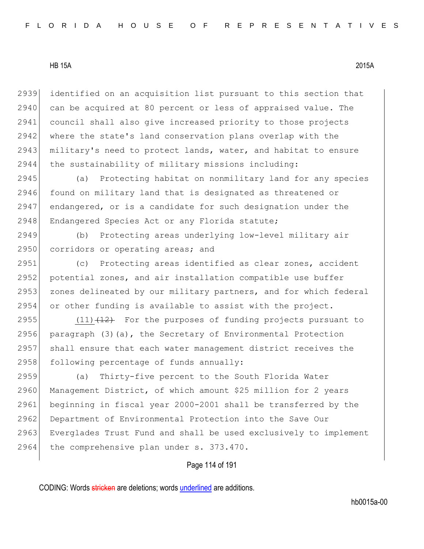2939 identified on an acquisition list pursuant to this section that 2940 can be acquired at 80 percent or less of appraised value. The 2941 council shall also give increased priority to those projects 2942 where the state's land conservation plans overlap with the 2943 military's need to protect lands, water, and habitat to ensure  $2944$  the sustainability of military missions including:

2945 (a) Protecting habitat on nonmilitary land for any species 2946 found on military land that is designated as threatened or 2947 endangered, or is a candidate for such designation under the 2948 Endangered Species Act or any Florida statute;

2949 (b) Protecting areas underlying low-level military air 2950 corridors or operating areas; and

2951 (c) Protecting areas identified as clear zones, accident 2952 potential zones, and air installation compatible use buffer 2953 zones delineated by our military partners, and for which federal 2954 or other funding is available to assist with the project.

 $(11)$   $(12)$  For the purposes of funding projects pursuant to 2956 paragraph  $(3)(a)$ , the Secretary of Environmental Protection shall ensure that each water management district receives the following percentage of funds annually:

2959 (a) Thirty-five percent to the South Florida Water 2960 Management District, of which amount \$25 million for 2 years 2961 beginning in fiscal year 2000-2001 shall be transferred by the 2962 Department of Environmental Protection into the Save Our 2963 Everglades Trust Fund and shall be used exclusively to implement 2964 the comprehensive plan under s. 373.470.

## Page 114 of 191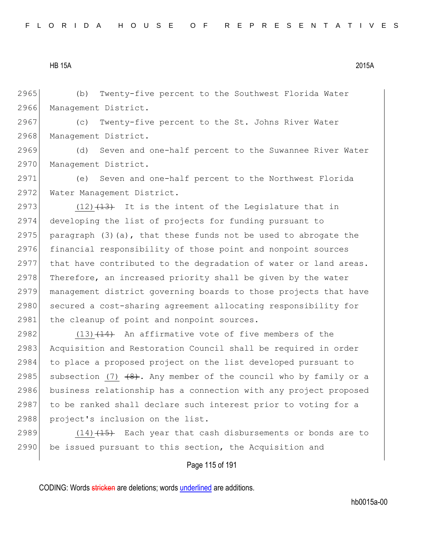2965 (b) Twenty-five percent to the Southwest Florida Water 2966 Management District.

2967 (c) Twenty-five percent to the St. Johns River Water 2968 Management District.

2969 (d) Seven and one-half percent to the Suwannee River Water 2970 Management District.

2971 (e) Seven and one-half percent to the Northwest Florida 2972 Water Management District.

2973  $(12)$   $(13)$  It is the intent of the Legislature that in 2974 developing the list of projects for funding pursuant to 2975 paragraph (3)(a), that these funds not be used to abrogate the 2976 financial responsibility of those point and nonpoint sources 2977 that have contributed to the degradation of water or land areas. 2978 Therefore, an increased priority shall be given by the water 2979 management district governing boards to those projects that have 2980 secured a cost-sharing agreement allocating responsibility for 2981 the cleanup of point and nonpoint sources.

2982 (13) $(14)$  An affirmative vote of five members of the 2983 Acquisition and Restoration Council shall be required in order 2984 to place a proposed project on the list developed pursuant to 2985 subsection (7)  $(8)$ . Any member of the council who by family or a 2986 business relationship has a connection with any project proposed 2987 to be ranked shall declare such interest prior to voting for a 2988 project's inclusion on the list.

2989  $(14)$   $(15)$  Each year that cash disbursements or bonds are to 2990 be issued pursuant to this section, the Acquisition and

Page 115 of 191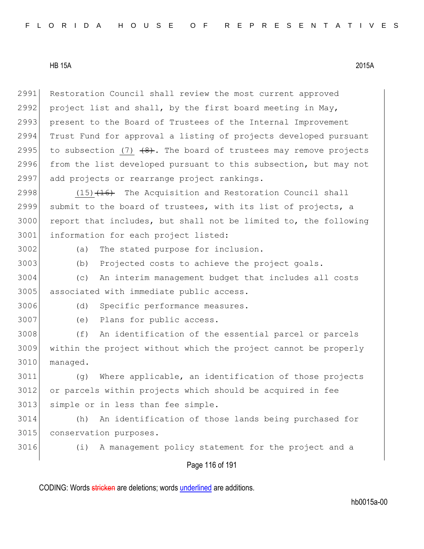2991 Restoration Council shall review the most current approved 2992 project list and shall, by the first board meeting in May, 2993 present to the Board of Trustees of the Internal Improvement 2994 Trust Fund for approval a listing of projects developed pursuant 2995 to subsection (7)  $(8)$ . The board of trustees may remove projects 2996 from the list developed pursuant to this subsection, but may not 2997 add projects or rearrange project rankings.

 $(15)$   $(16)$  The Acquisition and Restoration Council shall submit to the board of trustees, with its list of projects, a report that includes, but shall not be limited to, the following 3001 information for each project listed:

3002 (a) The stated purpose for inclusion.

3003 (b) Projected costs to achieve the project goals.

3004 (c) An interim management budget that includes all costs 3005 associated with immediate public access.

3006 (d) Specific performance measures.

3007 (e) Plans for public access.

3008 (f) An identification of the essential parcel or parcels 3009 within the project without which the project cannot be properly 3010 managed.

3011 (g) Where applicable, an identification of those projects 3012 or parcels within projects which should be acquired in fee 3013 simple or in less than fee simple.

3014 (h) An identification of those lands being purchased for 3015 conservation purposes.

3016 (i) A management policy statement for the project and a

## Page 116 of 191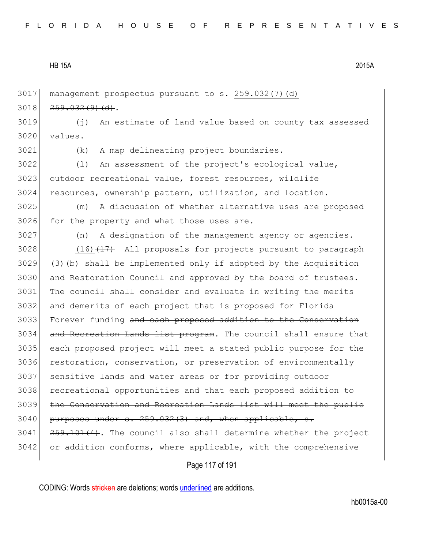3017 management prospectus pursuant to s. 259.032(7)(d)  $3018$   $259.032(9)(d)$ .

3019 (j) An estimate of land value based on county tax assessed 3020 values.

3021 (k) A map delineating project boundaries.

3022 (l) An assessment of the project's ecological value, 3023 outdoor recreational value, forest resources, wildlife 3024 resources, ownership pattern, utilization, and location.

3025 (m) A discussion of whether alternative uses are proposed 3026 for the property and what those uses are.

3027 (n) A designation of the management agency or agencies.

3028 (16) $(15)$  (17) All proposals for projects pursuant to paragraph  $3029$  (3)(b) shall be implemented only if adopted by the Acquisition 3030 and Restoration Council and approved by the board of trustees. 3031 The council shall consider and evaluate in writing the merits 3032 and demerits of each project that is proposed for Florida 3033 Forever funding and each proposed addition to the Conservation 3034 and Recreation Lands list program. The council shall ensure that 3035 each proposed project will meet a stated public purpose for the 3036 restoration, conservation, or preservation of environmentally 3037 sensitive lands and water areas or for providing outdoor 3038 recreational opportunities and that each proposed addition to 3039 the Conservation and Recreation Lands list will meet the public  $3040$  purposes under s.  $259.032(3)$  and, when applicable, s. 3041 259.101(4). The council also shall determine whether the project 3042 or addition conforms, where applicable, with the comprehensive

Page 117 of 191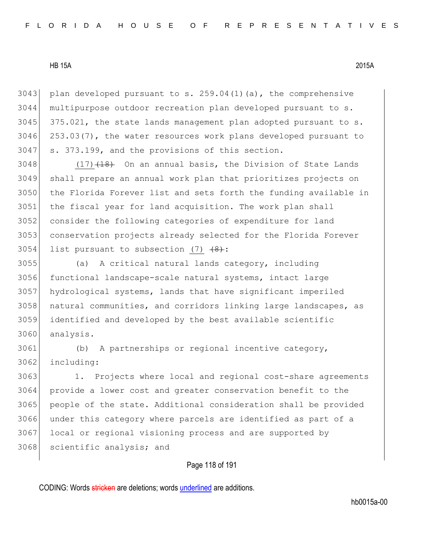3043 plan developed pursuant to s.  $259.04(1)(a)$ , the comprehensive multipurpose outdoor recreation plan developed pursuant to s. 375.021, the state lands management plan adopted pursuant to s. 253.03(7), the water resources work plans developed pursuant to s. 373.199, and the provisions of this section.

 $(17)$   $(18)$  On an annual basis, the Division of State Lands shall prepare an annual work plan that prioritizes projects on the Florida Forever list and sets forth the funding available in the fiscal year for land acquisition. The work plan shall 3052 consider the following categories of expenditure for land conservation projects already selected for the Florida Forever 3054 list pursuant to subsection  $(7)$   $(8)$ :

 (a) A critical natural lands category, including functional landscape-scale natural systems, intact large hydrological systems, lands that have significant imperiled natural communities, and corridors linking large landscapes, as identified and developed by the best available scientific analysis.

 (b) A partnerships or regional incentive category, including:

 1. Projects where local and regional cost-share agreements provide a lower cost and greater conservation benefit to the people of the state. Additional consideration shall be provided under this category where parcels are identified as part of a 3067 local or regional visioning process and are supported by 3068 scientific analysis; and

Page 118 of 191

CODING: Words stricken are deletions; words underlined are additions.

hb0015a-00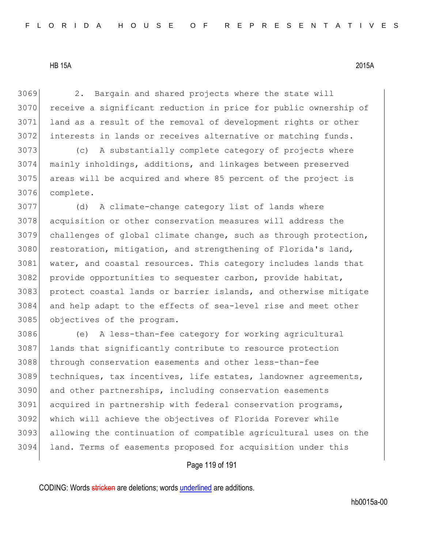2. Bargain and shared projects where the state will receive a significant reduction in price for public ownership of land as a result of the removal of development rights or other interests in lands or receives alternative or matching funds.

 (c) A substantially complete category of projects where mainly inholdings, additions, and linkages between preserved areas will be acquired and where 85 percent of the project is complete.

 (d) A climate-change category list of lands where acquisition or other conservation measures will address the challenges of global climate change, such as through protection, 3080 restoration, mitigation, and strengthening of Florida's land, 3081 water, and coastal resources. This category includes lands that 3082 provide opportunities to sequester carbon, provide habitat, 3083 protect coastal lands or barrier islands, and otherwise mitigate and help adapt to the effects of sea-level rise and meet other objectives of the program.

 (e) A less-than-fee category for working agricultural lands that significantly contribute to resource protection 3088 through conservation easements and other less-than-fee techniques, tax incentives, life estates, landowner agreements, and other partnerships, including conservation easements acquired in partnership with federal conservation programs, which will achieve the objectives of Florida Forever while allowing the continuation of compatible agricultural uses on the land. Terms of easements proposed for acquisition under this

## Page 119 of 191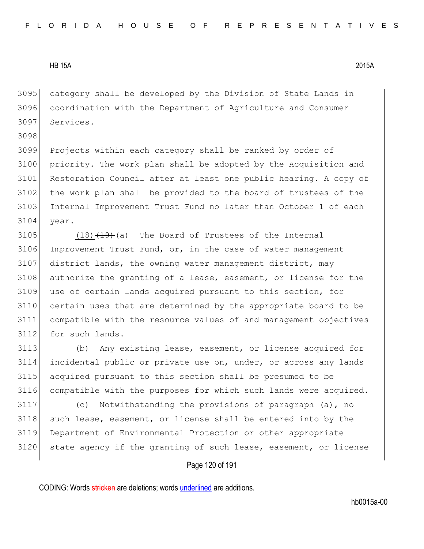3095 category shall be developed by the Division of State Lands in 3096 coordination with the Department of Agriculture and Consumer 3097 Services.

3098

3099 Projects within each category shall be ranked by order of 3100 priority. The work plan shall be adopted by the Acquisition and 3101 Restoration Council after at least one public hearing. A copy of 3102 the work plan shall be provided to the board of trustees of the 3103 Internal Improvement Trust Fund no later than October 1 of each 3104 year.

 (18) $\left(19\right)\left(19\right)$  (a) The Board of Trustees of the Internal 3106 Improvement Trust Fund, or, in the case of water management district lands, the owning water management district, may 3108 authorize the granting of a lease, easement, or license for the use of certain lands acquired pursuant to this section, for certain uses that are determined by the appropriate board to be compatible with the resource values of and management objectives 3112 for such lands.

 (b) Any existing lease, easement, or license acquired for incidental public or private use on, under, or across any lands acquired pursuant to this section shall be presumed to be compatible with the purposes for which such lands were acquired.

3117 (c) Notwithstanding the provisions of paragraph (a), no 3118 such lease, easement, or license shall be entered into by the 3119 Department of Environmental Protection or other appropriate 3120 state agency if the granting of such lease, easement, or license

# Page 120 of 191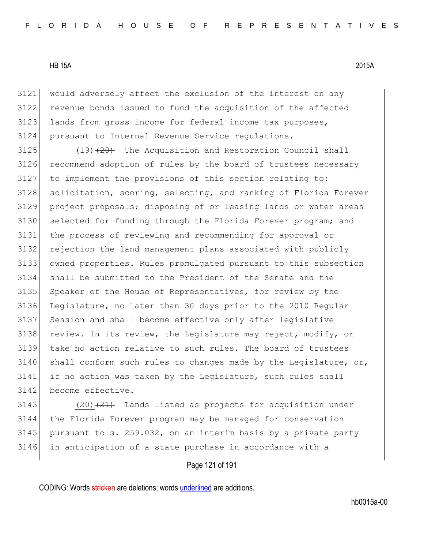would adversely affect the exclusion of the interest on any revenue bonds issued to fund the acquisition of the affected 3123 lands from gross income for federal income tax purposes, pursuant to Internal Revenue Service regulations.

 (19)  $\left(20\right)$  The Acquisition and Restoration Council shall 3126 recommend adoption of rules by the board of trustees necessary to implement the provisions of this section relating to: 3128 solicitation, scoring, selecting, and ranking of Florida Forever project proposals; disposing of or leasing lands or water areas 3130 selected for funding through the Florida Forever program; and the process of reviewing and recommending for approval or rejection the land management plans associated with publicly owned properties. Rules promulgated pursuant to this subsection shall be submitted to the President of the Senate and the 3135 Speaker of the House of Representatives, for review by the Legislature, no later than 30 days prior to the 2010 Regular 3137 Session and shall become effective only after legislative review. In its review, the Legislature may reject, modify, or take no action relative to such rules. The board of trustees 3140 shall conform such rules to changes made by the Legislature, or, if no action was taken by the Legislature, such rules shall 3142 become effective.

 $(20)$   $(21)$  Lands listed as projects for acquisition under the Florida Forever program may be managed for conservation 3145 pursuant to s. 259.032, on an interim basis by a private party in anticipation of a state purchase in accordance with a

# Page 121 of 191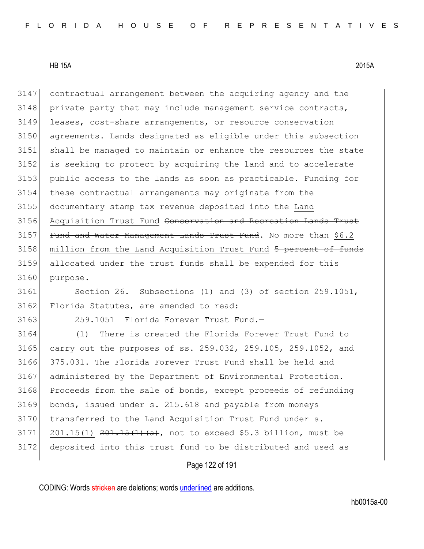contractual arrangement between the acquiring agency and the private party that may include management service contracts, leases, cost-share arrangements, or resource conservation agreements. Lands designated as eligible under this subsection shall be managed to maintain or enhance the resources the state is seeking to protect by acquiring the land and to accelerate public access to the lands as soon as practicable. Funding for these contractual arrangements may originate from the documentary stamp tax revenue deposited into the Land 3156 Acquisition Trust Fund Conservation and Recreation Lands Trust Fund and Water Management Lands Trust Fund. No more than \$6.2 3158 million from the Land Acquisition Trust Fund 5 percent of funds 3159 allocated under the trust funds shall be expended for this purpose.

 Section 26. Subsections (1) and (3) of section 259.1051, 3162 Florida Statutes, are amended to read:

259.1051 Florida Forever Trust Fund.—

 (1) There is created the Florida Forever Trust Fund to carry out the purposes of ss. 259.032, 259.105, 259.1052, and 375.031. The Florida Forever Trust Fund shall be held and 3167 administered by the Department of Environmental Protection. 3168 Proceeds from the sale of bonds, except proceeds of refunding bonds, issued under s. 215.618 and payable from moneys 3170 transferred to the Land Acquisition Trust Fund under s. 201.15(1)  $201.15(1)$   $401.15(1)$   $(a)$ , not to exceed \$5.3 billion, must be deposited into this trust fund to be distributed and used as

Page 122 of 191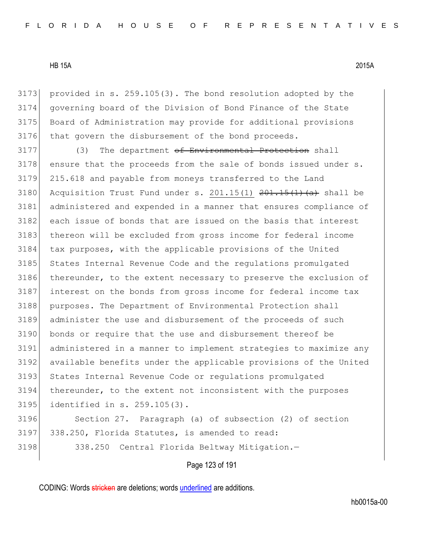provided in s. 259.105(3). The bond resolution adopted by the governing board of the Division of Bond Finance of the State Board of Administration may provide for additional provisions 3176 that govern the disbursement of the bond proceeds.

3177 (3) The department of Environmental Protection shall ensure that the proceeds from the sale of bonds issued under s. 215.618 and payable from moneys transferred to the Land 3180 Acquisition Trust Fund under s.  $201.15(1)$   $201.15(1)$   $(a)$  shall be administered and expended in a manner that ensures compliance of each issue of bonds that are issued on the basis that interest 3183 thereon will be excluded from gross income for federal income tax purposes, with the applicable provisions of the United 3185 States Internal Revenue Code and the regulations promulgated 3186 thereunder, to the extent necessary to preserve the exclusion of interest on the bonds from gross income for federal income tax 3188 purposes. The Department of Environmental Protection shall administer the use and disbursement of the proceeds of such bonds or require that the use and disbursement thereof be administered in a manner to implement strategies to maximize any available benefits under the applicable provisions of the United 3193 States Internal Revenue Code or regulations promulgated thereunder, to the extent not inconsistent with the purposes identified in s. 259.105(3).

3196 Section 27. Paragraph (a) of subsection (2) of section 3197 338.250, Florida Statutes, is amended to read: 3198 338.250 Central Florida Beltway Mitigation.-

Page 123 of 191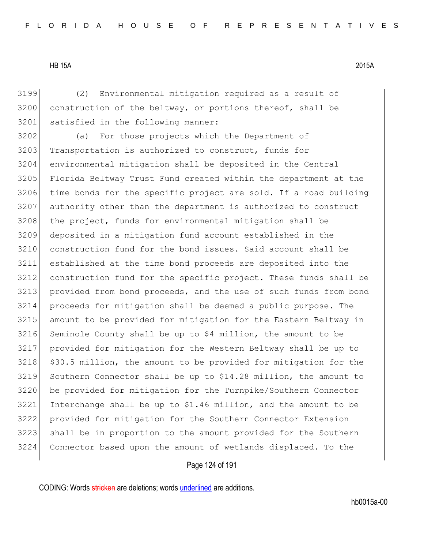(2) Environmental mitigation required as a result of 3200 construction of the beltway, or portions thereof, shall be 3201 satisfied in the following manner:

 (a) For those projects which the Department of 3203 Transportation is authorized to construct, funds for environmental mitigation shall be deposited in the Central 3205 Florida Beltway Trust Fund created within the department at the time bonds for the specific project are sold. If a road building authority other than the department is authorized to construct 3208 the project, funds for environmental mitigation shall be deposited in a mitigation fund account established in the construction fund for the bond issues. Said account shall be established at the time bond proceeds are deposited into the construction fund for the specific project. These funds shall be 3213 provided from bond proceeds, and the use of such funds from bond proceeds for mitigation shall be deemed a public purpose. The amount to be provided for mitigation for the Eastern Beltway in Seminole County shall be up to \$4 million, the amount to be provided for mitigation for the Western Beltway shall be up to 3218 \$30.5 million, the amount to be provided for mitigation for the Southern Connector shall be up to \$14.28 million, the amount to be provided for mitigation for the Turnpike/Southern Connector Interchange shall be up to  $$1.46$  million, and the amount to be provided for mitigation for the Southern Connector Extension shall be in proportion to the amount provided for the Southern Connector based upon the amount of wetlands displaced. To the

## Page 124 of 191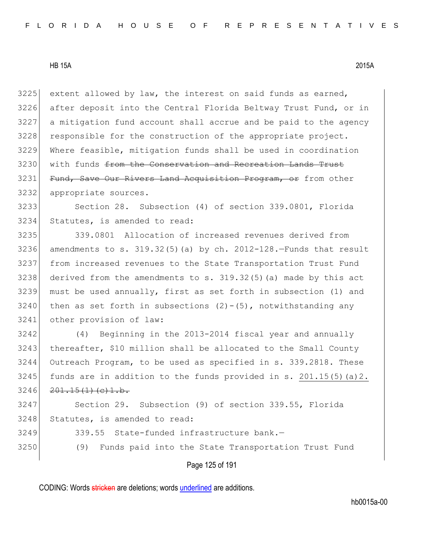extent allowed by law, the interest on said funds as earned, after deposit into the Central Florida Beltway Trust Fund, or in a mitigation fund account shall accrue and be paid to the agency 3228 responsible for the construction of the appropriate project. Where feasible, mitigation funds shall be used in coordination 3230 with funds from the Conservation and Recreation Lands Trust 3231 Fund, Save Our Rivers Land Acquisition Program, or from other appropriate sources. Section 28. Subsection (4) of section 339.0801, Florida Statutes, is amended to read: 339.0801 Allocation of increased revenues derived from 3236 amendments to s. 319.32(5)(a) by ch. 2012-128.-Funds that result from increased revenues to the State Transportation Trust Fund derived from the amendments to s. 319.32(5)(a) made by this act must be used annually, first as set forth in subsection (1) and 3240 then as set forth in subsections  $(2)-(5)$ , notwithstanding any other provision of law: (4) Beginning in the 2013-2014 fiscal year and annually thereafter, \$10 million shall be allocated to the Small County Outreach Program, to be used as specified in s. 339.2818. These

3245 funds are in addition to the funds provided in s.  $201.15(5)(a)2$ .  $3246$   $201.15(1)(c)1.b.$ 

3247 Section 29. Subsection (9) of section 339.55, Florida 3248 Statutes, is amended to read:

- 3249 339.55 State-funded infrastructure bank.—
- 3250 (9) Funds paid into the State Transportation Trust Fund

Page 125 of 191

CODING: Words stricken are deletions; words underlined are additions.

hb0015a-00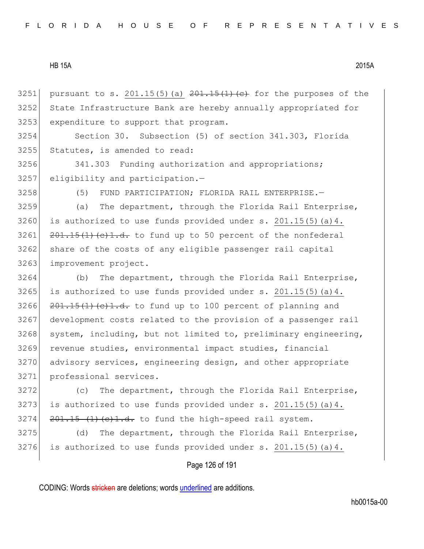3251 pursuant to s. 201.15(5)(a)  $201.15(1)(c)$  for the purposes of the 3252 State Infrastructure Bank are hereby annually appropriated for 3253 expenditure to support that program.

3254 Section 30. Subsection (5) of section 341.303, Florida 3255 Statutes, is amended to read:

3256 341.303 Funding authorization and appropriations; 3257 eligibility and participation.-

3258 (5) FUND PARTICIPATION; FLORIDA RAIL ENTERPRISE.—

3259 (a) The department, through the Florida Rail Enterprise, 3260 is authorized to use funds provided under s. 201.15(5) (a) 4.  $3261$   $201.15(1)(e)1.d.$  to fund up to 50 percent of the nonfederal 3262 share of the costs of any eligible passenger rail capital 3263 improvement project.

3264 (b) The department, through the Florida Rail Enterprise, 3265 is authorized to use funds provided under s.  $201.15(5)$  (a) 4.  $\left[201.15(1)(e)+1.d.$  to fund up to 100 percent of planning and development costs related to the provision of a passenger rail system, including, but not limited to, preliminary engineering, revenue studies, environmental impact studies, financial 3270 advisory services, engineering design, and other appropriate professional services.

3272 (c) The department, through the Florida Rail Enterprise, 3273 is authorized to use funds provided under s.  $201.15(5)$  (a)4.  $3274$   $201.15$   $(1)$   $(c)1.d.$  to fund the high-speed rail system.

3275 (d) The department, through the Florida Rail Enterprise, 3276 is authorized to use funds provided under s.  $201.15(5)$  (a) 4.

## Page 126 of 191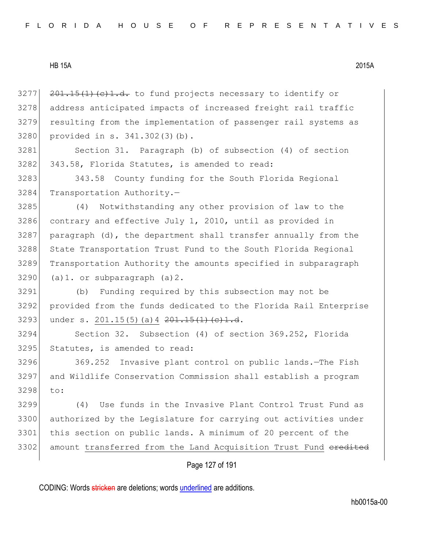$201.15(1)(e)1.d.$  to fund projects necessary to identify or 3278 address anticipated impacts of increased freight rail traffic resulting from the implementation of passenger rail systems as provided in s. 341.302(3)(b).

 Section 31. Paragraph (b) of subsection (4) of section 343.58, Florida Statutes, is amended to read:

3283 343.58 County funding for the South Florida Regional Transportation Authority.—

 (4) Notwithstanding any other provision of law to the contrary and effective July 1, 2010, until as provided in paragraph (d), the department shall transfer annually from the 3288 State Transportation Trust Fund to the South Florida Regional Transportation Authority the amounts specified in subparagraph (a)1. or subparagraph (a)2.

 (b) Funding required by this subsection may not be provided from the funds dedicated to the Florida Rail Enterprise 3293 under s. 201.15(5)(a) 4  $201.15(1)(c)1.d.$ 

 Section 32. Subsection (4) of section 369.252, Florida Statutes, is amended to read:

 369.252 Invasive plant control on public lands.—The Fish and Wildlife Conservation Commission shall establish a program to:

 (4) Use funds in the Invasive Plant Control Trust Fund as authorized by the Legislature for carrying out activities under this section on public lands. A minimum of 20 percent of the 3302 amount transferred from the Land Acquisition Trust Fund eredited

# Page 127 of 191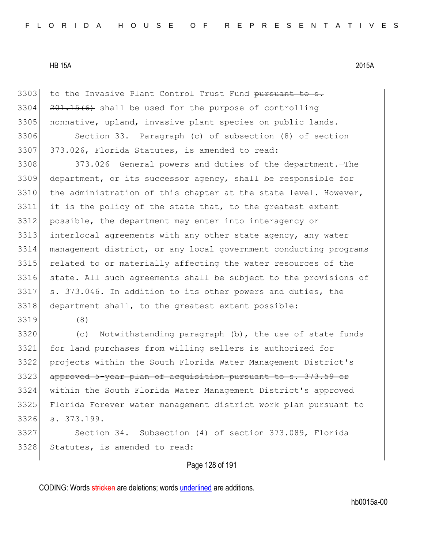3303 to the Invasive Plant Control Trust Fund pursuant to s.  $3304$   $201.15(6)$  shall be used for the purpose of controlling 3305 nonnative, upland, invasive plant species on public lands.

3306 Section 33. Paragraph (c) of subsection (8) of section 3307 373.026, Florida Statutes, is amended to read:

 373.026 General powers and duties of the department.—The department, or its successor agency, shall be responsible for 3310 the administration of this chapter at the state level. However, it is the policy of the state that, to the greatest extent possible, the department may enter into interagency or interlocal agreements with any other state agency, any water management district, or any local government conducting programs 3315 related to or materially affecting the water resources of the 3316 state. All such agreements shall be subject to the provisions of s. 373.046. In addition to its other powers and duties, the department shall, to the greatest extent possible:

3319 (8)

 (c) Notwithstanding paragraph (b), the use of state funds for land purchases from willing sellers is authorized for 3322 projects within the South Florida Water Management District's 3323 approved 5-year plan of acquisition pursuant to s. 373.59 or within the South Florida Water Management District's approved Florida Forever water management district work plan pursuant to s. 373.199.

3327 Section 34. Subsection (4) of section 373.089, Florida 3328 Statutes, is amended to read:

Page 128 of 191

CODING: Words stricken are deletions; words underlined are additions.

hb0015a-00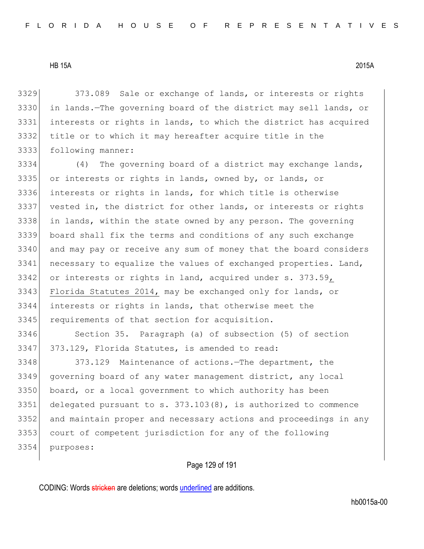3329 373.089 Sale or exchange of lands, or interests or rights in lands.—The governing board of the district may sell lands, or interests or rights in lands, to which the district has acquired title or to which it may hereafter acquire title in the following manner:

 (4) The governing board of a district may exchange lands, or interests or rights in lands, owned by, or lands, or interests or rights in lands, for which title is otherwise vested in, the district for other lands, or interests or rights in lands, within the state owned by any person. The governing board shall fix the terms and conditions of any such exchange 3340 and may pay or receive any sum of money that the board considers necessary to equalize the values of exchanged properties. Land, 3342 or interests or rights in land, acquired under s. 373.59, 3343 Florida Statutes 2014, may be exchanged only for lands, or interests or rights in lands, that otherwise meet the 3345 requirements of that section for acquisition.

 Section 35. Paragraph (a) of subsection (5) of section 373.129, Florida Statutes, is amended to read:

3348 373.129 Maintenance of actions.—The department, the governing board of any water management district, any local board, or a local government to which authority has been delegated pursuant to s. 373.103(8), is authorized to commence and maintain proper and necessary actions and proceedings in any court of competent jurisdiction for any of the following purposes:

Page 129 of 191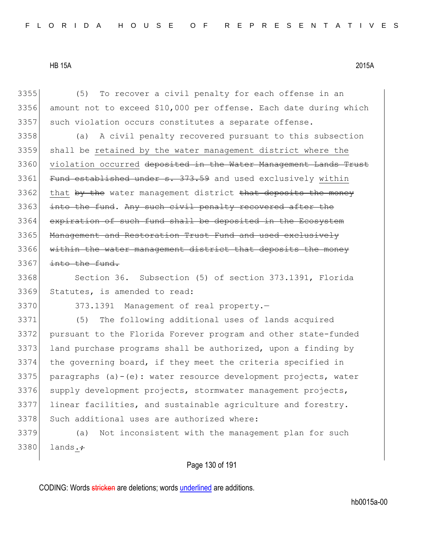3355 (5) To recover a civil penalty for each offense in an 3356 amount not to exceed \$10,000 per offense. Each date during which 3357 such violation occurs constitutes a separate offense.

3358 (a) A civil penalty recovered pursuant to this subsection 3359 shall be retained by the water management district where the 3360 violation occurred deposited in the Water Management Lands Trust 3361 Fund established under s. 373.59 and used exclusively within 3362 that by the water management district that deposits the money 3363 into the fund. Any such civil penalty recovered after the 3364 expiration of such fund shall be deposited in the Ecosystem 3365 Management and Restoration Trust Fund and used exclusively 3366 within the water management district that deposits the money 3367 into the fund.

3368 Section 36. Subsection (5) of section 373.1391, Florida 3369 Statutes, is amended to read:

3370 373.1391 Management of real property.-

3371 (5) The following additional uses of lands acquired 3372 pursuant to the Florida Forever program and other state-funded 3373 land purchase programs shall be authorized, upon a finding by 3374 the governing board, if they meet the criteria specified in 3375 paragraphs  $(a)-(e)$ : water resource development projects, water 3376 supply development projects, stormwater management projects, 3377 linear facilities, and sustainable agriculture and forestry. 3378 Such additional uses are authorized where:

3379 (a) Not inconsistent with the management plan for such  $3380$  lands. $\div$ 

Page 130 of 191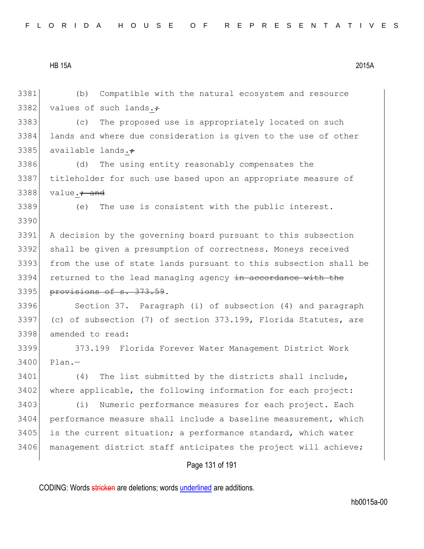Page 131 of 191 3381 (b) Compatible with the natural ecosystem and resource 3382 values of such lands. $\div$ 3383 (c) The proposed use is appropriately located on such 3384 lands and where due consideration is given to the use of other 3385 available lands. $\div$ 3386 (d) The using entity reasonably compensates the 3387 titleholder for such use based upon an appropriate measure of 3388 value. $\div$  and 3389 (e) The use is consistent with the public interest. 3390 3391 A decision by the governing board pursuant to this subsection 3392 shall be given a presumption of correctness. Moneys received 3393 from the use of state lands pursuant to this subsection shall be 3394 returned to the lead managing agency in accordance with the 3395 provisions of s. 373.59. 3396 Section 37. Paragraph (i) of subsection (4) and paragraph 3397 (c) of subsection (7) of section 373.199, Florida Statutes, are 3398 amended to read: 3399 373.199 Florida Forever Water Management District Work 3400 Plan.-3401 (4) The list submitted by the districts shall include, 3402 where applicable, the following information for each project: 3403 (i) Numeric performance measures for each project. Each 3404 performance measure shall include a baseline measurement, which 3405 is the current situation; a performance standard, which water 3406 management district staff anticipates the project will achieve;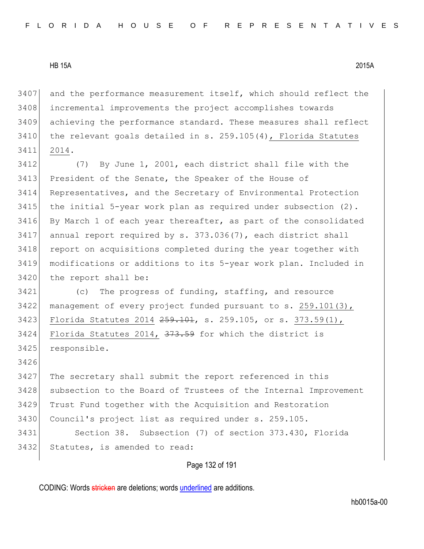3407 and the performance measurement itself, which should reflect the 3408 incremental improvements the project accomplishes towards 3409 achieving the performance standard. These measures shall reflect  $3410$  the relevant goals detailed in s. 259.105(4), Florida Statutes 3411 2014.

3412 (7) By June 1, 2001, each district shall file with the 3413 President of the Senate, the Speaker of the House of 3414 Representatives, and the Secretary of Environmental Protection  $3415$  the initial 5-year work plan as required under subsection  $(2)$ . 3416 By March 1 of each year thereafter, as part of the consolidated 3417 annual report required by s. 373.036(7), each district shall 3418 report on acquisitions completed during the year together with 3419 modifications or additions to its 5-year work plan. Included in 3420 the report shall be:

3421 (c) The progress of funding, staffing, and resource 3422 management of every project funded pursuant to s. 259.101(3), 3423 Florida Statutes 2014 259.101, s. 259.105, or s. 373.59(1), 3424 Florida Statutes 2014,  $\frac{373.59}{73.59}$  for which the district is 3425 responsible.

3426

 The secretary shall submit the report referenced in this subsection to the Board of Trustees of the Internal Improvement Trust Fund together with the Acquisition and Restoration 3430 Council's project list as required under s. 259.105. Section 38. Subsection (7) of section 373.430, Florida Statutes, is amended to read:

Page 132 of 191

CODING: Words stricken are deletions; words underlined are additions.

hb0015a-00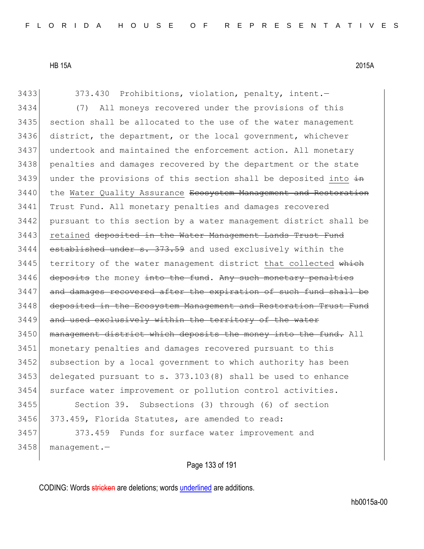| 3433 | 373.430 Prohibitions, violation, penalty, intent.-               |
|------|------------------------------------------------------------------|
| 3434 | All moneys recovered under the provisions of this<br>(7)         |
| 3435 | section shall be allocated to the use of the water management    |
| 3436 | district, the department, or the local government, whichever     |
| 3437 | undertook and maintained the enforcement action. All monetary    |
| 3438 | penalties and damages recovered by the department or the state   |
| 3439 | under the provisions of this section shall be deposited into in  |
| 3440 | the Water Quality Assurance Ecosystem Management and Restoration |
| 3441 | Trust Fund. All monetary penalties and damages recovered         |
| 3442 | pursuant to this section by a water management district shall be |
| 3443 | retained deposited in the Water Management Lands Trust Fund      |
| 3444 | established under s. 373.59 and used exclusively within the      |
| 3445 | territory of the water management district that collected which  |
| 3446 | deposits the money into the fund. Any such monetary penalties    |
| 3447 | and damages recovered after the expiration of such fund shall be |
| 3448 | deposited in the Ecosystem Management and Restoration Trust Fund |
| 3449 | and used exclusively within the territory of the water           |
| 3450 | management district which deposits the money into the fund. All  |
| 3451 | monetary penalties and damages recovered pursuant to this        |
| 3452 | subsection by a local government to which authority has been     |
| 3453 | delegated pursuant to $s. 373.103(8)$ shall be used to enhance   |
| 3454 | surface water improvement or pollution control activities.       |
| 3455 | Section 39. Subsections (3) through (6) of section               |
| 3456 | 373.459, Florida Statutes, are amended to read:                  |
| 3457 | 373.459 Funds for surface water improvement and                  |
| 3458 | $m$ anaqement.-                                                  |
|      |                                                                  |

Page 133 of 191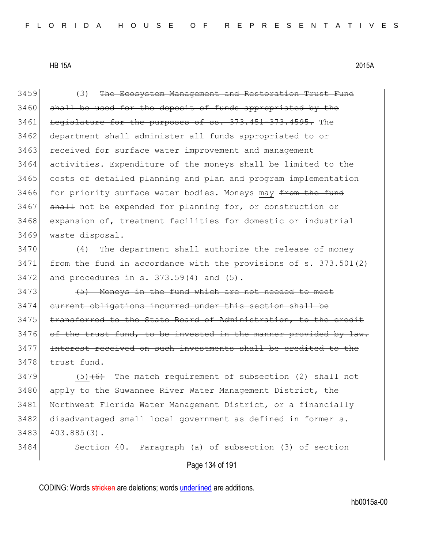3459 (3) The Ecosystem Management and Restoration Trust Fund 3460 shall be used for the deposit of funds appropriated by the 3461 Legislature for the purposes of ss. 373.451-373.4595. The 3462 department shall administer all funds appropriated to or 3463 received for surface water improvement and management 3464 activities. Expenditure of the moneys shall be limited to the 3465 costs of detailed planning and plan and program implementation 3466 for priority surface water bodies. Moneys may from the fund 3467 shall not be expended for planning for, or construction or 3468 expansion of, treatment facilities for domestic or industrial 3469 waste disposal. 3470 (4) The department shall authorize the release of money  $3471$  from the fund in accordance with the provisions of s. 373.501(2)  $3472$  and procedures in s.  $373.59(4)$  and  $(5)$ . 3473 (5) Moneys in the fund which are not needed to meet 3474 current obligations incurred under this section shall be 3475 transferred to the State Board of Administration, to the credit  $3476$  of the trust fund, to be invested in the manner provided by 3477 Interest received on such investments shall be credited to the

 $3478$  trust fund.

3479  $(5)$   $(6)$  The match requirement of subsection (2) shall not 3480 apply to the Suwannee River Water Management District, the 3481 Northwest Florida Water Management District, or a financially 3482 disadvantaged small local government as defined in former s. 3483 403.885(3).

3484 Section 40. Paragraph (a) of subsection (3) of section

Page 134 of 191

CODING: Words stricken are deletions; words underlined are additions.

hb0015a-00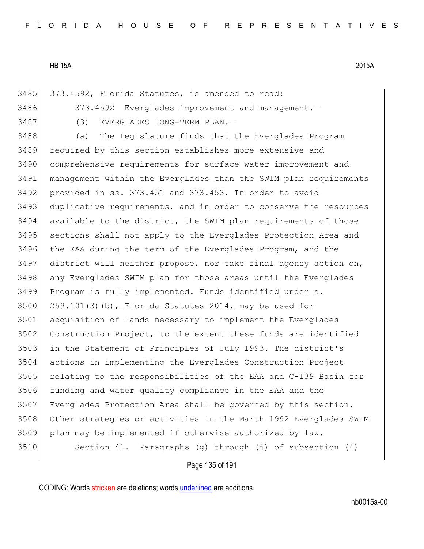| 3485 | 373.4592, Florida Statutes, is amended to read:                  |
|------|------------------------------------------------------------------|
| 3486 | 373.4592 Everglades improvement and management.-                 |
| 3487 | (3)<br>EVERGLADES LONG-TERM PLAN.-                               |
| 3488 | The Legislature finds that the Everglades Program<br>(a)         |
| 3489 | required by this section establishes more extensive and          |
| 3490 | comprehensive requirements for surface water improvement and     |
| 3491 | management within the Everglades than the SWIM plan requirements |
| 3492 | provided in ss. 373.451 and 373.453. In order to avoid           |
| 3493 | duplicative requirements, and in order to conserve the resources |
| 3494 | available to the district, the SWIM plan requirements of those   |
| 3495 | sections shall not apply to the Everglades Protection Area and   |
| 3496 | the EAA during the term of the Everglades Program, and the       |
| 3497 | district will neither propose, nor take final agency action on,  |
| 3498 | any Everglades SWIM plan for those areas until the Everglades    |
| 3499 | Program is fully implemented. Funds identified under s.          |
| 3500 | $259.101(3)$ (b), Florida Statutes 2014, may be used for         |
| 3501 | acquisition of lands necessary to implement the Everglades       |
| 3502 | Construction Project, to the extent these funds are identified   |
| 3503 | in the Statement of Principles of July 1993. The district's      |
| 3504 | actions in implementing the Everglades Construction Project      |
| 3505 | relating to the responsibilities of the EAA and C-139 Basin for  |
| 3506 | funding and water quality compliance in the EAA and the          |
| 3507 | Everglades Protection Area shall be governed by this section.    |
| 3508 | Other strategies or activities in the March 1992 Everglades SWIM |
| 3509 | plan may be implemented if otherwise authorized by law.          |
| 3510 | Section 41. Paragraphs (q) through (j) of subsection (4)         |
|      |                                                                  |

Page 135 of 191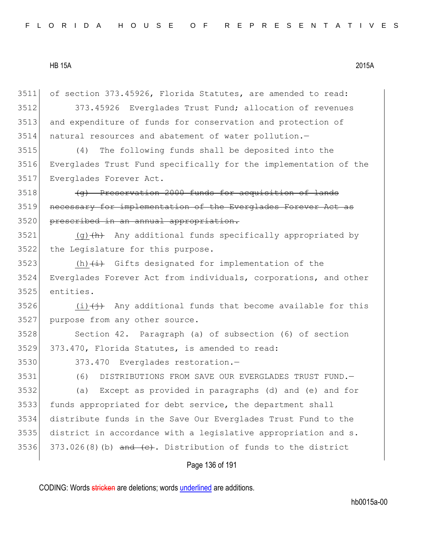of section 373.45926, Florida Statutes, are amended to read: 373.45926 Everglades Trust Fund; allocation of revenues and expenditure of funds for conservation and protection of natural resources and abatement of water pollution.— (4) The following funds shall be deposited into the Everglades Trust Fund specifically for the implementation of the Everglades Forever Act. (g) Preservation 2000 funds for acquisition of lands 3519 necessary for implementation of the Everglades Forever Act as 3520 prescribed in an annual appropriation. 3521 (g) $\left\{\text{h}\right\}$  Any additional funds specifically appropriated by the Legislature for this purpose. 3523 (h) $\leftrightarrow$  Gifts designated for implementation of the Everglades Forever Act from individuals, corporations, and other entities.  $(i)$   $(i)$  Any additional funds that become available for this purpose from any other source. Section 42. Paragraph (a) of subsection (6) of section 373.470, Florida Statutes, is amended to read: 3530 373.470 Everglades restoration. (6) DISTRIBUTIONS FROM SAVE OUR EVERGLADES TRUST FUND.— (a) Except as provided in paragraphs (d) and (e) and for funds appropriated for debt service, the department shall distribute funds in the Save Our Everglades Trust Fund to the district in accordance with a legislative appropriation and s. 3536 373.026(8)(b) and  $(e)$ . Distribution of funds to the district

Page 136 of 191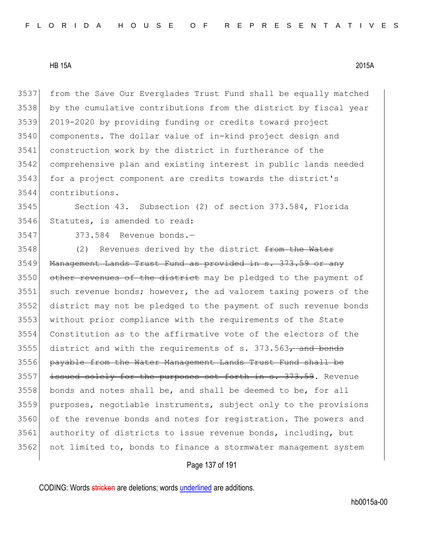from the Save Our Everglades Trust Fund shall be equally matched by the cumulative contributions from the district by fiscal year 2019-2020 by providing funding or credits toward project components. The dollar value of in-kind project design and construction work by the district in furtherance of the comprehensive plan and existing interest in public lands needed 3543 for a project component are credits towards the district's contributions.

 Section 43. Subsection (2) of section 373.584, Florida Statutes, is amended to read:

373.584 Revenue bonds.—

3548 (2) Revenues derived by the district from the Water 3549 Management Lands Trust Fund as provided in s. 373.59 or any 3550 other revenues of the district may be pledged to the payment of such revenue bonds; however, the ad valorem taxing powers of the district may not be pledged to the payment of such revenue bonds without prior compliance with the requirements of the State Constitution as to the affirmative vote of the electors of the district and with the requirements of s. 373.563, and bonds payable from the Water Management Lands Trust Fund shall be 3557 issued solely for the purposes set forth in s. 373.59. Revenue bonds and notes shall be, and shall be deemed to be, for all purposes, negotiable instruments, subject only to the provisions of the revenue bonds and notes for registration. The powers and authority of districts to issue revenue bonds, including, but not limited to, bonds to finance a stormwater management system

## Page 137 of 191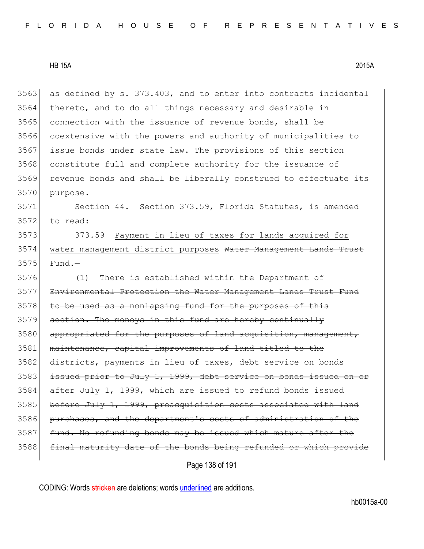$3563$  as defined by s.  $373.403$ , and to enter into contracts incidental 3564 thereto, and to do all things necessary and desirable in 3565 connection with the issuance of revenue bonds, shall be 3566 coextensive with the powers and authority of municipalities to 3567 issue bonds under state law. The provisions of this section 3568 constitute full and complete authority for the issuance of 3569 revenue bonds and shall be liberally construed to effectuate its 3570 purpose. 3571 Section 44. Section 373.59, Florida Statutes, is amended  $3572$  to read: 3573 373.59 Payment in lieu of taxes for lands acquired for 3574 water management district purposes Water Management Lands Trust  $3575$  Fund.  $3576$  (1) There is established within the Department of 3577 Environmental Protection the Water Management Lands Trust Fund  $3578$  to be used as a nonlapsing fund for the purposes of this 3579 section. The moneys in this fund are hereby continually 3580 appropriated for the purposes of land acquisition, management, 3581 maintenance, capital improvements of land titled to the 3582 districts, payments in lieu of taxes, debt service on bonds 3583 issued prior to July 1, 1999, debt service on bonds issued on or  $3584$  after July 1, 1999, which are issued to refund bonds issued 3585 before July 1, 1999, preacquisition costs associated with land 3586 purchases, and the department's costs of administration of the 3587 fund. No refunding bonds may be issued which mature after the 3588 final maturity date of the bonds being refunded or which provide

Page 138 of 191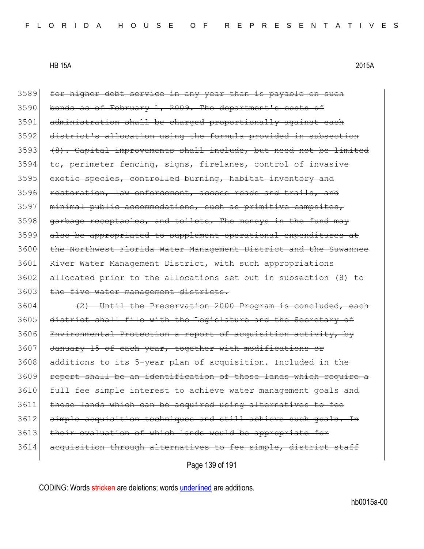3589 for higher debt service in any year than is payable on such 3590 bonds as of February 1, 2009. The department's costs of 3591 administration shall be charged proportionally against each 3592 district's allocation using the formula provided in subsection 3593 (8). Capital improvements shall include, but need not be limited 3594 to, perimeter fencing, signs, firelanes, control of invasive 3595 exotic species, controlled burning, habitat inventory and 3596 restoration, law enforcement, access roads and trails, and 3597 minimal public accommodations, such as primitive campsites,  $3598$  garbage receptacles, and toilets. The moneys in the fund may 3599 also be appropriated to supplement operational expenditures at 3600 the Northwest Florida Water Management District and the Suwannee 3601 River Water Management District, with such appropriations 3602 allocated prior to the allocations set out in subsection (8) to 3603 the five water management districts.  $3604$  (2) Until the Preservation 2000 Program is concluded, each 3605 district shall file with the Legislature and the Secretary of 3606 Environmental Protection a report of acquisition activity, by 3607 January 15 of each year, together with modifications or 3608 additions to its 5-year plan of acquisition. Included in the 3609 report shall be an identification of those lands which require a 3610 full fee simple interest to achieve water management goals and 3611 those lands which can be acquired using alternatives to fee 3612 simple acquisition techniques and still achieve such goals. In 3613 their evaluation of which lands would be appropriate 3614 acquisition through alternatives to fee simple, district staff

Page 139 of 191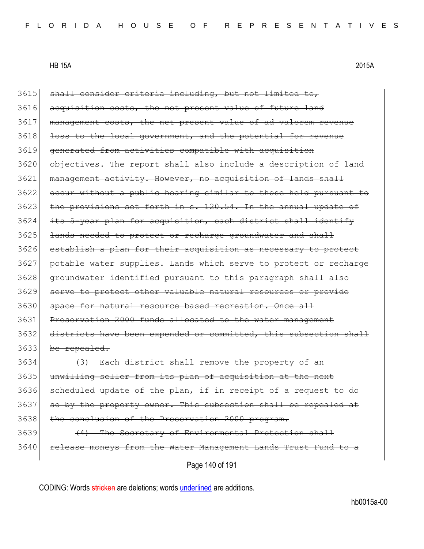$3615$  shall consider criteria including, but not limited to, 3616 acquisition costs, the net present value of future land 3617 management costs, the net present value of ad valorem revenue 3618 loss to the local government, and the potential for revenue 3619 generated from activities compatible with acquisition 3620 objectives. The report shall also include a description of land 3621 management activity. However, no acquisition of lands shall 3622 occur without a public hearing similar to those held pursuant to 3623 the provisions set forth in s. 120.54. In the annual update of 3624 its 5-year plan for acquisition, each district shall identify 3625 lands needed to protect or recharge groundwater and shall 3626 establish a plan for their acquisition as necessary to protect 3627 potable water supplies. Lands which serve to protect or recharge 3628 groundwater identified pursuant to this paragraph shall also 3629 serve to protect other valuable natural resources or provide 3630 space for natural resource based recreation. Once all 3631 Preservation 2000 funds allocated to the water management 3632 districts have been expended or committed, this subsection shall 3633 be repealed. 3634 (3) Each district shall remove the property of an 3635 unwilling seller from its plan of acquisition at the next 3636 scheduled update of the plan, if in receipt of a request to do 3637 so by the property owner. This subsection shall be repealed at 3638 the conclusion of the Preservation 2000 program. 3639 (4) The Secretary of Environmental Protection shall 3640 release moneys from the Water Management Lands Trust Fund to a

Page 140 of 191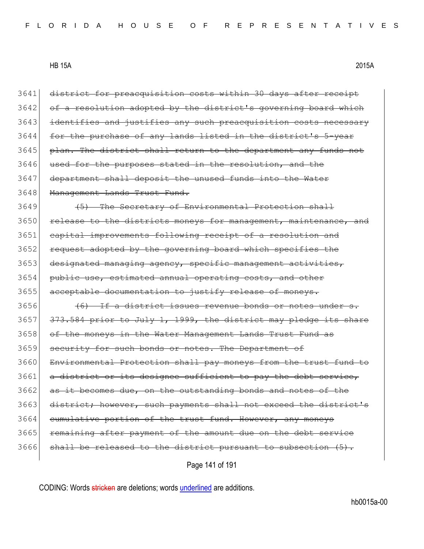| 3641 | district for preacquisition costs within 30 days after receipt   |
|------|------------------------------------------------------------------|
| 3642 | of a resolution adopted by the district's governing board which  |
| 3643 | identifies and justifies any such preacquisition costs necessary |
| 3644 | for the purchase of any lands listed in the district's 5-year    |
| 3645 | plan. The district shall return to the department any funds not  |
| 3646 | used for the purposes stated in the resolution, and the          |
| 3647 | department shall deposit the unused funds into the Water         |
| 3648 | Management Lands Trust Fund.                                     |
| 3649 | (5) The Secretary of Environmental Protection shall              |
| 3650 | release to the districts moneys for management, maintenance, and |
| 3651 | capital improvements following receipt of a resolution and       |
| 3652 | request adopted by the governing board which specifies the       |
| 3653 | designated managing agency, specific management activities,      |
| 3654 | public use, estimated annual operating costs, and other          |
| 3655 | acceptable documentation to justify release of moneys.           |
| 3656 | (6) If a district issues revenue bonds or notes under s.         |
| 3657 | 373.584 prior to July 1, 1999, the district may pledge its share |
| 3658 | of the moneys in the Water Management Lands Trust Fund as        |
| 3659 | security for such bonds or notes. The Department of              |
| 3660 | Environmental Protection shall pay moneys from the trust fund to |
| 3661 | a district or its designee sufficient to pay the debt service,   |
| 3662 | as it becomes due, on the outstanding bonds and notes of the     |
| 3663 | district; however, such payments shall not exceed the district's |
| 3664 | eumulative portion of the trust fund. However, any moneys        |
| 3665 | remaining after payment of the amount due on the debt service    |
| 3666 | shall be released to the district pursuant to subsection (5).    |
|      |                                                                  |

Page 141 of 191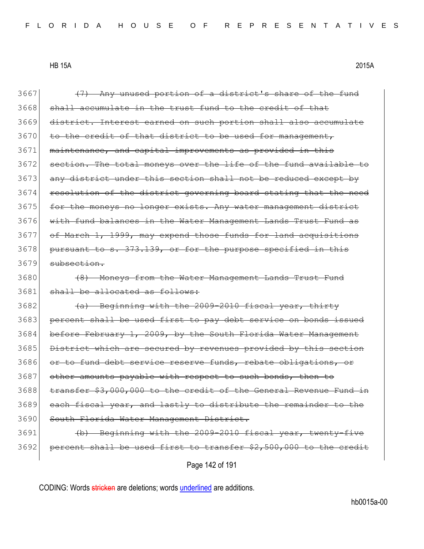$3667$  (7) Any unused portion of a district's share of the fund 3668 shall accumulate in the trust fund to the credit of that 3669 district. Interest earned on such portion shall also accumulate 3670 to the credit of that district to be used for management, 3671 maintenance, and capital improvements as provided in this 3672 section. The total moneys over the life of the fund available to 3673 any district under this section shall not be reduced except by 3674 resolution of the district governing board stating that the need 3675 for the moneys no longer exists. Any water management district 3676 with fund balances in the Water Management Lands Trust Fund as 3677 of March 1, 1999, may expend those funds for land acquisitions 3678 pursuant to s. 373.139, or for the purpose specified in this 3679 subsection. 3680 (8) Moneys from the Water Management Lands Trust Fund 3681 shall be allocated as follows:  $3682$  (a) Beginning with the 2009-2010 fiscal year, thirty 3683 percent shall be used first to pay debt service on bonds issued 3684 before February 1, 2009, by the South Florida Water Management 3685 District which are secured by revenues provided by this section 3686 or to fund debt service reserve funds, rebate obligations, or 3687 other amounts payable with respect to such bonds, then to 3688 transfer \$3,000,000 to the credit of the General Revenue Fund in 3689 each fiscal year, and lastly to distribute the remainder to the 3690 South Florida Water Management District. 3691 (b) Beginning with the 2009-2010 fiscal year, twenty-five 3692 percent shall be used first to transfer \$2,500,000 to the credit

Page 142 of 191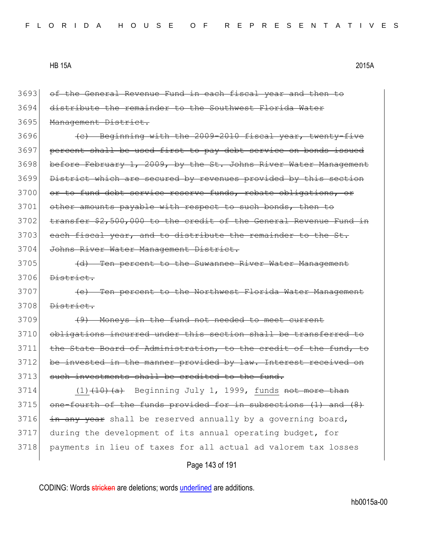Page 143 of 191 3693 of the General Revenue Fund in each fiscal year and then to 3694 distribute the remainder to the Southwest Florida Water 3695 Management District. 3696 (c) Beginning with the 2009-2010 fiscal year, twenty-five 3697 percent shall be used first to pay debt service on bonds issued 3698 before February 1, 2009, by the St. Johns River Water Management 3699 District which are secured by revenues provided by this section 3700 or to fund debt service reserve funds, rebate obligations, or 3701 other amounts payable with respect to such bonds, then to 3702 transfer \$2,500,000 to the credit of the General Revenue Fund in 3703 each fiscal year, and to distribute the remainder to the St. 3704 Johns River Water Management District. 3705 (d) Ten percent to the Suwannee River Water Management 3706 District. 3707 **(e)** Ten percent to the Northwest Florida Water Management 3708 <del>District.</del> 3709 (9) Moneys in the fund not needed to meet current 3710 obligations incurred under this section shall be transferred to 3711 the State Board of Administration, to the credit of the fund, to 3712 be invested in the manner provided by law. Interest received on 3713 such investments shall be credited to the fund.  $3714$  (1)<del>(10)(a)</del> Beginning July 1, 1999, funds not more than 3715 one-fourth of the funds provided for in subsections (1) and (8)  $3716$  in any year shall be reserved annually by a governing board, 3717 during the development of its annual operating budget, for 3718 payments in lieu of taxes for all actual ad valorem tax losses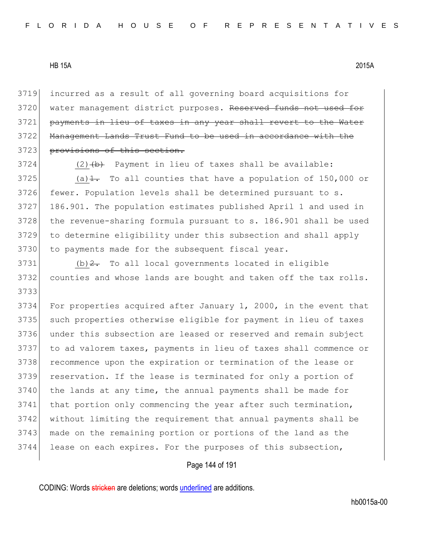3719 incurred as a result of all governing board acquisitions for 3720 water management district purposes. Reserved funds not used for 3721 payments in lieu of taxes in any year shall revert to the Water 3722 Management Lands Trust Fund to be used in accordance with the 3723 provisions of this section.

 $3724$  (2)  $\leftrightarrow$  Payment in lieu of taxes shall be available: 3725 (a) $\frac{1}{1}$ . To all counties that have a population of 150,000 or 3726 fewer. Population levels shall be determined pursuant to s. 3727 186.901. The population estimates published April 1 and used in 3728 the revenue-sharing formula pursuant to s. 186.901 shall be used 3729 to determine eligibility under this subsection and shall apply 3730 to payments made for the subsequent fiscal year.

 $3731$  (b)  $2$ . To all local governments located in eligible 3732 counties and whose lands are bought and taken off the tax rolls. 3733

 For properties acquired after January 1, 2000, in the event that such properties otherwise eligible for payment in lieu of taxes under this subsection are leased or reserved and remain subject to ad valorem taxes, payments in lieu of taxes shall commence or recommence upon the expiration or termination of the lease or reservation. If the lease is terminated for only a portion of 3740 the lands at any time, the annual payments shall be made for 3741 that portion only commencing the year after such termination, without limiting the requirement that annual payments shall be made on the remaining portion or portions of the land as the lease on each expires. For the purposes of this subsection,

## Page 144 of 191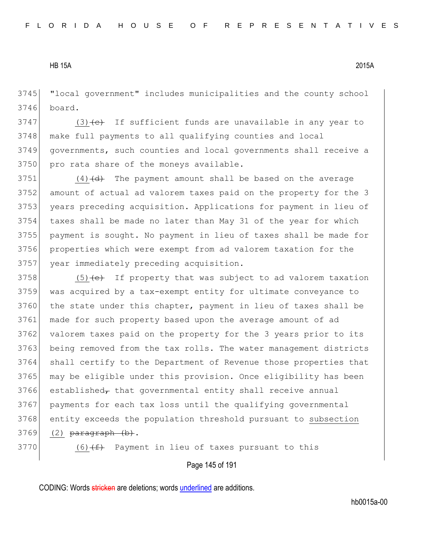"local government" includes municipalities and the county school board.

 (3)  $\leftarrow$  If sufficient funds are unavailable in any year to make full payments to all qualifying counties and local governments, such counties and local governments shall receive a 3750 pro rata share of the moneys available.

 (4)(d) The payment amount shall be based on the average amount of actual ad valorem taxes paid on the property for the 3 3753 years preceding acquisition. Applications for payment in lieu of taxes shall be made no later than May 31 of the year for which payment is sought. No payment in lieu of taxes shall be made for properties which were exempt from ad valorem taxation for the year immediately preceding acquisition.

 (5) (e) If property that was subject to ad valorem taxation was acquired by a tax-exempt entity for ultimate conveyance to 3760 the state under this chapter, payment in lieu of taxes shall be made for such property based upon the average amount of ad 3762 valorem taxes paid on the property for the 3 years prior to its being removed from the tax rolls. The water management districts shall certify to the Department of Revenue those properties that may be eligible under this provision. Once eligibility has been established<sub> $\tau$ </sub> that governmental entity shall receive annual payments for each tax loss until the qualifying governmental entity exceeds the population threshold pursuant to subsection (2)  $\overline{\text{parameter}}$  (b).

(6)<del>(f)</del> Payment in lieu of taxes pursuant to this

Page 145 of 191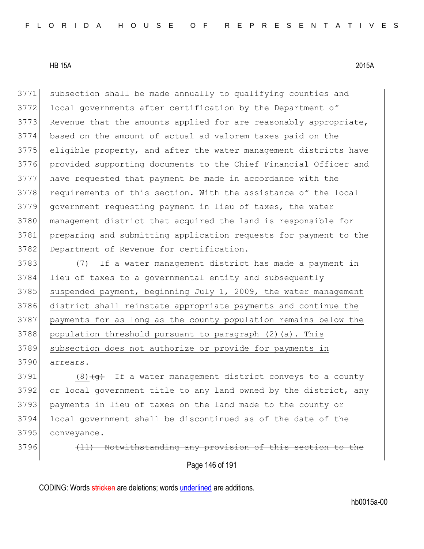subsection shall be made annually to qualifying counties and local governments after certification by the Department of 3773 Revenue that the amounts applied for are reasonably appropriate, based on the amount of actual ad valorem taxes paid on the eligible property, and after the water management districts have provided supporting documents to the Chief Financial Officer and have requested that payment be made in accordance with the 3778 requirements of this section. With the assistance of the local government requesting payment in lieu of taxes, the water 3780 management district that acquired the land is responsible for preparing and submitting application requests for payment to the 3782 Department of Revenue for certification.

 (7) If a water management district has made a payment in lieu of taxes to a governmental entity and subsequently suspended payment, beginning July 1, 2009, the water management district shall reinstate appropriate payments and continue the payments for as long as the county population remains below the 3788 population threshold pursuant to paragraph (2)(a). This 3789 subsection does not authorize or provide for payments in 3790 arrears.

3791 (8) $\left( \frac{q}{q} \right)$  If a water management district conveys to a county 3792 or local government title to any land owned by the district, any 3793 payments in lieu of taxes on the land made to the county or 3794 local government shall be discontinued as of the date of the 3795 conveyance.

 $3796$  (11) Notwithstanding any provision of this

Page 146 of 191

CODING: Words stricken are deletions; words underlined are additions.

hb0015a-00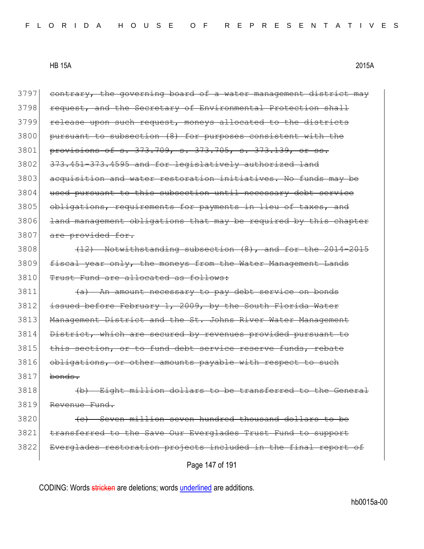| 3797 | contrary, the governing board of a water management district may |
|------|------------------------------------------------------------------|
| 3798 | request, and the Secretary of Environmental Protection shall     |
| 3799 | release upon such request, moneys allocated to the districts     |
| 3800 | pursuant to subsection (8) for purposes consistent with the      |
| 3801 | provisions of s. 373.709, s. 373.705, s. 373.139, or ss.         |
| 3802 | 373.451-373.4595 and for legislatively authorized land           |
| 3803 | acquisition and water restoration initiatives. No funds may be   |
| 3804 | used pursuant to this subsection until necessary debt service    |
| 3805 | obligations, requirements for payments in lieu of taxes, and     |
| 3806 | land management obligations that may be required by this chapter |
| 3807 | are provided for.                                                |
| 3808 | $(12)$ Notwithstanding subsection $(8)$ , and for the 2014-2015  |
| 3809 | fiscal year only, the moneys from the Water Management Lands     |
| 3810 | Trust Fund are allocated as follows:                             |
| 3811 | (a) An amount necessary to pay debt service on bonds             |
| 3812 | issued before February 1, 2009, by the South Florida Water       |
| 3813 | Management District and the St. Johns River Water Management     |
| 3814 | District, which are secured by revenues provided pursuant to     |
| 3815 | this section, or to fund debt service reserve funds, rebate      |
| 3816 | obligations, or other amounts payable with respect to such       |
| 3817 | bonds.                                                           |
| 3818 | Eight million dollars to be transferred to the General           |
| 3819 | Revenue Fund.                                                    |
| 3820 | (c) Seven million seven hundred thousand dollars to be           |
| 3821 | transferred to the Save Our Everglades Trust Fund to support     |
| 3822 | Everglades restoration projects included in the final report of  |
|      | Page 147 of 191                                                  |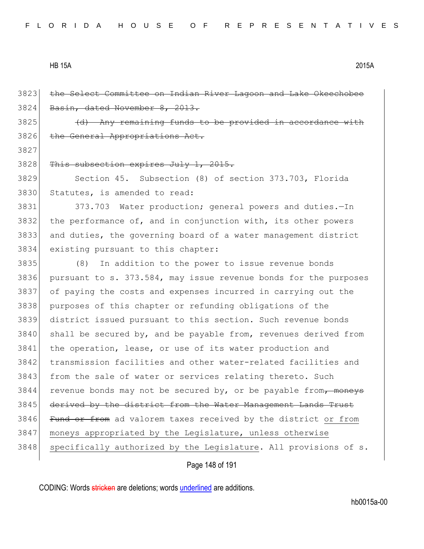3823 the Select Committee on Indian River Lagoon and Lake Okeechobee 3824 Basin, dated November 8, 2013.  $3825$  (d) Any remaining funds to be provided in accordance with 3826 the General Appropriations Act. 3827 3828 This subsection expires July 1, 2015. 3829 Section 45. Subsection (8) of section 373.703, Florida 3830 Statutes, is amended to read: 3831 373.703 Water production; general powers and duties.—In  $3832$  the performance of, and in conjunction with, its other powers 3833 and duties, the governing board of a water management district 3834 existing pursuant to this chapter: 3835 (8) In addition to the power to issue revenue bonds 3836 pursuant to s. 373.584, may issue revenue bonds for the purposes 3837 of paying the costs and expenses incurred in carrying out the 3838 purposes of this chapter or refunding obligations of the 3839 district issued pursuant to this section. Such revenue bonds  $3840$  shall be secured by, and be payable from, revenues derived from 3841 the operation, lease, or use of its water production and 3842 transmission facilities and other water-related facilities and 3843 from the sale of water or services relating thereto. Such  $3844$  revenue bonds may not be secured by, or be payable from, moneys 3845 derived by the district from the Water Management Lands Trust 3846 Fund or from ad valorem taxes received by the district or from 3847 moneys appropriated by the Legislature, unless otherwise 3848 | specifically authorized by the Legislature. All provisions of s.

#### Page 148 of 191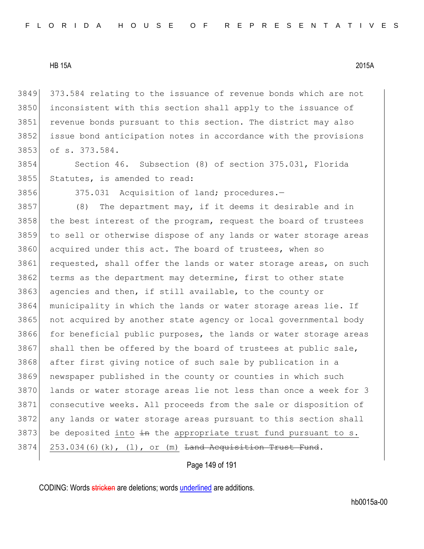373.584 relating to the issuance of revenue bonds which are not inconsistent with this section shall apply to the issuance of revenue bonds pursuant to this section. The district may also issue bond anticipation notes in accordance with the provisions of s. 373.584.

3854 Section 46. Subsection (8) of section 375.031, Florida 3855 Statutes, is amended to read:

3856 375.031 Acquisition of land; procedures.—

3857 (8) The department may, if it deems it desirable and in 3858 the best interest of the program, request the board of trustees 3859 to sell or otherwise dispose of any lands or water storage areas 3860 acquired under this act. The board of trustees, when so 3861 requested, shall offer the lands or water storage areas, on such 3862 terms as the department may determine, first to other state 3863 agencies and then, if still available, to the county or 3864 municipality in which the lands or water storage areas lie. If 3865 | not acquired by another state agency or local governmental body 3866 for beneficial public purposes, the lands or water storage areas  $3867$  shall then be offered by the board of trustees at public sale, 3868 after first giving notice of such sale by publication in a 3869 newspaper published in the county or counties in which such 3870 lands or water storage areas lie not less than once a week for 3 3871 consecutive weeks. All proceeds from the sale or disposition of 3872 any lands or water storage areas pursuant to this section shall  $3873$  be deposited into  $\frac{1}{2}$  the appropriate trust fund pursuant to s.  $3874$  253.034(6)(k), (1), or (m) <del>Land Acquisition Trust Fund</del>.

Page 149 of 191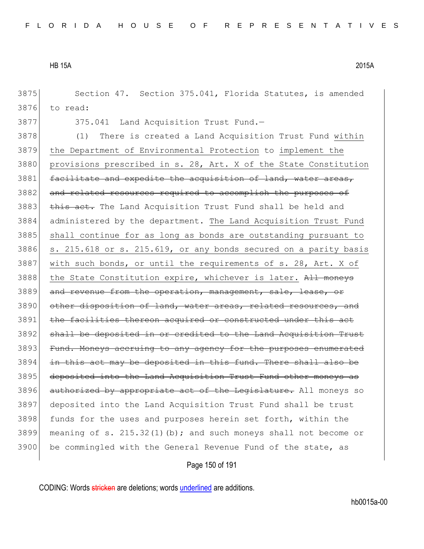3875 Section 47. Section 375.041, Florida Statutes, is amended

3876 to read:

3877 375.041 Land Acquisition Trust Fund.

3878 (1) There is created a Land Acquisition Trust Fund within 3879 the Department of Environmental Protection to implement the 3880 provisions prescribed in s. 28, Art. X of the State Constitution 3881 facilitate and expedite the acquisition of land, water areas, 3882 and related resources required to accomplish the purposes of 3883 this act. The Land Acquisition Trust Fund shall be held and 3884 administered by the department. The Land Acquisition Trust Fund 3885 shall continue for as long as bonds are outstanding pursuant to  $3886$  s. 215.618 or s. 215.619, or any bonds secured on a parity basis 3887 with such bonds, or until the requirements of s. 28, Art. X of 3888 the State Constitution expire, whichever is later. All moneys 3889 and revenue from the operation, management, sale, lease, or 3890 other disposition of land, water areas, related resources, and 3891 the facilities thereon acquired or constructed under this act 3892 shall be deposited in or credited to the Land Acquisition Trust 3893 Fund. Moneys accruing to any agency for the purposes enumerated 3894 in this act may be deposited in this fund. There shall also be 3895 deposited into the Land Acquisition Trust Fund other moneys as 3896 authorized by appropriate act of the Legislature. All moneys so 3897 deposited into the Land Acquisition Trust Fund shall be trust 3898 funds for the uses and purposes herein set forth, within the 3899 meaning of s. 215.32(1)(b); and such moneys shall not become or 3900 be commingled with the General Revenue Fund of the state, as

Page 150 of 191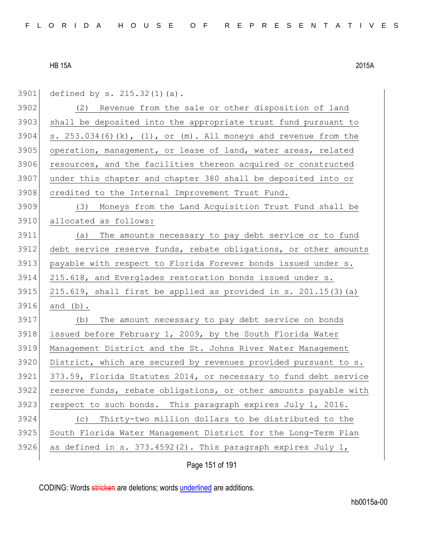3901 defined by s. 215.32(1)(a).

3902 (2) Revenue from the sale or other disposition of land 3903 shall be deposited into the appropriate trust fund pursuant to 3904 s.  $253.034(6)(k)$ ,  $(1)$ , or  $(m)$ . All moneys and revenue from the 3905 operation, management, or lease of land, water areas, related 3906 resources, and the facilities thereon acquired or constructed 3907 under this chapter and chapter 380 shall be deposited into or 3908 credited to the Internal Improvement Trust Fund. 3909 (3) Moneys from the Land Acquisition Trust Fund shall be 3910 allocated as follows: 3911 (a) The amounts necessary to pay debt service or to fund 3912 debt service reserve funds, rebate obligations, or other amounts 3913 payable with respect to Florida Forever bonds issued under s. 3914 215.618, and Everglades restoration bonds issued under s.  $3915$  215.619, shall first be applied as provided in s. 201.15(3)(a) 3916 and (b). 3917 (b) The amount necessary to pay debt service on bonds 3918 issued before February 1, 2009, by the South Florida Water 3919 Management District and the St. Johns River Water Management 3920 District, which are secured by revenues provided pursuant to s. 3921 373.59, Florida Statutes 2014, or necessary to fund debt service 3922 reserve funds, rebate obligations, or other amounts payable with 3923 respect to such bonds. This paragraph expires July 1, 2016. 3924 (c) Thirty-two million dollars to be distributed to the 3925 South Florida Water Management District for the Long-Term Plan

Page 151 of 191

3926 as defined in s. 373.4592(2). This paragraph expires July 1,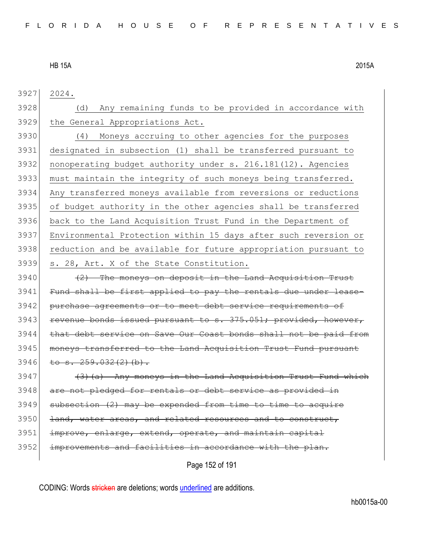3927 2024.

3928 (d) Any remaining funds to be provided in accordance with 3929 the General Appropriations Act.

 (4) Moneys accruing to other agencies for the purposes designated in subsection (1) shall be transferred pursuant to nonoperating budget authority under s. 216.181(12). Agencies must maintain the integrity of such moneys being transferred. Any transferred moneys available from reversions or reductions of budget authority in the other agencies shall be transferred back to the Land Acquisition Trust Fund in the Department of Environmental Protection within 15 days after such reversion or reduction and be available for future appropriation pursuant to s. 28, Art. X of the State Constitution.

3940 (2) The moneys on deposit in the Land Acquisition Trust 3941 Fund shall be first applied to pay the rentals due under lease-3942 purchase agreements or to meet debt service requirements of 3943 revenue bonds issued pursuant to s. 375.051; provided, however, 3944 that debt service on Save Our Coast bonds shall not be paid from 3945 moneys transferred to the Land Acquisition Trust Fund pursuant  $3946$  to s.  $259.032(2)(b)$ .

 $3947$  (3)(a) Any moneys in the Land Acquisition Trust Fund which 3948 are not pledged for rentals or debt service as provided in  $3949$  subsection (2) may be expended from time to time to acquire 3950 <del>land, water areas, and related resources and to construct,</del> 3951 improve, enlarge, extend, operate, and maintain capital 3952 improvements and facilities in accordance with the plan.

Page 152 of 191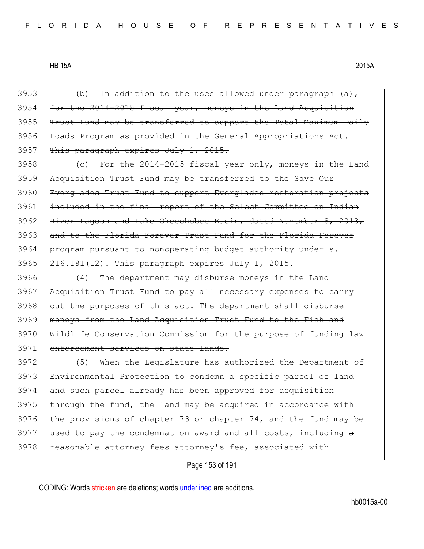Page 153 of 191 3953  $\left\{\n \begin{array}{ccc}\n \text{+b} & \text{+in addition to the uses allowed under paragraph (a)}\n \end{array}\n \right\}$ 3954 for the 2014-2015 fiscal year, moneys in the Land Acquisition 3955 Trust Fund may be transferred to support the Total Maximum Daily 3956 Loads Program as provided in the General Appropriations Act. 3957 This paragraph expires July 1, 2015.  $3958$  (c) For the 2014-2015 fiscal year only, moneys in the Land 3959 Acquisition Trust Fund may be transferred to the Save Our 3960 Everglades Trust Fund to support Everglades restoration projects 3961 included in the final report of the Select Committee on Indian 3962 River Lagoon and Lake Okeechobee Basin, dated November  $8, 2013,$ 3963 and to the Florida Forever Trust Fund for the Florida Forever 3964 program pursuant to nonoperating budget authority under s. 3965 216.181(12). This paragraph expires July 1, 2015.  $3966$  (4) The department may disburse moneys in the Land 3967 Acquisition Trust Fund to pay all necessary expenses to carry 3968 out the purposes of this act. The department shall disburse 3969 moneys from the Land Acquisition Trust Fund to the Fish and 3970 Wildlife Conservation Commission for the purpose of funding law 3971 enforcement services on state lands. 3972 (5) When the Legislature has authorized the Department of 3973 Environmental Protection to condemn a specific parcel of land 3974 and such parcel already has been approved for acquisition  $3975$  through the fund, the land may be acquired in accordance with 3976 the provisions of chapter 73 or chapter 74, and the fund may be  $3977$  used to pay the condemnation award and all costs, including  $a$ 3978 reasonable attorney fees attorney's fee, associated with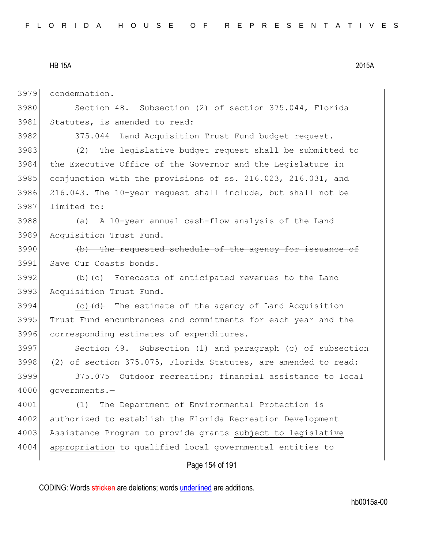3979 condemnation.

3980 Section 48. Subsection (2) of section 375.044, Florida 3981 Statutes, is amended to read:

3982 375.044 Land Acquisition Trust Fund budget request.

 (2) The legislative budget request shall be submitted to the Executive Office of the Governor and the Legislature in 3985 conjunction with the provisions of ss. 216.023, 216.031, and 216.043. The 10-year request shall include, but shall not be limited to:

3988 (a) A 10-year annual cash-flow analysis of the Land 3989 Acquisition Trust Fund.

3990 (b) The requested schedule of the agency for issuance of 3991 Save Our Coasts bonds.

3992  $(b)$  (b)  $\left(\frac{c}{c}\right)$  Forecasts of anticipated revenues to the Land 3993 Acquisition Trust Fund.

3994  $(c)$   $(d)$  The estimate of the agency of Land Acquisition 3995 Trust Fund encumbrances and commitments for each year and the 3996 corresponding estimates of expenditures.

3997 Section 49. Subsection (1) and paragraph (c) of subsection 3998 (2) of section 375.075, Florida Statutes, are amended to read: 3999 375.075 Outdoor recreation; financial assistance to local

4000 governments.—

4001 (1) The Department of Environmental Protection is 4002 authorized to establish the Florida Recreation Development 4003 Assistance Program to provide grants subject to legislative 4004 appropriation to qualified local governmental entities to

Page 154 of 191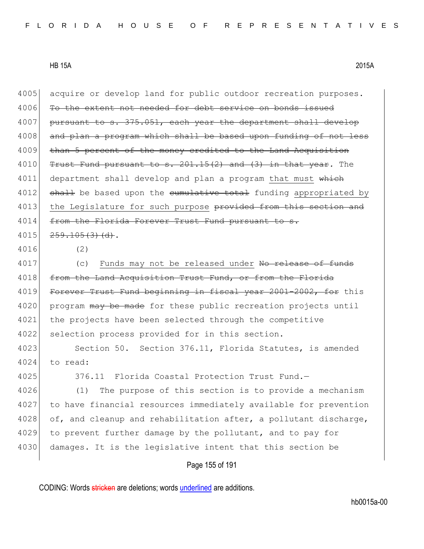| 4005 | acquire or develop land for public outdoor recreation purposes.  |
|------|------------------------------------------------------------------|
| 4006 | To the extent not needed for debt service on bonds issued        |
| 4007 | pursuant to s. 375.051, each year the department shall develop   |
| 4008 | and plan a program which shall be based upon funding of not less |
| 4009 | than 5 percent of the money credited to the Land Acquisition     |
| 4010 | Trust Fund pursuant to s. 201.15(2) and (3) in that year. The    |
| 4011 | department shall develop and plan a program that must which      |
| 4012 | shall be based upon the cumulative total funding appropriated by |
| 4013 | the Legislature for such purpose provided from this section and  |
| 4014 | from the Florida Forever Trust Fund pursuant to s.               |
| 4015 | 259.105(3)(d).                                                   |
| 4016 | (2)                                                              |
| 4017 | Funds may not be released under No release of funds<br>(C)       |
| 4018 | from the Land Acquisition Trust Fund, or from the Florida        |
| 4019 | Forever Trust Fund beginning in fiscal year 2001-2002, for this  |
| 4020 | program may be made for these public recreation projects until   |
| 4021 | the projects have been selected through the competitive          |
| 4022 | selection process provided for in this section.                  |
| 4023 | Section 50. Section 376.11, Florida Statutes, is amended         |
| 4024 | to read:                                                         |
| 4025 | 376.11 Florida Coastal Protection Trust Fund.-                   |
| 4026 | The purpose of this section is to provide a mechanism<br>(1)     |
| 4027 | to have financial resources immediately available for prevention |
| 4028 | of, and cleanup and rehabilitation after, a pollutant discharge, |
| 4029 | to prevent further damage by the pollutant, and to pay for       |
| 4030 | damages. It is the legislative intent that this section be       |
|      | Page 155 of 191                                                  |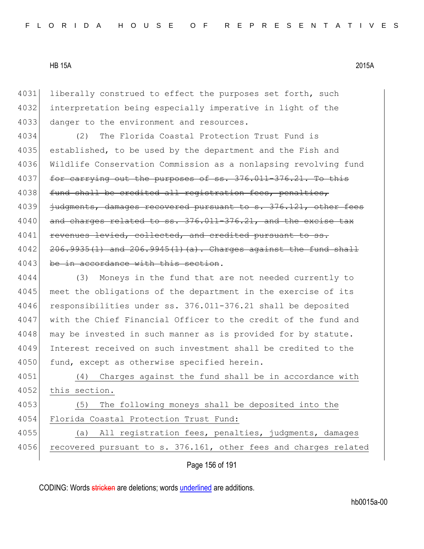4031 liberally construed to effect the purposes set forth, such 4032 interpretation being especially imperative in light of the 4033 danger to the environment and resources.

4034 (2) The Florida Coastal Protection Trust Fund is 4035 established, to be used by the department and the Fish and 4036 Wildlife Conservation Commission as a nonlapsing revolving fund 4037 for carrying out the purposes of ss. 376.011-376.21. To this 4038 fund shall be credited all registration fees, penalties, 4039 judgments, damages recovered pursuant to s. 376.121, other fees 4040 and charges related to ss. 376.011-376.21, and the excise tax 4041 revenues levied, collected, and credited pursuant  $4042$   $206.9935(1)$  and  $206.9945(1)(a)$ . Charges against the fund shall 4043 be in accordance with this section.

4044 (3) Moneys in the fund that are not needed currently to 4045 meet the obligations of the department in the exercise of its 4046 responsibilities under ss. 376.011-376.21 shall be deposited 4047 with the Chief Financial Officer to the credit of the fund and 4048 may be invested in such manner as is provided for by statute. 4049 Interest received on such investment shall be credited to the 4050 fund, except as otherwise specified herein.

4051 (4) Charges against the fund shall be in accordance with 4052 this section.

4053 (5) The following moneys shall be deposited into the 4054 Florida Coastal Protection Trust Fund:

4055 (a) All registration fees, penalties, judgments, damages 4056 recovered pursuant to s. 376.161, other fees and charges related

Page 156 of 191

CODING: Words stricken are deletions; words underlined are additions.

hb0015a-00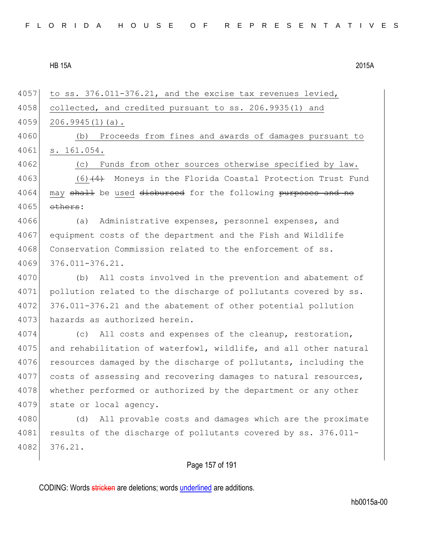| 4057 | to ss. 376.011-376.21, and the excise tax revenues levied,       |
|------|------------------------------------------------------------------|
| 4058 | collected, and credited pursuant to ss. 206.9935(1) and          |
| 4059 | $206.9945(1)(a)$ .                                               |
| 4060 | (b) Proceeds from fines and awards of damages pursuant to        |
| 4061 | s. 161.054.                                                      |
| 4062 | Funds from other sources otherwise specified by law.<br>(C)      |
| 4063 | $(6)$ $(4)$ Moneys in the Florida Coastal Protection Trust Fund  |
| 4064 | may shall be used disbursed for the following purposes and no    |
| 4065 | others:                                                          |
| 4066 | (a)<br>Administrative expenses, personnel expenses, and          |
| 4067 | equipment costs of the department and the Fish and Wildlife      |
| 4068 | Conservation Commission related to the enforcement of ss.        |
| 4069 | $376.011 - 376.21.$                                              |
| 4070 | (b) All costs involved in the prevention and abatement of        |
| 4071 | pollution related to the discharge of pollutants covered by ss.  |
| 4072 | 376.011-376.21 and the abatement of other potential pollution    |
| 4073 | hazards as authorized herein.                                    |
| 4074 | (c) All costs and expenses of the cleanup, restoration,          |
| 4075 | and rehabilitation of waterfowl, wildlife, and all other natural |
| 4076 | resources damaged by the discharge of pollutants, including the  |
| 4077 | costs of assessing and recovering damages to natural resources,  |
| 4078 | whether performed or authorized by the department or any other   |
| 4079 | state or local agency.                                           |
| 4080 | All provable costs and damages which are the proximate<br>(d)    |
| 4081 | results of the discharge of pollutants covered by ss. 376.011-   |
| 4082 | 376.21.                                                          |
|      |                                                                  |

# Page 157 of 191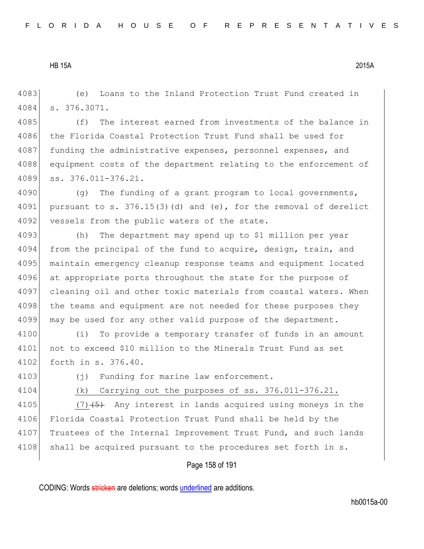4083 (e) Loans to the Inland Protection Trust Fund created in 4084 s. 376.3071.

4085 (f) The interest earned from investments of the balance in 4086 the Florida Coastal Protection Trust Fund shall be used for 4087 funding the administrative expenses, personnel expenses, and 4088 equipment costs of the department relating to the enforcement of 4089 ss. 376.011-376.21.

4090 (g) The funding of a grant program to local governments, 4091 pursuant to s.  $376.15(3)(d)$  and (e), for the removal of derelict 4092 vessels from the public waters of the state.

4093 (h) The department may spend up to \$1 million per year 4094 from the principal of the fund to acquire, design, train, and 4095 maintain emergency cleanup response teams and equipment located 4096 at appropriate ports throughout the state for the purpose of 4097 cleaning oil and other toxic materials from coastal waters. When 4098 the teams and equipment are not needed for these purposes they 4099 may be used for any other valid purpose of the department.

4100 (i) To provide a temporary transfer of funds in an amount 4101 not to exceed \$10 million to the Minerals Trust Fund as set 4102 forth in s. 376.40.

4103 (j) Funding for marine law enforcement.

4104 (k) Carrying out the purposes of ss. 376.011-376.21.

4105 (7) $(5)$  Any interest in lands acquired using moneys in the 4106 Florida Coastal Protection Trust Fund shall be held by the 4107 Trustees of the Internal Improvement Trust Fund, and such lands 4108 shall be acquired pursuant to the procedures set forth in s.

Page 158 of 191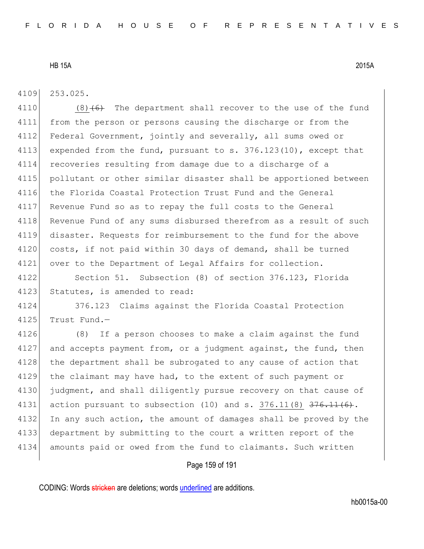4109 253.025.

4110  $(8)$  (6) The department shall recover to the use of the fund 4111 from the person or persons causing the discharge or from the 4112 Federal Government, jointly and severally, all sums owed or 4113 expended from the fund, pursuant to s. 376.123(10), except that 4114 recoveries resulting from damage due to a discharge of a 4115 pollutant or other similar disaster shall be apportioned between 4116 the Florida Coastal Protection Trust Fund and the General 4117 Revenue Fund so as to repay the full costs to the General 4118 Revenue Fund of any sums disbursed therefrom as a result of such 4119 disaster. Requests for reimbursement to the fund for the above 4120 costs, if not paid within 30 days of demand, shall be turned 4121 over to the Department of Legal Affairs for collection.

4122 Section 51. Subsection (8) of section 376.123, Florida 4123 Statutes, is amended to read:

4124 376.123 Claims against the Florida Coastal Protection  $4125$  Trust Fund.

4126 (8) If a person chooses to make a claim against the fund  $4127$  and accepts payment from, or a judgment against, the fund, then 4128 the department shall be subrogated to any cause of action that 4129 the claimant may have had, to the extent of such payment or 4130 judgment, and shall diligently pursue recovery on that cause of 4131 action pursuant to subsection  $(10)$  and s. 376.11 $(8)$  376.11 $(6)$ . 4132 In any such action, the amount of damages shall be proved by the 4133 department by submitting to the court a written report of the 4134 amounts paid or owed from the fund to claimants. Such written

#### Page 159 of 191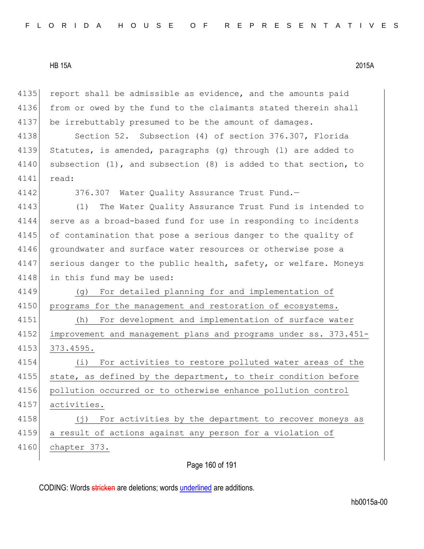4135 report shall be admissible as evidence, and the amounts paid 4136 from or owed by the fund to the claimants stated therein shall 4137 be irrebuttably presumed to be the amount of damages.

4138 Section 52. Subsection (4) of section 376.307, Florida 4139 Statutes, is amended, paragraphs (g) through (l) are added to 4140 subsection (1), and subsection (8) is added to that section, to 4141 read:

4142 376.307 Water Quality Assurance Trust Fund.-

4143 (1) The Water Quality Assurance Trust Fund is intended to 4144 serve as a broad-based fund for use in responding to incidents 4145 of contamination that pose a serious danger to the quality of 4146 groundwater and surface water resources or otherwise pose a 4147 serious danger to the public health, safety, or welfare. Moneys 4148 in this fund may be used:

4149 (g) For detailed planning for and implementation of 4150 programs for the management and restoration of ecosystems. 4151 (h) For development and implementation of surface water

4152 improvement and management plans and programs under ss. 373.451- 4153 373.4595.

4154 (i) For activities to restore polluted water areas of the 4155 state, as defined by the department, to their condition before 4156 pollution occurred or to otherwise enhance pollution control 4157 activities. 4158 (j) For activities by the department to recover moneys as

4159 a result of actions against any person for a violation of

4160 chapter 373.

Page 160 of 191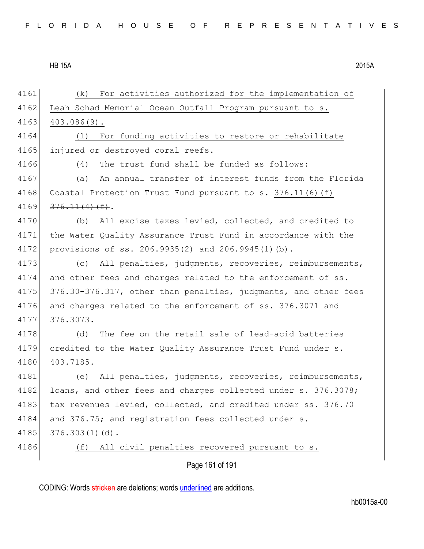| 4161 | For activities authorized for the implementation of<br>(k)      |
|------|-----------------------------------------------------------------|
| 4162 | Leah Schad Memorial Ocean Outfall Program pursuant to s.        |
| 4163 | $403.086(9)$ .                                                  |
| 4164 | For funding activities to restore or rehabilitate<br>(1)        |
| 4165 | injured or destroyed coral reefs.                               |
| 4166 | The trust fund shall be funded as follows:<br>(4)               |
| 4167 | An annual transfer of interest funds from the Florida<br>(a)    |
| 4168 | Coastal Protection Trust Fund pursuant to s. 376.11(6)(f)       |
| 4169 | $376.11(4)$ (f).                                                |
| 4170 | (b) All excise taxes levied, collected, and credited to         |
| 4171 | the Water Quality Assurance Trust Fund in accordance with the   |
| 4172 | provisions of ss. 206.9935(2) and 206.9945(1)(b).               |
| 4173 | All penalties, judgments, recoveries, reimbursements,<br>(C)    |
| 4174 | and other fees and charges related to the enforcement of ss.    |
| 4175 | 376.30-376.317, other than penalties, judgments, and other fees |
| 4176 | and charges related to the enforcement of ss. 376.3071 and      |
| 4177 | 376.3073.                                                       |
| 4178 | The fee on the retail sale of lead-acid batteries<br>(d)        |
| 4179 | credited to the Water Quality Assurance Trust Fund under s.     |
| 4180 | 403.7185.                                                       |
| 4181 | All penalties, judgments, recoveries, reimbursements,<br>(e)    |
| 4182 | loans, and other fees and charges collected under s. 376.3078;  |
| 4183 | tax revenues levied, collected, and credited under ss. 376.70   |
| 4184 | and 376.75; and registration fees collected under s.            |
| 4185 | $376.303(1)(d)$ .                                               |
| 4186 | All civil penalties recovered pursuant to s.<br>(f)             |
|      | Page 161 of 191                                                 |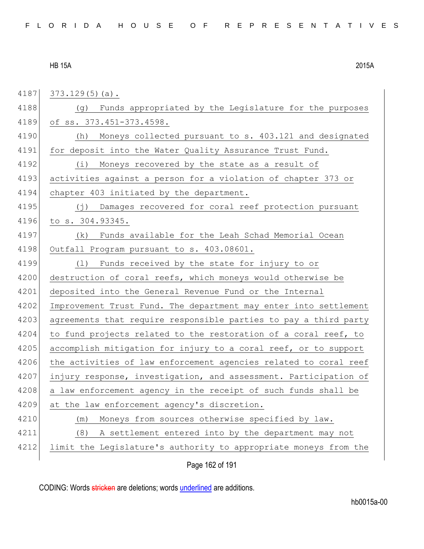| 4187 | $373.129(5)(a)$ .                                                |
|------|------------------------------------------------------------------|
| 4188 | Funds appropriated by the Legislature for the purposes<br>(g)    |
| 4189 | of ss. 373.451-373.4598.                                         |
| 4190 | Moneys collected pursuant to s. 403.121 and designated<br>(h)    |
| 4191 | for deposit into the Water Quality Assurance Trust Fund.         |
| 4192 | $(\dot{\perp})$<br>Moneys recovered by the state as a result of  |
| 4193 | activities against a person for a violation of chapter 373 or    |
| 4194 | chapter 403 initiated by the department.                         |
| 4195 | Damages recovered for coral reef protection pursuant<br>( i )    |
| 4196 | to s. 304.93345.                                                 |
| 4197 | Funds available for the Leah Schad Memorial Ocean<br>(k)         |
| 4198 | Outfall Program pursuant to s. 403.08601.                        |
| 4199 | Funds received by the state for injury to or<br>(1)              |
| 4200 | destruction of coral reefs, which moneys would otherwise be      |
| 4201 | deposited into the General Revenue Fund or the Internal          |
| 4202 | Improvement Trust Fund. The department may enter into settlement |
| 4203 | agreements that require responsible parties to pay a third party |
| 4204 | to fund projects related to the restoration of a coral reef, to  |
| 4205 | accomplish mitigation for injury to a coral reef, or to support  |
| 4206 | the activities of law enforcement agencies related to coral reef |
| 4207 | injury response, investigation, and assessment. Participation of |
| 4208 | a law enforcement agency in the receipt of such funds shall be   |
| 4209 | at the law enforcement agency's discretion.                      |
| 4210 | Moneys from sources otherwise specified by law.<br>(m)           |
| 4211 | (8)<br>A settlement entered into by the department may not       |
| 4212 | limit the Legislature's authority to appropriate moneys from the |
|      |                                                                  |

Page 162 of 191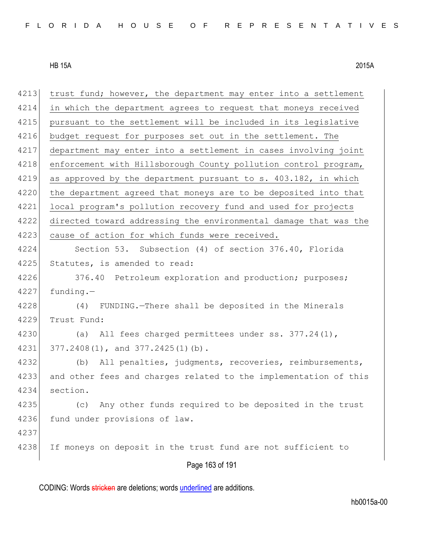| 4213 | trust fund; however, the department may enter into a settlement  |
|------|------------------------------------------------------------------|
| 4214 | in which the department agrees to request that moneys received   |
| 4215 | pursuant to the settlement will be included in its legislative   |
| 4216 | budget request for purposes set out in the settlement. The       |
| 4217 | department may enter into a settlement in cases involving joint  |
| 4218 | enforcement with Hillsborough County pollution control program,  |
| 4219 | as approved by the department pursuant to s. 403.182, in which   |
| 4220 | the department agreed that moneys are to be deposited into that  |
| 4221 | local program's pollution recovery fund and used for projects    |
| 4222 | directed toward addressing the environmental damage that was the |
| 4223 | cause of action for which funds were received.                   |
| 4224 | Section 53. Subsection (4) of section 376.40, Florida            |
| 4225 | Statutes, is amended to read:                                    |
| 4226 | 376.40 Petroleum exploration and production; purposes;           |
| 4227 | $funding. -$                                                     |
| 4228 | FUNDING.-There shall be deposited in the Minerals<br>(4)         |
| 4229 | Trust Fund:                                                      |
| 4230 | All fees charged permittees under ss. 377.24(1),<br>(a)          |
| 4231 | 377.2408(1), and 377.2425(1)(b).                                 |
| 4232 | All penalties, judgments, recoveries, reimbursements,<br>(b)     |
| 4233 | and other fees and charges related to the implementation of this |
| 4234 | section.                                                         |
| 4235 | Any other funds required to be deposited in the trust<br>(c)     |
| 4236 | fund under provisions of law.                                    |
| 4237 |                                                                  |
| 4238 | If moneys on deposit in the trust fund are not sufficient to     |
|      | Page 163 of 191                                                  |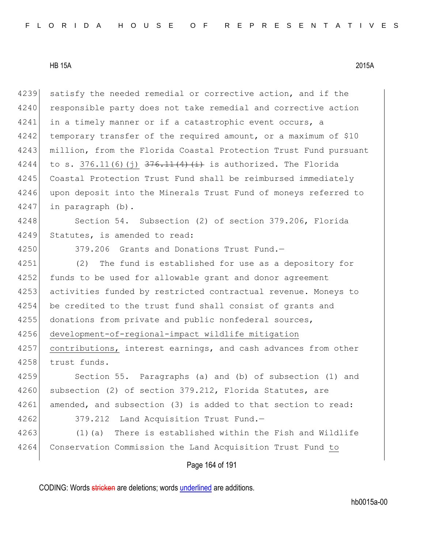| 4239 | satisfy the needed remedial or corrective action, and if the        |
|------|---------------------------------------------------------------------|
| 4240 | responsible party does not take remedial and corrective action      |
| 4241 | in a timely manner or if a catastrophic event occurs, a             |
| 4242 | temporary transfer of the required amount, or a maximum of \$10     |
| 4243 | million, from the Florida Coastal Protection Trust Fund pursuant    |
| 4244 | to s. 376.11(6)(j) $\frac{376.11(4)}{1}$ is authorized. The Florida |
| 4245 | Coastal Protection Trust Fund shall be reimbursed immediately       |
| 4246 | upon deposit into the Minerals Trust Fund of moneys referred to     |
| 4247 | in paragraph (b).                                                   |
| 4248 | Section 54. Subsection (2) of section 379.206, Florida              |
| 4249 | Statutes, is amended to read:                                       |
| 4250 | 379.206 Grants and Donations Trust Fund.-                           |
| 4251 | The fund is established for use as a depository for<br>(2)          |
| 4252 | funds to be used for allowable grant and donor agreement            |
| 4253 | activities funded by restricted contractual revenue. Moneys to      |
| 4254 | be credited to the trust fund shall consist of grants and           |
| 4255 | donations from private and public nonfederal sources,               |
| 4256 | development-of-regional-impact wildlife mitigation                  |
| 4257 | contributions, interest earnings, and cash advances from other      |
| 4258 | trust funds.                                                        |
| 4259 | Section 55. Paragraphs (a) and (b) of subsection (1) and            |
| 4260 | subsection (2) of section 379.212, Florida Statutes, are            |
| 4261 | amended, and subsection (3) is added to that section to read:       |
| 4262 | 379.212<br>Land Acquisition Trust Fund.-                            |
| 4263 | There is established within the Fish and Wildlife<br>$(1)$ (a)      |
| 4264 | Conservation Commission the Land Acquisition Trust Fund to          |
|      |                                                                     |

## Page 164 of 191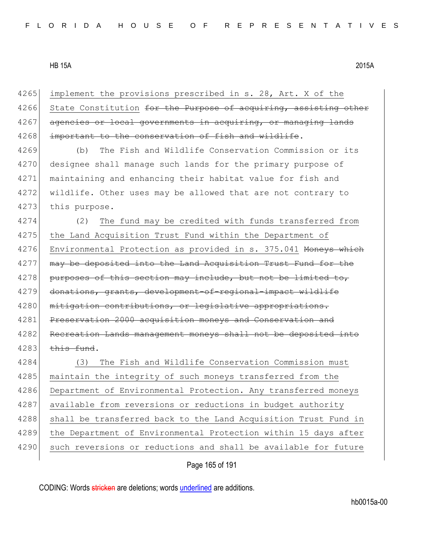| 4265 | implement the provisions prescribed in s. 28, Art. X of the      |
|------|------------------------------------------------------------------|
| 4266 | State Constitution for the Purpose of acquiring, assisting other |
| 4267 | agencies or local governments in acquiring, or managing lands    |
| 4268 | important to the conservation of fish and wildlife.              |
| 4269 | The Fish and Wildlife Conservation Commission or its<br>(b)      |
| 4270 | designee shall manage such lands for the primary purpose of      |
| 4271 | maintaining and enhancing their habitat value for fish and       |
| 4272 | wildlife. Other uses may be allowed that are not contrary to     |
| 4273 | this purpose.                                                    |
| 4274 | The fund may be credited with funds transferred from<br>(2)      |
| 4275 | the Land Acquisition Trust Fund within the Department of         |
| 4276 | Environmental Protection as provided in s. 375.041 Moneys which  |
| 4277 | may be deposited into the Land Acquisition Trust Fund for the    |
| 4278 | purposes of this section may include, but not be limited to,     |
| 4279 | donations, grants, development-of-regional-impact wildlife       |
| 4280 | mitigation contributions, or legislative appropriations.         |
| 4281 | Preservation 2000 acquisition moneys and Conservation and        |
| 4282 | Recreation Lands management moneys shall not be deposited into   |
| 4283 | this fund.                                                       |
| 4284 | The Fish and Wildlife Conservation Commission must<br>(3)        |
| 4285 | maintain the integrity of such moneys transferred from the       |
| 4286 | Department of Environmental Protection. Any transferred moneys   |
| 4287 | available from reversions or reductions in budget authority      |
| 4288 | shall be transferred back to the Land Acquisition Trust Fund in  |
| 4289 | the Department of Environmental Protection within 15 days after  |
| 4290 | such reversions or reductions and shall be available for future  |
|      |                                                                  |

Page 165 of 191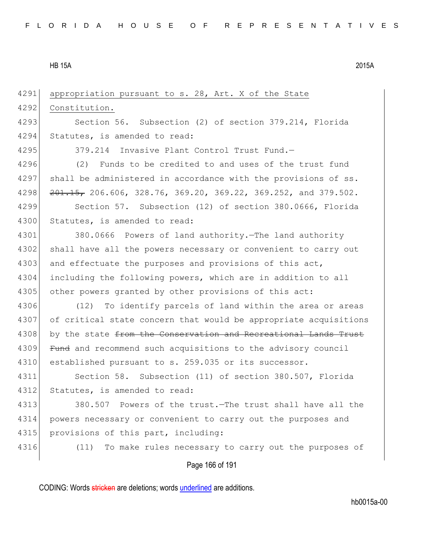4291 appropriation pursuant to s. 28, Art. X of the State 4292 Constitution. 4293 Section 56. Subsection (2) of section 379.214, Florida 4294 Statutes, is amended to read: 4295 379.214 Invasive Plant Control Trust Fund.— 4296 (2) Funds to be credited to and uses of the trust fund 4297 shall be administered in accordance with the provisions of ss. 4298 <del>201.15,</del> 206.606, 328.76, 369.20, 369.22, 369.252, and 379.502. 4299 Section 57. Subsection (12) of section 380.0666, Florida 4300 Statutes, is amended to read: 4301 380.0666 Powers of land authority.—The land authority 4302 shall have all the powers necessary or convenient to carry out 4303 and effectuate the purposes and provisions of this act, 4304 including the following powers, which are in addition to all 4305 other powers granted by other provisions of this act: 4306 (12) To identify parcels of land within the area or areas 4307 of critical state concern that would be appropriate acquisitions 4308 by the state from the Conservation and Recreational Lands Trust 4309 Fund and recommend such acquisitions to the advisory council 4310 established pursuant to s. 259.035 or its successor. 4311 Section 58. Subsection (11) of section 380.507, Florida 4312 Statutes, is amended to read: 4313 380.507 Powers of the trust.—The trust shall have all the 4314 powers necessary or convenient to carry out the purposes and 4315 provisions of this part, including: 4316 (11) To make rules necessary to carry out the purposes of

Page 166 of 191

CODING: Words stricken are deletions; words underlined are additions.

hb0015a-00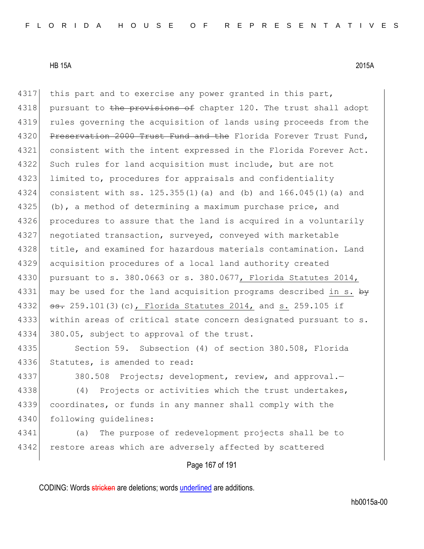4317 this part and to exercise any power granted in this part, 4318 pursuant to the provisions of chapter 120. The trust shall adopt 4319 rules governing the acquisition of lands using proceeds from the 4320 Preservation 2000 Trust Fund and the Florida Forever Trust Fund, 4321 consistent with the intent expressed in the Florida Forever Act. 4322 Such rules for land acquisition must include, but are not 4323 limited to, procedures for appraisals and confidentiality 4324 consistent with ss. 125.355(1)(a) and (b) and 166.045(1)(a) and 4325 (b), a method of determining a maximum purchase price, and 4326 procedures to assure that the land is acquired in a voluntarily 4327 negotiated transaction, surveyed, conveyed with marketable 4328 title, and examined for hazardous materials contamination. Land 4329 acquisition procedures of a local land authority created 4330 pursuant to s. 380.0663 or s. 380.0677, Florida Statutes 2014, 4331 may be used for the land acquisition programs described in s. by 4332  $\sigma$   $\sigma$  259.101(3)(c), Florida Statutes 2014, and s. 259.105 if 4333 | within areas of critical state concern designated pursuant to s. 4334 380.05, subject to approval of the trust. 4335 Section 59. Subsection (4) of section 380.508, Florida

4336 Statutes, is amended to read:

4337 380.508 Projects; development, review, and approval.

4338 (4) Projects or activities which the trust undertakes, 4339 coordinates, or funds in any manner shall comply with the 4340 following quidelines:

4341 (a) The purpose of redevelopment projects shall be to 4342 restore areas which are adversely affected by scattered

Page 167 of 191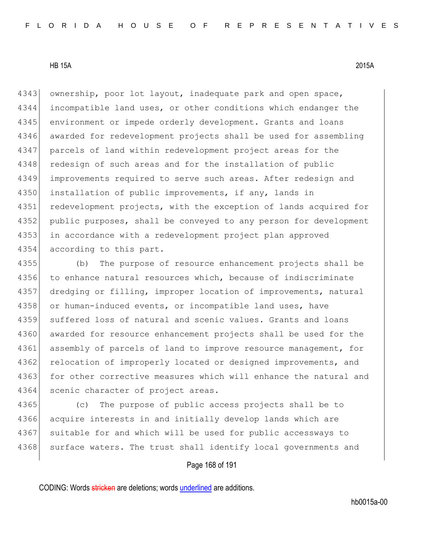4343 ownership, poor lot layout, inadequate park and open space, 4344 incompatible land uses, or other conditions which endanger the 4345 environment or impede orderly development. Grants and loans 4346 awarded for redevelopment projects shall be used for assembling 4347 parcels of land within redevelopment project areas for the 4348 redesign of such areas and for the installation of public 4349 improvements required to serve such areas. After redesign and 4350 installation of public improvements, if any, lands in 4351 redevelopment projects, with the exception of lands acquired for 4352 public purposes, shall be conveyed to any person for development 4353 in accordance with a redevelopment project plan approved 4354 according to this part.

4355 (b) The purpose of resource enhancement projects shall be 4356 to enhance natural resources which, because of indiscriminate 4357 dredging or filling, improper location of improvements, natural 4358 or human-induced events, or incompatible land uses, have 4359 suffered loss of natural and scenic values. Grants and loans 4360 awarded for resource enhancement projects shall be used for the 4361 assembly of parcels of land to improve resource management, for 4362 relocation of improperly located or designed improvements, and 4363 for other corrective measures which will enhance the natural and 4364 scenic character of project areas.

4365 (c) The purpose of public access projects shall be to 4366 acquire interests in and initially develop lands which are 4367 suitable for and which will be used for public accessways to 4368 surface waters. The trust shall identify local governments and

#### Page 168 of 191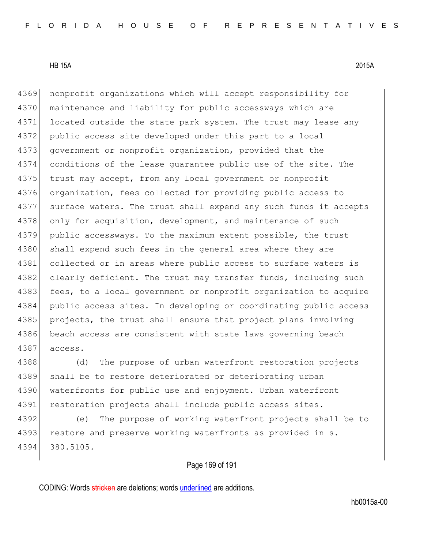4369 nonprofit organizations which will accept responsibility for 4370 maintenance and liability for public accessways which are 4371 located outside the state park system. The trust may lease any 4372 public access site developed under this part to a local 4373 government or nonprofit organization, provided that the 4374 conditions of the lease guarantee public use of the site. The 4375 trust may accept, from any local government or nonprofit 4376 organization, fees collected for providing public access to 4377 surface waters. The trust shall expend any such funds it accepts 4378 only for acquisition, development, and maintenance of such 4379 public accessways. To the maximum extent possible, the trust 4380 shall expend such fees in the general area where they are 4381 collected or in areas where public access to surface waters is 4382 clearly deficient. The trust may transfer funds, including such 4383 fees, to a local government or nonprofit organization to acquire 4384 public access sites. In developing or coordinating public access 4385 projects, the trust shall ensure that project plans involving 4386 beach access are consistent with state laws governing beach 4387 access.

4388 (d) The purpose of urban waterfront restoration projects 4389 shall be to restore deteriorated or deteriorating urban 4390 waterfronts for public use and enjoyment. Urban waterfront 4391 restoration projects shall include public access sites.

4392 (e) The purpose of working waterfront projects shall be to 4393 restore and preserve working waterfronts as provided in s. 4394 380.5105.

Page 169 of 191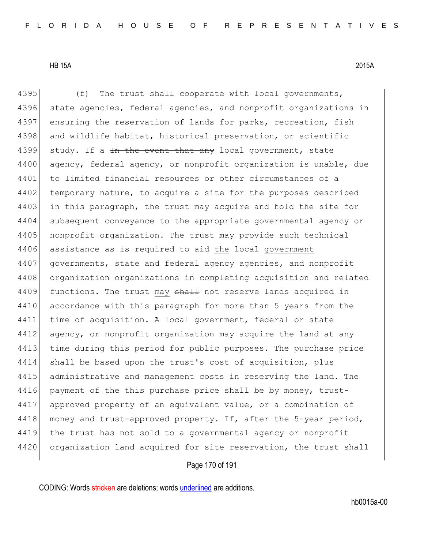4395 (f) The trust shall cooperate with local governments, 4396 state agencies, federal agencies, and nonprofit organizations in

4397 ensuring the reservation of lands for parks, recreation, fish 4398 and wildlife habitat, historical preservation, or scientific 4399 study. If a  $\frac{1}{2}$  the event that any local government, state 4400 agency, federal agency, or nonprofit organization is unable, due 4401 to limited financial resources or other circumstances of a 4402 temporary nature, to acquire a site for the purposes described 4403 in this paragraph, the trust may acquire and hold the site for 4404 subsequent conveyance to the appropriate governmental agency or 4405 nonprofit organization. The trust may provide such technical 4406 assistance as is required to aid the local government 4407 **governments,** state and federal agency agencies, and nonprofit 4408 organization organizations in completing acquisition and related 4409 functions. The trust may shall not reserve lands acquired in 4410 accordance with this paragraph for more than 5 years from the 4411 time of acquisition. A local government, federal or state 4412 agency, or nonprofit organization may acquire the land at any 4413 time during this period for public purposes. The purchase price 4414 shall be based upon the trust's cost of acquisition, plus 4415 administrative and management costs in reserving the land. The 4416 payment of the  $\frac{1}{2}$  purchase price shall be by money, trust-4417 approved property of an equivalent value, or a combination of 4418 money and trust-approved property. If, after the 5-year period, 4419 the trust has not sold to a governmental agency or nonprofit 4420 organization land acquired for site reservation, the trust shall

Page 170 of 191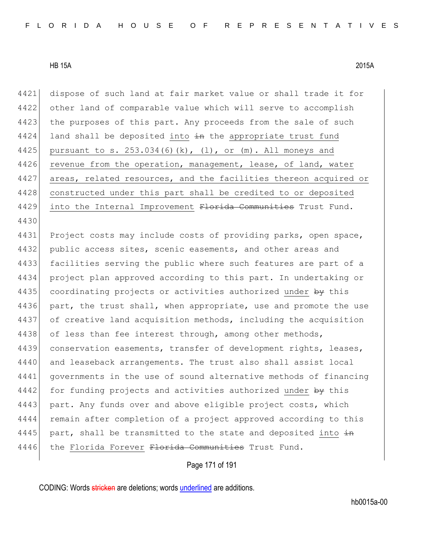4421 dispose of such land at fair market value or shall trade it for 4422 other land of comparable value which will serve to accomplish 4423 the purposes of this part. Any proceeds from the sale of such 4424 land shall be deposited into  $\pm$ n the appropriate trust fund 4425 pursuant to s.  $253.034(6)(k)$ ,  $(1)$ , or  $(m)$ . All moneys and 4426 revenue from the operation, management, lease, of land, water 4427 areas, related resources, and the facilities thereon acquired or 4428 constructed under this part shall be credited to or deposited 4429 into the Internal Improvement Florida Communities Trust Fund. 4430 4431 Project costs may include costs of providing parks, open space, 4432 public access sites, scenic easements, and other areas and 4433 facilities serving the public where such features are part of a 4434 project plan approved according to this part. In undertaking or 4435 coordinating projects or activities authorized under by this 4436 part, the trust shall, when appropriate, use and promote the use 4437 of creative land acquisition methods, including the acquisition 4438 of less than fee interest through, among other methods, 4439 conservation easements, transfer of development rights, leases, 4440 and leaseback arrangements. The trust also shall assist local 4441 governments in the use of sound alternative methods of financing 4442 for funding projects and activities authorized under by this 4443 part. Any funds over and above eligible project costs, which 4444 remain after completion of a project approved according to this 4445 part, shall be transmitted to the state and deposited into  $\frac{1}{2}$ 4446 the Florida Forever Florida Communities Trust Fund.

Page 171 of 191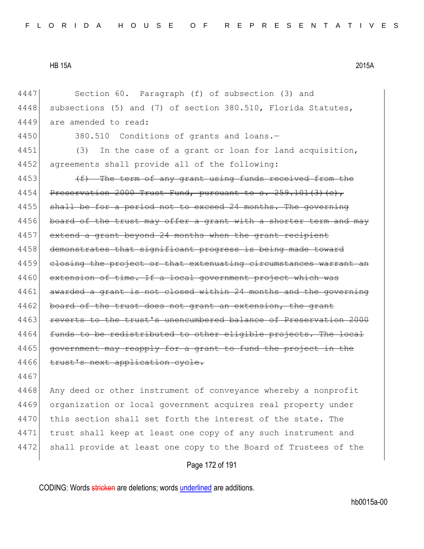4447 Section 60. Paragraph (f) of subsection (3) and 4448 subsections (5) and (7) of section 380.510, Florida Statutes, 4449 are amended to read: 4450 380.510 Conditions of grants and loans.— 4451 (3) In the case of a grant or loan for land acquisition, 4452 agreements shall provide all of the following: 4453  $(f)$  The term of any grant using funds received from the  $4454$  Preservation 2000 Trust Fund, pursuant to s. 259.101(3)(c), 4455 shall be for a period not to exceed 24 months. The governing 4456 board of the trust may offer a grant with a shorter term and may 4457 extend a grant beyond 24 months when the grant recipient 4458 demonstrates that significant progress is being made toward 4459 closing the project or that extenuating circumstances warrant an 4460 extension of time. If a local government project which was 4461 awarded a grant is not closed within 24 months and the governing 4462 board of the trust does not grant an extension, the grant 4463 reverts to the trust's unencumbered balance of Preservation 2000 4464 funds to be redistributed to other eligible projects. The local 4465 government may reapply for a grant to fund the project in the 4466 trust's next application cycle. 4467 4468 Any deed or other instrument of conveyance whereby a nonprofit 4469 organization or local government acquires real property under 4470 this section shall set forth the interest of the state. The 4471 trust shall keep at least one copy of any such instrument and

Page 172 of 191

4472 shall provide at least one copy to the Board of Trustees of the

CODING: Words stricken are deletions; words underlined are additions.

hb0015a-00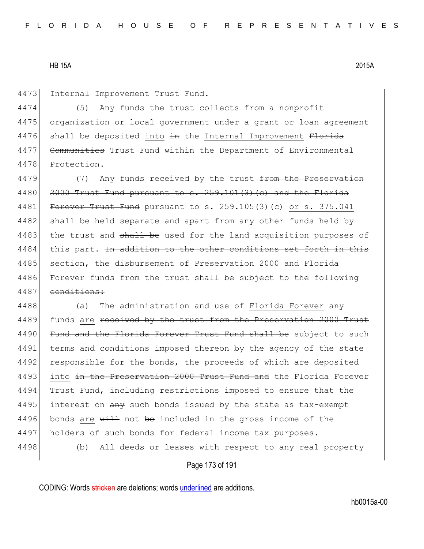4473 Internal Improvement Trust Fund.

4474 (5) Any funds the trust collects from a nonprofit 4475 organization or local government under a grant or loan agreement 4476 shall be deposited into in the Internal Improvement Florida 4477 Communities Trust Fund within the Department of Environmental 4478 Protection.

4479 (7) Any funds received by the trust from the Preservation  $4480$  2000 Trust Fund pursuant to s.  $259.101(3)(e)$  and the Florida 4481 Forever Trust Fund pursuant to s. 259.105(3)(c) or s. 375.041 4482 shall be held separate and apart from any other funds held by 4483 the trust and shall be used for the land acquisition purposes of 4484 this part. In addition to the other conditions set forth in this 4485 | section, the disbursement of Preservation 2000 and Florida 4486 Forever funds from the trust shall be subject to the following 4487 conditions:

4488 (a) The administration and use of Florida Forever  $\frac{any}{any}$ 4489 funds are received by the trust from the Preservation 2000 Trust 4490 Fund and the Florida Forever Trust Fund shall be subject to such 4491 terms and conditions imposed thereon by the agency of the state 4492 responsible for the bonds, the proceeds of which are deposited 4493 into in the Preservation 2000 Trust Fund and the Florida Forever 4494 Trust Fund, including restrictions imposed to ensure that the 4495 interest on  $\frac{any}{any}$  such bonds issued by the state as tax-exempt 4496 bonds are  $\frac{11}{2}$  not be included in the gross income of the 4497 holders of such bonds for federal income tax purposes. 4498 (b) All deeds or leases with respect to any real property

Page 173 of 191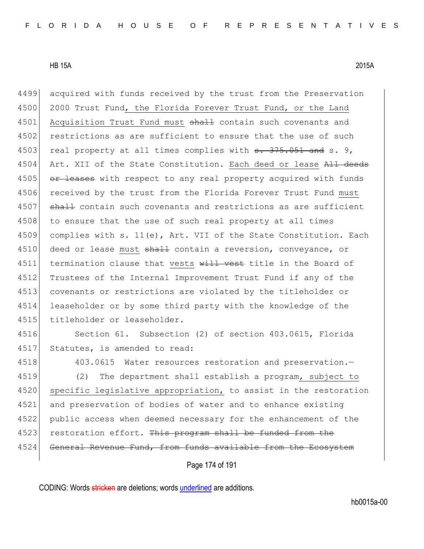4499 acquired with funds received by the trust from the Preservation 4500 2000 Trust Fund, the Florida Forever Trust Fund, or the Land 4501 Acquisition Trust Fund must shall contain such covenants and 4502 restrictions as are sufficient to ensure that the use of such 4503 real property at all times complies with  $\frac{3.75}{1.051}$  and s. 9, 4504 Art. XII of the State Constitution. Each deed or lease All deeds 4505 or leases with respect to any real property acquired with funds 4506 received by the trust from the Florida Forever Trust Fund must 4507 shall contain such covenants and restrictions as are sufficient 4508 to ensure that the use of such real property at all times 4509 complies with s. 11(e), Art. VII of the State Constitution. Each 4510 deed or lease must shall contain a reversion, conveyance, or 4511 termination clause that vests will vest title in the Board of 4512 Trustees of the Internal Improvement Trust Fund if any of the 4513 covenants or restrictions are violated by the titleholder or 4514 leaseholder or by some third party with the knowledge of the 4515 titleholder or leaseholder. 4516 Section 61. Subsection (2) of section 403.0615, Florida 4517 Statutes, is amended to read: 4518 403.0615 Water resources restoration and preservation. 4519 (2) The department shall establish a program, subject to 4520 specific legislative appropriation, to assist in the restoration

4521 and preservation of bodies of water and to enhance existing 4522 public access when deemed necessary for the enhancement of the 4523 restoration effort. This program shall be funded from the 4524 General Revenue Fund, from funds available from the Ecosystem

Page 174 of 191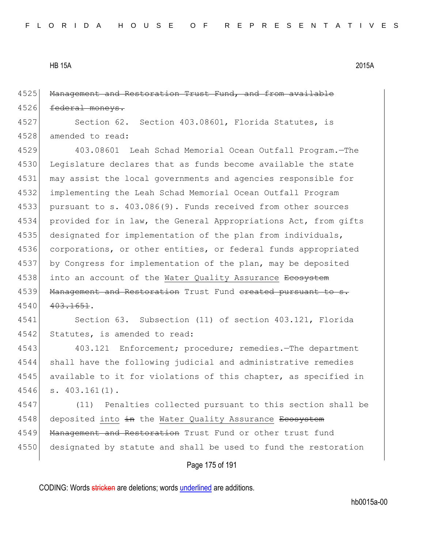4525 Management and Restoration Trust Fund, and from available 4526 <del>federal moneys.</del>

4527 Section 62. Section 403.08601, Florida Statutes, is 4528 amended to read:

4529 403.08601 Leah Schad Memorial Ocean Outfall Program.—The 4530 Legislature declares that as funds become available the state 4531 may assist the local governments and agencies responsible for 4532 implementing the Leah Schad Memorial Ocean Outfall Program 4533 pursuant to s. 403.086(9). Funds received from other sources 4534 provided for in law, the General Appropriations Act, from gifts 4535 designated for implementation of the plan from individuals, 4536 corporations, or other entities, or federal funds appropriated 4537 by Congress for implementation of the plan, may be deposited 4538 into an account of the Water Quality Assurance Ecosystem 4539 Management and Restoration Trust Fund ereated pursuant to s. 4540 403.1651.

4541 Section 63. Subsection (11) of section 403.121, Florida 4542 Statutes, is amended to read:

 403.121 Enforcement; procedure; remedies.—The department shall have the following judicial and administrative remedies 4545 available to it for violations of this chapter, as specified in s. 403.161(1).

4547 (11) Penalties collected pursuant to this section shall be 4548 deposited into in the Water Quality Assurance Ecosystem 4549 Management and Restoration Trust Fund or other trust fund 4550 designated by statute and shall be used to fund the restoration

#### Page 175 of 191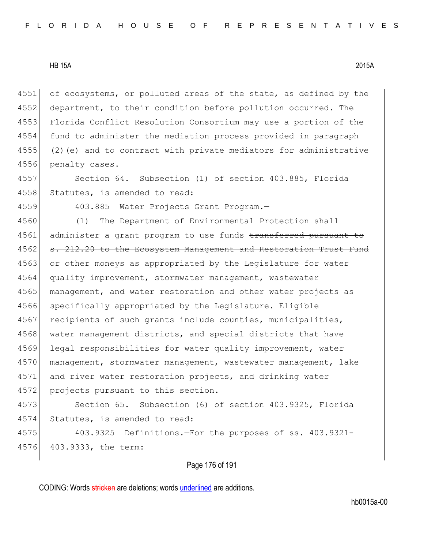4551 of ecosystems, or polluted areas of the state, as defined by the department, to their condition before pollution occurred. The Florida Conflict Resolution Consortium may use a portion of the fund to administer the mediation process provided in paragraph (2)(e) and to contract with private mediators for administrative penalty cases.

4557 Section 64. Subsection (1) of section 403.885, Florida 4558 Statutes, is amended to read:

4559 403.885 Water Projects Grant Program.—

4560 (1) The Department of Environmental Protection shall 4561 administer a grant program to use funds transferred pursuant to 4562 s. 212.20 to the Ecosystem Management and Restoration Trust Fund 4563 or other moneys as appropriated by the Legislature for water 4564 quality improvement, stormwater management, wastewater 4565 management, and water restoration and other water projects as 4566 specifically appropriated by the Legislature. Eligible 4567 recipients of such grants include counties, municipalities, 4568 water management districts, and special districts that have 4569 legal responsibilities for water quality improvement, water 4570 management, stormwater management, wastewater management, lake 4571 and river water restoration projects, and drinking water 4572 projects pursuant to this section.

4573 Section 65. Subsection (6) of section 403.9325, Florida 4574 Statutes, is amended to read:

4575 403.9325 Definitions.—For the purposes of ss. 403.9321- 4576 403.9333, the term:

Page 176 of 191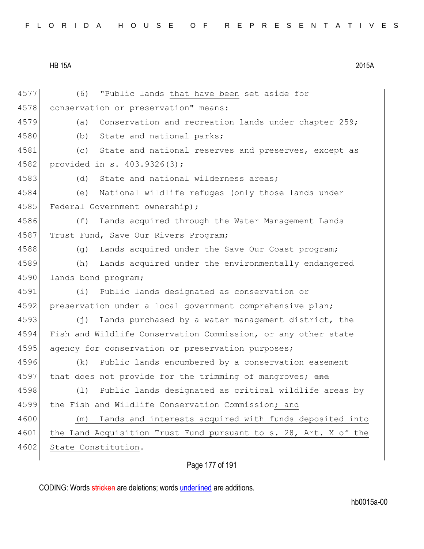|  |  |  |  |  |  |  |  |  |  |  |  |  |  |  | FLORIDA HOUSE OF REPRESENTATIVES |  |  |  |  |  |  |  |  |  |  |  |  |  |  |
|--|--|--|--|--|--|--|--|--|--|--|--|--|--|--|----------------------------------|--|--|--|--|--|--|--|--|--|--|--|--|--|--|
|--|--|--|--|--|--|--|--|--|--|--|--|--|--|--|----------------------------------|--|--|--|--|--|--|--|--|--|--|--|--|--|--|

4577 (6) "Public lands that have been set aside for 4578 conservation or preservation" means: 4579 (a) Conservation and recreation lands under chapter 259; 4580 (b) State and national parks; 4581 (c) State and national reserves and preserves, except as 4582 provided in s. 403.9326(3); 4583 (d) State and national wilderness areas; 4584 (e) National wildlife refuges (only those lands under 4585 Federal Government ownership); 4586 (f) Lands acquired through the Water Management Lands 4587 Trust Fund, Save Our Rivers Program; 4588 (g) Lands acquired under the Save Our Coast program; 4589 (h) Lands acquired under the environmentally endangered 4590 lands bond program; 4591 (i) Public lands designated as conservation or 4592 preservation under a local government comprehensive plan; 4593 (j) Lands purchased by a water management district, the 4594 Fish and Wildlife Conservation Commission, or any other state 4595 agency for conservation or preservation purposes; 4596 (k) Public lands encumbered by a conservation easement 4597 that does not provide for the trimming of mangroves; and 4598 (l) Public lands designated as critical wildlife areas by 4599 the Fish and Wildlife Conservation Commission; and 4600 (m) Lands and interests acquired with funds deposited into 4601 the Land Acquisition Trust Fund pursuant to s. 28, Art. X of the 4602 State Constitution.

Page 177 of 191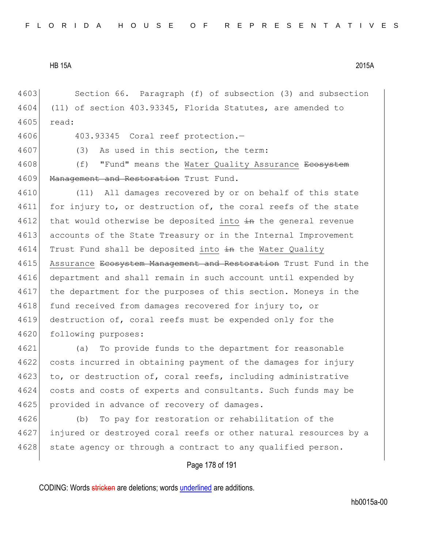Page 178 of 191 4603 Section 66. Paragraph (f) of subsection (3) and subsection 4604 (11) of section 403.93345, Florida Statutes, are amended to 4605 read: 4606 403.93345 Coral reef protection.— 4607 (3) As used in this section, the term: 4608 (f) "Fund" means the Water Quality Assurance <del>Ecosystem</del> 4609 Management and Restoration Trust Fund. 4610 (11) All damages recovered by or on behalf of this state 4611 for injury to, or destruction of, the coral reefs of the state  $4612$  that would otherwise be deposited into  $\pm$ n the general revenue 4613 accounts of the State Treasury or in the Internal Improvement 4614 Trust Fund shall be deposited into  $\pm n$  the Water Quality 4615 Assurance Ecosystem Management and Restoration Trust Fund in the 4616 department and shall remain in such account until expended by 4617 the department for the purposes of this section. Moneys in the 4618 fund received from damages recovered for injury to, or 4619 destruction of, coral reefs must be expended only for the 4620 following purposes: 4621 (a) To provide funds to the department for reasonable 4622 costs incurred in obtaining payment of the damages for injury 4623 to, or destruction of, coral reefs, including administrative 4624 costs and costs of experts and consultants. Such funds may be 4625 provided in advance of recovery of damages. 4626 (b) To pay for restoration or rehabilitation of the 4627 injured or destroyed coral reefs or other natural resources by a 4628 state agency or through a contract to any qualified person.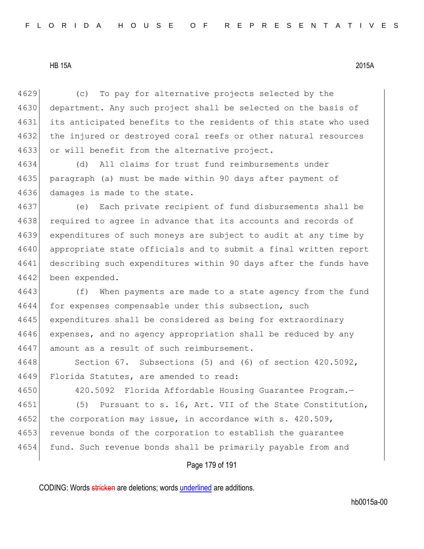4629 (c) To pay for alternative projects selected by the 4630 department. Any such project shall be selected on the basis of 4631 its anticipated benefits to the residents of this state who used 4632 the injured or destroyed coral reefs or other natural resources 4633 or will benefit from the alternative project.

4634 (d) All claims for trust fund reimbursements under 4635 paragraph (a) must be made within 90 days after payment of 4636 damages is made to the state.

 (e) Each private recipient of fund disbursements shall be 4638 required to agree in advance that its accounts and records of expenditures of such moneys are subject to audit at any time by appropriate state officials and to submit a final written report describing such expenditures within 90 days after the funds have 4642 been expended.

4643 (f) When payments are made to a state agency from the fund 4644 for expenses compensable under this subsection, such 4645 expenditures shall be considered as being for extraordinary 4646 expenses, and no agency appropriation shall be reduced by any 4647 amount as a result of such reimbursement.

4648 Section 67. Subsections (5) and (6) of section 420.5092, 4649 Florida Statutes, are amended to read:

4650 420.5092 Florida Affordable Housing Guarantee Program.— 4651 (5) Pursuant to s. 16, Art. VII of the State Constitution, 4652 the corporation may issue, in accordance with s. 420.509, 4653 revenue bonds of the corporation to establish the guarantee 4654 fund. Such revenue bonds shall be primarily payable from and

### Page 179 of 191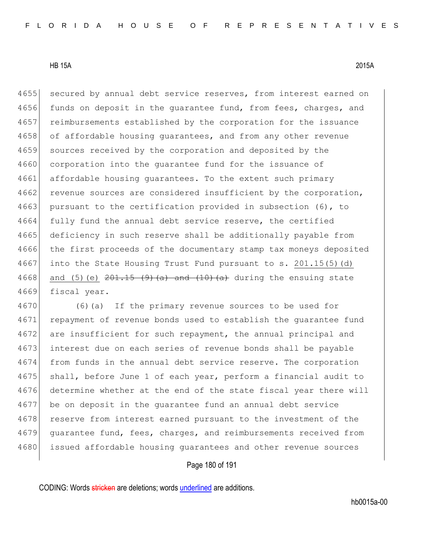4655 secured by annual debt service reserves, from interest earned on 4656 funds on deposit in the quarantee fund, from fees, charges, and 4657 reimbursements established by the corporation for the issuance 4658 of affordable housing guarantees, and from any other revenue 4659 sources received by the corporation and deposited by the 4660 corporation into the quarantee fund for the issuance of 4661 affordable housing quarantees. To the extent such primary 4662 revenue sources are considered insufficient by the corporation, 4663 pursuant to the certification provided in subsection (6), to 4664 fully fund the annual debt service reserve, the certified 4665 deficiency in such reserve shall be additionally payable from 4666 the first proceeds of the documentary stamp tax moneys deposited 4667 into the State Housing Trust Fund pursuant to s. 201.15(5)(d) 4668 and (5)(e)  $201.15$  (9)(a) and  $(10)$  (a) during the ensuing state 4669 fiscal year.

4670 (6)(a) If the primary revenue sources to be used for 4671 repayment of revenue bonds used to establish the quarantee fund 4672 are insufficient for such repayment, the annual principal and 4673 interest due on each series of revenue bonds shall be payable 4674 from funds in the annual debt service reserve. The corporation 4675 shall, before June 1 of each year, perform a financial audit to 4676 determine whether at the end of the state fiscal year there will 4677 be on deposit in the guarantee fund an annual debt service 4678 reserve from interest earned pursuant to the investment of the 4679 guarantee fund, fees, charges, and reimbursements received from 4680 issued affordable housing guarantees and other revenue sources

### Page 180 of 191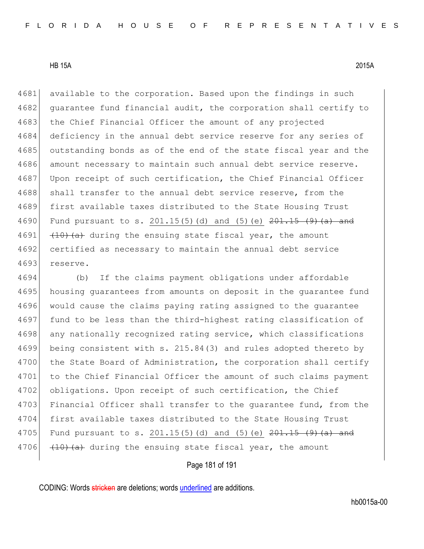4681 available to the corporation. Based upon the findings in such 4682 guarantee fund financial audit, the corporation shall certify to 4683 the Chief Financial Officer the amount of any projected 4684 deficiency in the annual debt service reserve for any series of 4685 outstanding bonds as of the end of the state fiscal year and the 4686 amount necessary to maintain such annual debt service reserve. 4687 Upon receipt of such certification, the Chief Financial Officer 4688 shall transfer to the annual debt service reserve, from the 4689 first available taxes distributed to the State Housing Trust 4690 Fund pursuant to s. 201.15(5)(d) and (5)(e)  $201.15$  (9)(a) and 4691  $(10)(a)$  during the ensuing state fiscal year, the amount 4692 certified as necessary to maintain the annual debt service 4693 reserve.

4694 (b) If the claims payment obligations under affordable 4695 housing guarantees from amounts on deposit in the quarantee fund 4696 would cause the claims paying rating assigned to the guarantee 4697 fund to be less than the third-highest rating classification of 4698 any nationally recognized rating service, which classifications 4699 being consistent with s. 215.84(3) and rules adopted thereto by 4700 the State Board of Administration, the corporation shall certify 4701 to the Chief Financial Officer the amount of such claims payment 4702 obligations. Upon receipt of such certification, the Chief 4703 Financial Officer shall transfer to the quarantee fund, from the 4704 first available taxes distributed to the State Housing Trust 4705 Fund pursuant to s.  $201.15(5)$  (d) and (5) (e)  $201.15$  (9) (a) and 4706  $(10)$   $(10)$   $(20)$  during the ensuing state fiscal year, the amount

## Page 181 of 191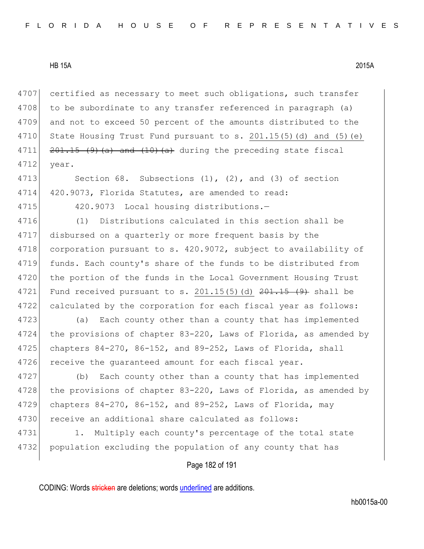4707 certified as necessary to meet such obligations, such transfer 4708 to be subordinate to any transfer referenced in paragraph (a) 4709 and not to exceed 50 percent of the amounts distributed to the 4710 State Housing Trust Fund pursuant to s.  $201.15(5)(d)$  and  $(5)(e)$ 4711  $\left| \frac{201.15}{(9)(a)} \right|$  and  $\left( \frac{10}{a} \right)$  during the preceding state fiscal 4712 year.

4713 Section 68. Subsections (1), (2), and (3) of section 4714 420.9073, Florida Statutes, are amended to read:

4715 420.9073 Local housing distributions.

4716 (1) Distributions calculated in this section shall be 4717 disbursed on a quarterly or more frequent basis by the 4718 corporation pursuant to s. 420.9072, subject to availability of 4719 funds. Each county's share of the funds to be distributed from 4720 the portion of the funds in the Local Government Housing Trust 4721 Fund received pursuant to s. 201.15(5)(d)  $201.15$  (9) shall be 4722 calculated by the corporation for each fiscal year as follows:

4723 (a) Each county other than a county that has implemented 4724 the provisions of chapter 83-220, Laws of Florida, as amended by 4725 chapters  $84-270$ ,  $86-152$ , and  $89-252$ , Laws of Florida, shall 4726 receive the guaranteed amount for each fiscal year.

4727 (b) Each county other than a county that has implemented 4728 the provisions of chapter 83-220, Laws of Florida, as amended by 4729 chapters 84-270, 86-152, and 89-252, Laws of Florida, may 4730 receive an additional share calculated as follows:

4731 1. Multiply each county's percentage of the total state 4732 population excluding the population of any county that has

Page 182 of 191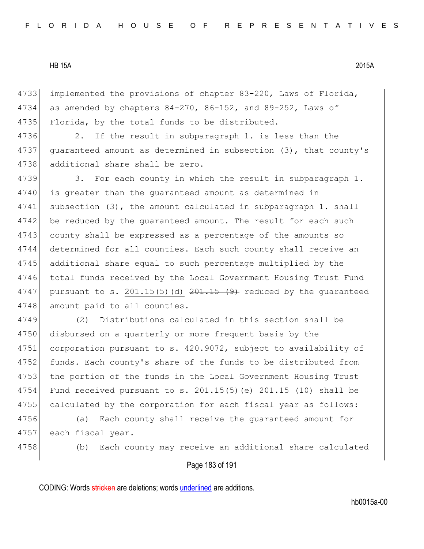4733 implemented the provisions of chapter 83-220, Laws of Florida, 4734 as amended by chapters  $84-270$ ,  $86-152$ , and  $89-252$ , Laws of 4735 Florida, by the total funds to be distributed.

4736 2. If the result in subparagraph 1. is less than the 4737 guaranteed amount as determined in subsection (3), that county's 4738 additional share shall be zero.

4739 3. For each county in which the result in subparagraph 1. 4740 is greater than the quaranteed amount as determined in 4741 subsection (3), the amount calculated in subparagraph 1. shall 4742 be reduced by the quaranteed amount. The result for each such 4743 county shall be expressed as a percentage of the amounts so 4744 determined for all counties. Each such county shall receive an 4745 additional share equal to such percentage multiplied by the 4746 total funds received by the Local Government Housing Trust Fund 4747 pursuant to s.  $201.15(5)(d)$   $\overline{201.15(9)}$  reduced by the quaranteed 4748 amount paid to all counties.

4749 (2) Distributions calculated in this section shall be 4750 disbursed on a quarterly or more frequent basis by the 4751 corporation pursuant to s. 420.9072, subject to availability of 4752 funds. Each county's share of the funds to be distributed from 4753 the portion of the funds in the Local Government Housing Trust 4754 Fund received pursuant to s.  $201.15(5)$  (e)  $201.15(10)$  shall be 4755 calculated by the corporation for each fiscal year as follows:

4756 (a) Each county shall receive the guaranteed amount for 4757 each fiscal year.

4758 (b) Each county may receive an additional share calculated

## Page 183 of 191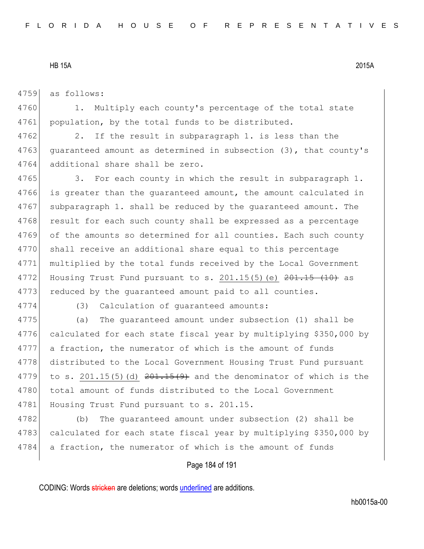4759 as follows:

4760 1. Multiply each county's percentage of the total state 4761 population, by the total funds to be distributed.

4762 2. If the result in subparagraph 1. is less than the 4763 guaranteed amount as determined in subsection (3), that county's 4764 additional share shall be zero.

4765 3. For each county in which the result in subparagraph 1. 4766 is greater than the quaranteed amount, the amount calculated in 4767 subparagraph 1. shall be reduced by the quaranteed amount. The 4768 result for each such county shall be expressed as a percentage 4769 of the amounts so determined for all counties. Each such county 4770 shall receive an additional share equal to this percentage 4771 multiplied by the total funds received by the Local Government 4772 Housing Trust Fund pursuant to s. 201.15(5) (e)  $201.15$  (10) as 4773 reduced by the quaranteed amount paid to all counties.

4774 (3) Calculation of guaranteed amounts:

4775 (a) The guaranteed amount under subsection (1) shall be 4776 calculated for each state fiscal year by multiplying \$350,000 by 4777 a fraction, the numerator of which is the amount of funds 4778 distributed to the Local Government Housing Trust Fund pursuant 4779 to s. 201.15(5)(d)  $201.15(9)$  and the denominator of which is the 4780 total amount of funds distributed to the Local Government 4781 Housing Trust Fund pursuant to s. 201.15.

4782 (b) The guaranteed amount under subsection (2) shall be 4783 calculated for each state fiscal year by multiplying \$350,000 by 4784 a fraction, the numerator of which is the amount of funds

Page 184 of 191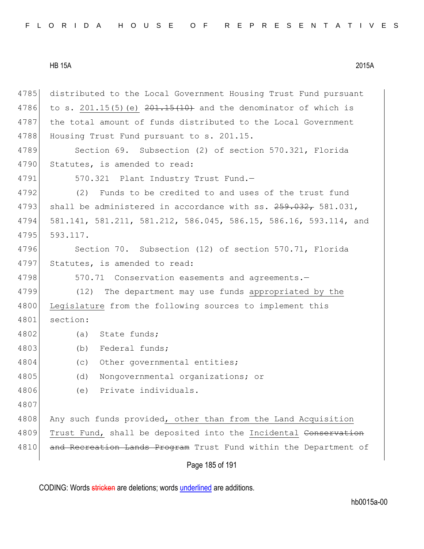Page 185 of 191 4785 distributed to the Local Government Housing Trust Fund pursuant 4786 to s. 201.15(5)(e)  $201.15(10)$  and the denominator of which is 4787 the total amount of funds distributed to the Local Government 4788 Housing Trust Fund pursuant to s. 201.15. 4789 Section 69. Subsection (2) of section 570.321, Florida 4790 Statutes, is amended to read: 4791 570.321 Plant Industry Trust Fund.-4792 (2) Funds to be credited to and uses of the trust fund 4793 shall be administered in accordance with ss. 259.032, 581.031, 4794 581.141, 581.211, 581.212, 586.045, 586.15, 586.16, 593.114, and 4795 593.117. 4796 Section 70. Subsection (12) of section 570.71, Florida 4797 Statutes, is amended to read: 4798 570.71 Conservation easements and agreements. 4799 (12) The department may use funds appropriated by the 4800 Legislature from the following sources to implement this 4801 section: 4802 (a) State funds; 4803 (b) Federal funds; 4804 (c) Other governmental entities; 4805 (d) Nongovernmental organizations; or 4806 (e) Private individuals. 4807 4808 Any such funds provided, other than from the Land Acquisition 4809 Trust Fund, shall be deposited into the Incidental Conservation 4810 and Recreation Lands Program Trust Fund within the Department of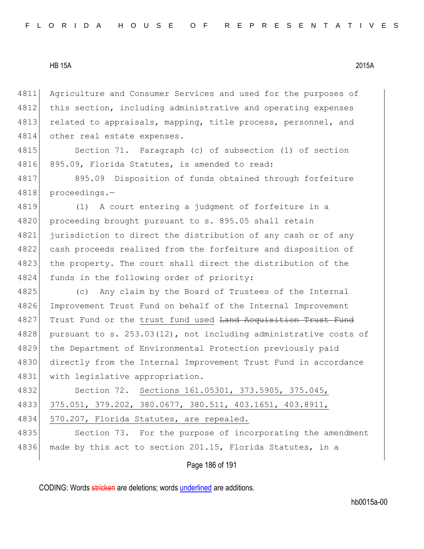4811 Agriculture and Consumer Services and used for the purposes of 4812 this section, including administrative and operating expenses 4813 related to appraisals, mapping, title process, personnel, and 4814 other real estate expenses.

4815 Section 71. Paragraph (c) of subsection (1) of section 4816 895.09, Florida Statutes, is amended to read:

4817 895.09 Disposition of funds obtained through forfeiture 4818 proceedings.—

 (1) A court entering a judgment of forfeiture in a 4820 proceeding brought pursuant to s. 895.05 shall retain jurisdiction to direct the distribution of any cash or of any cash proceeds realized from the forfeiture and disposition of 4823 the property. The court shall direct the distribution of the funds in the following order of priority:

4825 (c) Any claim by the Board of Trustees of the Internal 4826 Improvement Trust Fund on behalf of the Internal Improvement 4827 Trust Fund or the trust fund used Land Acquisition Trust Fund 4828 pursuant to s.  $253.03(12)$ , not including administrative costs of 4829 the Department of Environmental Protection previously paid 4830 directly from the Internal Improvement Trust Fund in accordance 4831 with legislative appropriation.

4832 Section 72. Sections 161.05301, 373.5905, 375.045, 4833 375.051, 379.202, 380.0677, 380.511, 403.1651, 403.8911, 4834 570.207, Florida Statutes, are repealed. 4835 Section 73. For the purpose of incorporating the amendment

4836 made by this act to section 201.15, Florida Statutes, in a

Page 186 of 191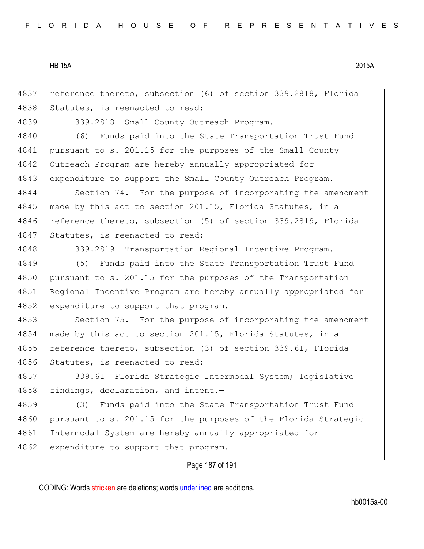4837 reference thereto, subsection (6) of section 339.2818, Florida 4838 Statutes, is reenacted to read:

4839 339.2818 Small County Outreach Program.—

4840 (6) Funds paid into the State Transportation Trust Fund 4841 pursuant to s. 201.15 for the purposes of the Small County 4842 Outreach Program are hereby annually appropriated for 4843 expenditure to support the Small County Outreach Program.

4844 Section 74. For the purpose of incorporating the amendment 4845 made by this act to section 201.15, Florida Statutes, in a 4846 reference thereto, subsection (5) of section 339.2819, Florida 4847 Statutes, is reenacted to read:

4848 339.2819 Transportation Regional Incentive Program.—

4849 (5) Funds paid into the State Transportation Trust Fund 4850 pursuant to s. 201.15 for the purposes of the Transportation 4851 Regional Incentive Program are hereby annually appropriated for 4852 expenditure to support that program.

4853 Section 75. For the purpose of incorporating the amendment 4854 made by this act to section 201.15, Florida Statutes, in a 4855 reference thereto, subsection (3) of section 339.61, Florida 4856 Statutes, is reenacted to read:

4857 339.61 Florida Strategic Intermodal System; legislative 4858 findings, declaration, and intent.-

4859 (3) Funds paid into the State Transportation Trust Fund 4860 pursuant to s. 201.15 for the purposes of the Florida Strategic 4861 Intermodal System are hereby annually appropriated for 4862 expenditure to support that program.

## Page 187 of 191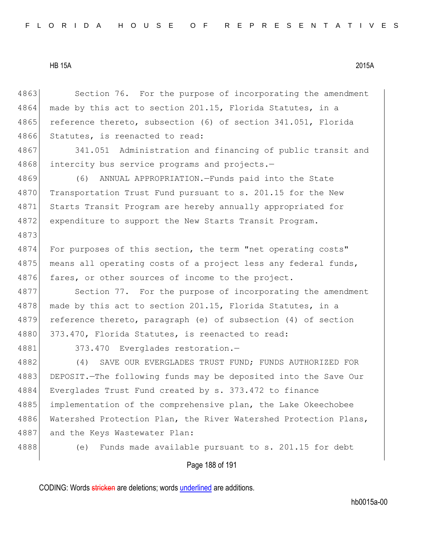4863 Section 76. For the purpose of incorporating the amendment  $4864$  made by this act to section 201.15, Florida Statutes, in a 4865 reference thereto, subsection (6) of section 341.051, Florida 4866 Statutes, is reenacted to read:

4867 341.051 Administration and financing of public transit and 4868 intercity bus service programs and projects.-

4869 (6) ANNUAL APPROPRIATION.—Funds paid into the State 4870 Transportation Trust Fund pursuant to s. 201.15 for the New 4871 Starts Transit Program are hereby annually appropriated for 4872 expenditure to support the New Starts Transit Program.

4874 For purposes of this section, the term "net operating costs" 4875 means all operating costs of a project less any federal funds, 4876 fares, or other sources of income to the project.

4877 Section 77. For the purpose of incorporating the amendment 4878 made by this act to section 201.15, Florida Statutes, in a 4879 reference thereto, paragraph (e) of subsection (4) of section 4880 373.470, Florida Statutes, is reenacted to read:

4873

4881 373.470 Everglades restoration.-

4882 (4) SAVE OUR EVERGLADES TRUST FUND; FUNDS AUTHORIZED FOR 4883 DEPOSIT. The following funds may be deposited into the Save Our 4884 Everglades Trust Fund created by s. 373.472 to finance 4885 implementation of the comprehensive plan, the Lake Okeechobee 4886 Watershed Protection Plan, the River Watershed Protection Plans, 4887 and the Keys Wastewater Plan:

4888 (e) Funds made available pursuant to s. 201.15 for debt

Page 188 of 191

CODING: Words stricken are deletions; words underlined are additions.

hb0015a-00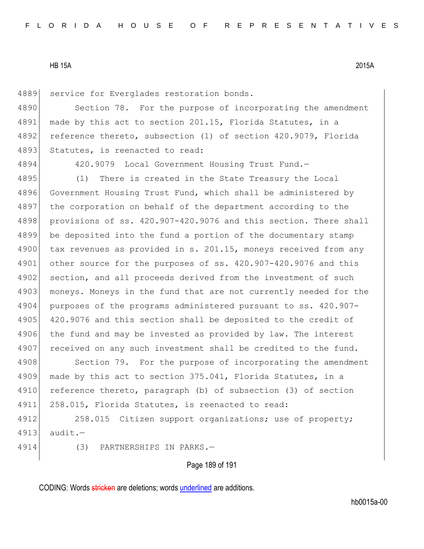4889 service for Everglades restoration bonds.

4890 Section 78. For the purpose of incorporating the amendment 4891 made by this act to section 201.15, Florida Statutes, in a 4892 reference thereto, subsection (1) of section 420.9079, Florida 4893 Statutes, is reenacted to read:

4894 420.9079 Local Government Housing Trust Fund.—

4895 (1) There is created in the State Treasury the Local 4896 Government Housing Trust Fund, which shall be administered by 4897 the corporation on behalf of the department according to the 4898 provisions of ss. 420.907-420.9076 and this section. There shall 4899 be deposited into the fund a portion of the documentary stamp 4900 tax revenues as provided in s. 201.15, moneys received from any 4901 other source for the purposes of ss. 420.907-420.9076 and this 4902 section, and all proceeds derived from the investment of such 4903 moneys. Moneys in the fund that are not currently needed for the 4904 purposes of the programs administered pursuant to ss. 420.907- 4905 420.9076 and this section shall be deposited to the credit of 4906 the fund and may be invested as provided by law. The interest 4907 received on any such investment shall be credited to the fund.

4908 Section 79. For the purpose of incorporating the amendment 4909 made by this act to section 375.041, Florida Statutes, in a 4910 reference thereto, paragraph (b) of subsection (3) of section 4911 258.015, Florida Statutes, is reenacted to read:

4912 258.015 Citizen support organizations; use of property; 4913 audit.—

4914 (3) PARTNERSHIPS IN PARKS.—

Page 189 of 191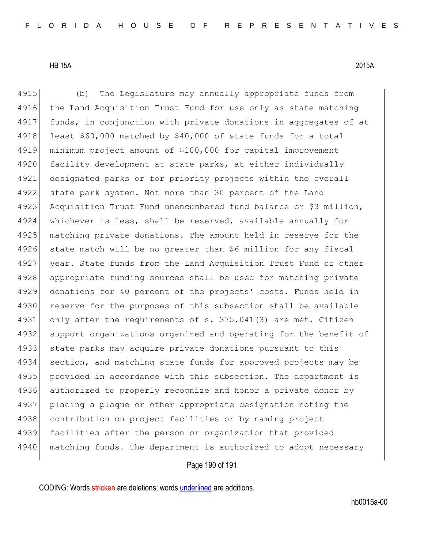4915 (b) The Legislature may annually appropriate funds from 4916 the Land Acquisition Trust Fund for use only as state matching 4917 funds, in conjunction with private donations in aggregates of at 4918 least  $$60,000$  matched by  $$40,000$  of state funds for a total 4919 minimum project amount of \$100,000 for capital improvement 4920 facility development at state parks, at either individually 4921 designated parks or for priority projects within the overall 4922 state park system. Not more than 30 percent of the Land 4923 Acquisition Trust Fund unencumbered fund balance or \$3 million, 4924 whichever is less, shall be reserved, available annually for 4925 matching private donations. The amount held in reserve for the 4926 state match will be no greater than \$6 million for any fiscal 4927 year. State funds from the Land Acquisition Trust Fund or other 4928 appropriate funding sources shall be used for matching private 4929 donations for 40 percent of the projects' costs. Funds held in 4930 reserve for the purposes of this subsection shall be available 4931 only after the requirements of s. 375.041(3) are met. Citizen 4932 support organizations organized and operating for the benefit of 4933 state parks may acquire private donations pursuant to this 4934 section, and matching state funds for approved projects may be 4935 provided in accordance with this subsection. The department is 4936 authorized to properly recognize and honor a private donor by 4937 placing a plaque or other appropriate designation noting the 4938 contribution on project facilities or by naming project 4939 facilities after the person or organization that provided 4940 matching funds. The department is authorized to adopt necessary

# Page 190 of 191